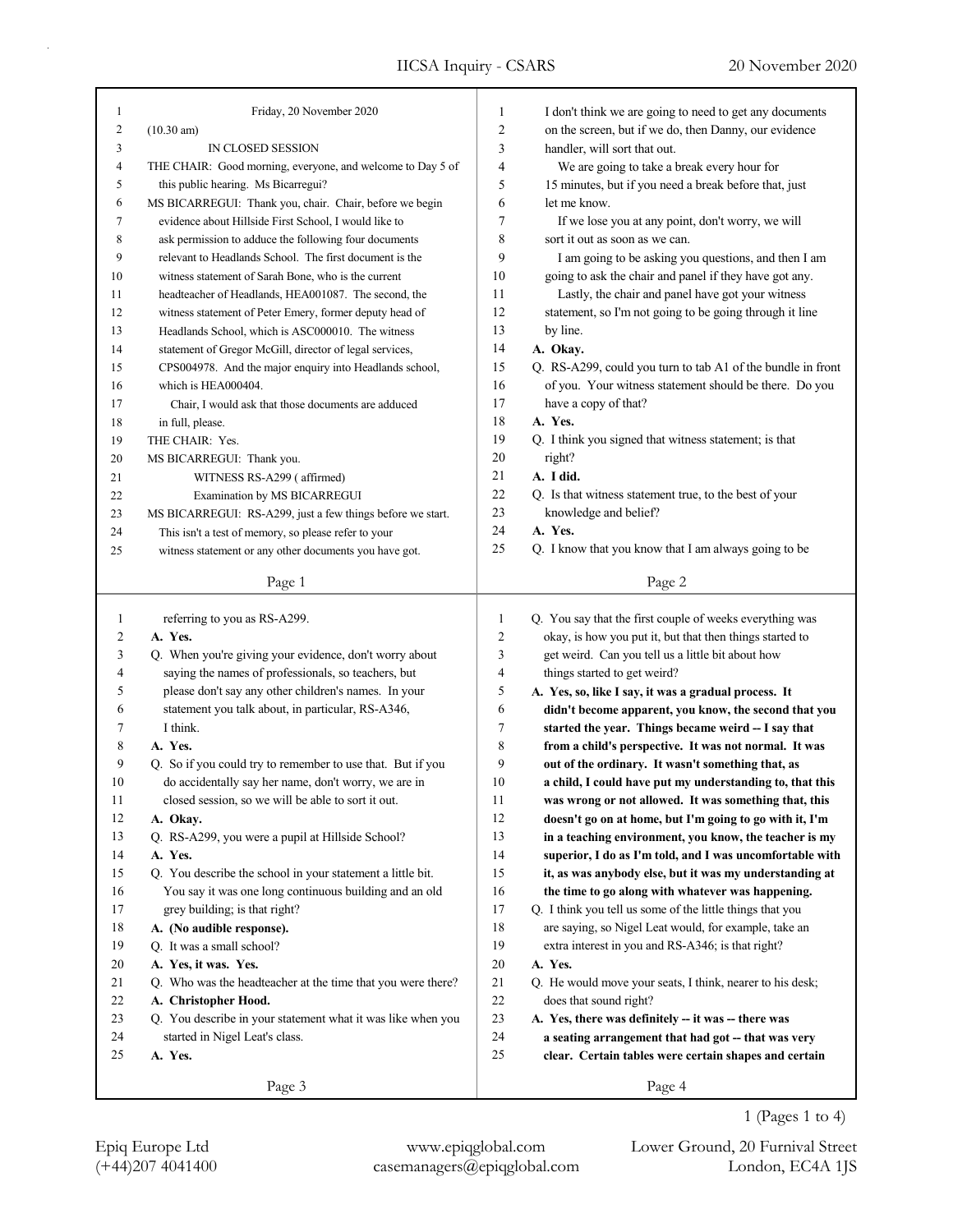| 1                       | Friday, 20 November 2020                                    | 1              | I don't think we are going to need to get any documents                                              |
|-------------------------|-------------------------------------------------------------|----------------|------------------------------------------------------------------------------------------------------|
| $\overline{c}$          | $(10.30 \text{ am})$                                        | $\overline{2}$ | on the screen, but if we do, then Danny, our evidence                                                |
| 3                       | IN CLOSED SESSION                                           | 3              | handler, will sort that out.                                                                         |
| 4                       | THE CHAIR: Good morning, everyone, and welcome to Day 5 of  | 4              |                                                                                                      |
| 5                       |                                                             | 5              | We are going to take a break every hour for<br>15 minutes, but if you need a break before that, just |
|                         | this public hearing. Ms Bicarregui?                         |                | let me know.                                                                                         |
| 6                       | MS BICARREGUI: Thank you, chair. Chair, before we begin     | 6              |                                                                                                      |
| 7                       | evidence about Hillside First School, I would like to       | 7              | If we lose you at any point, don't worry, we will                                                    |
| 8                       | ask permission to adduce the following four documents       | 8              | sort it out as soon as we can.                                                                       |
| 9                       | relevant to Headlands School. The first document is the     | 9              | I am going to be asking you questions, and then I am                                                 |
| 10                      | witness statement of Sarah Bone, who is the current         | 10             | going to ask the chair and panel if they have got any.                                               |
| 11                      | headteacher of Headlands, HEA001087. The second, the        | 11             | Lastly, the chair and panel have got your witness                                                    |
| 12                      | witness statement of Peter Emery, former deputy head of     | 12             | statement, so I'm not going to be going through it line                                              |
| 13                      | Headlands School, which is ASC000010. The witness           | 13             | by line.                                                                                             |
| 14                      | statement of Gregor McGill, director of legal services,     | 14             | A. Okay.                                                                                             |
| 15                      | CPS004978. And the major enquiry into Headlands school,     | 15             | Q. RS-A299, could you turn to tab A1 of the bundle in front                                          |
| 16                      | which is HEA000404.                                         | 16             | of you. Your witness statement should be there. Do you                                               |
| 17                      | Chair, I would ask that those documents are adduced         | 17             | have a copy of that?                                                                                 |
| 18                      | in full, please.                                            | 18             | A. Yes.                                                                                              |
| 19                      | THE CHAIR: Yes.                                             | 19             | Q. I think you signed that witness statement; is that                                                |
| 20                      | MS BICARREGUI: Thank you.                                   | 20             | right?                                                                                               |
| 21                      | WITNESS RS-A299 (affirmed)                                  | 21             | A. I did.                                                                                            |
| 22                      | Examination by MS BICARREGUI                                | 22             | Q. Is that witness statement true, to the best of your                                               |
| 23                      | MS BICARREGUI: RS-A299, just a few things before we start.  | 23             | knowledge and belief?                                                                                |
| 24                      | This isn't a test of memory, so please refer to your        | 24             | A. Yes.                                                                                              |
| 25                      | witness statement or any other documents you have got.      | 25             | Q. I know that you know that I am always going to be                                                 |
|                         |                                                             |                |                                                                                                      |
|                         | Page 1                                                      |                | Page 2                                                                                               |
|                         |                                                             |                |                                                                                                      |
|                         |                                                             |                |                                                                                                      |
| $\mathbf{1}$            | referring to you as RS-A299.                                | $\mathbf{1}$   | Q. You say that the first couple of weeks everything was                                             |
| $\overline{\mathbf{c}}$ | A. Yes.                                                     | $\sqrt{2}$     | okay, is how you put it, but that then things started to                                             |
| 3                       | Q. When you're giving your evidence, don't worry about      | $\mathfrak{Z}$ | get weird. Can you tell us a little bit about how                                                    |
| 4                       | saying the names of professionals, so teachers, but         | $\overline{4}$ | things started to get weird?                                                                         |
| 5                       | please don't say any other children's names. In your        | 5              | A. Yes, so, like I say, it was a gradual process. It                                                 |
| 6                       | statement you talk about, in particular, RS-A346,           | 6              | didn't become apparent, you know, the second that you                                                |
| 7                       | I think.                                                    | $\tau$         | started the year. Things became weird -- I say that                                                  |
| 8                       | A. Yes.                                                     | 8              | from a child's perspective. It was not normal. It was                                                |
| 9                       | Q. So if you could try to remember to use that. But if you  | 9              | out of the ordinary. It wasn't something that, as                                                    |
| 10                      | do accidentally say her name, don't worry, we are in        | 10             | a child, I could have put my understanding to, that this                                             |
| 11                      | closed session, so we will be able to sort it out.          | 11             | was wrong or not allowed. It was something that, this                                                |
| 12                      | A. Okay.                                                    | 12             | doesn't go on at home, but I'm going to go with it, I'm                                              |
| 13                      | Q. RS-A299, you were a pupil at Hillside School?            | 13             | in a teaching environment, you know, the teacher is my                                               |
| 14                      | A. Yes.                                                     | 14             | superior, I do as I'm told, and I was uncomfortable with                                             |
| 15                      | Q. You describe the school in your statement a little bit.  | 15             | it, as was anybody else, but it was my understanding at                                              |
| 16                      | You say it was one long continuous building and an old      | 16             | the time to go along with whatever was happening.                                                    |
| 17                      | grey building; is that right?                               | 17             | Q. I think you tell us some of the little things that you                                            |
| 18                      | A. (No audible response).                                   | 18             | are saying, so Nigel Leat would, for example, take an                                                |
| 19                      | Q. It was a small school?                                   | 19             | extra interest in you and RS-A346; is that right?                                                    |
| 20                      | A. Yes, it was. Yes.                                        | 20             | A. Yes.                                                                                              |
| 21                      | Q. Who was the headteacher at the time that you were there? | 21             | Q. He would move your seats, I think, nearer to his desk;                                            |
| 22                      | A. Christopher Hood.                                        | 22             | does that sound right?                                                                               |
| 23                      | Q. You describe in your statement what it was like when you | 23             | A. Yes, there was definitely -- it was -- there was                                                  |
| 24                      | started in Nigel Leat's class.                              | 24             | a seating arrangement that had got -- that was very                                                  |
| 25                      | A. Yes.                                                     | 25             | clear. Certain tables were certain shapes and certain                                                |
|                         | Page 3                                                      |                | Page 4                                                                                               |

Epiq Europe Ltd www.epiqglobal.com Lower Ground, 20 Furnival Street

1 (Pages 1 to 4)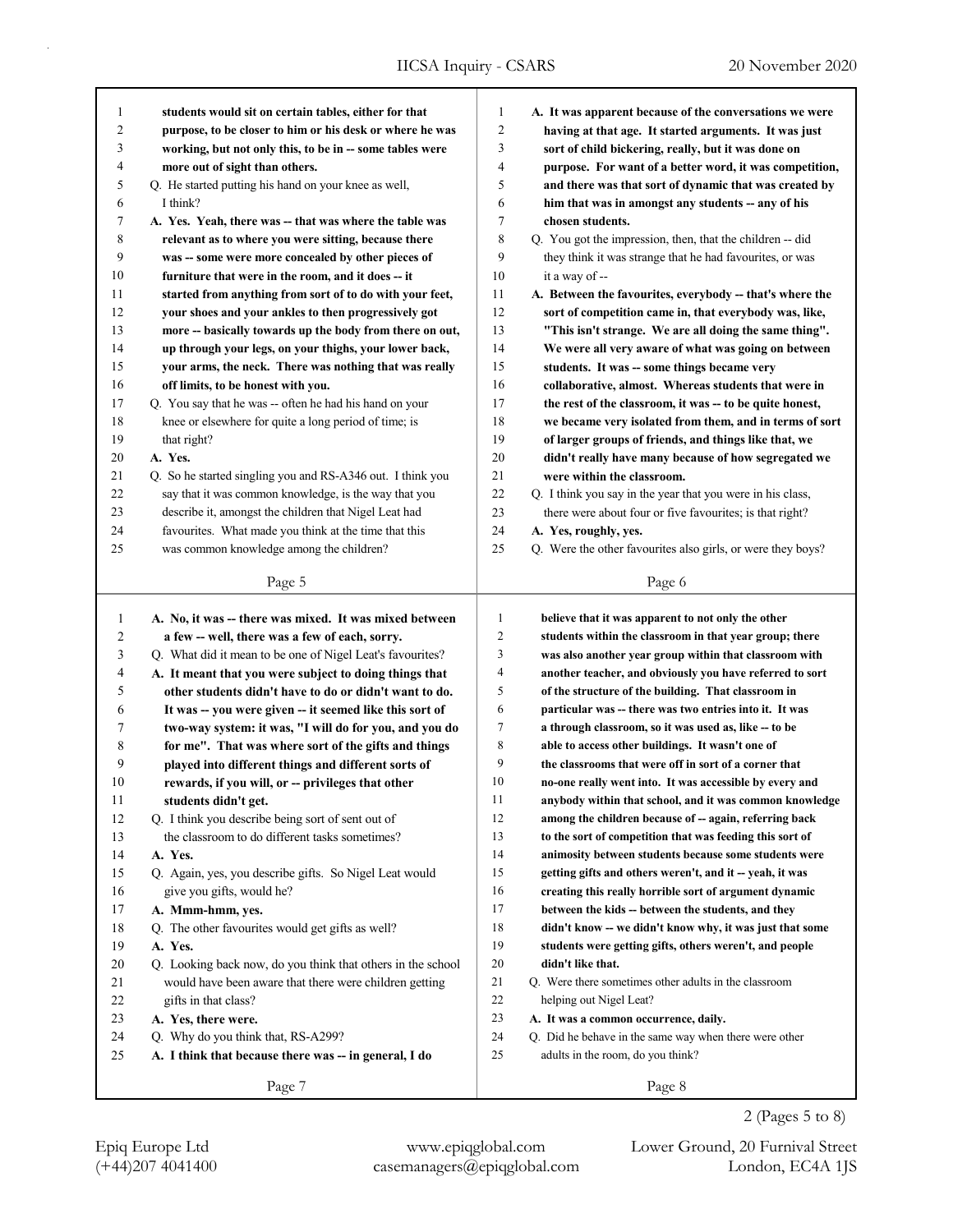| $\mathbf{1}$      | students would sit on certain tables, either for that       | 1              | A. It was apparent because of the conversations we were     |
|-------------------|-------------------------------------------------------------|----------------|-------------------------------------------------------------|
| 2                 | purpose, to be closer to him or his desk or where he was    | 2              | having at that age. It started arguments. It was just       |
| 3                 | working, but not only this, to be in -- some tables were    | 3              | sort of child bickering, really, but it was done on         |
| 4                 | more out of sight than others.                              | 4              | purpose. For want of a better word, it was competition,     |
| 5                 | Q. He started putting his hand on your knee as well,        | 5              | and there was that sort of dynamic that was created by      |
| 6                 | I think?                                                    | 6              | him that was in amongst any students -- any of his          |
| 7                 | A. Yes. Yeah, there was -- that was where the table was     | 7              | chosen students.                                            |
| 8                 | relevant as to where you were sitting, because there        | 8              | Q. You got the impression, then, that the children -- did   |
| 9                 | was -- some were more concealed by other pieces of          | 9              | they think it was strange that he had favourites, or was    |
| 10                | furniture that were in the room, and it does -- it          | 10             | it a way of --                                              |
| 11                | started from anything from sort of to do with your feet,    | 11             | A. Between the favourites, everybody -- that's where the    |
| 12                | your shoes and your ankles to then progressively got        | 12             | sort of competition came in, that everybody was, like,      |
| 13                | more -- basically towards up the body from there on out,    | 13             | "This isn't strange. We are all doing the same thing".      |
| 14                | up through your legs, on your thighs, your lower back,      | 14             | We were all very aware of what was going on between         |
| 15                | your arms, the neck. There was nothing that was really      | 15             | students. It was -- some things became very                 |
| 16                | off limits, to be honest with you.                          | 16             | collaborative, almost. Whereas students that were in        |
| 17                | Q. You say that he was -- often he had his hand on your     | 17             | the rest of the classroom, it was -- to be quite honest,    |
| 18                | knee or elsewhere for quite a long period of time; is       | 18             | we became very isolated from them, and in terms of sort     |
| 19                | that right?                                                 | 19             | of larger groups of friends, and things like that, we       |
| 20                | A. Yes.                                                     | 20             | didn't really have many because of how segregated we        |
| 21                | Q. So he started singling you and RS-A346 out. I think you  | 21             | were within the classroom.                                  |
| 22                | say that it was common knowledge, is the way that you       | 22             | Q. I think you say in the year that you were in his class,  |
| 23                | describe it, amongst the children that Nigel Leat had       | 23             | there were about four or five favourites; is that right?    |
| 24                | favourites. What made you think at the time that this       | 24             | A. Yes, roughly, yes.                                       |
| 25                | was common knowledge among the children?                    | 25             | Q. Were the other favourites also girls, or were they boys? |
|                   |                                                             |                |                                                             |
|                   | Page 5                                                      |                | Page 6                                                      |
|                   | A. No, it was -- there was mixed. It was mixed between      | $\mathbf{1}$   | believe that it was apparent to not only the other          |
| $\mathbf{1}$<br>2 | a few -- well, there was a few of each, sorry.              | $\overline{2}$ | students within the classroom in that year group; there     |
| 3                 | Q. What did it mean to be one of Nigel Leat's favourites?   | 3              | was also another year group within that classroom with      |
| 4                 | A. It meant that you were subject to doing things that      | 4              | another teacher, and obviously you have referred to sort    |
| 5                 | other students didn't have to do or didn't want to do.      | 5              | of the structure of the building. That classroom in         |
| 6                 | It was -- you were given -- it seemed like this sort of     | 6              | particular was -- there was two entries into it. It was     |
| 7                 | two-way system: it was, "I will do for you, and you do      | 7              | a through classroom, so it was used as, like -- to be       |
| 8                 | for me". That was where sort of the gifts and things        | 8              | able to access other buildings. It wasn't one of            |
| 9                 | played into different things and different sorts of         | 9              | the classrooms that were off in sort of a corner that       |
| 10                | rewards, if you will, or -- privileges that other           | 10             | no-one really went into. It was accessible by every and     |
| 11                | students didn't get.                                        | 11             | anybody within that school, and it was common knowledge     |
| 12                | Q. I think you describe being sort of sent out of           | 12             | among the children because of -- again, referring back      |
| 13                | the classroom to do different tasks sometimes?              | 13             | to the sort of competition that was feeding this sort of    |
| 14                | A. Yes.                                                     | 14             | animosity between students because some students were       |
| 15                | Q. Again, yes, you describe gifts. So Nigel Leat would      | 15             | getting gifts and others weren't, and it - yeah, it was     |
| 16                | give you gifts, would he?                                   | 16             | creating this really horrible sort of argument dynamic      |
| 17                | A. Mmm-hmm, yes.                                            | 17             | between the kids -- between the students, and they          |
| 18                | Q. The other favourites would get gifts as well?            | 18             | didn't know -- we didn't know why, it was just that some    |
| 19                | A. Yes.                                                     | 19             | students were getting gifts, others weren't, and people     |
| 20                | Q. Looking back now, do you think that others in the school | 20             | didn't like that.                                           |
| 21                | would have been aware that there were children getting      | 21             | Q. Were there sometimes other adults in the classroom       |
| 22                | gifts in that class?                                        | 22             | helping out Nigel Leat?                                     |
| 23                | A. Yes, there were.                                         | 23             | A. It was a common occurrence, daily.                       |
| 24                | Q. Why do you think that, RS-A299?                          | 24             | Q. Did he behave in the same way when there were other      |
|                   |                                                             |                |                                                             |
|                   |                                                             |                |                                                             |
| 25                | A. I think that because there was -- in general, I do       | 25             | adults in the room, do you think?                           |

Page 8

2 (Pages 5 to 8)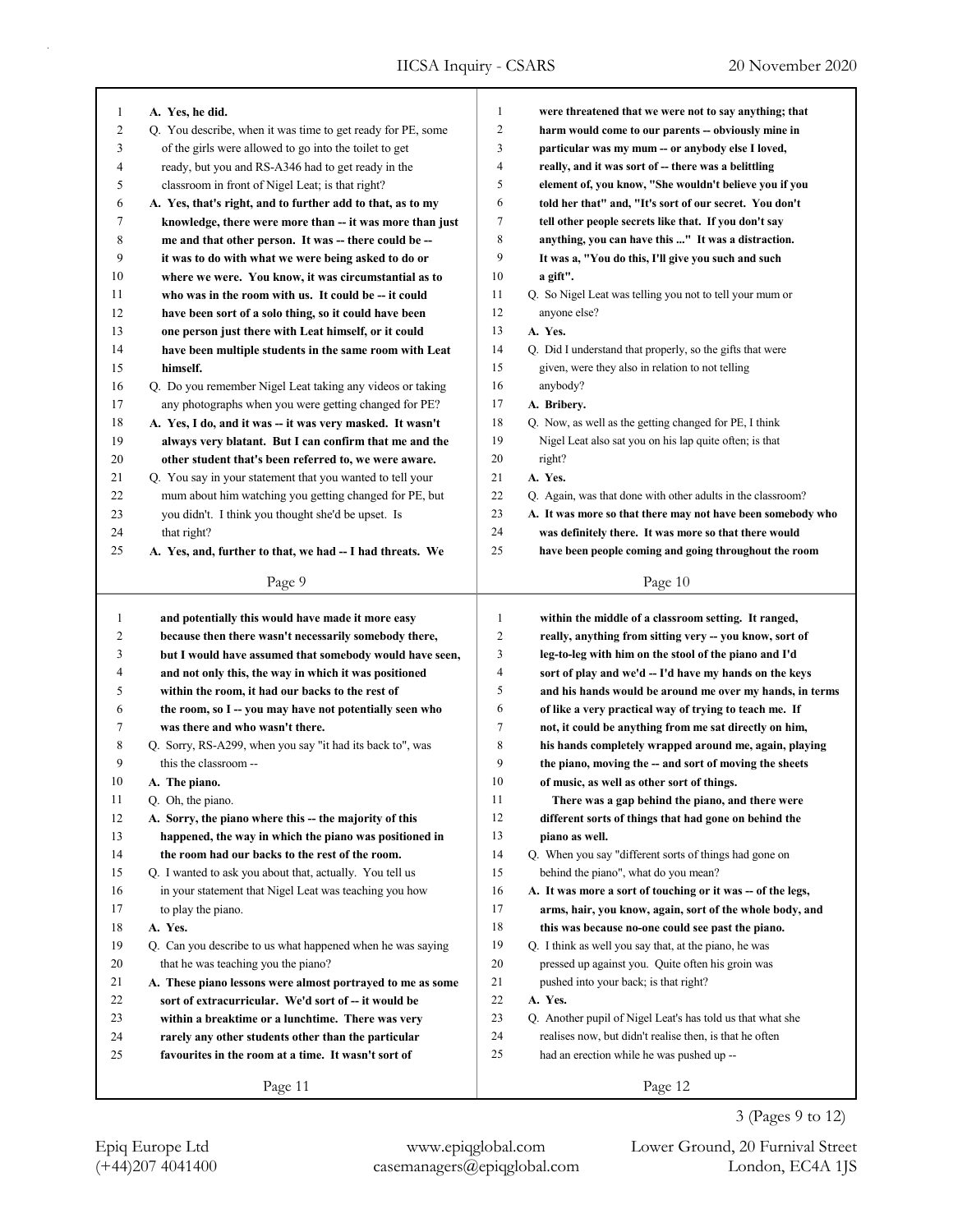| 1            | A. Yes, he did.                                             | $\mathbf{1}$     | were threatened that we were not to say anything; that      |
|--------------|-------------------------------------------------------------|------------------|-------------------------------------------------------------|
| 2            | Q. You describe, when it was time to get ready for PE, some | $\boldsymbol{2}$ | harm would come to our parents -- obviously mine in         |
| 3            | of the girls were allowed to go into the toilet to get      | 3                | particular was my mum -- or anybody else I loved,           |
| 4            | ready, but you and RS-A346 had to get ready in the          | $\overline{4}$   | really, and it was sort of -- there was a belittling        |
| 5            | classroom in front of Nigel Leat; is that right?            | 5                | element of, you know, "She wouldn't believe you if you      |
| 6            | A. Yes, that's right, and to further add to that, as to my  | 6                | told her that" and, "It's sort of our secret. You don't     |
| 7            | knowledge, there were more than -- it was more than just    | 7                | tell other people secrets like that. If you don't say       |
| 8            | me and that other person. It was -- there could be --       | 8                | anything, you can have this " It was a distraction.         |
| 9            | it was to do with what we were being asked to do or         | 9                | It was a, "You do this, I'll give you such and such         |
| 10           | where we were. You know, it was circumstantial as to        | 10               | a gift".                                                    |
| 11           | who was in the room with us. It could be -- it could        | 11               | Q. So Nigel Leat was telling you not to tell your mum or    |
| 12           | have been sort of a solo thing, so it could have been       | 12               | anyone else?                                                |
| 13           | one person just there with Leat himself, or it could        | 13               | A. Yes.                                                     |
| 14           | have been multiple students in the same room with Leat      | 14               | Q. Did I understand that properly, so the gifts that were   |
| 15           | himself.                                                    | 15               | given, were they also in relation to not telling            |
| 16           | Q. Do you remember Nigel Leat taking any videos or taking   | 16               | anybody?                                                    |
| 17           | any photographs when you were getting changed for PE?       | 17               | A. Bribery.                                                 |
| 18           | A. Yes, I do, and it was -- it was very masked. It wasn't   | 18               | Q. Now, as well as the getting changed for PE, I think      |
| 19           | always very blatant. But I can confirm that me and the      | 19               | Nigel Leat also sat you on his lap quite often; is that     |
|              |                                                             | 20               |                                                             |
| 20           | other student that's been referred to, we were aware.       |                  | right?                                                      |
| 21           | Q. You say in your statement that you wanted to tell your   | 21               | A. Yes.                                                     |
| 22           | mum about him watching you getting changed for PE, but      | 22               | Q. Again, was that done with other adults in the classroom? |
| 23           | you didn't. I think you thought she'd be upset. Is          | 23               | A. It was more so that there may not have been somebody who |
| 24           | that right?                                                 | 24               | was definitely there. It was more so that there would       |
| 25           | A. Yes, and, further to that, we had -- I had threats. We   | 25               | have been people coming and going throughout the room       |
|              | Page 9                                                      |                  | Page 10                                                     |
|              |                                                             |                  |                                                             |
|              |                                                             |                  |                                                             |
| $\mathbf{1}$ | and potentially this would have made it more easy           | $\mathbf{1}$     | within the middle of a classroom setting. It ranged,        |
| 2            | because then there wasn't necessarily somebody there,       | $\overline{c}$   | really, anything from sitting very -- you know, sort of     |
| 3            | but I would have assumed that somebody would have seen,     | 3                | leg-to-leg with him on the stool of the piano and I'd       |
| 4            | and not only this, the way in which it was positioned       | $\overline{4}$   | sort of play and we'd -- I'd have my hands on the keys      |
| 5            | within the room, it had our backs to the rest of            | 5                | and his hands would be around me over my hands, in terms    |
| 6            | the room, so I -- you may have not potentially seen who     | 6                | of like a very practical way of trying to teach me. If      |
| 7            | was there and who wasn't there.                             | $\tau$           | not, it could be anything from me sat directly on him,      |
| 8            | Q. Sorry, RS-A299, when you say "it had its back to", was   | 8                | his hands completely wrapped around me, again, playing      |
| 9            | this the classroom --                                       | 9                | the piano, moving the -- and sort of moving the sheets      |
| 10           | A. The piano.                                               | 10               | of music, as well as other sort of things.                  |
| 11           | Q. Oh, the piano.                                           | 11               | There was a gap behind the piano, and there were            |
| 12           | A. Sorry, the piano where this -- the majority of this      | 12               | different sorts of things that had gone on behind the       |
| 13           | happened, the way in which the piano was positioned in      | 13               | piano as well.                                              |
| 14           | the room had our backs to the rest of the room.             | 14               | Q. When you say "different sorts of things had gone on      |
| 15           | Q. I wanted to ask you about that, actually. You tell us    | 15               | behind the piano", what do you mean?                        |
| 16           | in your statement that Nigel Leat was teaching you how      | 16               | A. It was more a sort of touching or it was -- of the legs, |
| 17           | to play the piano.                                          | 17               | arms, hair, you know, again, sort of the whole body, and    |
| 18           | A. Yes.                                                     | 18               | this was because no-one could see past the piano.           |
| 19           | Q. Can you describe to us what happened when he was saying  | 19               | Q. I think as well you say that, at the piano, he was       |
| 20           | that he was teaching you the piano?                         | 20               | pressed up against you. Quite often his groin was           |
| 21           | A. These piano lessons were almost portrayed to me as some  | 21               | pushed into your back; is that right?                       |
| 22           | sort of extracurricular. We'd sort of -- it would be        | 22               | A. Yes.                                                     |
| 23           | within a breaktime or a lunchtime. There was very           | 23               | Q. Another pupil of Nigel Leat's has told us that what she  |
| 24           | rarely any other students other than the particular         | 24               | realises now, but didn't realise then, is that he often     |
| 25           | favourites in the room at a time. It wasn't sort of         | 25               | had an erection while he was pushed up --                   |

Page 12

3 (Pages 9 to 12)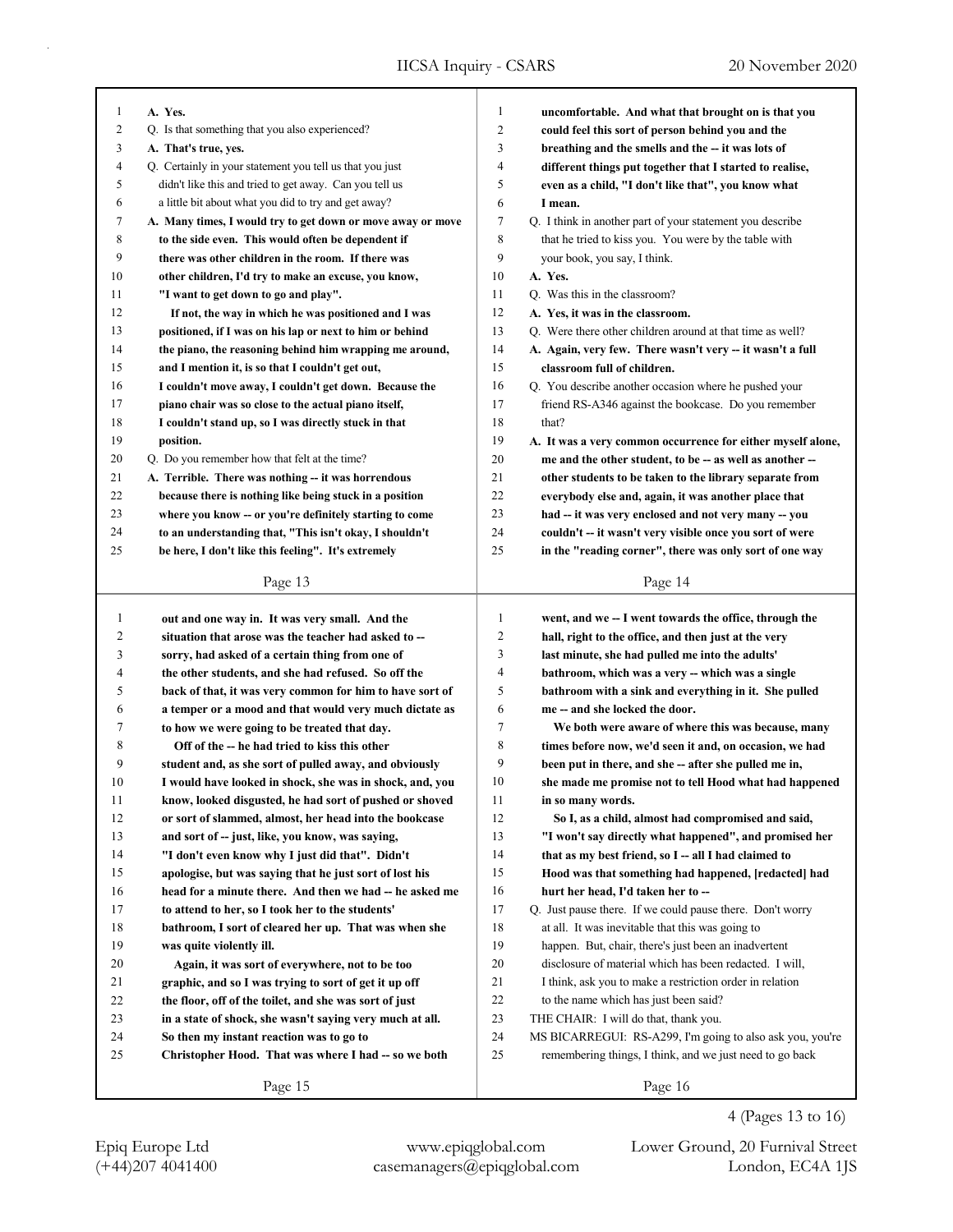| 1              | A. Yes.                                                     | 1              | uncomfortable. And what that brought on is that you         |
|----------------|-------------------------------------------------------------|----------------|-------------------------------------------------------------|
| 2              | Q. Is that something that you also experienced?             | $\overline{2}$ | could feel this sort of person behind you and the           |
| 3              | A. That's true, yes.                                        | 3              | breathing and the smells and the -- it was lots of          |
| $\overline{4}$ | Q. Certainly in your statement you tell us that you just    | $\overline{4}$ | different things put together that I started to realise,    |
| 5              | didn't like this and tried to get away. Can you tell us     | 5              | even as a child, "I don't like that", you know what         |
| 6              | a little bit about what you did to try and get away?        | 6              | I mean.                                                     |
| 7              | A. Many times, I would try to get down or move away or move | 7              | Q. I think in another part of your statement you describe   |
| 8              | to the side even. This would often be dependent if          | 8              | that he tried to kiss you. You were by the table with       |
| 9              | there was other children in the room. If there was          | 9              | your book, you say, I think.                                |
| 10             | other children, I'd try to make an excuse, you know,        | 10             | A. Yes.                                                     |
| 11             | "I want to get down to go and play".                        | 11             | Q. Was this in the classroom?                               |
| 12             | If not, the way in which he was positioned and I was        | 12             | A. Yes, it was in the classroom.                            |
| 13             | positioned, if I was on his lap or next to him or behind    | 13             | Q. Were there other children around at that time as well?   |
| 14             | the piano, the reasoning behind him wrapping me around,     | 14             | A. Again, very few. There wasn't very -- it wasn't a full   |
| 15             | and I mention it, is so that I couldn't get out,            | 15             | classroom full of children.                                 |
| 16             | I couldn't move away, I couldn't get down. Because the      | 16             | Q. You describe another occasion where he pushed your       |
| 17             | piano chair was so close to the actual piano itself,        | 17             | friend RS-A346 against the bookcase. Do you remember        |
| 18             | I couldn't stand up, so I was directly stuck in that        | 18             | that?                                                       |
| 19             | position.                                                   | 19             | A. It was a very common occurrence for either myself alone, |
| 20             | Q. Do you remember how that felt at the time?               | 20             | me and the other student, to be -- as well as another --    |
| 21             | A. Terrible. There was nothing -- it was horrendous         | 21             | other students to be taken to the library separate from     |
| 22             | because there is nothing like being stuck in a position     | 22             | everybody else and, again, it was another place that        |
| 23             | where you know -- or you're definitely starting to come     | 23             | had -- it was very enclosed and not very many -- you        |
| 24             | to an understanding that, "This isn't okay, I shouldn't     | 24             | couldn't -- it wasn't very visible once you sort of were    |
| 25             | be here, I don't like this feeling". It's extremely         | 25             | in the "reading corner", there was only sort of one way     |
|                |                                                             |                |                                                             |
|                | Page 13                                                     |                | Page 14                                                     |
|                |                                                             |                |                                                             |
|                |                                                             |                |                                                             |
| $\mathbf{1}$   | out and one way in. It was very small. And the              | $\mathbf{1}$   | went, and we -- I went towards the office, through the      |
| 2              | situation that arose was the teacher had asked to --        | $\overline{2}$ | hall, right to the office, and then just at the very        |
| 3              | sorry, had asked of a certain thing from one of             | 3              | last minute, she had pulled me into the adults'             |
| 4              | the other students, and she had refused. So off the         | $\overline{4}$ | bathroom, which was a very -- which was a single            |
| 5              | back of that, it was very common for him to have sort of    | 5              | bathroom with a sink and everything in it. She pulled       |
| 6              | a temper or a mood and that would very much dictate as      | 6              | me -- and she locked the door.                              |
| 7              | to how we were going to be treated that day.                | 7              | We both were aware of where this was because, many          |
| 8              | Off of the -- he had tried to kiss this other               | 8              | times before now, we'd seen it and, on occasion, we had     |
| 9              | student and, as she sort of pulled away, and obviously      | 9              | been put in there, and she -- after she pulled me in,       |
| 10             | I would have looked in shock, she was in shock, and, you    | 10             | she made me promise not to tell Hood what had happened      |
| 11             | know, looked disgusted, he had sort of pushed or shoved     | 11             | in so many words.                                           |
| 12             | or sort of slammed, almost, her head into the bookcase      | 12             | So I, as a child, almost had compromised and said,          |
| 13             | and sort of -- just, like, you know, was saying,            | 13             | "I won't say directly what happened", and promised her      |
| 14             | "I don't even know why I just did that". Didn't             | 14             | that as my best friend, so I -- all I had claimed to        |
| 15             | apologise, but was saying that he just sort of lost his     | 15             | Hood was that something had happened, [redacted] had        |
| 16             | head for a minute there. And then we had -- he asked me     | 16             | hurt her head, I'd taken her to --                          |
| 17             | to attend to her, so I took her to the students'            | 17             | Q. Just pause there. If we could pause there. Don't worry   |
| $18\,$         | bathroom, I sort of cleared her up. That was when she       | 18             | at all. It was inevitable that this was going to            |
| 19             | was quite violently ill.                                    | 19             | happen. But, chair, there's just been an inadvertent        |
| 20             | Again, it was sort of everywhere, not to be too             | 20             | disclosure of material which has been redacted. I will,     |
| 21             | graphic, and so I was trying to sort of get it up off       | 21             | I think, ask you to make a restriction order in relation    |
| 22             | the floor, off of the toilet, and she was sort of just      | 22             | to the name which has just been said?                       |
| 23             | in a state of shock, she wasn't saying very much at all.    | 23             | THE CHAIR: I will do that, thank you.                       |
| 24             | So then my instant reaction was to go to                    | 24             | MS BICARREGUI: RS-A299, I'm going to also ask you, you're   |
| 25             | Christopher Hood. That was where I had -- so we both        | 25             | remembering things, I think, and we just need to go back    |
|                | Page 15                                                     |                | Page 16                                                     |

4 (Pages 13 to 16)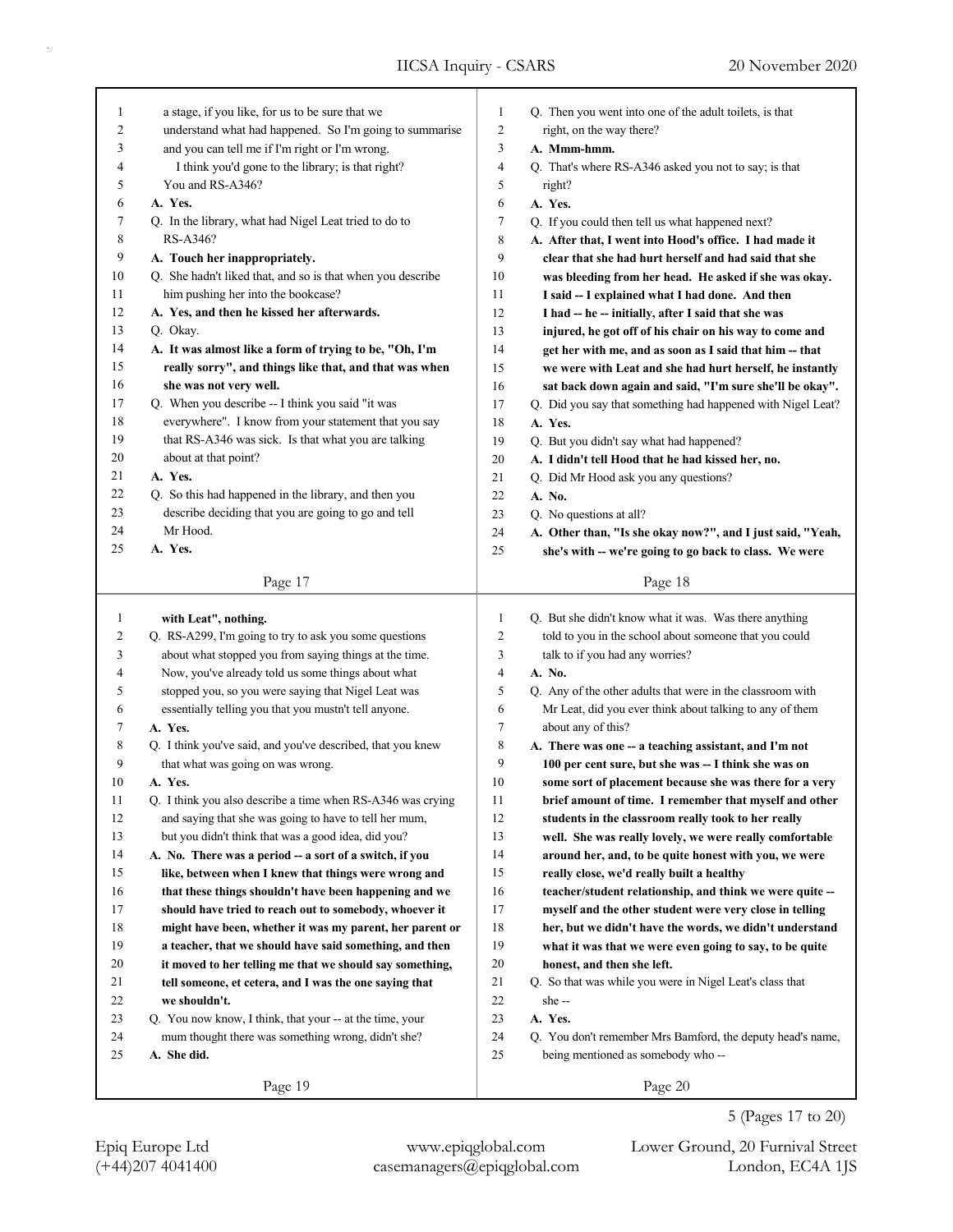Page 17 1 a stage, if you like, for us to be sure that we 2 understand what had happened. So I'm going to summarise 3 and you can tell me if I'm right or I'm wrong. 4 I think you'd gone to the library; is that right? 5 You and RS-A346? **A. Yes.** Q. In the library, what had Nigel Leat tried to do to 8 RS-A346? **A. Touch her inappropriately.** Q. She hadn't liked that, and so is that when you describe 11 him pushing her into the bookcase? **A. Yes, and then he kissed her afterwards.** Q. Okay. **A. It was almost like a form of trying to be, "Oh, I'm really sorry", and things like that, and that was when she was not very well.** 17 Q. When you describe -- I think you said "it was 18 everywhere". I know from your statement that you say 19 that RS-A346 was sick. Is that what you are talking 20 about at that point? **A. Yes.** Q. So this had happened in the library, and then you 23 describe deciding that you are going to go and tell 24 Mr Hood. **A. Yes.** Page 19  **with Leat", nothing.** 2 Q. RS-A299, I'm going to try to ask you some questions 3 about what stopped you from saying things at the time. 4 Now, you've already told us some things about what 5 stopped you, so you were saying that Nigel Leat was 6 essentially telling you that you mustn't tell anyone. **A. Yes.** 8 Q. I think you've said, and you've described, that you knew 9 that what was going on was wrong. **A. Yes.** 11 Q. I think you also describe a time when RS-A346 was crying 12 and saying that she was going to have to tell her mum, 13 but you didn't think that was a good idea, did you? **A. No. There was a period -- a sort of a switch, if you like, between when I knew that things were wrong and that these things shouldn't have been happening and we should have tried to reach out to somebody, whoever it might have been, whether it was my parent, her parent or a teacher, that we should have said something, and then it moved to her telling me that we should say something, tell someone, et cetera, and I was the one saying that we shouldn't.** 23 Q. You now know, I think, that your -- at the time, your 24 mum thought there was something wrong, didn't she? **A. She did.** Page 18 Q. Then you went into one of the adult toilets, is that 2 right, on the way there? **A. Mmm-hmm.** Q. That's where RS-A346 asked you not to say; is that 5 right? **A. Yes.** Q. If you could then tell us what happened next? **A. After that, I went into Hood's office. I had made it clear that she had hurt herself and had said that she was bleeding from her head. He asked if she was okay. I said -- I explained what I had done. And then I had -- he -- initially, after I said that she was injured, he got off of his chair on his way to come and get her with me, and as soon as I said that him -- that we were with Leat and she had hurt herself, he instantly sat back down again and said, "I'm sure she'll be okay".** Q. Did you say that something had happened with Nigel Leat? **A. Yes.** Q. But you didn't say what had happened? **A. I didn't tell Hood that he had kissed her, no.** Q. Did Mr Hood ask you any questions? **A. No.** 23 O. No questions at all? **A. Other than, "Is she okay now?", and I just said, "Yeah, she's with -- we're going to go back to class. We were** Q. But she didn't know what it was. Was there anything 2 told to you in the school about someone that you could 3 talk to if you had any worries? **A. No.** Q. Any of the other adults that were in the classroom with 6 Mr Leat, did you ever think about talking to any of them 7 about any of this? **A. There was one -- a teaching assistant, and I'm not 100 per cent sure, but she was -- I think she was on some sort of placement because she was there for a very brief amount of time. I remember that myself and other students in the classroom really took to her really well. She was really lovely, we were really comfortable around her, and, to be quite honest with you, we were really close, we'd really built a healthy teacher/student relationship, and think we were quite -- myself and the other student were very close in telling her, but we didn't have the words, we didn't understand what it was that we were even going to say, to be quite honest, and then she left.** 21 Q. So that was while you were in Nigel Leat's class that 22 she -- **A. Yes.** Q. You don't remember Mrs Bamford, the deputy head's name, 25 being mentioned as somebody who --

Page 20

(+44)207 4041400 casemanagers@epiqglobal.com London, EC4A 1JS Epiq Europe Ltd www.epiqglobal.com Lower Ground, 20 Furnival Street

5 (Pages 17 to 20)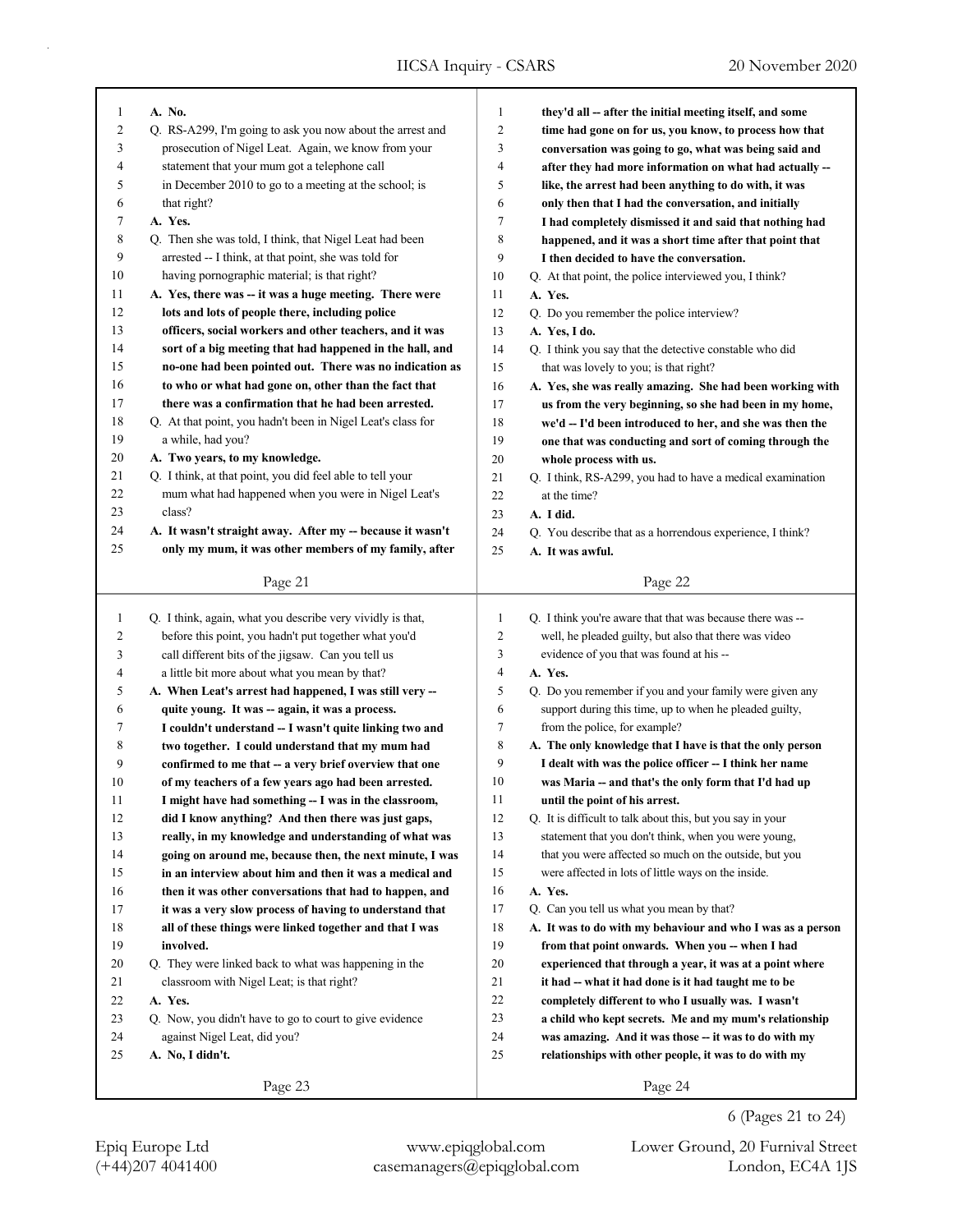| $\mathbf{1}$   | A. No.                                                      | $\mathbf{1}$   | they'd all -- after the initial meeting itself, and some    |
|----------------|-------------------------------------------------------------|----------------|-------------------------------------------------------------|
| 2              | Q. RS-A299, I'm going to ask you now about the arrest and   | $\overline{c}$ | time had gone on for us, you know, to process how that      |
| 3              | prosecution of Nigel Leat. Again, we know from your         | 3              | conversation was going to go, what was being said and       |
| 4              | statement that your mum got a telephone call                | $\overline{4}$ | after they had more information on what had actually --     |
| 5              | in December 2010 to go to a meeting at the school; is       | 5              | like, the arrest had been anything to do with, it was       |
| 6              | that right?                                                 | 6              | only then that I had the conversation, and initially        |
| 7              | A. Yes.                                                     | 7              | I had completely dismissed it and said that nothing had     |
| 8              | Q. Then she was told, I think, that Nigel Leat had been     | 8              | happened, and it was a short time after that point that     |
| 9              | arrested -- I think, at that point, she was told for        | 9              | I then decided to have the conversation.                    |
| 10             | having pornographic material; is that right?                | 10             | Q. At that point, the police interviewed you, I think?      |
| 11             | A. Yes, there was -- it was a huge meeting. There were      | 11             | A. Yes.                                                     |
| 12             | lots and lots of people there, including police             | 12             | Q. Do you remember the police interview?                    |
| 13             | officers, social workers and other teachers, and it was     | 13             | A. Yes, I do.                                               |
| 14             | sort of a big meeting that had happened in the hall, and    | 14             | Q. I think you say that the detective constable who did     |
| 15             | no-one had been pointed out. There was no indication as     | 15             | that was lovely to you; is that right?                      |
| 16             | to who or what had gone on, other than the fact that        | 16             | A. Yes, she was really amazing. She had been working with   |
| 17             | there was a confirmation that he had been arrested.         | 17             | us from the very beginning, so she had been in my home,     |
| 18             | Q. At that point, you hadn't been in Nigel Leat's class for | 18             | we'd -- I'd been introduced to her, and she was then the    |
| 19             | a while, had you?                                           | 19             | one that was conducting and sort of coming through the      |
| 20             | A. Two years, to my knowledge.                              | 20             | whole process with us.                                      |
| 21             | Q. I think, at that point, you did feel able to tell your   | 21             | Q. I think, RS-A299, you had to have a medical examination  |
| 22             | mum what had happened when you were in Nigel Leat's         | 22             | at the time?                                                |
| 23             | class?                                                      | 23             | A. I did.                                                   |
| 24             | A. It wasn't straight away. After my -- because it wasn't   | 24             | Q. You describe that as a horrendous experience, I think?   |
| 25             | only my mum, it was other members of my family, after       | 25             | A. It was awful.                                            |
|                |                                                             |                |                                                             |
|                | Page 21                                                     |                | Page 22                                                     |
|                |                                                             |                |                                                             |
|                |                                                             |                |                                                             |
| $\mathbf{1}$   | Q. I think, again, what you describe very vividly is that,  | $\mathbf{1}$   | Q. I think you're aware that that was because there was --  |
| $\overline{c}$ | before this point, you hadn't put together what you'd       | $\mathbf{2}$   | well, he pleaded guilty, but also that there was video      |
| 3              | call different bits of the jigsaw. Can you tell us          | 3              | evidence of you that was found at his --                    |
| 4              | a little bit more about what you mean by that?              | $\overline{4}$ | A. Yes.                                                     |
| 5              | A. When Leat's arrest had happened, I was still very --     | 5              | Q. Do you remember if you and your family were given any    |
| 6              | quite young. It was -- again, it was a process.             | 6              | support during this time, up to when he pleaded guilty,     |
| 7              | I couldn't understand -- I wasn't quite linking two and     | 7              | from the police, for example?                               |
| 8              | two together. I could understand that my mum had            | $\,$ 8 $\,$    | A. The only knowledge that I have is that the only person   |
| 9              | confirmed to me that -- a very brief overview that one      | 9              | I dealt with was the police officer -- I think her name     |
| 10             | of my teachers of a few years ago had been arrested.        | 10             | was Maria -- and that's the only form that I'd had up       |
| 11             | I might have had something - I was in the classroom,        | 11             | until the point of his arrest.                              |
| 12             | did I know anything? And then there was just gaps,          | 12             | Q. It is difficult to talk about this, but you say in your  |
| 13             | really, in my knowledge and understanding of what was       | 13             | statement that you don't think, when you were young,        |
| 14             | going on around me, because then, the next minute, I was    | 14             | that you were affected so much on the outside, but you      |
| 15             | in an interview about him and then it was a medical and     | 15             | were affected in lots of little ways on the inside.         |
| 16             | then it was other conversations that had to happen, and     | 16             | A. Yes.                                                     |
| 17             | it was a very slow process of having to understand that     | 17             | Q. Can you tell us what you mean by that?                   |
| 18             | all of these things were linked together and that I was     | 18             | A. It was to do with my behaviour and who I was as a person |
| 19             | involved.                                                   | 19             | from that point onwards. When you -- when I had             |
| 20             | Q. They were linked back to what was happening in the       | 20             | experienced that through a year, it was at a point where    |
| 21             | classroom with Nigel Leat; is that right?                   | 21             | it had -- what it had done is it had taught me to be        |
| 22             | A. Yes.                                                     | $22\,$         | completely different to who I usually was. I wasn't         |
| 23             | Q. Now, you didn't have to go to court to give evidence     | 23             | a child who kept secrets. Me and my mum's relationship      |
| 24             | against Nigel Leat, did you?                                | 24             | was amazing. And it was those -- it was to do with my       |
| 25             | A. No, I didn't.                                            | 25             | relationships with other people, it was to do with my       |
|                | Page 23                                                     |                | Page 24                                                     |

(+44)207 4041400 casemanagers@epiqglobal.com London, EC4A 1JS

Epiq Europe Ltd www.epiqglobal.com Lower Ground, 20 Furnival Street

6 (Pages 21 to 24)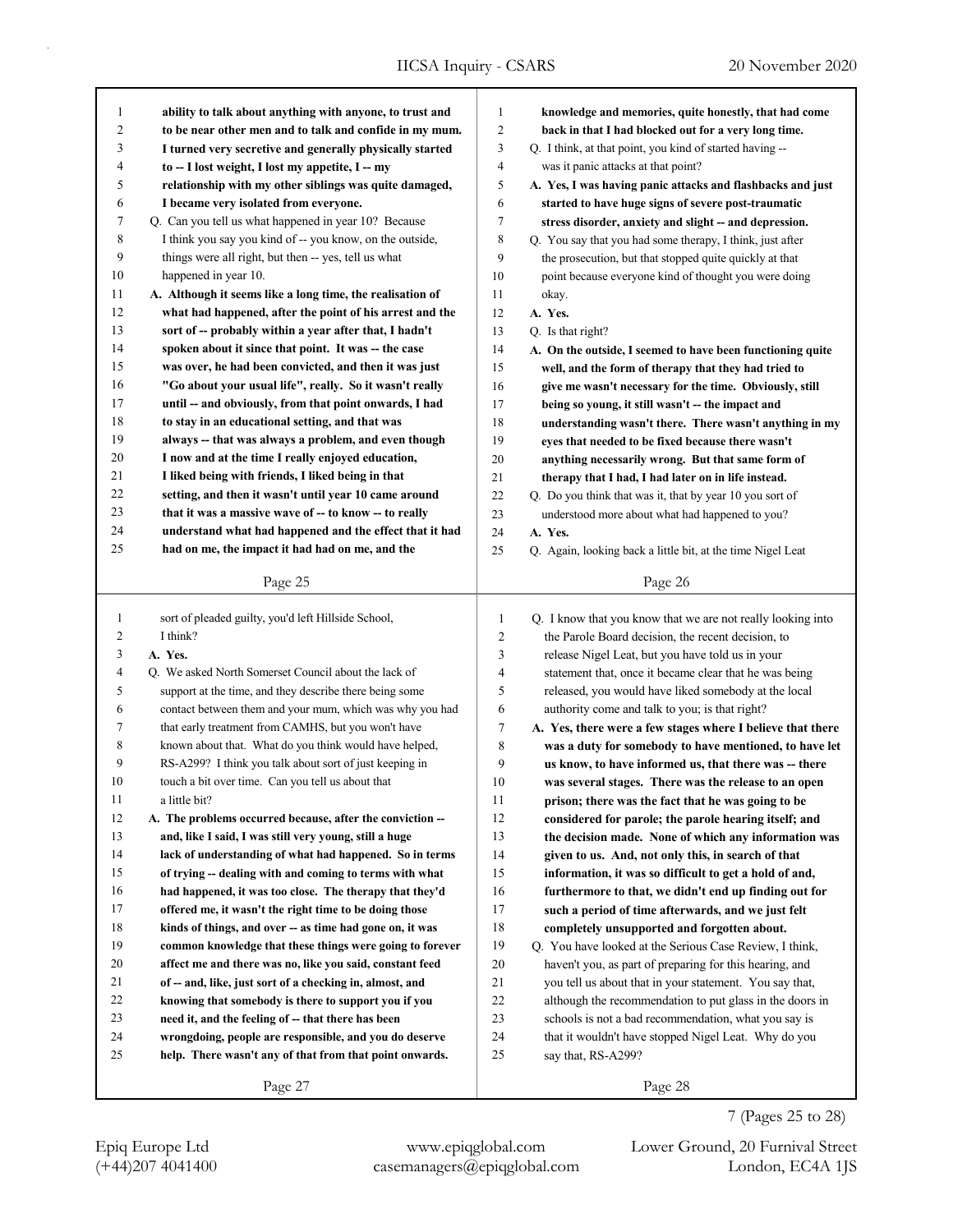| $\mathbf{1}$            | ability to talk about anything with anyone, to trust and                                                           | $\mathbf{1}$   | knowledge and memories, quite honestly, that had come                                                           |
|-------------------------|--------------------------------------------------------------------------------------------------------------------|----------------|-----------------------------------------------------------------------------------------------------------------|
| $\overline{\mathbf{c}}$ | to be near other men and to talk and confide in my mum.                                                            | $\overline{c}$ | back in that I had blocked out for a very long time.                                                            |
| 3                       | I turned very secretive and generally physically started                                                           | 3              | Q. I think, at that point, you kind of started having --                                                        |
| 4                       | to -- I lost weight, I lost my appetite, I -- my                                                                   | 4              | was it panic attacks at that point?                                                                             |
| 5                       | relationship with my other siblings was quite damaged,                                                             | 5              | A. Yes, I was having panic attacks and flashbacks and just                                                      |
| 6                       | I became very isolated from everyone.                                                                              | 6              | started to have huge signs of severe post-traumatic                                                             |
| 7                       | Q. Can you tell us what happened in year 10? Because                                                               | 7              | stress disorder, anxiety and slight -- and depression.                                                          |
| 8                       | I think you say you kind of -- you know, on the outside,                                                           | $\,$ 8 $\,$    | Q. You say that you had some therapy, I think, just after                                                       |
| 9                       | things were all right, but then -- yes, tell us what                                                               | 9              | the prosecution, but that stopped quite quickly at that                                                         |
| 10                      | happened in year 10.                                                                                               | 10             | point because everyone kind of thought you were doing                                                           |
| 11                      | A. Although it seems like a long time, the realisation of                                                          | 11             | okay.                                                                                                           |
| 12                      | what had happened, after the point of his arrest and the                                                           | 12             | A. Yes.                                                                                                         |
| 13                      | sort of -- probably within a year after that, I hadn't                                                             | 13             | Q. Is that right?                                                                                               |
| 14                      | spoken about it since that point. It was -- the case                                                               | 14             | A. On the outside, I seemed to have been functioning quite                                                      |
| 15                      | was over, he had been convicted, and then it was just                                                              | 15             | well, and the form of therapy that they had tried to                                                            |
| 16<br>17                | "Go about your usual life", really. So it wasn't really                                                            | 16             | give me wasn't necessary for the time. Obviously, still                                                         |
| 18                      | until -- and obviously, from that point onwards, I had<br>to stay in an educational setting, and that was          | 17             | being so young, it still wasn't -- the impact and                                                               |
| 19                      | always -- that was always a problem, and even though                                                               | 18             | understanding wasn't there. There wasn't anything in my                                                         |
| 20                      | I now and at the time I really enjoyed education,                                                                  | 19             | eyes that needed to be fixed because there wasn't                                                               |
| 21                      | I liked being with friends, I liked being in that                                                                  | 20<br>21       | anything necessarily wrong. But that same form of                                                               |
| 22                      | setting, and then it wasn't until year 10 came around                                                              | 22             | therapy that I had, I had later on in life instead.                                                             |
| 23                      | that it was a massive wave of -- to know -- to really                                                              | 23             | Q. Do you think that was it, that by year 10 you sort of<br>understood more about what had happened to you?     |
| 24                      | understand what had happened and the effect that it had                                                            | 24             | A. Yes.                                                                                                         |
| 25                      | had on me, the impact it had had on me, and the                                                                    | 25             | Q. Again, looking back a little bit, at the time Nigel Leat                                                     |
|                         |                                                                                                                    |                |                                                                                                                 |
|                         | Page 25                                                                                                            |                | Page 26                                                                                                         |
|                         |                                                                                                                    |                |                                                                                                                 |
|                         |                                                                                                                    |                |                                                                                                                 |
| $\mathbf{1}$            | sort of pleaded guilty, you'd left Hillside School,                                                                | 1              | Q. I know that you know that we are not really looking into                                                     |
| 2                       | I think?                                                                                                           | 2              | the Parole Board decision, the recent decision, to                                                              |
| 3                       | A. Yes.                                                                                                            | 3              | release Nigel Leat, but you have told us in your                                                                |
| 4                       | Q. We asked North Somerset Council about the lack of                                                               | 4              | statement that, once it became clear that he was being                                                          |
| 5                       | support at the time, and they describe there being some                                                            | 5              | released, you would have liked somebody at the local                                                            |
| 6                       | contact between them and your mum, which was why you had                                                           | 6              | authority come and talk to you; is that right?                                                                  |
| 7                       | that early treatment from CAMHS, but you won't have                                                                | 7              | A. Yes, there were a few stages where I believe that there                                                      |
| 8                       | known about that. What do you think would have helped,                                                             | 8              | was a duty for somebody to have mentioned, to have let                                                          |
| 9                       | RS-A299? I think you talk about sort of just keeping in                                                            | 9              | us know, to have informed us, that there was -- there                                                           |
| 10                      | touch a bit over time. Can you tell us about that                                                                  | $10\,$         | was several stages. There was the release to an open                                                            |
| 11                      | a little bit?                                                                                                      | 11             | prison; there was the fact that he was going to be                                                              |
| 12                      | A. The problems occurred because, after the conviction --                                                          | 12             | considered for parole; the parole hearing itself; and                                                           |
| 13                      | and, like I said, I was still very young, still a huge                                                             | 13             | the decision made. None of which any information was                                                            |
| 14<br>15                | lack of understanding of what had happened. So in terms<br>of trying -- dealing with and coming to terms with what | 14             | given to us. And, not only this, in search of that                                                              |
| 16                      | had happened, it was too close. The therapy that they'd                                                            | 15<br>16       | information, it was so difficult to get a hold of and,<br>furthermore to that, we didn't end up finding out for |
| 17                      | offered me, it wasn't the right time to be doing those                                                             | 17             |                                                                                                                 |
| 18                      | kinds of things, and over -- as time had gone on, it was                                                           | 18             | such a period of time afterwards, and we just felt<br>completely unsupported and forgotten about.               |
| 19                      | common knowledge that these things were going to forever                                                           | 19             | Q. You have looked at the Serious Case Review, I think,                                                         |
| 20                      | affect me and there was no, like you said, constant feed                                                           | 20             | haven't you, as part of preparing for this hearing, and                                                         |
| 21                      | of -- and, like, just sort of a checking in, almost, and                                                           | 21             | you tell us about that in your statement. You say that,                                                         |
| 22                      | knowing that somebody is there to support you if you                                                               | 22             | although the recommendation to put glass in the doors in                                                        |
| 23                      | need it, and the feeling of -- that there has been                                                                 | 23             | schools is not a bad recommendation, what you say is                                                            |
| 24                      | wrongdoing, people are responsible, and you do deserve                                                             | 24             | that it wouldn't have stopped Nigel Leat. Why do you                                                            |
| 25                      | help. There wasn't any of that from that point onwards.                                                            | 25             | say that, RS-A299?                                                                                              |

Page 28

7 (Pages 25 to 28)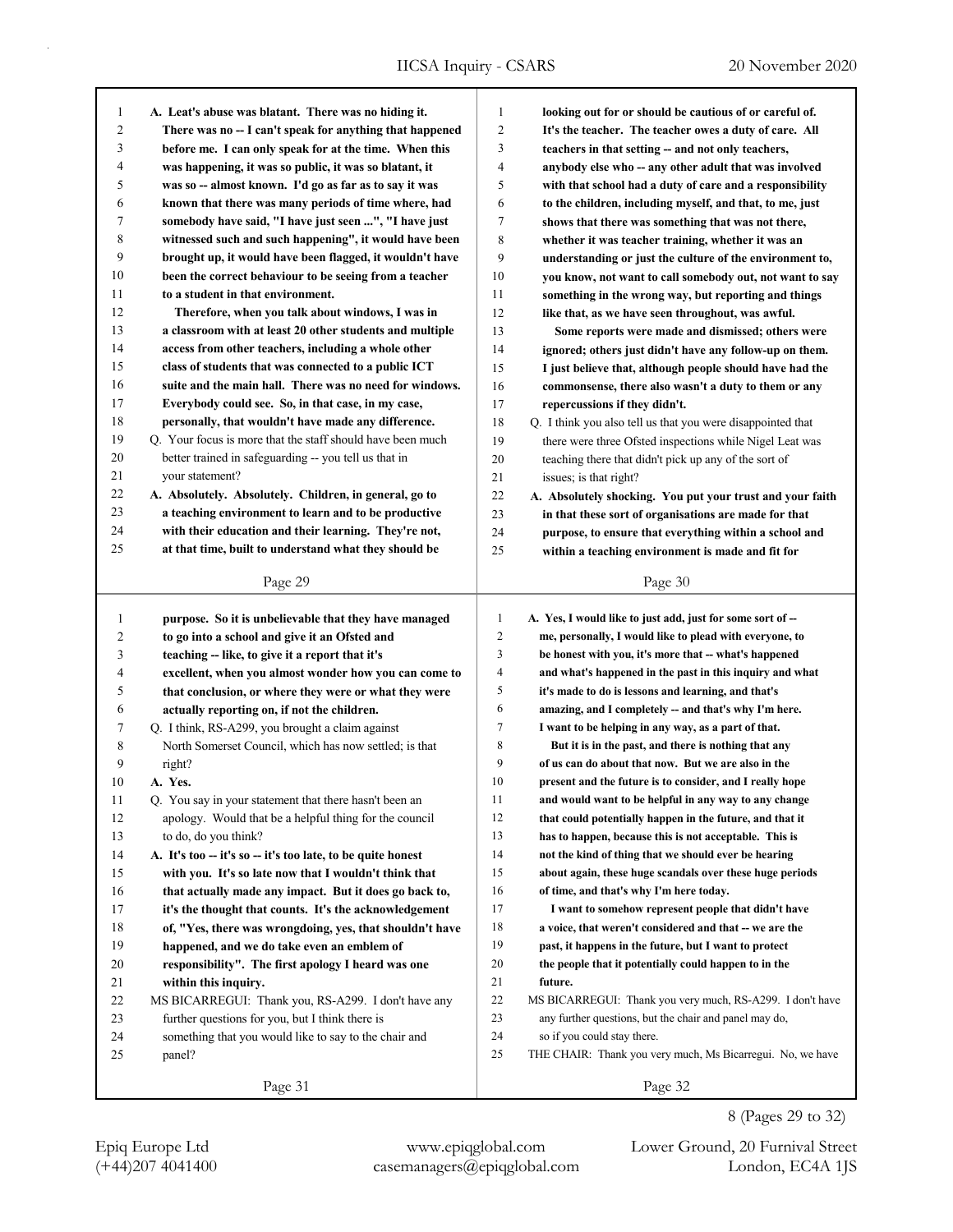| 1  | A. Leat's abuse was blatant. There was no hiding it.        | 1              | looking out for or should be cautious of or careful of.     |
|----|-------------------------------------------------------------|----------------|-------------------------------------------------------------|
| 2  | There was no -- I can't speak for anything that happened    | 2              | It's the teacher. The teacher owes a duty of care. All      |
| 3  | before me. I can only speak for at the time. When this      | 3              | teachers in that setting -- and not only teachers,          |
| 4  | was happening, it was so public, it was so blatant, it      | 4              | anybody else who -- any other adult that was involved       |
| 5  | was so -- almost known. I'd go as far as to say it was      | 5              | with that school had a duty of care and a responsibility    |
| 6  | known that there was many periods of time where, had        | 6              | to the children, including myself, and that, to me, just    |
| 7  | somebody have said, "I have just seen ", "I have just       | 7              | shows that there was something that was not there,          |
| 8  | witnessed such and such happening", it would have been      | 8              | whether it was teacher training, whether it was an          |
| 9  | brought up, it would have been flagged, it wouldn't have    | 9              | understanding or just the culture of the environment to,    |
| 10 | been the correct behaviour to be seeing from a teacher      | 10             | you know, not want to call somebody out, not want to say    |
| 11 | to a student in that environment.                           | 11             | something in the wrong way, but reporting and things        |
| 12 | Therefore, when you talk about windows, I was in            | 12             | like that, as we have seen throughout, was awful.           |
| 13 | a classroom with at least 20 other students and multiple    | 13             | Some reports were made and dismissed; others were           |
| 14 | access from other teachers, including a whole other         | 14             | ignored; others just didn't have any follow-up on them.     |
| 15 | class of students that was connected to a public ICT        | 15             | I just believe that, although people should have had the    |
| 16 | suite and the main hall. There was no need for windows.     | 16             | commonsense, there also wasn't a duty to them or any        |
| 17 | Everybody could see. So, in that case, in my case,          | 17             | repercussions if they didn't.                               |
| 18 | personally, that wouldn't have made any difference.         | 18             | Q. I think you also tell us that you were disappointed that |
| 19 | Q. Your focus is more that the staff should have been much  | 19             | there were three Ofsted inspections while Nigel Leat was    |
| 20 | better trained in safeguarding -- you tell us that in       | 20             | teaching there that didn't pick up any of the sort of       |
| 21 | your statement?                                             | 21             | issues; is that right?                                      |
| 22 | A. Absolutely. Absolutely. Children, in general, go to      | 22             | A. Absolutely shocking. You put your trust and your faith   |
| 23 | a teaching environment to learn and to be productive        | 23             | in that these sort of organisations are made for that       |
| 24 | with their education and their learning. They're not,       | 24             | purpose, to ensure that everything within a school and      |
| 25 | at that time, built to understand what they should be       | 25             | within a teaching environment is made and fit for           |
|    |                                                             |                |                                                             |
|    | Page 29                                                     |                | Page 30                                                     |
|    |                                                             |                |                                                             |
|    |                                                             |                |                                                             |
| 1  | purpose. So it is unbelievable that they have managed       | 1              | A. Yes, I would like to just add, just for some sort of --  |
| 2  | to go into a school and give it an Ofsted and               | $\overline{c}$ | me, personally, I would like to plead with everyone, to     |
| 3  | teaching -- like, to give it a report that it's             | 3              | be honest with you, it's more that -- what's happened       |
| 4  | excellent, when you almost wonder how you can come to       | 4              | and what's happened in the past in this inquiry and what    |
| 5  | that conclusion, or where they were or what they were       | 5              | it's made to do is lessons and learning, and that's         |
| 6  | actually reporting on, if not the children.                 | 6              | amazing, and I completely -- and that's why I'm here.       |
| 7  | Q. I think, RS-A299, you brought a claim against            | 7              | I want to be helping in any way, as a part of that.         |
| 8  | North Somerset Council, which has now settled; is that      | 8              | But it is in the past, and there is nothing that any        |
| 9  | right?                                                      | 9              | of us can do about that now. But we are also in the         |
| 10 | A. Yes.                                                     | 10             | present and the future is to consider, and I really hope    |
| 11 | Q. You say in your statement that there hasn't been an      | 11             | and would want to be helpful in any way to any change       |
| 12 | apology. Would that be a helpful thing for the council      | 12             | that could potentially happen in the future, and that it    |
| 13 | to do, do you think?                                        | 13             | has to happen, because this is not acceptable. This is      |
| 14 | A. It's too -- it's so -- it's too late, to be quite honest | 14             | not the kind of thing that we should ever be hearing        |
| 15 | with you. It's so late now that I wouldn't think that       | 15             | about again, these huge scandals over these huge periods    |
| 16 | that actually made any impact. But it does go back to,      | 16             | of time, and that's why I'm here today.                     |
| 17 | it's the thought that counts. It's the acknowledgement      | 17             | I want to somehow represent people that didn't have         |
| 18 | of, "Yes, there was wrongdoing, yes, that shouldn't have    | 18             | a voice, that weren't considered and that -- we are the     |
| 19 | happened, and we do take even an emblem of                  | 19             | past, it happens in the future, but I want to protect       |
| 20 | responsibility". The first apology I heard was one          | 20             | the people that it potentially could happen to in the       |
| 21 | within this inquiry.                                        | 21             | future.                                                     |
| 22 | MS BICARREGUI: Thank you, RS-A299. I don't have any         | 22             | MS BICARREGUI: Thank you very much, RS-A299. I don't have   |
| 23 | further questions for you, but I think there is             | 23             | any further questions, but the chair and panel may do,      |
| 24 | something that you would like to say to the chair and       | 24             | so if you could stay there.                                 |
| 25 | panel?                                                      | 25             | THE CHAIR: Thank you very much, Ms Bicarregui. No, we have  |
|    | Page 31                                                     |                | Page 32                                                     |

8 (Pages 29 to 32)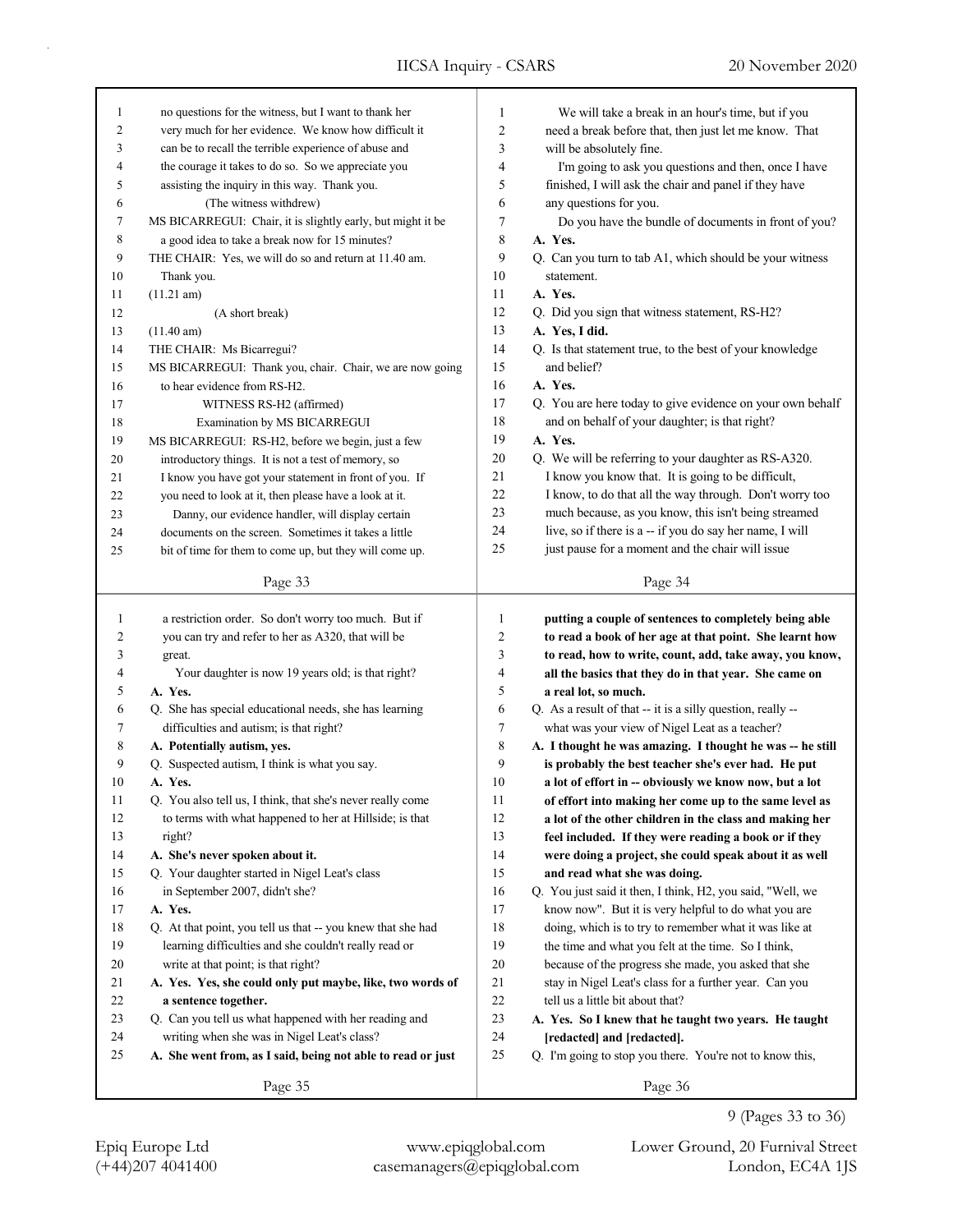| 1                       | no questions for the witness, but I want to thank her       | $\mathbf{1}$   | We will take a break in an hour's time, but if you          |
|-------------------------|-------------------------------------------------------------|----------------|-------------------------------------------------------------|
| $\overline{\mathbf{c}}$ | very much for her evidence. We know how difficult it        | $\overline{c}$ | need a break before that, then just let me know. That       |
| 3                       | can be to recall the terrible experience of abuse and       | 3              | will be absolutely fine.                                    |
| 4                       | the courage it takes to do so. So we appreciate you         | 4              | I'm going to ask you questions and then, once I have        |
| 5                       | assisting the inquiry in this way. Thank you.               | 5              | finished, I will ask the chair and panel if they have       |
| 6                       | (The witness withdrew)                                      | 6              | any questions for you.                                      |
| 7                       | MS BICARREGUI: Chair, it is slightly early, but might it be | 7              | Do you have the bundle of documents in front of you?        |
| 8                       | a good idea to take a break now for 15 minutes?             | 8              | A. Yes.                                                     |
| 9                       | THE CHAIR: Yes, we will do so and return at 11.40 am.       | 9              | Q. Can you turn to tab A1, which should be your witness     |
| 10                      | Thank you.                                                  | 10             | statement.                                                  |
| 11                      | $(11.21 \text{ am})$                                        | 11             | A. Yes.                                                     |
| 12                      | (A short break)                                             | 12             | Q. Did you sign that witness statement, RS-H2?              |
| 13                      | $(11.40 \text{ am})$                                        | 13             | A. Yes, I did.                                              |
| 14                      | THE CHAIR: Ms Bicarregui?                                   | 14             | Q. Is that statement true, to the best of your knowledge    |
| 15                      | MS BICARREGUI: Thank you, chair. Chair, we are now going    | 15             | and belief?                                                 |
| 16                      | to hear evidence from RS-H2.                                | 16             | A. Yes.                                                     |
| 17                      | WITNESS RS-H2 (affirmed)                                    | 17             | Q. You are here today to give evidence on your own behalf   |
| 18                      | Examination by MS BICARREGUI                                | 18             | and on behalf of your daughter; is that right?              |
| 19                      | MS BICARREGUI: RS-H2, before we begin, just a few           | 19             | A. Yes.                                                     |
| 20                      | introductory things. It is not a test of memory, so         | 20             | Q. We will be referring to your daughter as RS-A320.        |
| 21                      | I know you have got your statement in front of you. If      | 21             | I know you know that. It is going to be difficult,          |
| 22                      |                                                             | 22             | I know, to do that all the way through. Don't worry too     |
| 23                      | you need to look at it, then please have a look at it.      | 23             | much because, as you know, this isn't being streamed        |
|                         | Danny, our evidence handler, will display certain           | 24             | live, so if there is a -- if you do say her name, I will    |
| 24                      | documents on the screen. Sometimes it takes a little        | 25             | just pause for a moment and the chair will issue            |
| 25                      | bit of time for them to come up, but they will come up.     |                |                                                             |
|                         | Page 33                                                     |                | Page 34                                                     |
|                         |                                                             |                |                                                             |
|                         |                                                             |                |                                                             |
| $\mathbf{1}$            | a restriction order. So don't worry too much. But if        | 1              | putting a couple of sentences to completely being able      |
| 2                       | you can try and refer to her as A320, that will be          | 2              | to read a book of her age at that point. She learnt how     |
| 3                       | great.                                                      | 3              | to read, how to write, count, add, take away, you know,     |
| 4                       | Your daughter is now 19 years old; is that right?           | 4              | all the basics that they do in that year. She came on       |
| 5                       | A. Yes.                                                     | 5              | a real lot, so much.                                        |
| 6                       | Q. She has special educational needs, she has learning      | 6              | Q. As a result of that -- it is a silly question, really -- |
| 7                       | difficulties and autism; is that right?                     | $\tau$         | what was your view of Nigel Leat as a teacher?              |
| 8                       | A. Potentially autism, yes.                                 | 8              | A. I thought he was amazing. I thought he was -- he still   |
| 9                       | Q. Suspected autism, I think is what you say.               | 9              | is probably the best teacher she's ever had. He put         |
| 10                      | A. Yes.                                                     | 10             | a lot of effort in -- obviously we know now, but a lot      |
| 11                      | Q. You also tell us, I think, that she's never really come  | 11             | of effort into making her come up to the same level as      |
| 12                      | to terms with what happened to her at Hillside; is that     | 12             | a lot of the other children in the class and making her     |
| 13                      | right?                                                      | 13             | feel included. If they were reading a book or if they       |
| 14                      | A. She's never spoken about it.                             | 14             | were doing a project, she could speak about it as well      |
| 15                      | Q. Your daughter started in Nigel Leat's class              | 15             | and read what she was doing.                                |
| 16                      | in September 2007, didn't she?                              | 16             | Q. You just said it then, I think, H2, you said, "Well, we  |
| 17                      | A. Yes.                                                     | 17             | know now". But it is very helpful to do what you are        |
| $18\,$                  | Q. At that point, you tell us that -- you knew that she had | 18             | doing, which is to try to remember what it was like at      |
| 19                      | learning difficulties and she couldn't really read or       | 19             | the time and what you felt at the time. So I think,         |
| 20                      | write at that point; is that right?                         | 20             | because of the progress she made, you asked that she        |
| 21                      | A. Yes. Yes, she could only put maybe, like, two words of   | 21             | stay in Nigel Leat's class for a further year. Can you      |
| $22\,$                  | a sentence together.                                        | 22             | tell us a little bit about that?                            |
| 23                      | Q. Can you tell us what happened with her reading and       | 23             | A. Yes. So I knew that he taught two years. He taught       |
| 24                      | writing when she was in Nigel Leat's class?                 | 24             | [redacted] and [redacted].                                  |
| 25                      | A. She went from, as I said, being not able to read or just | 25             | Q. I'm going to stop you there. You're not to know this,    |
|                         | Page 35                                                     |                | Page 36                                                     |

(+44)207 4041400 casemanagers@epiqglobal.com London, EC4A 1JS

Epiq Europe Ltd www.epiqglobal.com Lower Ground, 20 Furnival Street

9 (Pages 33 to 36)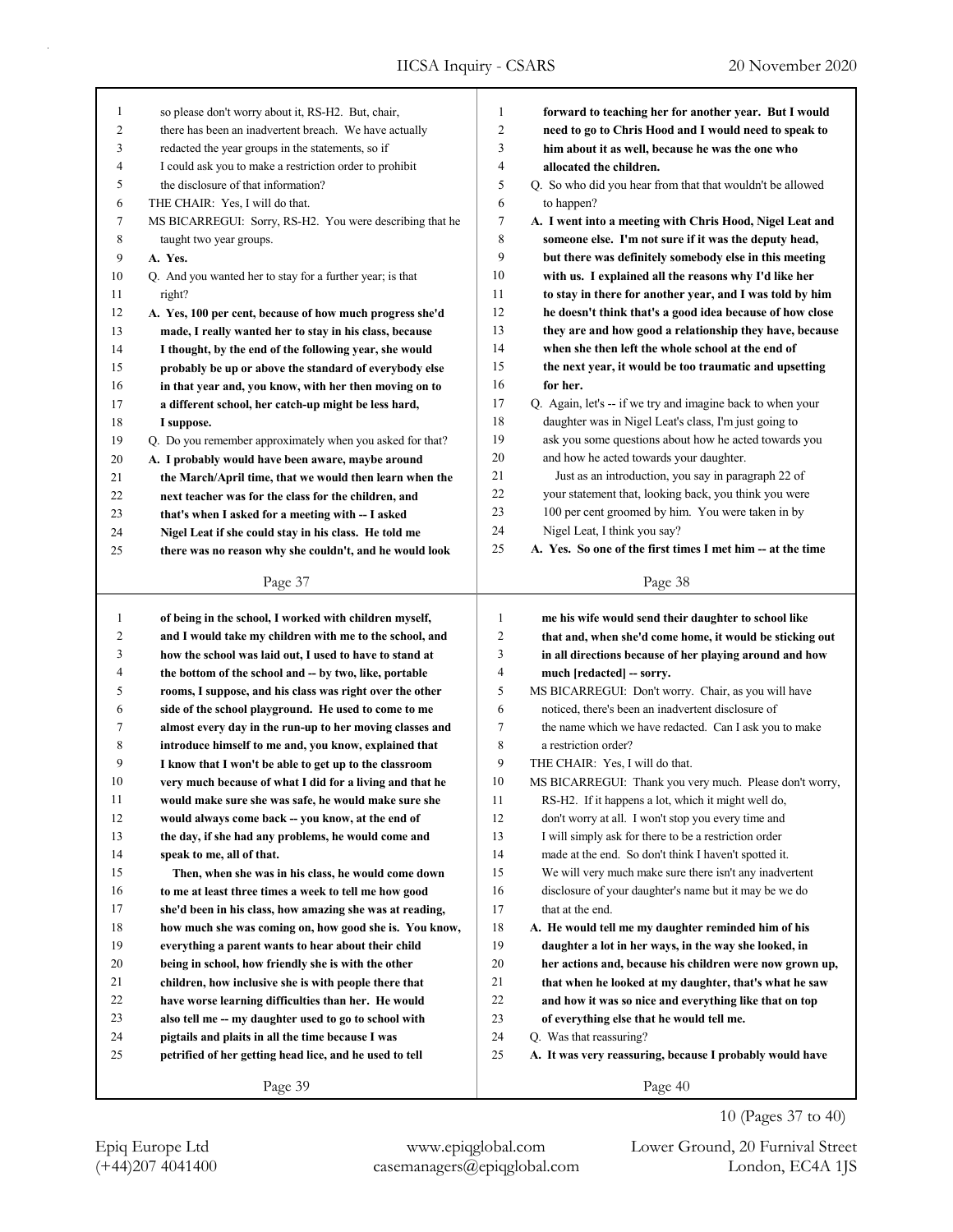| 1              | so please don't worry about it, RS-H2. But, chair,        | 1              | forward to teaching her for another year. But I would      |
|----------------|-----------------------------------------------------------|----------------|------------------------------------------------------------|
| $\overline{c}$ | there has been an inadvertent breach. We have actually    | 2              | need to go to Chris Hood and I would need to speak to      |
| 3              | redacted the year groups in the statements, so if         | 3              | him about it as well, because he was the one who           |
| 4              | I could ask you to make a restriction order to prohibit   | 4              | allocated the children.                                    |
| 5              | the disclosure of that information?                       | 5              | Q. So who did you hear from that that wouldn't be allowed  |
| 6              | THE CHAIR: Yes, I will do that.                           | 6              | to happen?                                                 |
| 7              | MS BICARREGUI: Sorry, RS-H2. You were describing that he  | 7              | A. I went into a meeting with Chris Hood, Nigel Leat and   |
| 8              | taught two year groups.                                   | 8              | someone else. I'm not sure if it was the deputy head,      |
| 9              | A. Yes.                                                   | 9              | but there was definitely somebody else in this meeting     |
| 10             | Q. And you wanted her to stay for a further year; is that | 10             | with us. I explained all the reasons why I'd like her      |
| 11             | right?                                                    | 11             | to stay in there for another year, and I was told by him   |
| 12             | A. Yes, 100 per cent, because of how much progress she'd  | 12             | he doesn't think that's a good idea because of how close   |
| 13             | made, I really wanted her to stay in his class, because   | 13             | they are and how good a relationship they have, because    |
| 14             | I thought, by the end of the following year, she would    | 14             | when she then left the whole school at the end of          |
| 15             | probably be up or above the standard of everybody else    | 15             | the next year, it would be too traumatic and upsetting     |
| 16             | in that year and, you know, with her then moving on to    | 16             | for her.                                                   |
| 17             | a different school, her catch-up might be less hard,      | 17             | Q. Again, let's -- if we try and imagine back to when your |
| 18             | I suppose.                                                | 18             | daughter was in Nigel Leat's class, I'm just going to      |
| 19             | Q. Do you remember approximately when you asked for that? | 19             | ask you some questions about how he acted towards you      |
| $20\,$         | A. I probably would have been aware, maybe around         | 20             | and how he acted towards your daughter.                    |
| 21             | the March/April time, that we would then learn when the   | 21             | Just as an introduction, you say in paragraph 22 of        |
| 22             | next teacher was for the class for the children, and      | 22             | your statement that, looking back, you think you were      |
| 23             | that's when I asked for a meeting with -- I asked         | 23             | 100 per cent groomed by him. You were taken in by          |
| 24             | Nigel Leat if she could stay in his class. He told me     | 24             | Nigel Leat, I think you say?                               |
| 25             | there was no reason why she couldn't, and he would look   | 25             | A. Yes. So one of the first times I met him -- at the time |
|                | Page 37                                                   |                | Page 38                                                    |
|                |                                                           |                |                                                            |
|                |                                                           |                |                                                            |
| 1              | of being in the school, I worked with children myself,    | $\mathbf{1}$   | me his wife would send their daughter to school like       |
| 2              | and I would take my children with me to the school, and   | $\overline{c}$ | that and, when she'd come home, it would be sticking out   |
| 3              | how the school was laid out, I used to have to stand at   | 3              | in all directions because of her playing around and how    |
| 4              | the bottom of the school and -- by two, like, portable    | $\overline{4}$ | much [redacted] - sorry.                                   |
| 5              | rooms, I suppose, and his class was right over the other  | 5              | MS BICARREGUI: Don't worry. Chair, as you will have        |
| 6              | side of the school playground. He used to come to me      | 6              | noticed, there's been an inadvertent disclosure of         |
| 7              | almost every day in the run-up to her moving classes and  | 7              | the name which we have redacted. Can I ask you to make     |
| 8              | introduce himself to me and, you know, explained that     | 8              | a restriction order?                                       |
| 9              | I know that I won't be able to get up to the classroom    | 9              | THE CHAIR: Yes, I will do that.                            |
| 10             | very much because of what I did for a living and that he  | 10             | MS BICARREGUI: Thank you very much. Please don't worry,    |
| 11             | would make sure she was safe, he would make sure she      | 11             | RS-H2. If it happens a lot, which it might well do,        |
| 12             | would always come back -- you know, at the end of         | 12             | don't worry at all. I won't stop you every time and        |
| 13             | the day, if she had any problems, he would come and       | 13             | I will simply ask for there to be a restriction order      |
| 14             | speak to me, all of that.                                 | 14             | made at the end. So don't think I haven't spotted it.      |
| 15             | Then, when she was in his class, he would come down       | 15             | We will very much make sure there isn't any inadvertent    |
| 16             | to me at least three times a week to tell me how good     | 16             | disclosure of your daughter's name but it may be we do     |
| 17             | she'd been in his class, how amazing she was at reading,  | 17             | that at the end.                                           |
| 18             | how much she was coming on, how good she is. You know,    | 18             | A. He would tell me my daughter reminded him of his        |
| 19             | everything a parent wants to hear about their child       | 19             | daughter a lot in her ways, in the way she looked, in      |
| $20\,$         | being in school, how friendly she is with the other       | 20             | her actions and, because his children were now grown up,   |
| 21             | children, how inclusive she is with people there that     | 21             | that when he looked at my daughter, that's what he saw     |
| $22\,$         | have worse learning difficulties than her. He would       | 22             | and how it was so nice and everything like that on top     |
| 23             | also tell me -- my daughter used to go to school with     | 23             | of everything else that he would tell me.                  |
| 24             | pigtails and plaits in all the time because I was         | 24             | Q. Was that reassuring?                                    |
| 25             | petrified of her getting head lice, and he used to tell   | 25             | A. It was very reassuring, because I probably would have   |
|                | Page 39                                                   |                | Page 40                                                    |

(+44)207 4041400 casemanagers@epiqglobal.com London, EC4A 1JS Epiq Europe Ltd www.epiqglobal.com Lower Ground, 20 Furnival Street

10 (Pages 37 to 40)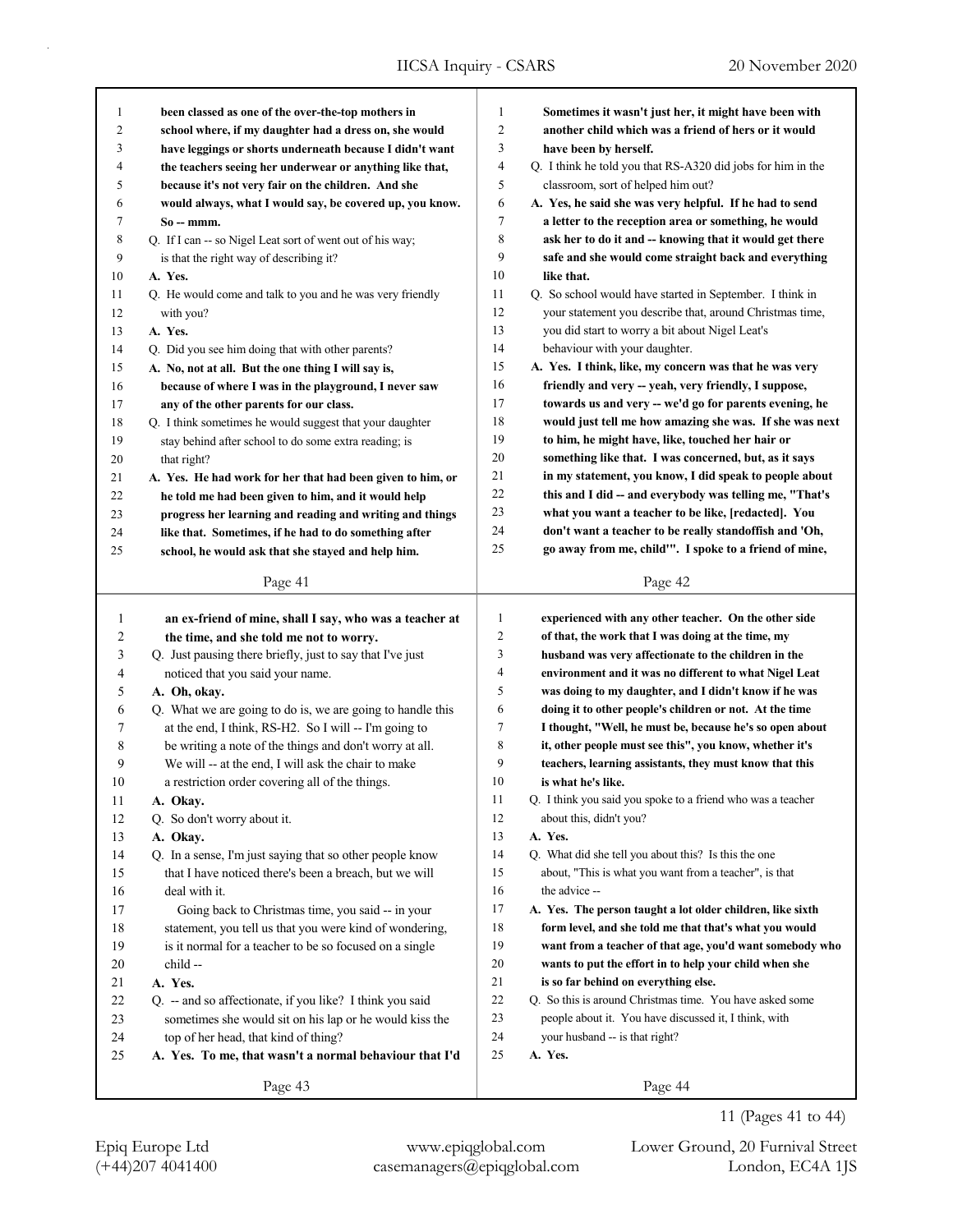| 1            | been classed as one of the over-the-top mothers in                                             | 1              | Sometimes it wasn't just her, it might have been with                                                                |
|--------------|------------------------------------------------------------------------------------------------|----------------|----------------------------------------------------------------------------------------------------------------------|
| 2            | school where, if my daughter had a dress on, she would                                         | 2              | another child which was a friend of hers or it would                                                                 |
| 3            | have leggings or shorts underneath because I didn't want                                       | 3              | have been by herself.                                                                                                |
| 4            | the teachers seeing her underwear or anything like that,                                       | 4              | Q. I think he told you that RS-A320 did jobs for him in the                                                          |
| 5            | because it's not very fair on the children. And she                                            | 5              | classroom, sort of helped him out?                                                                                   |
| 6            | would always, what I would say, be covered up, you know.                                       | 6              | A. Yes, he said she was very helpful. If he had to send                                                              |
| 7            | $So - mmm$ .                                                                                   | 7              | a letter to the reception area or something, he would                                                                |
| 8            | Q. If I can -- so Nigel Leat sort of went out of his way;                                      | 8              | ask her to do it and -- knowing that it would get there                                                              |
| 9            | is that the right way of describing it?                                                        | 9              | safe and she would come straight back and everything                                                                 |
| 10           | A. Yes.                                                                                        | 10             | like that.                                                                                                           |
| 11           | Q. He would come and talk to you and he was very friendly                                      | 11             | Q. So school would have started in September. I think in                                                             |
| 12           | with you?                                                                                      | 12             | your statement you describe that, around Christmas time,                                                             |
| 13           | A. Yes.                                                                                        | 13             | you did start to worry a bit about Nigel Leat's                                                                      |
| 14           | Q. Did you see him doing that with other parents?                                              | 14             | behaviour with your daughter.                                                                                        |
| 15           | A. No, not at all. But the one thing I will say is,                                            | 15             | A. Yes. I think, like, my concern was that he was very                                                               |
| 16           | because of where I was in the playground, I never saw                                          | 16             | friendly and very -- yeah, very friendly, I suppose,                                                                 |
| 17           | any of the other parents for our class.                                                        | 17             | towards us and very -- we'd go for parents evening, he                                                               |
| 18           | Q. I think sometimes he would suggest that your daughter                                       | 18             | would just tell me how amazing she was. If she was next                                                              |
| 19           | stay behind after school to do some extra reading; is                                          | 19             | to him, he might have, like, touched her hair or                                                                     |
| $20\,$       | that right?                                                                                    | 20             | something like that. I was concerned, but, as it says                                                                |
| 21           | A. Yes. He had work for her that had been given to him, or                                     | 21             | in my statement, you know, I did speak to people about                                                               |
| 22           | he told me had been given to him, and it would help                                            | 22             | this and I did -- and everybody was telling me, "That's                                                              |
| 23           | progress her learning and reading and writing and things                                       | 23             | what you want a teacher to be like, [redacted]. You                                                                  |
| 24           | like that. Sometimes, if he had to do something after                                          | 24             | don't want a teacher to be really standoffish and 'Oh,                                                               |
| 25           | school, he would ask that she stayed and help him.                                             | 25             | go away from me, child". I spoke to a friend of mine,                                                                |
|              |                                                                                                |                |                                                                                                                      |
|              | Page 41                                                                                        |                | Page 42                                                                                                              |
|              |                                                                                                |                |                                                                                                                      |
|              |                                                                                                |                |                                                                                                                      |
| $\mathbf{1}$ | an ex-friend of mine, shall I say, who was a teacher at                                        | $\mathbf{1}$   | experienced with any other teacher. On the other side                                                                |
| 2            | the time, and she told me not to worry.                                                        | $\overline{c}$ | of that, the work that I was doing at the time, my                                                                   |
| 3            | Q. Just pausing there briefly, just to say that I've just                                      | 3              | husband was very affectionate to the children in the                                                                 |
| 4            | noticed that you said your name.                                                               | 4              | environment and it was no different to what Nigel Leat                                                               |
| 5            | A. Oh, okav.                                                                                   | 5              | was doing to my daughter, and I didn't know if he was                                                                |
| 6            | Q. What we are going to do is, we are going to handle this                                     | 6              | doing it to other people's children or not. At the time                                                              |
| 7            | at the end, I think, RS-H2. So I will -- I'm going to                                          | 7              | I thought, "Well, he must be, because he's so open about                                                             |
| 8            | be writing a note of the things and don't worry at all.                                        | 8<br>9         | it, other people must see this", you know, whether it's                                                              |
| 9            | We will -- at the end, I will ask the chair to make                                            |                | teachers, learning assistants, they must know that this<br>is what he's like.                                        |
| 10           | a restriction order covering all of the things.                                                | 10<br>11       | Q. I think you said you spoke to a friend who was a teacher                                                          |
| 11<br>12     | A. Okay.                                                                                       | 12             | about this, didn't you?                                                                                              |
|              | Q. So don't worry about it.                                                                    | 13             | A. Yes.                                                                                                              |
| 13           | A. Okay.                                                                                       | 14             | Q. What did she tell you about this? Is this the one                                                                 |
| 14<br>15     | Q. In a sense, I'm just saying that so other people know                                       | 15             | about, "This is what you want from a teacher", is that                                                               |
|              | that I have noticed there's been a breach, but we will<br>deal with it.                        | 16             | the advice --                                                                                                        |
| 16           |                                                                                                | 17             |                                                                                                                      |
| 17           | Going back to Christmas time, you said -- in your                                              | 18             | A. Yes. The person taught a lot older children, like sixth<br>form level, and she told me that that's what you would |
| $18\,$       | statement, you tell us that you were kind of wondering,                                        |                |                                                                                                                      |
| 19           | is it normal for a teacher to be so focused on a single                                        | 19             | want from a teacher of that age, you'd want somebody who                                                             |
| $20\,$       | child --                                                                                       | $20\,$<br>21   | wants to put the effort in to help your child when she<br>is so far behind on everything else.                       |
| 21<br>22     | A. Yes.<br>Q. -- and so affectionate, if you like? I think you said                            | 22             | Q. So this is around Christmas time. You have asked some                                                             |
| 23           |                                                                                                | 23             | people about it. You have discussed it, I think, with                                                                |
|              | sometimes she would sit on his lap or he would kiss the                                        | 24             | your husband -- is that right?                                                                                       |
| $24\,$<br>25 | top of her head, that kind of thing?<br>A. Yes. To me, that wasn't a normal behaviour that I'd | 25             | A. Yes.                                                                                                              |
|              | Page 43                                                                                        |                | Page 44                                                                                                              |

11 (Pages 41 to 44)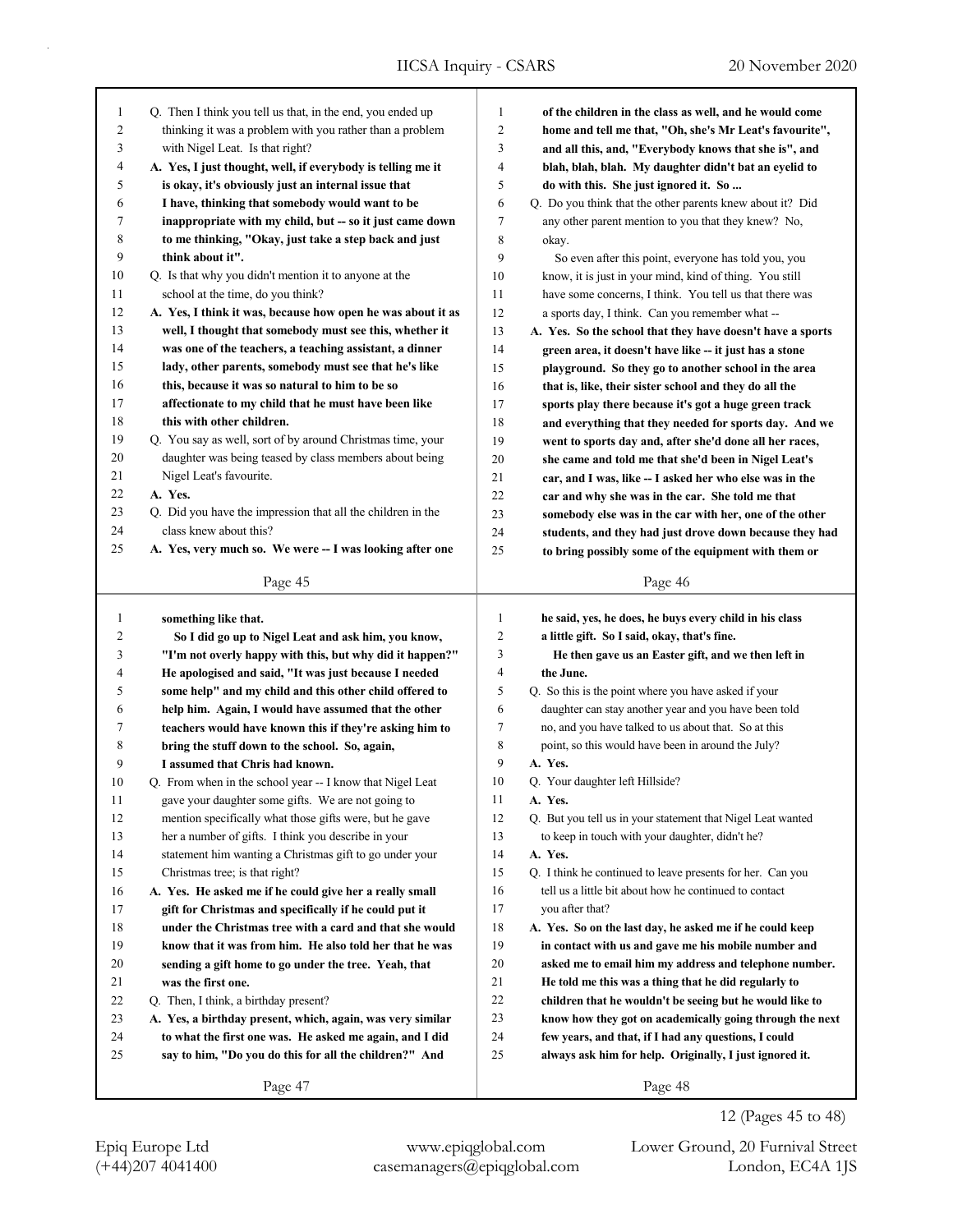| $\mathbf{1}$   | Q. Then I think you tell us that, in the end, you ended up                                                         | $\mathbf{1}$   | of the children in the class as well, and he would come     |
|----------------|--------------------------------------------------------------------------------------------------------------------|----------------|-------------------------------------------------------------|
| $\overline{2}$ | thinking it was a problem with you rather than a problem                                                           | $\overline{2}$ | home and tell me that, "Oh, she's Mr Leat's favourite",     |
| 3              | with Nigel Leat. Is that right?                                                                                    | 3              | and all this, and, "Everybody knows that she is", and       |
| $\overline{4}$ | A. Yes, I just thought, well, if everybody is telling me it                                                        | $\overline{4}$ | blah, blah, blah. My daughter didn't bat an eyelid to       |
| 5              | is okay, it's obviously just an internal issue that                                                                | 5              | do with this. She just ignored it. So                       |
| 6              | I have, thinking that somebody would want to be                                                                    | 6              | Q. Do you think that the other parents knew about it? Did   |
| 7              | inappropriate with my child, but -- so it just came down                                                           | $\tau$         | any other parent mention to you that they knew? No,         |
| 8              | to me thinking, "Okay, just take a step back and just                                                              | 8              | okay.                                                       |
| 9              | think about it".                                                                                                   | 9              | So even after this point, everyone has told you, you        |
| 10             | Q. Is that why you didn't mention it to anyone at the                                                              | 10             | know, it is just in your mind, kind of thing. You still     |
| 11             | school at the time, do you think?                                                                                  | 11             | have some concerns, I think. You tell us that there was     |
| 12             | A. Yes, I think it was, because how open he was about it as                                                        | 12             | a sports day, I think. Can you remember what --             |
| 13             | well, I thought that somebody must see this, whether it                                                            | 13             | A. Yes. So the school that they have doesn't have a sports  |
| 14             | was one of the teachers, a teaching assistant, a dinner                                                            | 14             | green area, it doesn't have like -- it just has a stone     |
| 15             | lady, other parents, somebody must see that he's like                                                              | 15             | playground. So they go to another school in the area        |
| 16             | this, because it was so natural to him to be so                                                                    | 16             | that is, like, their sister school and they do all the      |
| 17             | affectionate to my child that he must have been like                                                               | 17             | sports play there because it's got a huge green track       |
| 18             | this with other children.                                                                                          | 18             | and everything that they needed for sports day. And we      |
| 19             | Q. You say as well, sort of by around Christmas time, your                                                         | 19             | went to sports day and, after she'd done all her races,     |
| 20             | daughter was being teased by class members about being                                                             | 20             | she came and told me that she'd been in Nigel Leat's        |
| 21             | Nigel Leat's favourite.                                                                                            | 21             | car, and I was, like -- I asked her who else was in the     |
| 22             | A. Yes.                                                                                                            | 22             | car and why she was in the car. She told me that            |
| 23             | Q. Did you have the impression that all the children in the                                                        | 23             | somebody else was in the car with her, one of the other     |
| 24             | class knew about this?                                                                                             | 24             | students, and they had just drove down because they had     |
| 25             | A. Yes, very much so. We were -- I was looking after one                                                           | 25             | to bring possibly some of the equipment with them or        |
|                | Page 45                                                                                                            |                | Page 46                                                     |
|                |                                                                                                                    |                |                                                             |
|                |                                                                                                                    |                |                                                             |
| $\mathbf{1}$   | something like that.                                                                                               | $\mathbf{1}$   | he said, yes, he does, he buys every child in his class     |
| 2              | So I did go up to Nigel Leat and ask him, you know,                                                                | $\overline{2}$ | a little gift. So I said, okay, that's fine.                |
| 3              | "I'm not overly happy with this, but why did it happen?"                                                           | 3              | He then gave us an Easter gift, and we then left in         |
| 4              | He apologised and said, "It was just because I needed                                                              | $\overline{4}$ | the June.                                                   |
| 5              | some help" and my child and this other child offered to                                                            | 5              | Q. So this is the point where you have asked if your        |
| 6              | help him. Again, I would have assumed that the other                                                               | 6              | daughter can stay another year and you have been told       |
| 7              | teachers would have known this if they're asking him to                                                            | 7              | no, and you have talked to us about that. So at this        |
| 8              | bring the stuff down to the school. So, again,                                                                     | $\,$ 8 $\,$    | point, so this would have been in around the July?          |
| 9              | I assumed that Chris had known.                                                                                    | 9              | A. Yes.                                                     |
| 10             | Q. From when in the school year -- I know that Nigel Leat                                                          | 10             | Q. Your daughter left Hillside?                             |
| 11             | gave your daughter some gifts. We are not going to                                                                 | 11             | A. Yes.                                                     |
| 12             | mention specifically what those gifts were, but he gave                                                            | 12             | Q. But you tell us in your statement that Nigel Leat wanted |
| 13             | her a number of gifts. I think you describe in your                                                                | 13             | to keep in touch with your daughter, didn't he?             |
| 14             |                                                                                                                    | 14             | A. Yes.                                                     |
| 15             | statement him wanting a Christmas gift to go under your                                                            | 15             | Q. I think he continued to leave presents for her. Can you  |
| 16             | Christmas tree; is that right?                                                                                     | 16             | tell us a little bit about how he continued to contact      |
|                | A. Yes. He asked me if he could give her a really small                                                            |                |                                                             |
| 17             | gift for Christmas and specifically if he could put it                                                             | 17             | you after that?                                             |
| 18<br>19       | under the Christmas tree with a card and that she would<br>know that it was from him. He also told her that he was | 18<br>19       | A. Yes. So on the last day, he asked me if he could keep    |
|                |                                                                                                                    |                | in contact with us and gave me his mobile number and        |
| 20             | sending a gift home to go under the tree. Yeah, that                                                               | 20<br>21       | asked me to email him my address and telephone number.      |
| 21             | was the first one.                                                                                                 |                | He told me this was a thing that he did regularly to        |
| 22             | Q. Then, I think, a birthday present?                                                                              | 22             | children that he wouldn't be seeing but he would like to    |
| 23             | A. Yes, a birthday present, which, again, was very similar                                                         | 23             | know how they got on academically going through the next    |
| 24             | to what the first one was. He asked me again, and I did                                                            | 24             | few years, and that, if I had any questions, I could        |
| 25             | say to him, "Do you do this for all the children?" And                                                             | 25             | always ask him for help. Originally, I just ignored it.     |

(+44)207 4041400 casemanagers@epiqglobal.com London, EC4A 1JS Epiq Europe Ltd www.epiqglobal.com Lower Ground, 20 Furnival Street

12 (Pages 45 to 48)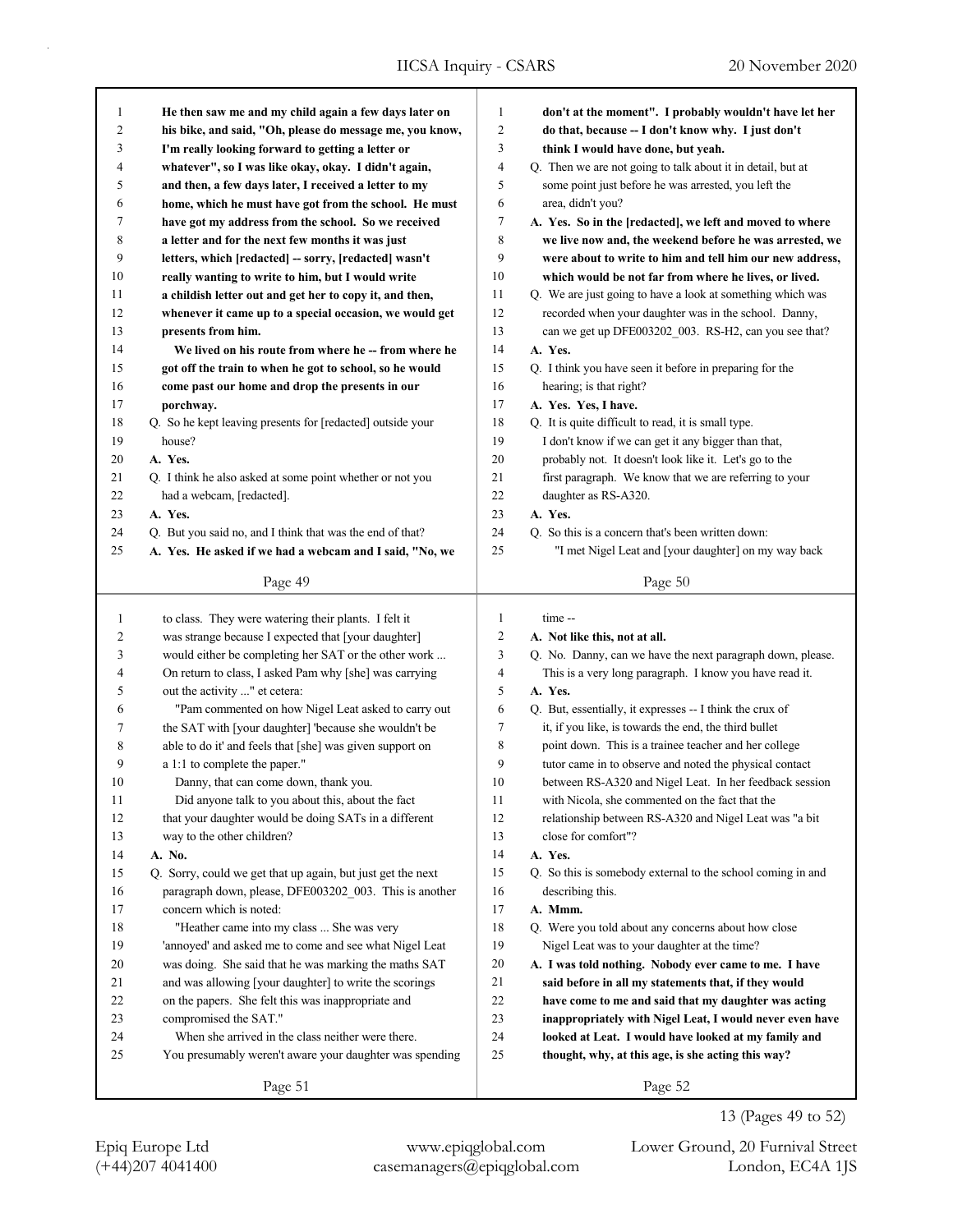|        | He then saw me and my child again a few days later on       | 1              | don't at the moment". I probably wouldn't have let her      |
|--------|-------------------------------------------------------------|----------------|-------------------------------------------------------------|
| 1<br>2 | his bike, and said, "Oh, please do message me, you know,    | 2              | do that, because -- I don't know why. I just don't          |
| 3      | I'm really looking forward to getting a letter or           | 3              | think I would have done, but yeah.                          |
| 4      | whatever", so I was like okay, okay. I didn't again,        | 4              | Q. Then we are not going to talk about it in detail, but at |
| 5      | and then, a few days later, I received a letter to my       | 5              | some point just before he was arrested, you left the        |
| 6      | home, which he must have got from the school. He must       | 6              | area, didn't you?                                           |
| 7      | have got my address from the school. So we received         | 7              | A. Yes. So in the [redacted], we left and moved to where    |
| 8      | a letter and for the next few months it was just            | 8              | we live now and, the weekend before he was arrested, we     |
| 9      | letters, which [redacted] -- sorry, [redacted] wasn't       | 9              | were about to write to him and tell him our new address,    |
| 10     | really wanting to write to him, but I would write           | 10             | which would be not far from where he lives, or lived.       |
| 11     | a childish letter out and get her to copy it, and then,     | 11             | Q. We are just going to have a look at something which was  |
| 12     | whenever it came up to a special occasion, we would get     | 12             | recorded when your daughter was in the school. Danny,       |
| 13     | presents from him.                                          | 13             | can we get up DFE003202_003. RS-H2, can you see that?       |
| 14     | We lived on his route from where he -- from where he        | 14             | A. Yes.                                                     |
| 15     | got off the train to when he got to school, so he would     | 15             | Q. I think you have seen it before in preparing for the     |
| 16     | come past our home and drop the presents in our             | 16             | hearing; is that right?                                     |
| 17     | porchway.                                                   | 17             | A. Yes. Yes, I have.                                        |
| 18     | Q. So he kept leaving presents for [redacted] outside your  | 18             | Q. It is quite difficult to read, it is small type.         |
| 19     | house?                                                      | 19             | I don't know if we can get it any bigger than that,         |
| 20     | A. Yes.                                                     | 20             | probably not. It doesn't look like it. Let's go to the      |
| 21     | Q. I think he also asked at some point whether or not you   | 21             | first paragraph. We know that we are referring to your      |
| 22     | had a webcam, [redacted].                                   | 22             | daughter as RS-A320.                                        |
| 23     | A. Yes.                                                     | 23             | A. Yes.                                                     |
| 24     | Q. But you said no, and I think that was the end of that?   | 24             | Q. So this is a concern that's been written down:           |
| 25     | A. Yes. He asked if we had a webcam and I said, "No, we     | 25             | "I met Nigel Leat and [your daughter] on my way back        |
|        | Page 49                                                     |                | Page 50                                                     |
|        |                                                             |                |                                                             |
| 1      | to class. They were watering their plants. I felt it        | $\mathbf{1}$   | time --                                                     |
| 2      | was strange because I expected that [your daughter]         | $\overline{c}$ | A. Not like this, not at all.                               |
| 3      | would either be completing her SAT or the other work        |                |                                                             |
|        |                                                             | 3              | Q. No. Danny, can we have the next paragraph down, please.  |
| 4      | On return to class, I asked Pam why [she] was carrying      | 4              | This is a very long paragraph. I know you have read it.     |
| 5      | out the activity " et cetera:                               | 5              | A. Yes.                                                     |
| 6      | "Pam commented on how Nigel Leat asked to carry out         | 6              | Q. But, essentially, it expresses -- I think the crux of    |
| 7      | the SAT with [your daughter] 'because she wouldn't be       | 7              | it, if you like, is towards the end, the third bullet       |
| 8      | able to do it' and feels that [she] was given support on    | 8              | point down. This is a trainee teacher and her college       |
| 9      | a 1:1 to complete the paper."                               | 9              | tutor came in to observe and noted the physical contact     |
| 10     | Danny, that can come down, thank you.                       | 10             | between RS-A320 and Nigel Leat. In her feedback session     |
| 11     | Did anyone talk to you about this, about the fact           | 11             | with Nicola, she commented on the fact that the             |
| 12     | that your daughter would be doing SATs in a different       | 12             | relationship between RS-A320 and Nigel Leat was "a bit      |
| 13     | way to the other children?                                  | 13             | close for comfort"?                                         |
| 14     | A. No.                                                      | 14             | A. Yes.                                                     |
| 15     | Q. Sorry, could we get that up again, but just get the next | 15             | Q. So this is somebody external to the school coming in and |
| 16     | paragraph down, please, DFE003202_003. This is another      | 16             | describing this.                                            |
| 17     | concern which is noted:                                     | 17             | A. Mmm.                                                     |
| 18     | "Heather came into my class  She was very                   | 18             | Q. Were you told about any concerns about how close         |
| 19     | 'annoyed' and asked me to come and see what Nigel Leat      | 19             | Nigel Leat was to your daughter at the time?                |
| 20     | was doing. She said that he was marking the maths SAT       | 20             | A. I was told nothing. Nobody ever came to me. I have       |
| 21     | and was allowing [your daughter] to write the scorings      | 21             | said before in all my statements that, if they would        |
| $22\,$ | on the papers. She felt this was inappropriate and          | 22             | have come to me and said that my daughter was acting        |
| 23     | compromised the SAT."                                       | 23             | inappropriately with Nigel Leat, I would never even have    |
| 24     | When she arrived in the class neither were there.           | 24             | looked at Leat. I would have looked at my family and        |
| 25     | You presumably weren't aware your daughter was spending     | 25             | thought, why, at this age, is she acting this way?          |

13 (Pages 49 to 52)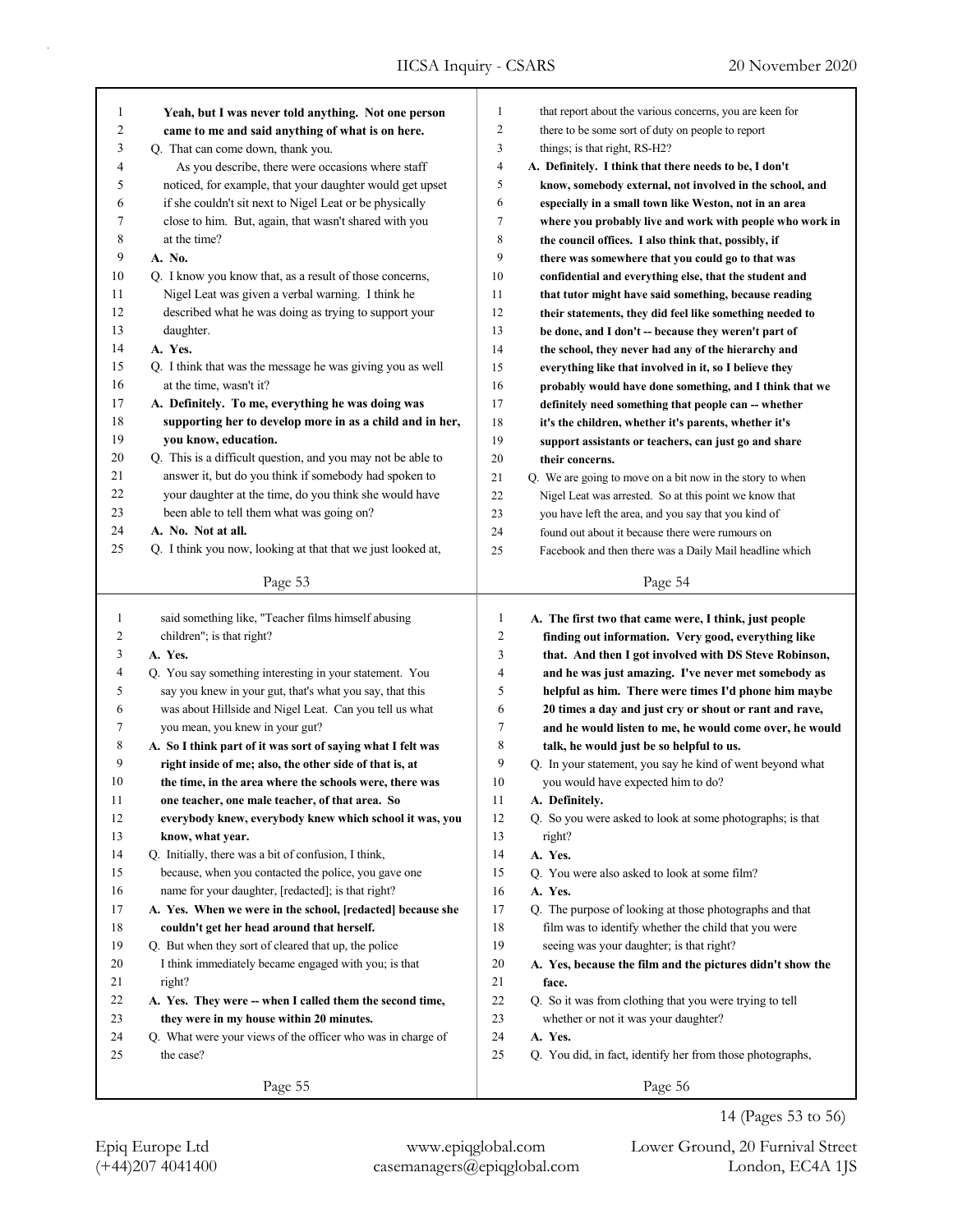| 1              | Yeah, but I was never told anything. Not one person         | 1              | that report about the various concerns, you are keen for  |
|----------------|-------------------------------------------------------------|----------------|-----------------------------------------------------------|
| $\overline{c}$ | came to me and said anything of what is on here.            | $\overline{c}$ | there to be some sort of duty on people to report         |
| 3              | Q. That can come down, thank you.                           | 3              | things; is that right, RS-H2?                             |
| 4              | As you describe, there were occasions where staff           | 4              | A. Definitely. I think that there needs to be, I don't    |
| 5              | noticed, for example, that your daughter would get upset    | 5              | know, somebody external, not involved in the school, and  |
| 6              | if she couldn't sit next to Nigel Leat or be physically     | 6              | especially in a small town like Weston, not in an area    |
| 7              | close to him. But, again, that wasn't shared with you       | 7              | where you probably live and work with people who work in  |
| 8              | at the time?                                                | 8              | the council offices. I also think that, possibly, if      |
| 9              | A. No.                                                      | 9              | there was somewhere that you could go to that was         |
| 10             | Q. I know you know that, as a result of those concerns,     | 10             | confidential and everything else, that the student and    |
| 11             | Nigel Leat was given a verbal warning. I think he           | 11             | that tutor might have said something, because reading     |
| 12             | described what he was doing as trying to support your       | 12             | their statements, they did feel like something needed to  |
| 13             | daughter.                                                   | 13             | be done, and I don't -- because they weren't part of      |
| 14             | A. Yes.                                                     | 14             | the school, they never had any of the hierarchy and       |
| 15             | Q. I think that was the message he was giving you as well   | 15             | everything like that involved in it, so I believe they    |
| 16             | at the time, wasn't it?                                     | 16             | probably would have done something, and I think that we   |
| 17             | A. Definitely. To me, everything he was doing was           | 17             | definitely need something that people can -- whether      |
| 18             | supporting her to develop more in as a child and in her,    | 18             | it's the children, whether it's parents, whether it's     |
| 19             | you know, education.                                        | 19             | support assistants or teachers, can just go and share     |
| 20             | Q. This is a difficult question, and you may not be able to | 20             | their concerns.                                           |
| 21             | answer it, but do you think if somebody had spoken to       | 21             | Q. We are going to move on a bit now in the story to when |
| 22             | your daughter at the time, do you think she would have      | 22             | Nigel Leat was arrested. So at this point we know that    |
| 23             | been able to tell them what was going on?                   | 23             | you have left the area, and you say that you kind of      |
| 24             | A. No. Not at all.                                          | 24             | found out about it because there were rumours on          |
| 25             | Q. I think you now, looking at that that we just looked at, | 25             | Facebook and then there was a Daily Mail headline which   |
|                | Page 53                                                     |                | Page 54                                                   |
|                |                                                             |                |                                                           |
|                |                                                             |                |                                                           |
| $\mathbf{1}$   | said something like, "Teacher films himself abusing         | $\mathbf{1}$   | A. The first two that came were, I think, just people     |
| 2              | children"; is that right?                                   | $\overline{c}$ | finding out information. Very good, everything like       |
| 3              | A. Yes.                                                     | 3              | that. And then I got involved with DS Steve Robinson,     |
| 4              | Q. You say something interesting in your statement. You     | $\overline{4}$ | and he was just amazing. I've never met somebody as       |
| 5              | say you knew in your gut, that's what you say, that this    | 5              | helpful as him. There were times I'd phone him maybe      |
| 6              | was about Hillside and Nigel Leat. Can you tell us what     | 6              | 20 times a day and just cry or shout or rant and rave,    |
| 7              | you mean, you knew in your gut?                             | $\tau$         | and he would listen to me, he would come over, he would   |
| 8              | A. So I think part of it was sort of saying what I felt was | $\,$ 8 $\,$    | talk, he would just be so helpful to us.                  |
| 9              | right inside of me; also, the other side of that is, at     | 9              | Q. In your statement, you say he kind of went beyond what |
| 10             | the time, in the area where the schools were, there was     | 10             | you would have expected him to do?                        |
| 11             | one teacher, one male teacher, of that area. So             | 11             | A. Definitely.                                            |
| 12             | everybody knew, everybody knew which school it was, you     | 12             | Q. So you were asked to look at some photographs; is that |
| 13             | know, what year.                                            | 13             | right?                                                    |
| 14             | Q. Initially, there was a bit of confusion, I think,        | 14             | A. Yes.                                                   |
| 15             | because, when you contacted the police, you gave one        | 15             | Q. You were also asked to look at some film?              |
| 16             | name for your daughter, [redacted]; is that right?          | 16             | A. Yes.                                                   |
| 17             | A. Yes. When we were in the school, [redacted] because she  | 17             | Q. The purpose of looking at those photographs and that   |
| 18             | couldn't get her head around that herself.                  | 18             | film was to identify whether the child that you were      |
| 19             | Q. But when they sort of cleared that up, the police        | 19             | seeing was your daughter; is that right?                  |
| 20             | I think immediately became engaged with you; is that        | 20             | A. Yes, because the film and the pictures didn't show the |
| 21             | right?                                                      | 21             | face.                                                     |
| 22             | A. Yes. They were -- when I called them the second time,    | 22             | Q. So it was from clothing that you were trying to tell   |
| 23             | they were in my house within 20 minutes.                    | 23             | whether or not it was your daughter?                      |
| 24             | Q. What were your views of the officer who was in charge of | 24             | A. Yes.                                                   |
| 25             | the case?                                                   | 25             | Q. You did, in fact, identify her from those photographs, |

(+44)207 4041400 casemanagers@epiqglobal.com London, EC4A 1JS

Epiq Europe Ltd www.epiqglobal.com Lower Ground, 20 Furnival Street

14 (Pages 53 to 56)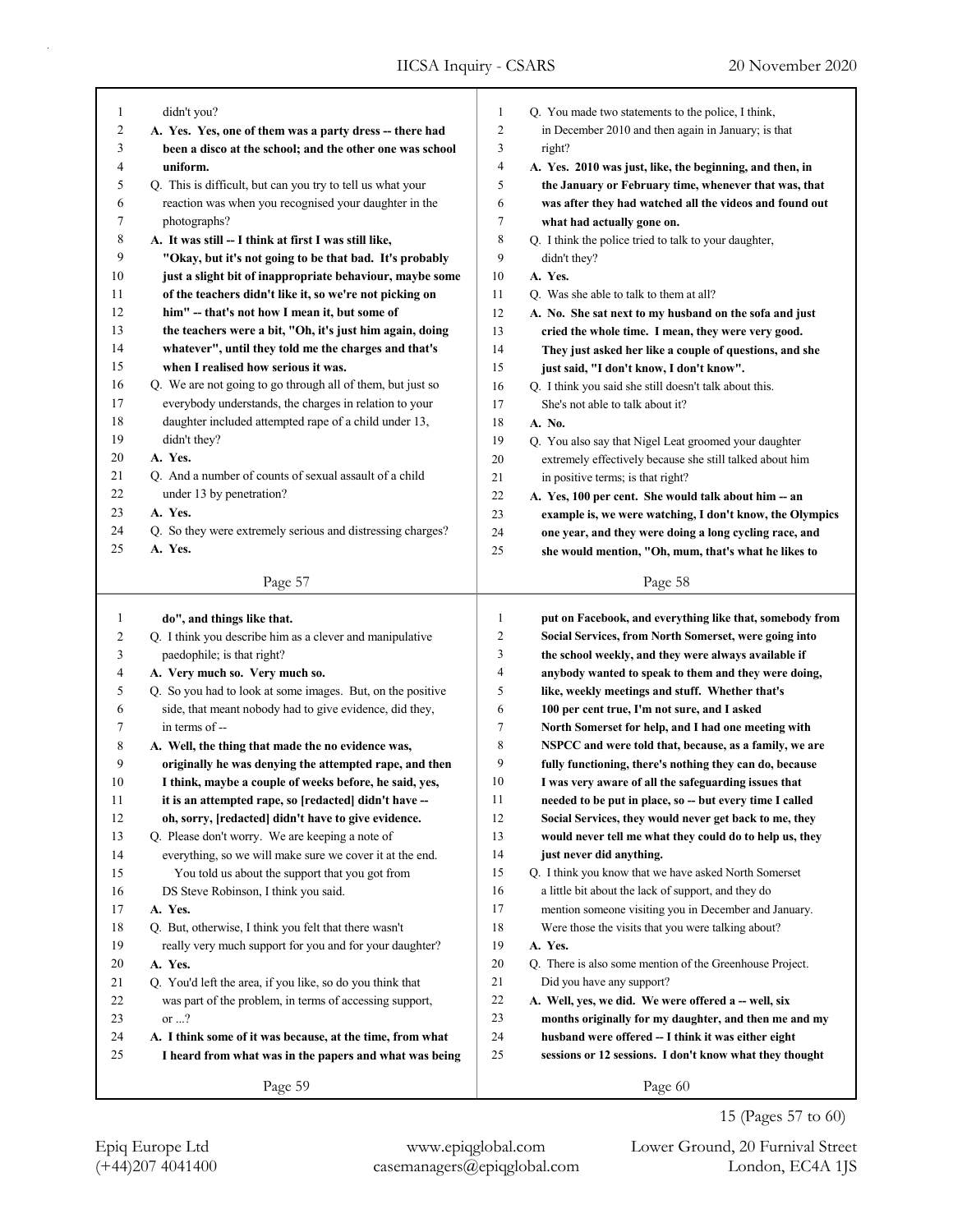| 1            | didn't you?                                                       | 1            | Q. You made two statements to the police, I think,                 |
|--------------|-------------------------------------------------------------------|--------------|--------------------------------------------------------------------|
| 2            | A. Yes. Yes, one of them was a party dress -- there had           | 2            | in December 2010 and then again in January; is that                |
| 3            | been a disco at the school; and the other one was school          | 3            | right?                                                             |
| 4            | uniform.                                                          | 4            | A. Yes. 2010 was just, like, the beginning, and then, in           |
| 5            | Q. This is difficult, but can you try to tell us what your        | 5            | the January or February time, whenever that was, that              |
| 6            | reaction was when you recognised your daughter in the             | 6            | was after they had watched all the videos and found out            |
| 7            | photographs?                                                      | 7            | what had actually gone on.                                         |
| 8            | A. It was still -- I think at first I was still like,             | 8            | Q. I think the police tried to talk to your daughter,              |
| 9            | "Okay, but it's not going to be that bad. It's probably           | 9            | didn't they?                                                       |
| 10           | just a slight bit of inappropriate behaviour, maybe some          | 10           | A. Yes.                                                            |
| 11           | of the teachers didn't like it, so we're not picking on           | 11           | Q. Was she able to talk to them at all?                            |
| 12           | him" -- that's not how I mean it, but some of                     | 12           | A. No. She sat next to my husband on the sofa and just             |
| 13           | the teachers were a bit, "Oh, it's just him again, doing          | 13           | cried the whole time. I mean, they were very good.                 |
| 14           | whatever", until they told me the charges and that's              | 14           | They just asked her like a couple of questions, and she            |
| 15           | when I realised how serious it was.                               | 15           | just said, "I don't know, I don't know".                           |
| 16           | Q. We are not going to go through all of them, but just so        | 16           | Q. I think you said she still doesn't talk about this.             |
| 17           | everybody understands, the charges in relation to your            | 17           | She's not able to talk about it?                                   |
| 18           | daughter included attempted rape of a child under 13,             | 18           | A. No.                                                             |
| 19           | didn't they?                                                      | 19           | Q. You also say that Nigel Leat groomed your daughter              |
| 20           | A. Yes.                                                           | 20           | extremely effectively because she still talked about him           |
| 21           | Q. And a number of counts of sexual assault of a child            | 21           | in positive terms; is that right?                                  |
| 22           | under 13 by penetration?                                          | 22           | A. Yes, 100 per cent. She would talk about him -- an               |
| 23           | A. Yes.                                                           | 23           | example is, we were watching, I don't know, the Olympics           |
| 24           | Q. So they were extremely serious and distressing charges?        | 24           | one year, and they were doing a long cycling race, and             |
| 25           | A. Yes.                                                           | 25           | she would mention, "Oh, mum, that's what he likes to               |
|              | Page 57                                                           |              | Page 58                                                            |
|              |                                                                   |              |                                                                    |
|              |                                                                   |              |                                                                    |
| $\mathbf{1}$ | do", and things like that.                                        | $\mathbf{1}$ | put on Facebook, and everything like that, somebody from           |
| 2            | Q. I think you describe him as a clever and manipulative          | 2            | Social Services, from North Somerset, were going into              |
| 3            | paedophile; is that right?                                        | 3            | the school weekly, and they were always available if               |
| 4            | A. Very much so. Very much so.                                    | 4            | anybody wanted to speak to them and they were doing,               |
| 5            | Q. So you had to look at some images. But, on the positive        | 5            | like, weekly meetings and stuff. Whether that's                    |
| 6            | side, that meant nobody had to give evidence, did they,           | 6            | 100 per cent true, I'm not sure, and I asked                       |
| 7            | in terms of --                                                    | 7            | North Somerset for help, and I had one meeting with                |
| 8            | A. Well, the thing that made the no evidence was,                 | 8            | NSPCC and were told that, because, as a family, we are             |
| 9            | originally he was denying the attempted rape, and then            | 9            | fully functioning, there's nothing they can do, because            |
| 10           | I think, maybe a couple of weeks before, he said, yes,            | 10           | I was very aware of all the safeguarding issues that               |
| 11           | it is an attempted rape, so [redacted] didn't have --             | 11           | needed to be put in place, so -- but every time I called           |
| 12           | oh, sorry, [redacted] didn't have to give evidence.               | 12           | Social Services, they would never get back to me, they             |
| 13           | Q. Please don't worry. We are keeping a note of                   | 13           | would never tell me what they could do to help us, they            |
| 14           | everything, so we will make sure we cover it at the end.          | 14           | just never did anything.                                           |
| 15           | You told us about the support that you got from                   | 15           | Q. I think you know that we have asked North Somerset              |
| 16           | DS Steve Robinson, I think you said.                              | 16           | a little bit about the lack of support, and they do                |
| 17           | A. Yes.                                                           | 17           | mention someone visiting you in December and January.              |
| 18           | Q. But, otherwise, I think you felt that there wasn't             | 18           | Were those the visits that you were talking about?                 |
| 19           | really very much support for you and for your daughter?           | 19           | A. Yes.                                                            |
| 20           | A. Yes.                                                           | $20\,$       | Q. There is also some mention of the Greenhouse Project.           |
| 21           | Q. You'd left the area, if you like, so do you think that         | 21           | Did you have any support?                                          |
| 22           | was part of the problem, in terms of accessing support,           | 22           | A. Well, yes, we did. We were offered a -- well, six               |
| 23           | or $\ldots$ ?                                                     | 23           | months originally for my daughter, and then me and my              |
| 24           | A. I think some of it was because, at the time, from what         | 24           | husband were offered -- I think it was either eight                |
| 25           | I heard from what was in the papers and what was being<br>Page 59 | 25           | sessions or 12 sessions. I don't know what they thought<br>Page 60 |

15 (Pages 57 to 60)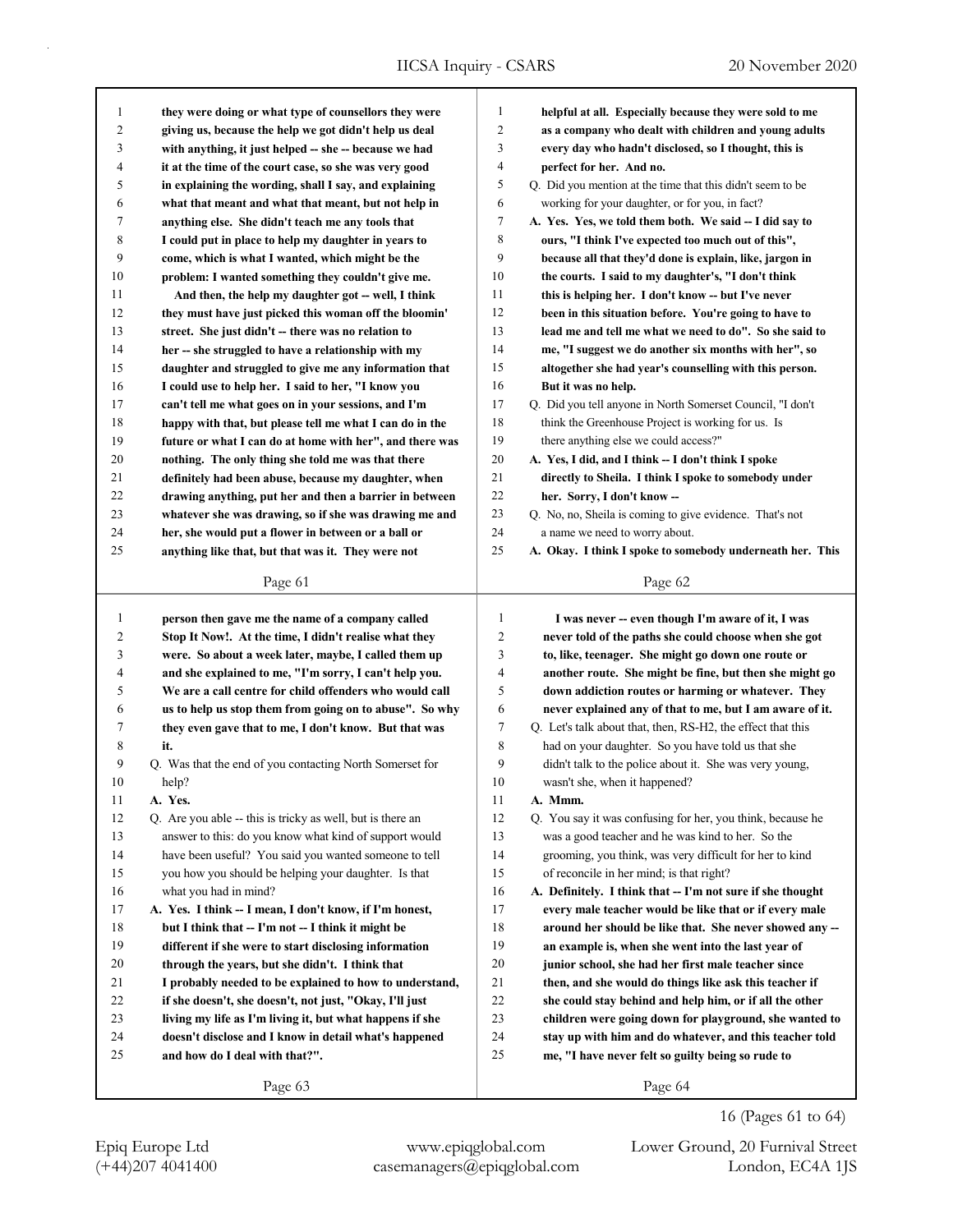| 1            | they were doing or what type of counsellors they were      | 1              | helpful at all. Especially because they were sold to me     |
|--------------|------------------------------------------------------------|----------------|-------------------------------------------------------------|
| 2            | giving us, because the help we got didn't help us deal     | $\overline{c}$ | as a company who dealt with children and young adults       |
| 3            | with anything, it just helped -- she -- because we had     | 3              | every day who hadn't disclosed, so I thought, this is       |
| 4            | it at the time of the court case, so she was very good     | 4              | perfect for her. And no.                                    |
| 5            | in explaining the wording, shall I say, and explaining     | 5              | Q. Did you mention at the time that this didn't seem to be  |
| 6            | what that meant and what that meant, but not help in       | 6              | working for your daughter, or for you, in fact?             |
| 7            | anything else. She didn't teach me any tools that          | 7              | A. Yes. Yes, we told them both. We said -- I did say to     |
| 8            | I could put in place to help my daughter in years to       | 8              | ours, "I think I've expected too much out of this",         |
| 9            | come, which is what I wanted, which might be the           | 9              | because all that they'd done is explain, like, jargon in    |
| 10           | problem: I wanted something they couldn't give me.         | 10             | the courts. I said to my daughter's, "I don't think         |
| 11           | And then, the help my daughter got -- well, I think        | 11             | this is helping her. I don't know -- but I've never         |
| 12           | they must have just picked this woman off the bloomin'     | 12             | been in this situation before. You're going to have to      |
| 13           | street. She just didn't -- there was no relation to        | 13             | lead me and tell me what we need to do". So she said to     |
| 14           | her -- she struggled to have a relationship with my        | 14             | me, "I suggest we do another six months with her", so       |
| 15           | daughter and struggled to give me any information that     | 15             | altogether she had year's counselling with this person.     |
| 16           | I could use to help her. I said to her, "I know you        | 16             | But it was no help.                                         |
| 17           | can't tell me what goes on in your sessions, and I'm       | 17             | Q. Did you tell anyone in North Somerset Council, "I don't  |
| 18           | happy with that, but please tell me what I can do in the   | 18             | think the Greenhouse Project is working for us. Is          |
| 19           | future or what I can do at home with her", and there was   | 19             | there anything else we could access?"                       |
| 20           | nothing. The only thing she told me was that there         | 20             | A. Yes, I did, and I think -- I don't think I spoke         |
| 21           | definitely had been abuse, because my daughter, when       | 21             | directly to Sheila. I think I spoke to somebody under       |
| 22           | drawing anything, put her and then a barrier in between    | 22             | her. Sorry, I don't know --                                 |
| 23           | whatever she was drawing, so if she was drawing me and     | 23             | Q. No, no, Sheila is coming to give evidence. That's not    |
| 24           | her, she would put a flower in between or a ball or        | 24             | a name we need to worry about.                              |
| 25           | anything like that, but that was it. They were not         | 25             | A. Okay. I think I spoke to somebody underneath her. This   |
|              | Page 61                                                    |                | Page 62                                                     |
| $\mathbf{1}$ | person then gave me the name of a company called           | 1              | I was never -- even though I'm aware of it, I was           |
| 2            | Stop It Now!. At the time, I didn't realise what they      | 2              | never told of the paths she could choose when she got       |
| 3            | were. So about a week later, maybe, I called them up       | 3              | to, like, teenager. She might go down one route or          |
| 4            | and she explained to me, "I'm sorry, I can't help you.     | 4              | another route. She might be fine, but then she might go     |
| 5            | We are a call centre for child offenders who would call    | 5              | down addiction routes or harming or whatever. They          |
| 6            | us to help us stop them from going on to abuse". So why    | 6              | never explained any of that to me, but I am aware of it.    |
| 7            | they even gave that to me, I don't know. But that was      | 7              | Q. Let's talk about that, then, RS-H2, the effect that this |
| 8            | it.                                                        | 8              | had on your daughter. So you have told us that she          |
| 9            | Q. Was that the end of you contacting North Somerset for   | 9              | didn't talk to the police about it. She was very young,     |
| 10           | help?                                                      | 10             | wasn't she, when it happened?                               |
| 11           | A. Yes.                                                    | 11             | A. Mmm.                                                     |
| 12           | Q. Are you able -- this is tricky as well, but is there an | 12             | Q. You say it was confusing for her, you think, because he  |
| 13           | answer to this: do you know what kind of support would     | 13             | was a good teacher and he was kind to her. So the           |
| 14           | have been useful? You said you wanted someone to tell      | 14             | grooming, you think, was very difficult for her to kind     |
| 15           | you how you should be helping your daughter. Is that       | 15             | of reconcile in her mind; is that right?                    |
| 16           | what you had in mind?                                      | 16             | A. Definitely. I think that -- I'm not sure if she thought  |
| 17           | A. Yes. I think -- I mean, I don't know, if I'm honest,    | 17             | every male teacher would be like that or if every male      |
| 18           | but I think that -- I'm not -- I think it might be         | 18             | around her should be like that. She never showed any --     |
| 19           | different if she were to start disclosing information      | 19             | an example is, when she went into the last year of          |
| 20           | through the years, but she didn't. I think that            | 20             | junior school, she had her first male teacher since         |
| 21           | I probably needed to be explained to how to understand,    | 21             | then, and she would do things like ask this teacher if      |
| 22           | if she doesn't, she doesn't, not just, "Okay, I'll just    | 22             | she could stay behind and help him, or if all the other     |
| 23           | living my life as I'm living it, but what happens if she   | 23             | children were going down for playground, she wanted to      |
| 24           | doesn't disclose and I know in detail what's happened      | 24             | stay up with him and do whatever, and this teacher told     |
| 25           | and how do I deal with that?".                             | 25             | me, "I have never felt so guilty being so rude to           |
|              |                                                            |                |                                                             |

Page 64

Page 63

(+44)207 4041400 casemanagers@epiqglobal.com London, EC4A 1JS Epiq Europe Ltd www.epiqglobal.com Lower Ground, 20 Furnival Street

16 (Pages 61 to 64)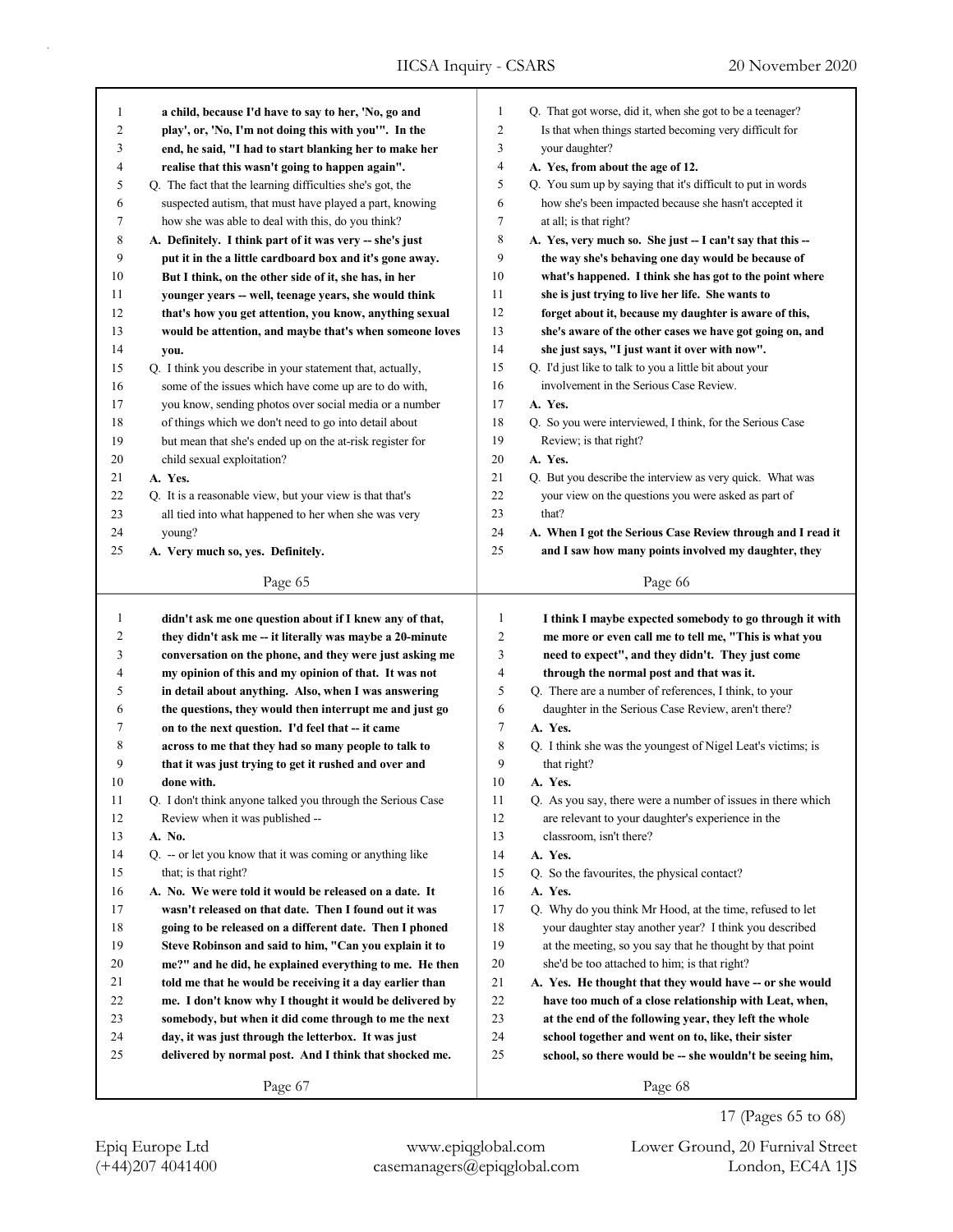| 1  |                                                                                                                     |              |                                                                                                                  |
|----|---------------------------------------------------------------------------------------------------------------------|--------------|------------------------------------------------------------------------------------------------------------------|
|    | a child, because I'd have to say to her, 'No, go and                                                                | $\mathbf{1}$ | Q. That got worse, did it, when she got to be a teenager?                                                        |
| 2  | play', or, 'No, I'm not doing this with you'". In the                                                               | 2            | Is that when things started becoming very difficult for                                                          |
| 3  | end, he said, "I had to start blanking her to make her                                                              | 3            | your daughter?                                                                                                   |
| 4  | realise that this wasn't going to happen again".                                                                    | 4            | A. Yes, from about the age of 12.                                                                                |
| 5  | Q. The fact that the learning difficulties she's got, the                                                           | 5            | Q. You sum up by saying that it's difficult to put in words                                                      |
| 6  | suspected autism, that must have played a part, knowing                                                             | 6            | how she's been impacted because she hasn't accepted it                                                           |
| 7  | how she was able to deal with this, do you think?                                                                   | 7            | at all; is that right?                                                                                           |
| 8  | A. Definitely. I think part of it was very -- she's just                                                            | 8            | A. Yes, very much so. She just -- I can't say that this --                                                       |
| 9  | put it in the a little cardboard box and it's gone away.                                                            | 9            | the way she's behaving one day would be because of                                                               |
| 10 | But I think, on the other side of it, she has, in her                                                               | 10           | what's happened. I think she has got to the point where                                                          |
| 11 | younger years -- well, teenage years, she would think                                                               | 11           | she is just trying to live her life. She wants to                                                                |
| 12 | that's how you get attention, you know, anything sexual                                                             | 12           | forget about it, because my daughter is aware of this,                                                           |
| 13 | would be attention, and maybe that's when someone loves                                                             | 13           | she's aware of the other cases we have got going on, and                                                         |
| 14 | you.                                                                                                                | 14           | she just says, "I just want it over with now".                                                                   |
| 15 | Q. I think you describe in your statement that, actually,                                                           | 15           | Q. I'd just like to talk to you a little bit about your                                                          |
| 16 | some of the issues which have come up are to do with,                                                               | 16           | involvement in the Serious Case Review.                                                                          |
| 17 | you know, sending photos over social media or a number                                                              | 17           | A. Yes.                                                                                                          |
| 18 | of things which we don't need to go into detail about                                                               | 18           | Q. So you were interviewed, I think, for the Serious Case                                                        |
| 19 | but mean that she's ended up on the at-risk register for                                                            | 19           | Review; is that right?                                                                                           |
| 20 | child sexual exploitation?                                                                                          | 20           | A. Yes.                                                                                                          |
| 21 | A. Yes.                                                                                                             | 21           | Q. But you describe the interview as very quick. What was                                                        |
| 22 | Q. It is a reasonable view, but your view is that that's                                                            | 22           | your view on the questions you were asked as part of                                                             |
| 23 | all tied into what happened to her when she was very                                                                | 23           | that?                                                                                                            |
| 24 | young?                                                                                                              | 24           | A. When I got the Serious Case Review through and I read it                                                      |
| 25 | A. Very much so, yes. Definitely.                                                                                   | 25           | and I saw how many points involved my daughter, they                                                             |
|    |                                                                                                                     |              |                                                                                                                  |
|    | Page 65                                                                                                             |              | Page 66                                                                                                          |
| 1  |                                                                                                                     | $\mathbf{1}$ |                                                                                                                  |
| 2  | didn't ask me one question about if I knew any of that,<br>they didn't ask me -- it literally was maybe a 20-minute | 2            | I think I maybe expected somebody to go through it with<br>me more or even call me to tell me, "This is what you |
| 3  | conversation on the phone, and they were just asking me                                                             | 3            | need to expect", and they didn't. They just come                                                                 |
| 4  | my opinion of this and my opinion of that. It was not                                                               | 4            | through the normal post and that was it.                                                                         |
| 5  | in detail about anything. Also, when I was answering                                                                | 5            | Q. There are a number of references, I think, to your                                                            |
| 6  | the questions, they would then interrupt me and just go                                                             |              |                                                                                                                  |
|    |                                                                                                                     |              |                                                                                                                  |
|    |                                                                                                                     | 6            | daughter in the Serious Case Review, aren't there?                                                               |
| 7  | on to the next question. I'd feel that -- it came                                                                   | 7            | A. Yes.                                                                                                          |
| 8  | across to me that they had so many people to talk to                                                                | 8            | Q. I think she was the youngest of Nigel Leat's victims; is                                                      |
| 9  | that it was just trying to get it rushed and over and                                                               | 9            | that right?                                                                                                      |
| 10 | done with.                                                                                                          | 10           | A. Yes.                                                                                                          |
| 11 | Q. I don't think anyone talked you through the Serious Case                                                         | 11           | Q. As you say, there were a number of issues in there which                                                      |
| 12 | Review when it was published --                                                                                     | 12           | are relevant to your daughter's experience in the                                                                |
| 13 | A. No.                                                                                                              | 13           | classroom, isn't there?                                                                                          |
| 14 | Q. -- or let you know that it was coming or anything like                                                           | 14           | A. Yes.                                                                                                          |
| 15 | that; is that right?                                                                                                | 15           | Q. So the favourites, the physical contact?                                                                      |
| 16 | A. No. We were told it would be released on a date. It                                                              | 16           | A. Yes.                                                                                                          |
| 17 | wasn't released on that date. Then I found out it was                                                               | 17           | Q. Why do you think Mr Hood, at the time, refused to let                                                         |
| 18 | going to be released on a different date. Then I phoned                                                             | 18           | your daughter stay another year? I think you described                                                           |
| 19 | Steve Robinson and said to him, "Can you explain it to                                                              | 19           | at the meeting, so you say that he thought by that point                                                         |
| 20 | me?" and he did, he explained everything to me. He then                                                             | 20           | she'd be too attached to him; is that right?                                                                     |
| 21 | told me that he would be receiving it a day earlier than                                                            | 21           | A. Yes. He thought that they would have -- or she would                                                          |
| 22 | me. I don't know why I thought it would be delivered by                                                             | 22           | have too much of a close relationship with Leat, when,                                                           |
| 23 | somebody, but when it did come through to me the next                                                               | 23           | at the end of the following year, they left the whole                                                            |
| 24 | day, it was just through the letterbox. It was just                                                                 | 24           | school together and went on to, like, their sister                                                               |
| 25 | delivered by normal post. And I think that shocked me.                                                              | 25           | school, so there would be -- she wouldn't be seeing him,                                                         |

17 (Pages 65 to 68)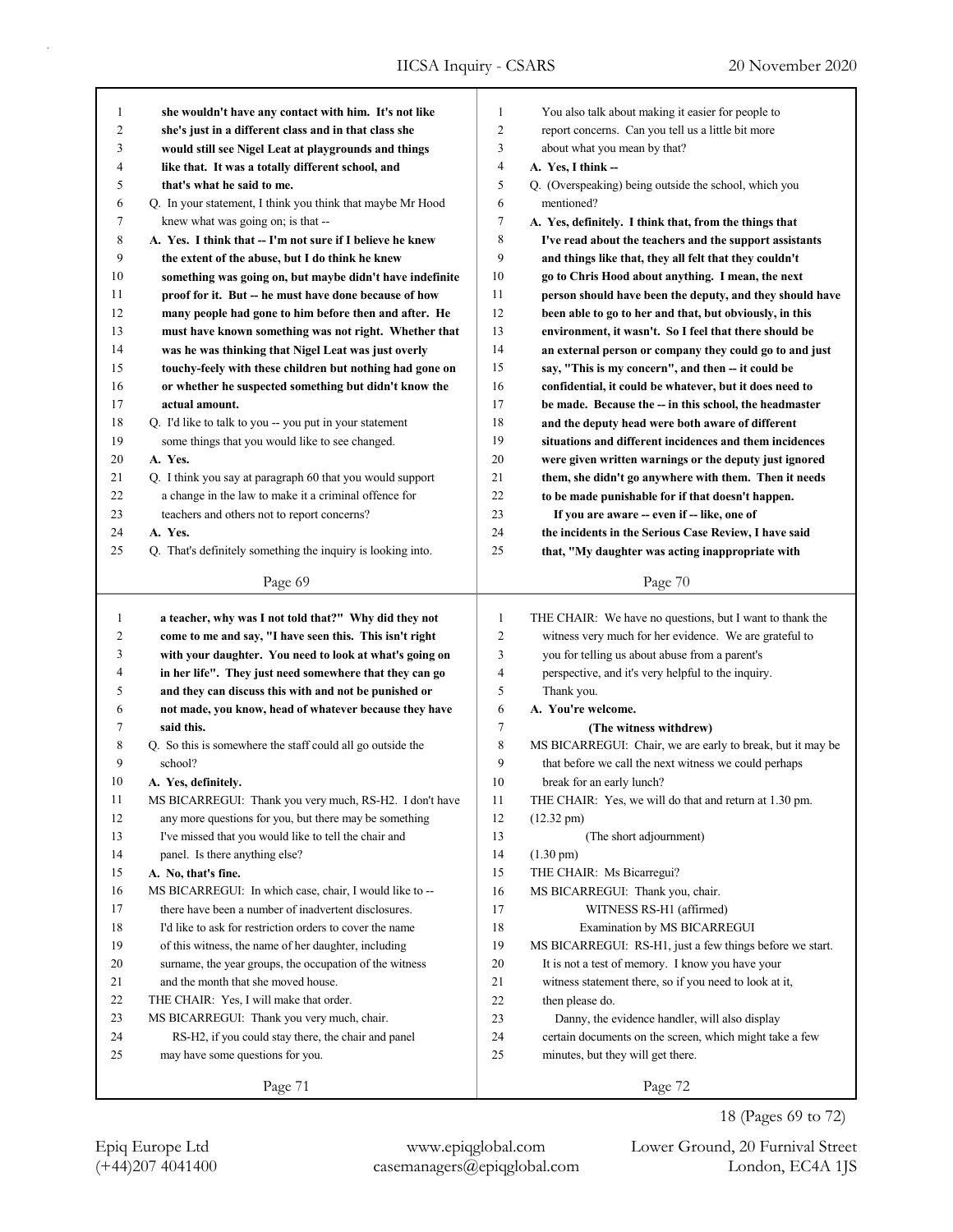| 1  | she wouldn't have any contact with him. It's not like                                                              | $\mathbf{1}$   | You also talk about making it easier for people to         |
|----|--------------------------------------------------------------------------------------------------------------------|----------------|------------------------------------------------------------|
| 2  | she's just in a different class and in that class she                                                              | $\overline{2}$ | report concerns. Can you tell us a little bit more         |
| 3  | would still see Nigel Leat at playgrounds and things                                                               | 3              | about what you mean by that?                               |
| 4  | like that. It was a totally different school, and                                                                  | 4              | A. Yes, I think --                                         |
| 5  | that's what he said to me.                                                                                         | 5              | Q. (Overspeaking) being outside the school, which you      |
| 6  | Q. In your statement, I think you think that maybe Mr Hood                                                         | 6              | mentioned?                                                 |
| 7  | knew what was going on; is that --                                                                                 | 7              | A. Yes, definitely. I think that, from the things that     |
| 8  | A. Yes. I think that -- I'm not sure if I believe he knew                                                          | 8              | I've read about the teachers and the support assistants    |
| 9  | the extent of the abuse, but I do think he knew                                                                    | 9              | and things like that, they all felt that they couldn't     |
| 10 | something was going on, but maybe didn't have indefinite                                                           | 10             | go to Chris Hood about anything. I mean, the next          |
| 11 | proof for it. But -- he must have done because of how                                                              | 11             | person should have been the deputy, and they should have   |
| 12 | many people had gone to him before then and after. He                                                              | 12             | been able to go to her and that, but obviously, in this    |
| 13 | must have known something was not right. Whether that                                                              | 13             | environment, it wasn't. So I feel that there should be     |
| 14 | was he was thinking that Nigel Leat was just overly                                                                | 14             | an external person or company they could go to and just    |
| 15 | touchy-feely with these children but nothing had gone on                                                           | 15             | say, "This is my concern", and then -- it could be         |
| 16 | or whether he suspected something but didn't know the                                                              | 16             | confidential, it could be whatever, but it does need to    |
| 17 | actual amount.                                                                                                     | 17             | be made. Because the -- in this school, the headmaster     |
| 18 | Q. I'd like to talk to you -- you put in your statement                                                            | 18             | and the deputy head were both aware of different           |
| 19 | some things that you would like to see changed.                                                                    | 19             | situations and different incidences and them incidences    |
| 20 | A. Yes.                                                                                                            | 20             |                                                            |
|    |                                                                                                                    |                | were given written warnings or the deputy just ignored     |
| 21 | Q. I think you say at paragraph 60 that you would support<br>a change in the law to make it a criminal offence for | 21<br>22       | them, she didn't go anywhere with them. Then it needs      |
| 22 |                                                                                                                    |                | to be made punishable for if that doesn't happen.          |
| 23 | teachers and others not to report concerns?                                                                        | 23             | If you are aware -- even if -- like, one of                |
| 24 | A. Yes.                                                                                                            | 24             | the incidents in the Serious Case Review, I have said      |
| 25 | Q. That's definitely something the inquiry is looking into.                                                        | 25             | that, "My daughter was acting inappropriate with           |
|    | Page 69                                                                                                            |                | Page 70                                                    |
|    |                                                                                                                    |                |                                                            |
|    |                                                                                                                    |                |                                                            |
| 1  | a teacher, why was I not told that?" Why did they not                                                              | $\mathbf{1}$   | THE CHAIR: We have no questions, but I want to thank the   |
| 2  | come to me and say, "I have seen this. This isn't right                                                            | $\overline{c}$ | witness very much for her evidence. We are grateful to     |
| 3  | with your daughter. You need to look at what's going on                                                            | 3              | you for telling us about abuse from a parent's             |
| 4  | in her life". They just need somewhere that they can go                                                            | 4              | perspective, and it's very helpful to the inquiry.         |
| 5  | and they can discuss this with and not be punished or                                                              | 5              | Thank you.                                                 |
| 6  | not made, you know, head of whatever because they have                                                             | 6              | A. You're welcome.                                         |
| 7  | said this.                                                                                                         | 7              | (The witness withdrew)                                     |
| 8  | Q. So this is somewhere the staff could all go outside the                                                         | 8              | MS BICARREGUI: Chair, we are early to break, but it may be |
| 9  | school?                                                                                                            | 9              | that before we call the next witness we could perhaps      |
| 10 | A. Yes, definitely.                                                                                                | 10             | break for an early lunch?                                  |
| 11 | MS BICARREGUI: Thank you very much, RS-H2. I don't have                                                            | 11             | THE CHAIR: Yes, we will do that and return at 1.30 pm.     |
| 12 | any more questions for you, but there may be something                                                             | 12             | $(12.32 \text{ pm})$                                       |
| 13 | I've missed that you would like to tell the chair and                                                              | 13             | (The short adjournment)                                    |
| 14 | panel. Is there anything else?                                                                                     | 14             | $(1.30 \text{ pm})$                                        |
| 15 | A. No, that's fine.                                                                                                | 15             | THE CHAIR: Ms Bicarregui?                                  |
| 16 | MS BICARREGUI: In which case, chair, I would like to --                                                            | 16             | MS BICARREGUI: Thank you, chair.                           |
| 17 | there have been a number of inadvertent disclosures.                                                               | 17             | WITNESS RS-H1 (affirmed)                                   |
| 18 | I'd like to ask for restriction orders to cover the name                                                           | 18             | Examination by MS BICARREGUI                               |
| 19 | of this witness, the name of her daughter, including                                                               | 19             | MS BICARREGUI: RS-H1, just a few things before we start.   |
| 20 | surname, the year groups, the occupation of the witness                                                            | 20             | It is not a test of memory. I know you have your           |
| 21 | and the month that she moved house.                                                                                | 21             | witness statement there, so if you need to look at it,     |
| 22 | THE CHAIR: Yes, I will make that order.                                                                            | 22             | then please do.                                            |
| 23 | MS BICARREGUI: Thank you very much, chair.                                                                         | 23             | Danny, the evidence handler, will also display             |
| 24 | RS-H2, if you could stay there, the chair and panel                                                                | 24             | certain documents on the screen, which might take a few    |
| 25 | may have some questions for you.                                                                                   | $25\,$         | minutes, but they will get there.                          |
|    | Page 71                                                                                                            |                | Page 72                                                    |

18 (Pages 69 to 72)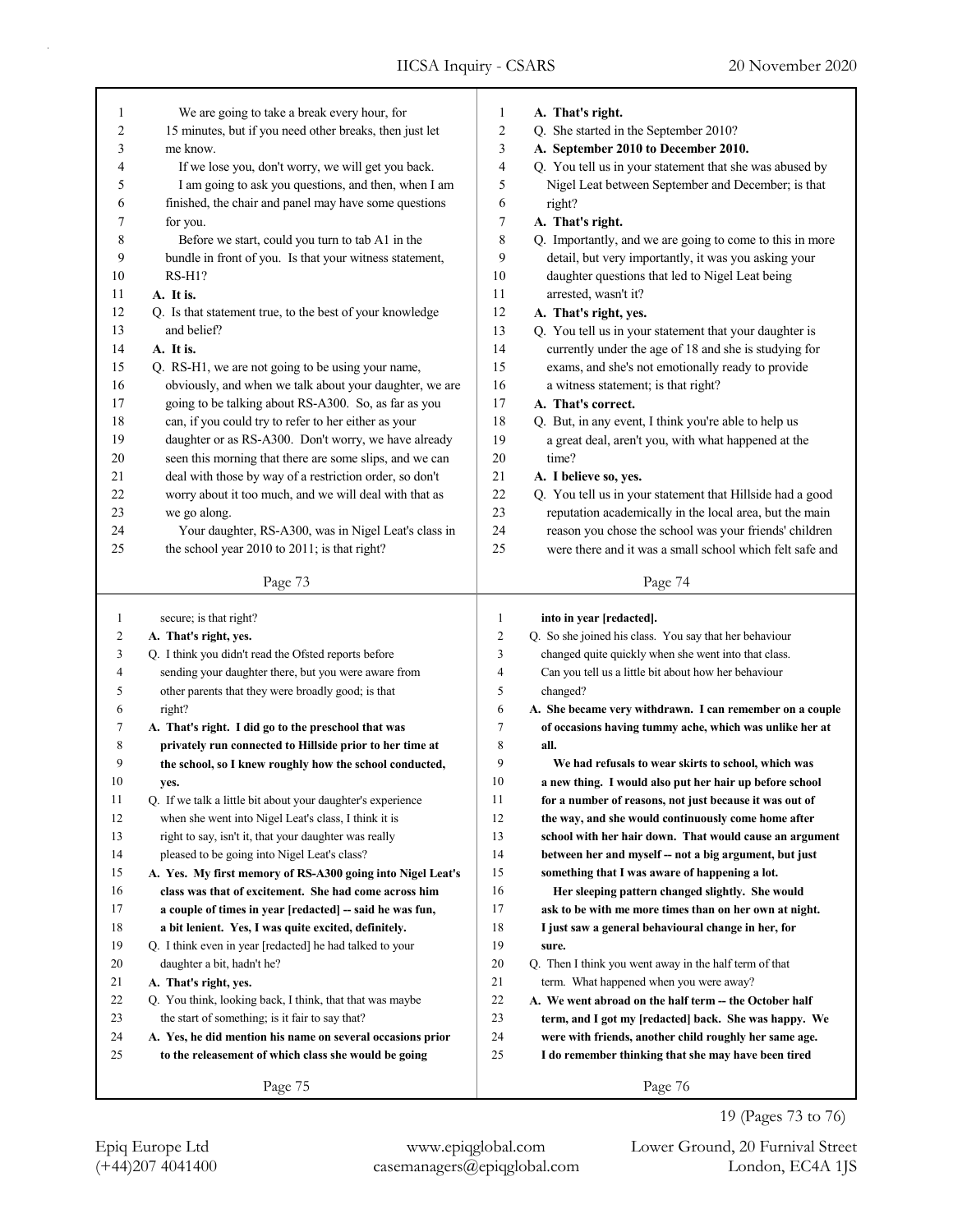| 1            | We are going to take a break every hour, for                | 1              | A. That's right.                                          |
|--------------|-------------------------------------------------------------|----------------|-----------------------------------------------------------|
| 2            | 15 minutes, but if you need other breaks, then just let     | $\overline{c}$ | Q. She started in the September 2010?                     |
| 3            | me know.                                                    | 3              | A. September 2010 to December 2010.                       |
| 4            | If we lose you, don't worry, we will get you back.          | 4              | Q. You tell us in your statement that she was abused by   |
| 5            | I am going to ask you questions, and then, when I am        | 5              | Nigel Leat between September and December; is that        |
| 6            | finished, the chair and panel may have some questions       | 6              | right?                                                    |
| 7            | for you.                                                    | 7              | A. That's right.                                          |
| 8            | Before we start, could you turn to tab A1 in the            | 8              |                                                           |
|              |                                                             |                | Q. Importantly, and we are going to come to this in more  |
| 9            | bundle in front of you. Is that your witness statement,     | 9              | detail, but very importantly, it was you asking your      |
| 10           | $RS-H1?$                                                    | 10             | daughter questions that led to Nigel Leat being           |
| 11           | A. It is.                                                   | 11             | arrested, wasn't it?                                      |
| 12           | Q. Is that statement true, to the best of your knowledge    | 12             | A. That's right, yes.                                     |
| 13           | and belief?                                                 | 13             | Q. You tell us in your statement that your daughter is    |
| 14           | A. It is.                                                   | 14             | currently under the age of 18 and she is studying for     |
| 15           | Q. RS-H1, we are not going to be using your name,           | 15             | exams, and she's not emotionally ready to provide         |
| 16           | obviously, and when we talk about your daughter, we are     | 16             | a witness statement; is that right?                       |
| 17           | going to be talking about RS-A300. So, as far as you        | 17             | A. That's correct.                                        |
| 18           | can, if you could try to refer to her either as your        | 18             | Q. But, in any event, I think you're able to help us      |
| 19           | daughter or as RS-A300. Don't worry, we have already        | 19             | a great deal, aren't you, with what happened at the       |
| 20           | seen this morning that there are some slips, and we can     | 20             | time?                                                     |
| 21           | deal with those by way of a restriction order, so don't     | 21             | A. I believe so, yes.                                     |
| 22           | worry about it too much, and we will deal with that as      | 22             | Q. You tell us in your statement that Hillside had a good |
| 23           | we go along.                                                | 23             | reputation academically in the local area, but the main   |
| 24           | Your daughter, RS-A300, was in Nigel Leat's class in        | 24             | reason you chose the school was your friends' children    |
| 25           | the school year 2010 to 2011; is that right?                | 25             | were there and it was a small school which felt safe and  |
|              |                                                             |                |                                                           |
|              | Page 73                                                     |                | Page 74                                                   |
|              |                                                             |                |                                                           |
|              |                                                             |                |                                                           |
| $\mathbf{1}$ | secure; is that right?                                      | $\mathbf{1}$   | into in year [redacted].                                  |
| 2            | A. That's right, yes.                                       | $\overline{c}$ | Q. So she joined his class. You say that her behaviour    |
| 3            | Q. I think you didn't read the Ofsted reports before        | 3              | changed quite quickly when she went into that class.      |
| 4            | sending your daughter there, but you were aware from        | 4              | Can you tell us a little bit about how her behaviour      |
| 5            | other parents that they were broadly good; is that          | 5              | changed?                                                  |
| 6            | right?                                                      | 6              | A. She became very withdrawn. I can remember on a couple  |
| 7            | A. That's right. I did go to the preschool that was         | 7              | of occasions having tummy ache, which was unlike her at   |
| 8            | privately run connected to Hillside prior to her time at    | 8              | all.                                                      |
| 9            | the school, so I knew roughly how the school conducted,     | 9              | We had refusals to wear skirts to school, which was       |
| 10           | yes.                                                        | 10             | a new thing. I would also put her hair up before school   |
| 11           | Q. If we talk a little bit about your daughter's experience | 11             | for a number of reasons, not just because it was out of   |
| 12           | when she went into Nigel Leat's class, I think it is        | 12             | the way, and she would continuously come home after       |
| 13           | right to say, isn't it, that your daughter was really       | 13             | school with her hair down. That would cause an argument   |
| 14           | pleased to be going into Nigel Leat's class?                | 14             | between her and myself -- not a big argument, but just    |
| 15           | A. Yes. My first memory of RS-A300 going into Nigel Leat's  | 15             | something that I was aware of happening a lot.            |
| 16           | class was that of excitement. She had come across him       | 16             | Her sleeping pattern changed slightly. She would          |
| 17           | a couple of times in year [redacted] -- said he was fun,    | 17             | ask to be with me more times than on her own at night.    |
| 18           | a bit lenient. Yes, I was quite excited, definitely.        | 18             | I just saw a general behavioural change in her, for       |
| 19           | Q. I think even in year [redacted] he had talked to your    | 19             | sure.                                                     |
| 20           | daughter a bit, hadn't he?                                  | 20             | Q. Then I think you went away in the half term of that    |
| 21           | A. That's right, yes.                                       | 21             | term. What happened when you were away?                   |
| 22           | Q. You think, looking back, I think, that that was maybe    | 22             | A. We went abroad on the half term -- the October half    |
| 23           | the start of something; is it fair to say that?             | 23             | term, and I got my [redacted] back. She was happy. We     |
| 24           | A. Yes, he did mention his name on several occasions prior  | 24             | were with friends, another child roughly her same age.    |
| 25           | to the releasement of which class she would be going        | 25             | I do remember thinking that she may have been tired       |
|              | Page 75                                                     |                | Page 76                                                   |

19 (Pages 73 to 76)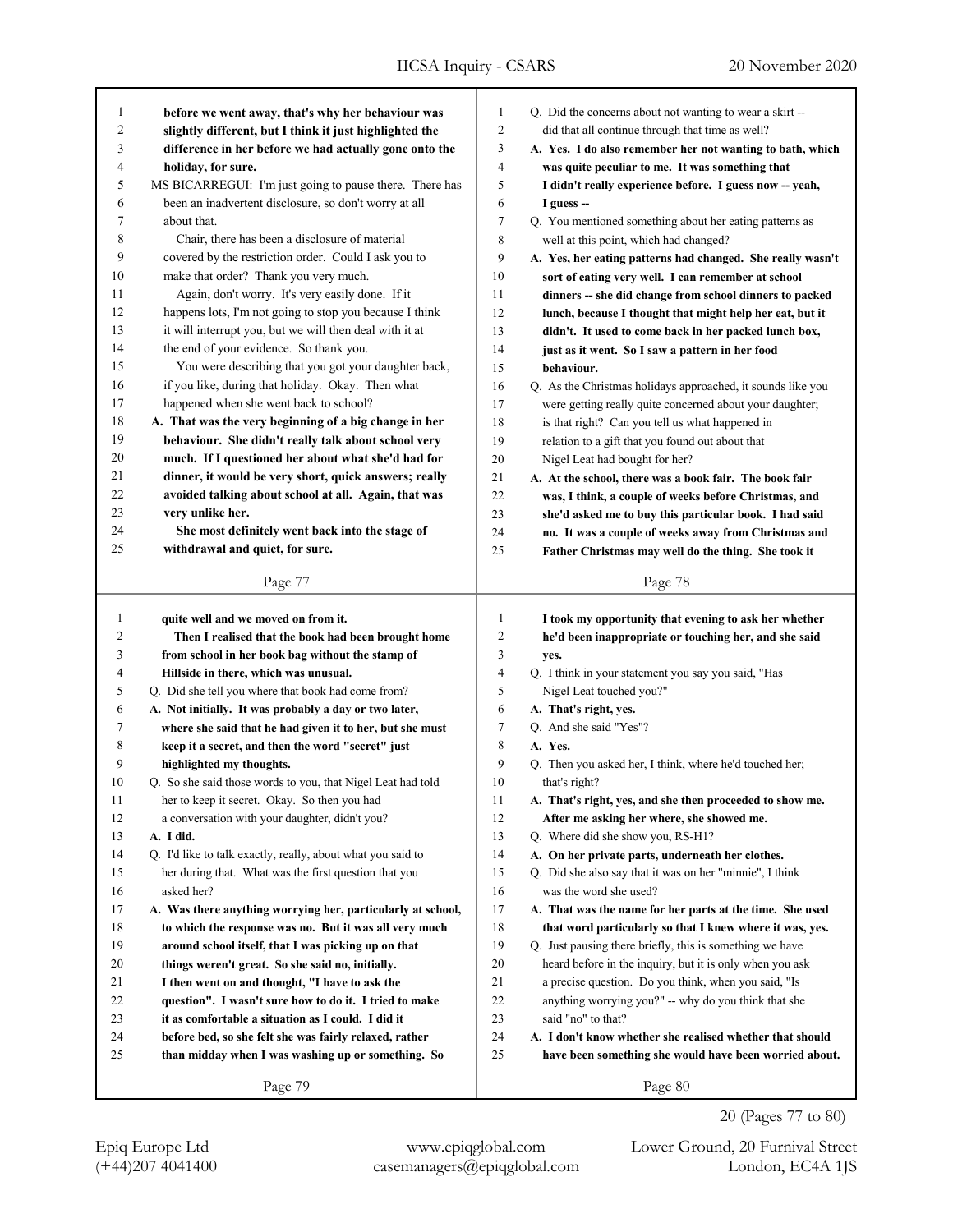| 1                       | before we went away, that's why her behaviour was                                                      | 1              | Q. Did the concerns about not wanting to wear a skirt --    |
|-------------------------|--------------------------------------------------------------------------------------------------------|----------------|-------------------------------------------------------------|
| $\overline{\mathbf{c}}$ | slightly different, but I think it just highlighted the                                                | 2              | did that all continue through that time as well?            |
| 3<br>4                  | difference in her before we had actually gone onto the                                                 | 3<br>4         | A. Yes. I do also remember her not wanting to bath, which   |
| 5                       | holiday, for sure.                                                                                     | 5              | was quite peculiar to me. It was something that             |
|                         | MS BICARREGUI: I'm just going to pause there. There has                                                |                | I didn't really experience before. I guess now -- yeah,     |
| 6<br>7                  | been an inadvertent disclosure, so don't worry at all<br>about that.                                   | 6<br>7         | I guess --                                                  |
| 8                       |                                                                                                        | 8              | Q. You mentioned something about her eating patterns as     |
| 9                       | Chair, there has been a disclosure of material<br>covered by the restriction order. Could I ask you to |                | well at this point, which had changed?                      |
|                         |                                                                                                        | 9              | A. Yes, her eating patterns had changed. She really wasn't  |
| 10                      | make that order? Thank you very much.                                                                  | 10             | sort of eating very well. I can remember at school          |
| 11                      | Again, don't worry. It's very easily done. If it                                                       | 11             | dinners -- she did change from school dinners to packed     |
| 12                      | happens lots, I'm not going to stop you because I think                                                | 12             | lunch, because I thought that might help her eat, but it    |
| 13                      | it will interrupt you, but we will then deal with it at                                                | 13             | didn't. It used to come back in her packed lunch box,       |
| 14                      | the end of your evidence. So thank you.                                                                | 14             | just as it went. So I saw a pattern in her food             |
| 15                      | You were describing that you got your daughter back,                                                   | 15             | behaviour.                                                  |
| 16                      | if you like, during that holiday. Okay. Then what                                                      | 16             | Q. As the Christmas holidays approached, it sounds like you |
| 17                      | happened when she went back to school?                                                                 | 17             | were getting really quite concerned about your daughter;    |
| $18\,$                  | A. That was the very beginning of a big change in her                                                  | 18             | is that right? Can you tell us what happened in             |
| 19                      | behaviour. She didn't really talk about school very                                                    | 19             | relation to a gift that you found out about that            |
| 20                      | much. If I questioned her about what she'd had for                                                     | $20\,$         | Nigel Leat had bought for her?                              |
| 21                      | dinner, it would be very short, quick answers; really                                                  | 21             | A. At the school, there was a book fair. The book fair      |
| 22                      | avoided talking about school at all. Again, that was                                                   | 22             | was, I think, a couple of weeks before Christmas, and       |
| 23                      | very unlike her.                                                                                       | 23             | she'd asked me to buy this particular book. I had said      |
| 24                      | She most definitely went back into the stage of                                                        | 24             | no. It was a couple of weeks away from Christmas and        |
| 25                      | withdrawal and quiet, for sure.                                                                        | 25             | Father Christmas may well do the thing. She took it         |
|                         | Page 77                                                                                                |                | Page 78                                                     |
|                         |                                                                                                        |                |                                                             |
|                         |                                                                                                        |                |                                                             |
| $\mathbf{1}$            | quite well and we moved on from it.                                                                    | 1              | I took my opportunity that evening to ask her whether       |
| $\overline{c}$          | Then I realised that the book had been brought home                                                    | $\overline{c}$ | he'd been inappropriate or touching her, and she said       |
| 3                       | from school in her book bag without the stamp of                                                       | 3              | yes.                                                        |
| 4                       | Hillside in there, which was unusual.                                                                  | 4              | Q. I think in your statement you say you said, "Has         |
| 5                       | Q. Did she tell you where that book had come from?                                                     | 5              | Nigel Leat touched you?"                                    |
| 6                       | A. Not initially. It was probably a day or two later,                                                  | 6              | A. That's right, yes.                                       |
| 7                       | where she said that he had given it to her, but she must                                               | 7              | Q. And she said "Yes"?                                      |
| 8                       | keep it a secret, and then the word "secret" just                                                      | 8              | A. Yes.                                                     |
| 9                       | highlighted my thoughts.                                                                               | 9              | Q. Then you asked her, I think, where he'd touched her;     |
| 10                      | Q. So she said those words to you, that Nigel Leat had told                                            | 10             | that's right?                                               |
| 11                      | her to keep it secret. Okay. So then you had                                                           | 11             | A. That's right, yes, and she then proceeded to show me.    |
| 12                      | a conversation with your daughter, didn't you?                                                         | 12             | After me asking her where, she showed me.                   |
| 13                      | A. I did.                                                                                              | 13             | Q. Where did she show you, RS-H1?                           |
| 14                      | Q. I'd like to talk exactly, really, about what you said to                                            | 14             | A. On her private parts, underneath her clothes.            |
| 15                      | her during that. What was the first question that you                                                  | 15             | Q. Did she also say that it was on her "minnie", I think    |
| 16                      | asked her?                                                                                             | 16             | was the word she used?                                      |
| 17                      | A. Was there anything worrying her, particularly at school,                                            | 17             | A. That was the name for her parts at the time. She used    |
| 18                      | to which the response was no. But it was all very much                                                 | 18             | that word particularly so that I knew where it was, yes.    |
| 19                      | around school itself, that I was picking up on that                                                    | 19             | Q. Just pausing there briefly, this is something we have    |
| 20                      | things weren't great. So she said no, initially.                                                       | 20             | heard before in the inquiry, but it is only when you ask    |
| 21                      | I then went on and thought, "I have to ask the                                                         | 21             | a precise question. Do you think, when you said, "Is        |
| 22                      | question". I wasn't sure how to do it. I tried to make                                                 | 22             | anything worrying you?" -- why do you think that she        |
| 23                      | it as comfortable a situation as I could. I did it                                                     | 23             | said "no" to that?                                          |
| 24                      | before bed, so she felt she was fairly relaxed, rather                                                 | 24             | A. I don't know whether she realised whether that should    |
| 25                      | than midday when I was washing up or something. So                                                     | 25             | have been something she would have been worried about.      |

(+44)207 4041400 casemanagers@epiqglobal.com London, EC4A 1JS Epiq Europe Ltd www.epiqglobal.com Lower Ground, 20 Furnival Street

20 (Pages 77 to 80)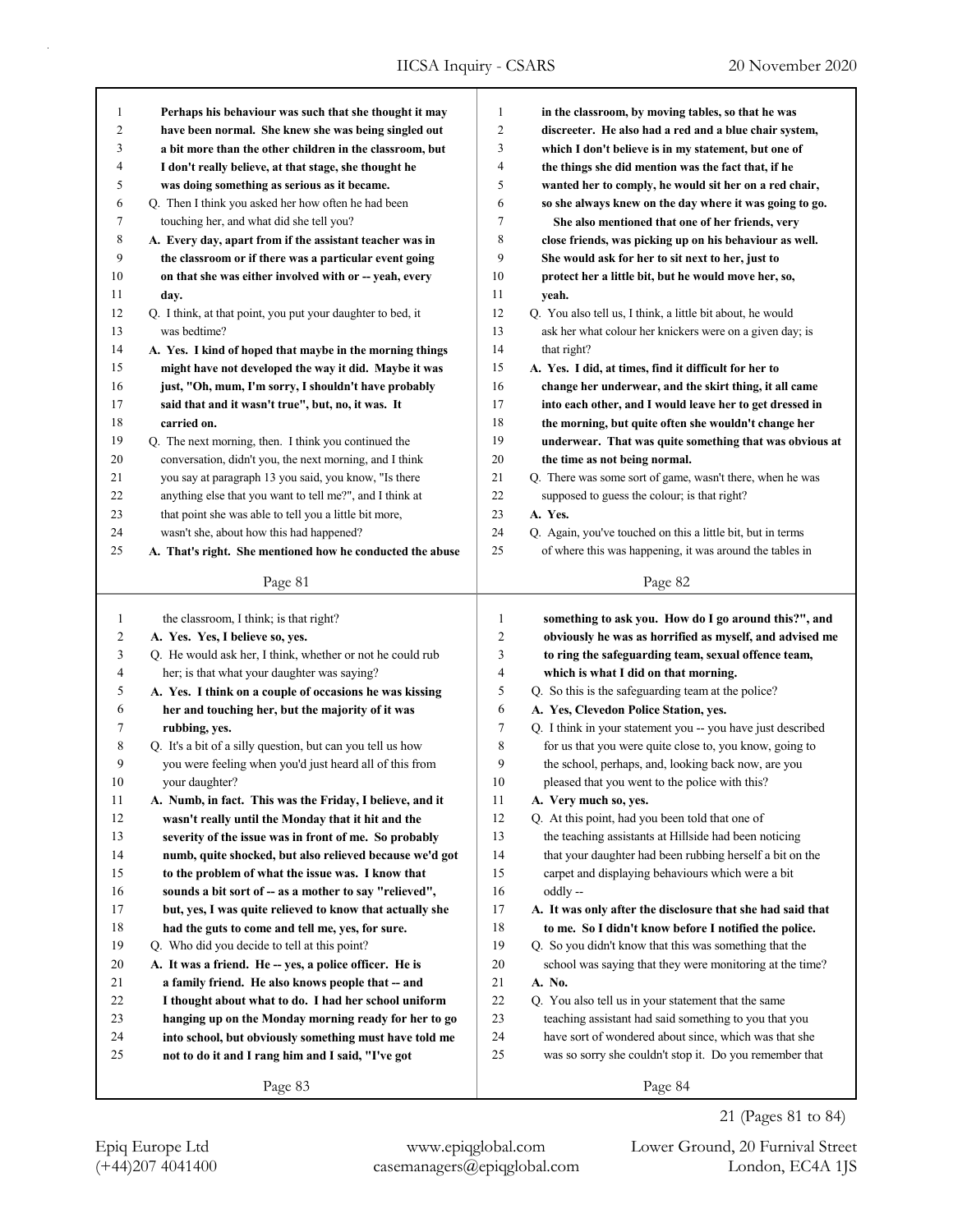IICSA Inquiry - CSARS 20 November 2020

| 1              | Perhaps his behaviour was such that she thought it may      | $\mathbf{1}$   | in the classroom, by moving tables, so that he was          |
|----------------|-------------------------------------------------------------|----------------|-------------------------------------------------------------|
| $\overline{c}$ | have been normal. She knew she was being singled out        | $\overline{c}$ | discreeter. He also had a red and a blue chair system,      |
| 3              | a bit more than the other children in the classroom, but    | 3              | which I don't believe is in my statement, but one of        |
| $\overline{4}$ | I don't really believe, at that stage, she thought he       | 4              | the things she did mention was the fact that, if he         |
| 5              | was doing something as serious as it became.                | 5              | wanted her to comply, he would sit her on a red chair,      |
| 6              | Q. Then I think you asked her how often he had been         | 6              | so she always knew on the day where it was going to go.     |
| 7              | touching her, and what did she tell you?                    | 7              | She also mentioned that one of her friends, very            |
| 8              | A. Every day, apart from if the assistant teacher was in    | 8              | close friends, was picking up on his behaviour as well.     |
| 9              | the classroom or if there was a particular event going      | 9              | She would ask for her to sit next to her, just to           |
| 10             | on that she was either involved with or -- yeah, every      | 10             | protect her a little bit, but he would move her, so,        |
| 11             | day.                                                        | 11             | yeah.                                                       |
| 12             | Q. I think, at that point, you put your daughter to bed, it | 12             | Q. You also tell us, I think, a little bit about, he would  |
| 13             | was bedtime?                                                | 13             | ask her what colour her knickers were on a given day; is    |
| 14             | A. Yes. I kind of hoped that maybe in the morning things    | 14             | that right?                                                 |
| 15             | might have not developed the way it did. Maybe it was       | 15             | A. Yes. I did, at times, find it difficult for her to       |
| 16             | just, "Oh, mum, I'm sorry, I shouldn't have probably        | 16             | change her underwear, and the skirt thing, it all came      |
| 17             | said that and it wasn't true", but, no, it was. It          | 17             | into each other, and I would leave her to get dressed in    |
| 18             | carried on.                                                 | 18             | the morning, but quite often she wouldn't change her        |
| 19             | Q. The next morning, then. I think you continued the        | 19             | underwear. That was quite something that was obvious at     |
| 20             | conversation, didn't you, the next morning, and I think     | 20             | the time as not being normal.                               |
| 21             | you say at paragraph 13 you said, you know, "Is there       | 21             | Q. There was some sort of game, wasn't there, when he was   |
| 22             | anything else that you want to tell me?", and I think at    | 22             | supposed to guess the colour; is that right?                |
| 23             | that point she was able to tell you a little bit more,      | 23             | A. Yes.                                                     |
| 24             | wasn't she, about how this had happened?                    | 24             | Q. Again, you've touched on this a little bit, but in terms |
| 25             | A. That's right. She mentioned how he conducted the abuse   | 25             | of where this was happening, it was around the tables in    |
|                |                                                             |                |                                                             |
|                | Page 81                                                     |                | Page 82                                                     |
|                |                                                             |                |                                                             |
|                |                                                             | $\mathbf{1}$   |                                                             |
| $\mathbf{1}$   | the classroom, I think; is that right?                      |                | something to ask you. How do I go around this?", and        |
| 2              | A. Yes. Yes, I believe so, yes.                             | $\overline{c}$ | obviously he was as horrified as myself, and advised me     |
| 3              | Q. He would ask her, I think, whether or not he could rub   | 3<br>4         | to ring the safeguarding team, sexual offence team,         |
| 4              | her; is that what your daughter was saying?                 |                | which is what I did on that morning.                        |
| 5              | A. Yes. I think on a couple of occasions he was kissing     | 5              | Q. So this is the safeguarding team at the police?          |
| 6              | her and touching her, but the majority of it was            | $\sqrt{6}$     | A. Yes, Clevedon Police Station, yes.                       |
| 7              | rubbing, yes.                                               | $\tau$         | Q. I think in your statement you -- you have just described |
| 8              | Q. It's a bit of a silly question, but can you tell us how  | $\,$ 8 $\,$    | for us that you were quite close to, you know, going to     |
| 9              | you were feeling when you'd just heard all of this from     | 9              | the school, perhaps, and, looking back now, are you         |
| 10             | your daughter?                                              | 10             | pleased that you went to the police with this?              |
| 11             | A. Numb, in fact. This was the Friday, I believe, and it    | 11             | A. Very much so, yes.                                       |
| 12             | wasn't really until the Monday that it hit and the          | 12             | Q. At this point, had you been told that one of             |
| 13             | severity of the issue was in front of me. So probably       | 13             | the teaching assistants at Hillside had been noticing       |
| 14             | numb, quite shocked, but also relieved because we'd got     | 14             | that your daughter had been rubbing herself a bit on the    |
| 15             | to the problem of what the issue was. I know that           | 15             | carpet and displaying behaviours which were a bit           |
| 16             | sounds a bit sort of -- as a mother to say "relieved",      | 16             | oddly --                                                    |
| 17             | but, yes, I was quite relieved to know that actually she    | 17             | A. It was only after the disclosure that she had said that  |
| 18             | had the guts to come and tell me, yes, for sure.            | 18             | to me. So I didn't know before I notified the police.       |
| 19             | Q. Who did you decide to tell at this point?                | 19             | Q. So you didn't know that this was something that the      |
| 20             | A. It was a friend. He -- yes, a police officer. He is      | 20             | school was saying that they were monitoring at the time?    |
| 21             | a family friend. He also knows people that -- and           | 21             | A. No.                                                      |
| 22             | I thought about what to do. I had her school uniform        | 22             | Q. You also tell us in your statement that the same         |
| 23             | hanging up on the Monday morning ready for her to go        | 23             | teaching assistant had said something to you that you       |
| 24             | into school, but obviously something must have told me      | 24             | have sort of wondered about since, which was that she       |
| 25             | not to do it and I rang him and I said, "I've got           | 25             | was so sorry she couldn't stop it. Do you remember that     |

(+44)207 4041400 casemanagers@epiqglobal.com London, EC4A 1JS Epiq Europe Ltd www.epiqglobal.com Lower Ground, 20 Furnival Street

21 (Pages 81 to 84)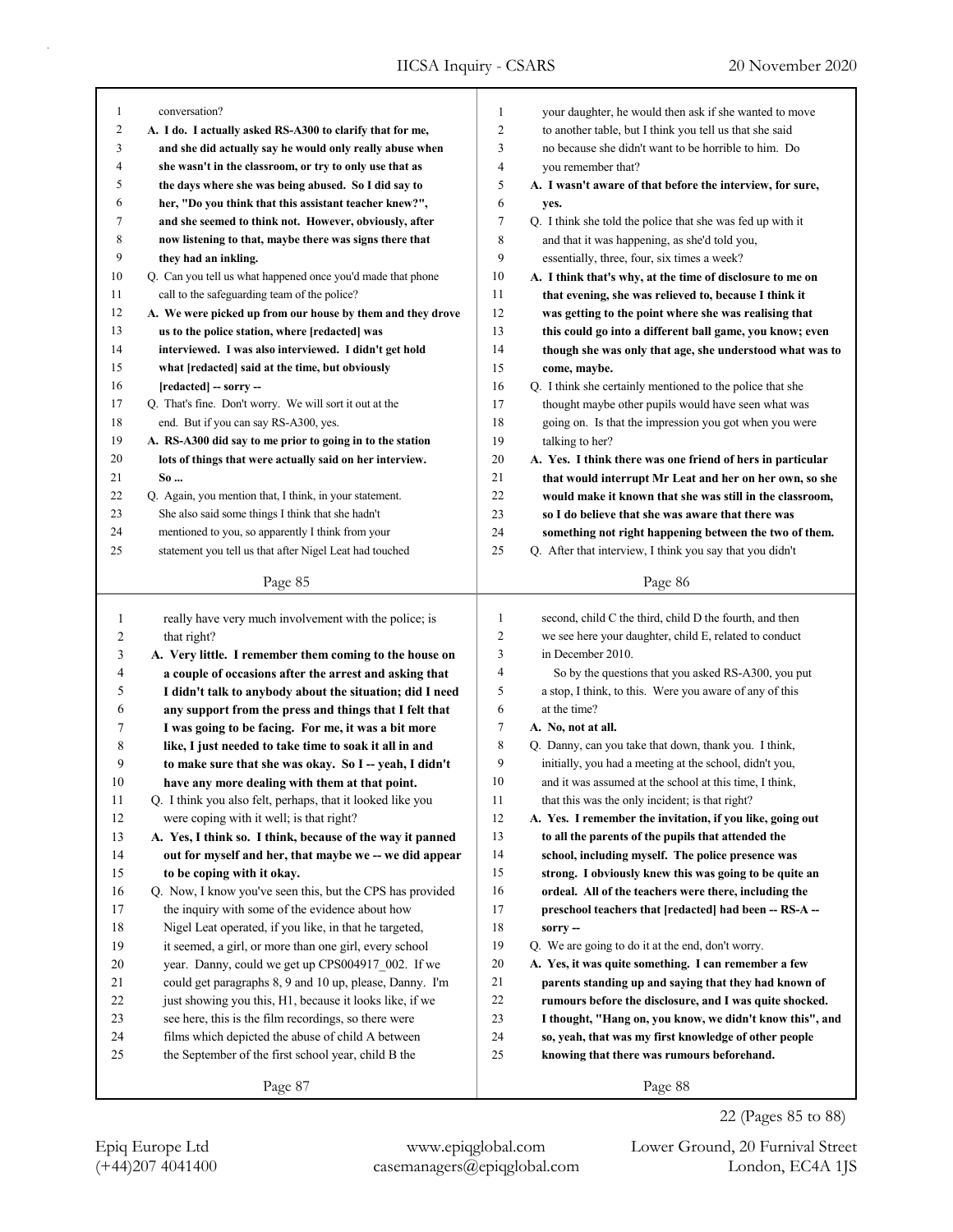| 1                   |                                                             |                     |                                                            |
|---------------------|-------------------------------------------------------------|---------------------|------------------------------------------------------------|
|                     | conversation?                                               | 1<br>$\mathfrak{2}$ | your daughter, he would then ask if she wanted to move     |
| $\overline{c}$<br>3 | A. I do. I actually asked RS-A300 to clarify that for me,   |                     | to another table, but I think you tell us that she said    |
|                     | and she did actually say he would only really abuse when    | 3                   | no because she didn't want to be horrible to him. Do       |
| 4<br>5              | she wasn't in the classroom, or try to only use that as     | 4<br>5              | you remember that?                                         |
|                     | the days where she was being abused. So I did say to        |                     | A. I wasn't aware of that before the interview, for sure,  |
| 6                   | her, "Do you think that this assistant teacher knew?",      | 6                   | yes.                                                       |
| 7                   | and she seemed to think not. However, obviously, after      | 7                   | Q. I think she told the police that she was fed up with it |
| 8                   | now listening to that, maybe there was signs there that     | 8                   | and that it was happening, as she'd told you,              |
| 9                   | they had an inkling.                                        | 9                   | essentially, three, four, six times a week?                |
| 10                  | Q. Can you tell us what happened once you'd made that phone | 10                  | A. I think that's why, at the time of disclosure to me on  |
| 11                  | call to the safeguarding team of the police?                | 11                  | that evening, she was relieved to, because I think it      |
| 12                  | A. We were picked up from our house by them and they drove  | 12                  | was getting to the point where she was realising that      |
| 13                  | us to the police station, where [redacted] was              | 13                  | this could go into a different ball game, you know; even   |
| 14                  | interviewed. I was also interviewed. I didn't get hold      | 14                  | though she was only that age, she understood what was to   |
| 15                  | what [redacted] said at the time, but obviously             | 15                  | come, maybe.                                               |
| 16                  | [redacted] - sorry --                                       | 16                  | Q. I think she certainly mentioned to the police that she  |
| 17                  | Q. That's fine. Don't worry. We will sort it out at the     | 17                  | thought maybe other pupils would have seen what was        |
| 18                  | end. But if you can say RS-A300, yes.                       | 18                  | going on. Is that the impression you got when you were     |
| 19                  | A. RS-A300 did say to me prior to going in to the station   | 19                  | talking to her?                                            |
| 20                  | lots of things that were actually said on her interview.    | 20                  | A. Yes. I think there was one friend of hers in particular |
| 21                  | So                                                          | 21                  | that would interrupt Mr Leat and her on her own, so she    |
| 22                  | Q. Again, you mention that, I think, in your statement.     | 22                  | would make it known that she was still in the classroom,   |
| 23                  | She also said some things I think that she hadn't           | 23                  | so I do believe that she was aware that there was          |
| 24                  | mentioned to you, so apparently I think from your           | 24                  | something not right happening between the two of them.     |
| 25                  | statement you tell us that after Nigel Leat had touched     | 25                  | Q. After that interview, I think you say that you didn't   |
|                     | Page 85                                                     |                     | Page 86                                                    |
|                     |                                                             |                     |                                                            |
| 1                   | really have very much involvement with the police; is       | $\mathbf{1}$        | second, child C the third, child D the fourth, and then    |
| 2                   | that right?                                                 |                     |                                                            |
|                     |                                                             | 2                   | we see here your daughter, child E, related to conduct     |
| 3                   | A. Very little. I remember them coming to the house on      | 3                   | in December 2010.                                          |
| 4                   | a couple of occasions after the arrest and asking that      | 4                   | So by the questions that you asked RS-A300, you put        |
| 5                   | I didn't talk to anybody about the situation; did I need    | 5                   | a stop, I think, to this. Were you aware of any of this    |
| 6                   | any support from the press and things that I felt that      | 6                   | at the time?                                               |
| 7                   | I was going to be facing. For me, it was a bit more         | 7                   | A. No, not at all.                                         |
| 8                   | like, I just needed to take time to soak it all in and      | 8                   | Q. Danny, can you take that down, thank you. I think,      |
| 9                   | to make sure that she was okay. So I-yeah, I didn't         | 9                   | initially, you had a meeting at the school, didn't you,    |
| 10                  | have any more dealing with them at that point.              | 10                  | and it was assumed at the school at this time, I think,    |
| 11                  | Q. I think you also felt, perhaps, that it looked like you  | 11                  | that this was the only incident; is that right?            |
| 12                  | were coping with it well; is that right?                    | 12                  | A. Yes. I remember the invitation, if you like, going out  |
| 13                  | A. Yes, I think so. I think, because of the way it panned   | 13                  | to all the parents of the pupils that attended the         |
| 14                  | out for myself and her, that maybe we -- we did appear      | 14                  | school, including myself. The police presence was          |
| 15                  | to be coping with it okay.                                  | 15                  | strong. I obviously knew this was going to be quite an     |
| 16                  | Q. Now, I know you've seen this, but the CPS has provided   | 16                  | ordeal. All of the teachers were there, including the      |
| 17                  | the inquiry with some of the evidence about how             | 17                  | preschool teachers that [redacted] had been -- RS-A --     |
| 18                  | Nigel Leat operated, if you like, in that he targeted,      | $18\,$              | sorry-                                                     |
| 19                  | it seemed, a girl, or more than one girl, every school      | 19                  | Q. We are going to do it at the end, don't worry.          |
| 20                  | year. Danny, could we get up CPS004917_002. If we           | $20\,$              | A. Yes, it was quite something. I can remember a few       |
| 21                  | could get paragraphs 8, 9 and 10 up, please, Danny. I'm     | 21                  | parents standing up and saying that they had known of      |
| 22                  | just showing you this, H1, because it looks like, if we     | $22\,$              | rumours before the disclosure, and I was quite shocked.    |
| 23                  | see here, this is the film recordings, so there were        | 23                  | I thought, "Hang on, you know, we didn't know this", and   |
| 24                  | films which depicted the abuse of child A between           | 24                  | so, yeah, that was my first knowledge of other people      |
| 25                  | the September of the first school year, child B the         | 25                  | knowing that there was rumours beforehand.                 |

Page 88

22 (Pages 85 to 88)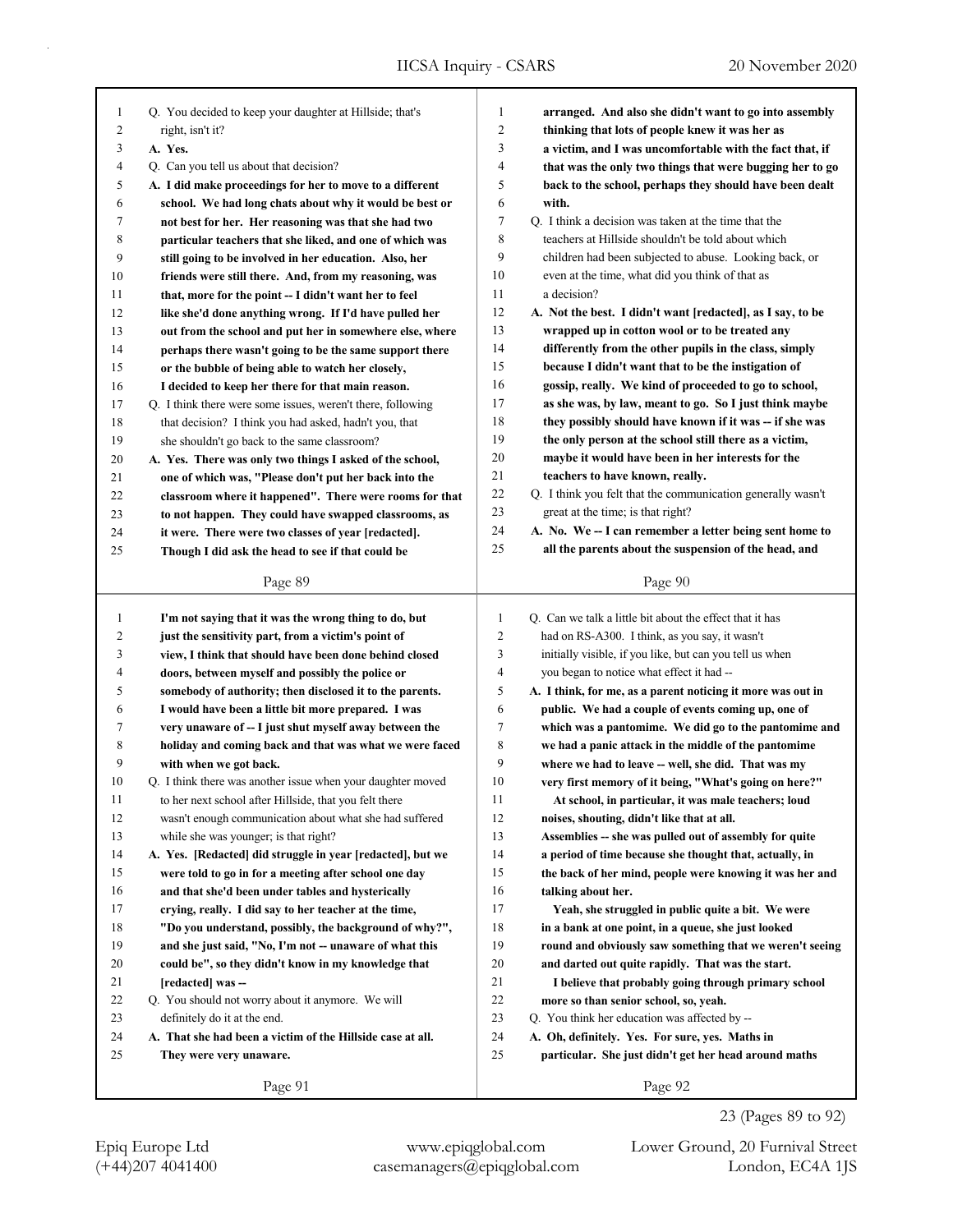| 1              | Q. You decided to keep your daughter at Hillside; that's    | 1              | arranged. And also she didn't want to go into assembly      |
|----------------|-------------------------------------------------------------|----------------|-------------------------------------------------------------|
| $\overline{c}$ | right, isn't it?                                            | $\overline{c}$ | thinking that lots of people knew it was her as             |
| 3              | A. Yes.                                                     | 3              | a victim, and I was uncomfortable with the fact that, if    |
| 4              | Q. Can you tell us about that decision?                     | 4              | that was the only two things that were bugging her to go    |
| 5              | A. I did make proceedings for her to move to a different    | 5              | back to the school, perhaps they should have been dealt     |
| 6              | school. We had long chats about why it would be best or     | 6              | with.                                                       |
| 7              | not best for her. Her reasoning was that she had two        | 7              | Q. I think a decision was taken at the time that the        |
| 8              | particular teachers that she liked, and one of which was    | 8              | teachers at Hillside shouldn't be told about which          |
| 9              | still going to be involved in her education. Also, her      | 9              | children had been subjected to abuse. Looking back, or      |
| 10             | friends were still there. And, from my reasoning, was       | 10             | even at the time, what did you think of that as             |
| 11             | that, more for the point -- I didn't want her to feel       | 11             | a decision?                                                 |
| 12             | like she'd done anything wrong. If I'd have pulled her      | 12             | A. Not the best. I didn't want [redacted], as I say, to be  |
| 13             | out from the school and put her in somewhere else, where    | 13             | wrapped up in cotton wool or to be treated any              |
| 14             | perhaps there wasn't going to be the same support there     | 14             | differently from the other pupils in the class, simply      |
| 15             | or the bubble of being able to watch her closely,           | 15             | because I didn't want that to be the instigation of         |
| 16             | I decided to keep her there for that main reason.           | 16             | gossip, really. We kind of proceeded to go to school,       |
| 17             | Q. I think there were some issues, weren't there, following | 17             | as she was, by law, meant to go. So I just think maybe      |
| 18             | that decision? I think you had asked, hadn't you, that      | 18             | they possibly should have known if it was -- if she was     |
| 19             | she shouldn't go back to the same classroom?                | 19             | the only person at the school still there as a victim,      |
| 20             | A. Yes. There was only two things I asked of the school,    | 20             | maybe it would have been in her interests for the           |
| 21             | one of which was, "Please don't put her back into the       | 21             | teachers to have known, really.                             |
| 22             | classroom where it happened". There were rooms for that     | 22             | Q. I think you felt that the communication generally wasn't |
| 23             | to not happen. They could have swapped classrooms, as       | 23             | great at the time; is that right?                           |
| 24             | it were. There were two classes of year [redacted].         | 24             | A. No. We -- I can remember a letter being sent home to     |
| 25             | Though I did ask the head to see if that could be           | 25             | all the parents about the suspension of the head, and       |
|                |                                                             |                |                                                             |
|                | Page 89                                                     |                | Page 90                                                     |
|                |                                                             |                |                                                             |
|                |                                                             |                |                                                             |
| $\mathbf{1}$   | I'm not saying that it was the wrong thing to do, but       | $\mathbf{1}$   | Q. Can we talk a little bit about the effect that it has    |
| 2              | just the sensitivity part, from a victim's point of         | $\overline{2}$ | had on RS-A300. I think, as you say, it wasn't              |
| 3              | view, I think that should have been done behind closed      | 3              | initially visible, if you like, but can you tell us when    |
| 4              | doors, between myself and possibly the police or            | $\overline{4}$ | you began to notice what effect it had --                   |
| 5              | somebody of authority; then disclosed it to the parents.    | 5              | A. I think, for me, as a parent noticing it more was out in |
| 6              | I would have been a little bit more prepared. I was         | 6              | public. We had a couple of events coming up, one of         |
| 7              | very unaware of -- I just shut myself away between the      | $\tau$         | which was a pantomime. We did go to the pantomime and       |
| 8              | holiday and coming back and that was what we were faced     | 8              | we had a panic attack in the middle of the pantomime        |
| 9              | with when we got back.                                      | 9              | where we had to leave -- well, she did. That was my         |
| 10             | Q. I think there was another issue when your daughter moved | 10             | very first memory of it being, "What's going on here?"      |
| 11             | to her next school after Hillside, that you felt there      | 11             | At school, in particular, it was male teachers; loud        |
| 12             | wasn't enough communication about what she had suffered     | 12             | noises, shouting, didn't like that at all.                  |
| 13             | while she was younger; is that right?                       | 13             | Assemblies -- she was pulled out of assembly for quite      |
| 14             | A. Yes. [Redacted] did struggle in year [redacted], but we  | 14             | a period of time because she thought that, actually, in     |
| 15             | were told to go in for a meeting after school one day       | 15             | the back of her mind, people were knowing it was her and    |
| 16             | and that she'd been under tables and hysterically           | 16             | talking about her.                                          |
| 17             | crying, really. I did say to her teacher at the time,       | 17             | Yeah, she struggled in public quite a bit. We were          |
| 18             | "Do you understand, possibly, the background of why?",      | 18             | in a bank at one point, in a queue, she just looked         |
| 19             | and she just said, "No, I'm not -- unaware of what this     | 19             | round and obviously saw something that we weren't seeing    |
| 20             | could be", so they didn't know in my knowledge that         | 20             | and darted out quite rapidly. That was the start.           |
| 21             | [redacted] was --                                           | 21             | I believe that probably going through primary school        |
| 22             | Q. You should not worry about it anymore. We will           | 22             | more so than senior school, so, yeah.                       |
| 23             | definitely do it at the end.                                | 23             | Q. You think her education was affected by --               |
| 24             | A. That she had been a victim of the Hillside case at all.  | 24             | A. Oh, definitely. Yes. For sure, yes. Maths in             |
| 25             | They were very unaware.                                     | 25             | particular. She just didn't get her head around maths       |
|                | Page 91                                                     |                | Page 92                                                     |

(+44)207 4041400 casemanagers@epiqglobal.com London, EC4A 1JS Epiq Europe Ltd www.epiqglobal.com Lower Ground, 20 Furnival Street

23 (Pages 89 to 92)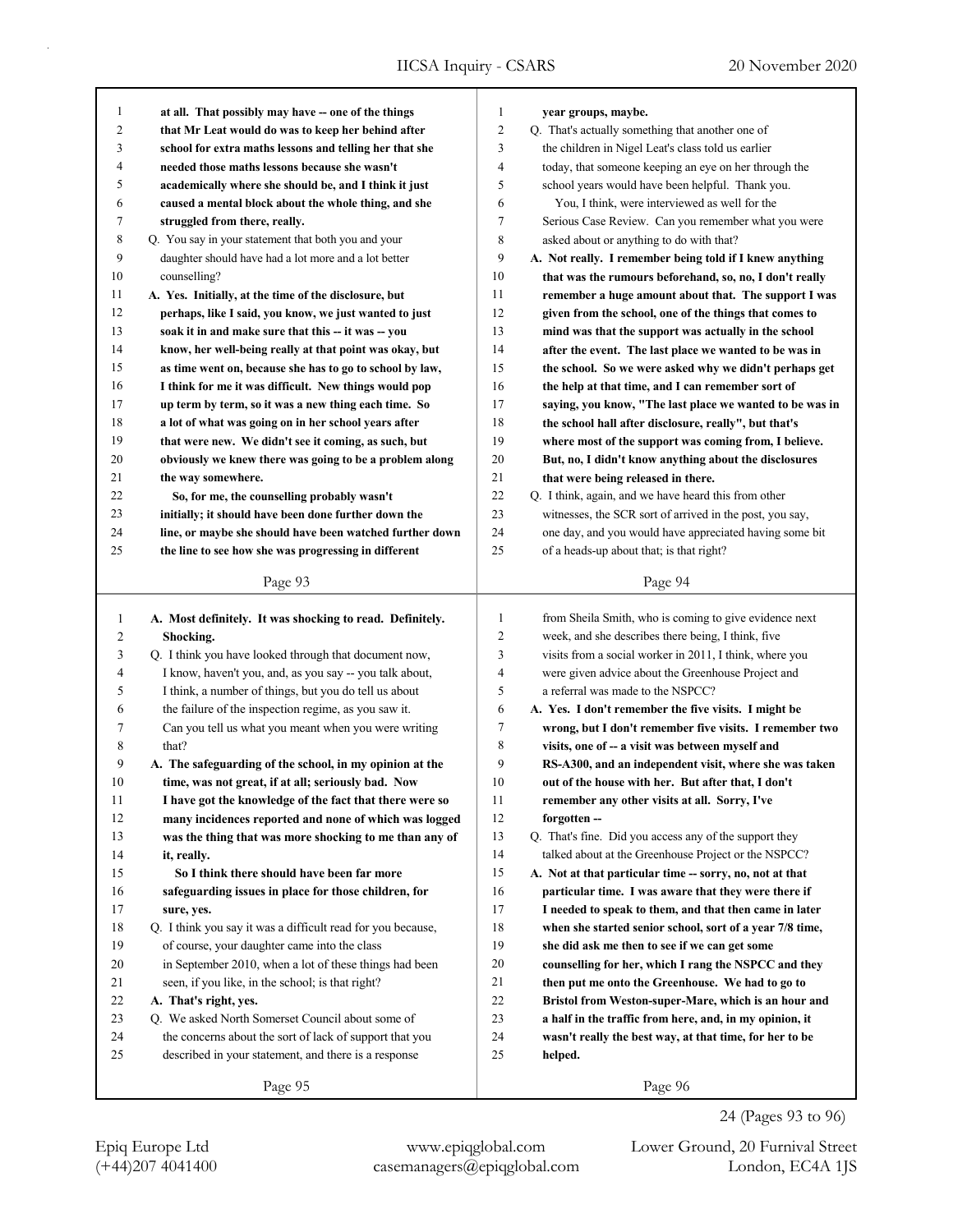| 1              | at all. That possibly may have -- one of the things         | 1              | year groups, maybe.                                      |
|----------------|-------------------------------------------------------------|----------------|----------------------------------------------------------|
| $\overline{c}$ | that Mr Leat would do was to keep her behind after          | $\overline{c}$ | Q. That's actually something that another one of         |
| 3              | school for extra maths lessons and telling her that she     | 3              | the children in Nigel Leat's class told us earlier       |
| 4              | needed those maths lessons because she wasn't               | 4              | today, that someone keeping an eye on her through the    |
| 5              | academically where she should be, and I think it just       | 5              | school years would have been helpful. Thank you.         |
| 6              | caused a mental block about the whole thing, and she        | 6              | You, I think, were interviewed as well for the           |
| 7              | struggled from there, really.                               | 7              | Serious Case Review. Can you remember what you were      |
| 8              | Q. You say in your statement that both you and your         | 8              | asked about or anything to do with that?                 |
| 9              | daughter should have had a lot more and a lot better        | 9              | A. Not really. I remember being told if I knew anything  |
| 10             | counselling?                                                | 10             | that was the rumours beforehand, so, no, I don't really  |
| 11             | A. Yes. Initially, at the time of the disclosure, but       | 11             | remember a huge amount about that. The support I was     |
| 12             | perhaps, like I said, you know, we just wanted to just      | 12             | given from the school, one of the things that comes to   |
| 13             | soak it in and make sure that this -- it was -- you         | 13             | mind was that the support was actually in the school     |
| 14             | know, her well-being really at that point was okay, but     | 14             | after the event. The last place we wanted to be was in   |
| 15             | as time went on, because she has to go to school by law,    | 15             | the school. So we were asked why we didn't perhaps get   |
| 16             | I think for me it was difficult. New things would pop       | 16             | the help at that time, and I can remember sort of        |
| 17             | up term by term, so it was a new thing each time. So        | 17             | saying, you know, "The last place we wanted to be was in |
| 18             | a lot of what was going on in her school years after        | 18             | the school hall after disclosure, really", but that's    |
| 19             | that were new. We didn't see it coming, as such, but        | 19             | where most of the support was coming from, I believe.    |
| 20             | obviously we knew there was going to be a problem along     | 20             | But, no, I didn't know anything about the disclosures    |
| 21             | the way somewhere.                                          | 21             | that were being released in there.                       |
| 22             | So, for me, the counselling probably wasn't                 | 22             | Q. I think, again, and we have heard this from other     |
| 23             | initially; it should have been done further down the        | 23             | witnesses, the SCR sort of arrived in the post, you say, |
| 24             | line, or maybe she should have been watched further down    | 24             | one day, and you would have appreciated having some bit  |
| 25             |                                                             | 25             |                                                          |
|                | the line to see how she was progressing in different        |                | of a heads-up about that; is that right?                 |
|                | Page 93                                                     |                | Page 94                                                  |
|                |                                                             |                |                                                          |
|                |                                                             |                |                                                          |
| $\mathbf{1}$   | A. Most definitely. It was shocking to read. Definitely.    | 1              | from Sheila Smith, who is coming to give evidence next   |
| 2              | Shocking.                                                   | $\overline{c}$ | week, and she describes there being, I think, five       |
| 3              | Q. I think you have looked through that document now,       | 3              | visits from a social worker in 2011, I think, where you  |
| 4              | I know, haven't you, and, as you say -- you talk about,     | 4              | were given advice about the Greenhouse Project and       |
| 5              | I think, a number of things, but you do tell us about       | 5              | a referral was made to the NSPCC?                        |
| 6              | the failure of the inspection regime, as you saw it.        | 6              | A. Yes. I don't remember the five visits. I might be     |
| 7              | Can you tell us what you meant when you were writing        | 7              | wrong, but I don't remember five visits. I remember two  |
| 8              | that?                                                       | 8              | visits, one of -- a visit was between myself and         |
| 9              | A. The safeguarding of the school, in my opinion at the     | 9              | RS-A300, and an independent visit, where she was taken   |
| 10             | time, was not great, if at all; seriously bad. Now          | 10             | out of the house with her. But after that, I don't       |
| 11             | I have got the knowledge of the fact that there were so     | 11             | remember any other visits at all. Sorry, I've            |
| 12             | many incidences reported and none of which was logged       | 12             | forgotten-                                               |
| 13             | was the thing that was more shocking to me than any of      | 13             | Q. That's fine. Did you access any of the support they   |
| 14             | it, really.                                                 | 14             | talked about at the Greenhouse Project or the NSPCC?     |
| 15             | So I think there should have been far more                  | 15             | A. Not at that particular time -- sorry, no, not at that |
| 16             | safeguarding issues in place for those children, for        | 16             | particular time. I was aware that they were there if     |
| 17             | sure, yes.                                                  | 17             | I needed to speak to them, and that then came in later   |
| 18             | Q. I think you say it was a difficult read for you because, | 18             | when she started senior school, sort of a year 7/8 time, |
| 19             | of course, your daughter came into the class                | 19             | she did ask me then to see if we can get some            |
| 20             | in September 2010, when a lot of these things had been      | 20             | counselling for her, which I rang the NSPCC and they     |
| 21             | seen, if you like, in the school; is that right?            | 21             | then put me onto the Greenhouse. We had to go to         |
| 22             | A. That's right, yes.                                       | 22             | Bristol from Weston-super-Mare, which is an hour and     |
| 23             | Q. We asked North Somerset Council about some of            | 23             | a half in the traffic from here, and, in my opinion, it  |
| 24             | the concerns about the sort of lack of support that you     | 24             | wasn't really the best way, at that time, for her to be  |
| 25             | described in your statement, and there is a response        | 25             | helped.                                                  |

24 (Pages 93 to 96)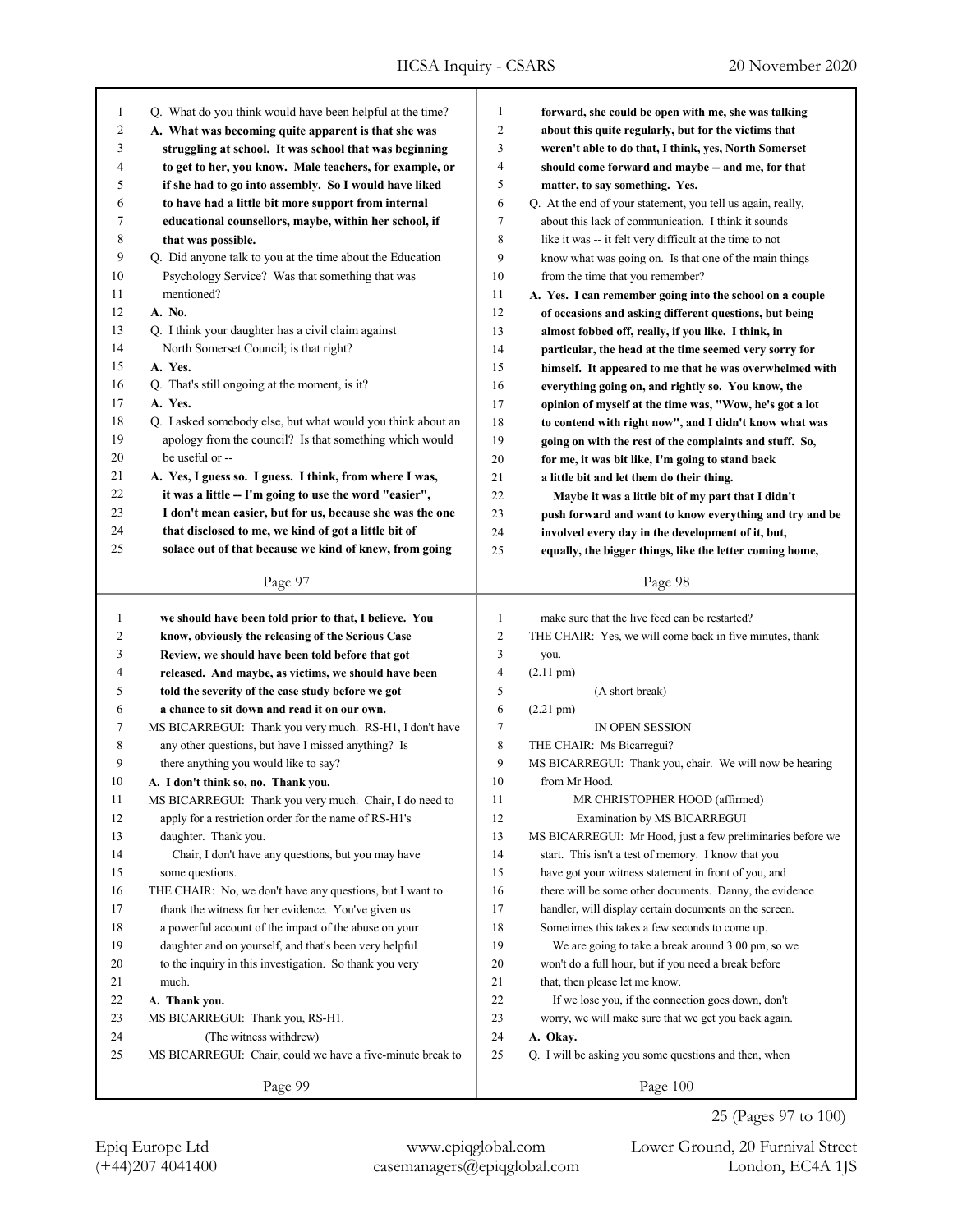| 1  | Q. What do you think would have been helpful at the time?                                         | 1              | forward, she could be open with me, she was talking         |
|----|---------------------------------------------------------------------------------------------------|----------------|-------------------------------------------------------------|
| 2  | A. What was becoming quite apparent is that she was                                               | $\overline{2}$ | about this quite regularly, but for the victims that        |
| 3  | struggling at school. It was school that was beginning                                            | 3              | weren't able to do that, I think, yes, North Somerset       |
| 4  | to get to her, you know. Male teachers, for example, or                                           | 4              | should come forward and maybe -- and me, for that           |
| 5  | if she had to go into assembly. So I would have liked                                             | 5              | matter, to say something. Yes.                              |
| 6  | to have had a little bit more support from internal                                               | 6              | Q. At the end of your statement, you tell us again, really, |
| 7  | educational counsellors, maybe, within her school, if                                             | 7              | about this lack of communication. I think it sounds         |
| 8  | that was possible.                                                                                | 8              | like it was -- it felt very difficult at the time to not    |
| 9  | Q. Did anyone talk to you at the time about the Education                                         | 9              | know what was going on. Is that one of the main things      |
| 10 | Psychology Service? Was that something that was                                                   | 10             | from the time that you remember?                            |
| 11 | mentioned?                                                                                        | 11             | A. Yes. I can remember going into the school on a couple    |
| 12 | A. No.                                                                                            | 12             | of occasions and asking different questions, but being      |
| 13 | Q. I think your daughter has a civil claim against                                                | 13             | almost fobbed off, really, if you like. I think, in         |
| 14 | North Somerset Council; is that right?                                                            | 14             | particular, the head at the time seemed very sorry for      |
| 15 | A. Yes.                                                                                           | 15             | himself. It appeared to me that he was overwhelmed with     |
| 16 | Q. That's still ongoing at the moment, is it?                                                     | 16             | everything going on, and rightly so. You know, the          |
| 17 | A. Yes.                                                                                           | 17             | opinion of myself at the time was, "Wow, he's got a lot     |
| 18 | Q. I asked somebody else, but what would you think about an                                       | 18             | to contend with right now", and I didn't know what was      |
| 19 | apology from the council? Is that something which would                                           | 19             | going on with the rest of the complaints and stuff. So,     |
| 20 | be useful or --                                                                                   | 20             | for me, it was bit like, I'm going to stand back            |
| 21 | A. Yes, I guess so. I guess. I think, from where I was,                                           | 21             | a little bit and let them do their thing.                   |
| 22 | it was a little -- I'm going to use the word "easier",                                            | 22             | Maybe it was a little bit of my part that I didn't          |
| 23 | I don't mean easier, but for us, because she was the one                                          | 23             | push forward and want to know everything and try and be     |
| 24 | that disclosed to me, we kind of got a little bit of                                              | 24             | involved every day in the development of it, but,           |
| 25 | solace out of that because we kind of knew, from going                                            | 25             | equally, the bigger things, like the letter coming home,    |
|    |                                                                                                   |                |                                                             |
|    | Page 97                                                                                           |                | Page 98                                                     |
|    |                                                                                                   |                |                                                             |
| 1  | we should have been told prior to that, I believe. You                                            | $\mathbf{1}$   | make sure that the live feed can be restarted?              |
| 2  |                                                                                                   | $\overline{c}$ | THE CHAIR: Yes, we will come back in five minutes, thank    |
| 3  | know, obviously the releasing of the Serious Case                                                 | 3              |                                                             |
| 4  | Review, we should have been told before that got                                                  | 4              | you.                                                        |
| 5  | released. And maybe, as victims, we should have been                                              | 5              | $(2.11 \text{ pm})$                                         |
| 6  | told the severity of the case study before we got<br>a chance to sit down and read it on our own. | 6              | (A short break)                                             |
|    |                                                                                                   |                | $(2.21 \text{ pm})$                                         |
| 7  | MS BICARREGUI: Thank you very much. RS-H1, I don't have                                           | 7              | IN OPEN SESSION                                             |
| 8  | any other questions, but have I missed anything? Is                                               | 8              | THE CHAIR: Ms Bicarregui?                                   |
| 9  | there anything you would like to say?                                                             | 9              | MS BICARREGUI: Thank you, chair. We will now be hearing     |
| 10 | A. I don't think so, no. Thank you.                                                               | 10             | from Mr Hood.                                               |
| 11 | MS BICARREGUI: Thank you very much. Chair, I do need to                                           | 11             | MR CHRISTOPHER HOOD (affirmed)                              |
| 12 | apply for a restriction order for the name of RS-H1's                                             | 12             | Examination by MS BICARREGUI                                |
| 13 | daughter. Thank you.                                                                              | 13             | MS BICARREGUI: Mr Hood, just a few preliminaries before we  |
| 14 | Chair, I don't have any questions, but you may have                                               | 14             | start. This isn't a test of memory. I know that you         |
| 15 | some questions.                                                                                   | 15             | have got your witness statement in front of you, and        |
| 16 | THE CHAIR: No, we don't have any questions, but I want to                                         | 16             | there will be some other documents. Danny, the evidence     |
| 17 | thank the witness for her evidence. You've given us                                               | 17             | handler, will display certain documents on the screen.      |
| 18 | a powerful account of the impact of the abuse on your                                             | 18             | Sometimes this takes a few seconds to come up.              |
| 19 | daughter and on yourself, and that's been very helpful                                            | 19             | We are going to take a break around 3.00 pm, so we          |
| 20 | to the inquiry in this investigation. So thank you very                                           | 20             | won't do a full hour, but if you need a break before        |
| 21 | much.                                                                                             | 21             | that, then please let me know.                              |
| 22 | A. Thank you.                                                                                     | $22\,$         | If we lose you, if the connection goes down, don't          |
| 23 | MS BICARREGUI: Thank you, RS-H1.                                                                  | 23             | worry, we will make sure that we get you back again.        |
| 24 | (The witness withdrew)                                                                            | 24             | A. Okay.                                                    |
| 25 | MS BICARREGUI: Chair, could we have a five-minute break to                                        | 25             | Q. I will be asking you some questions and then, when       |

(+44)207 4041400 casemanagers@epiqglobal.com London, EC4A 1JS Epiq Europe Ltd www.epiqglobal.com Lower Ground, 20 Furnival Street

25 (Pages 97 to 100)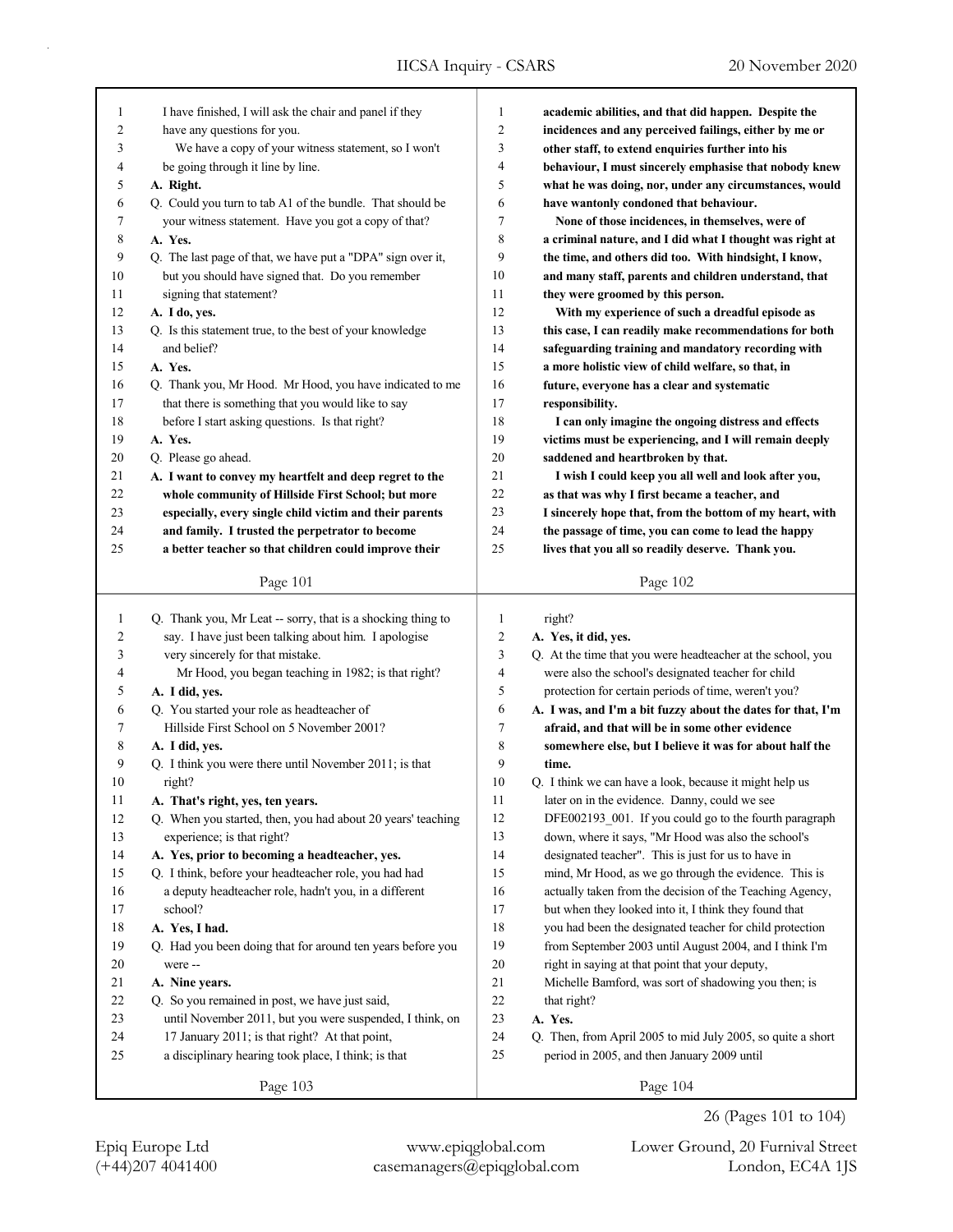| 1                       | I have finished, I will ask the chair and panel if they     | 1              | academic abilities, and that did happen. Despite the        |
|-------------------------|-------------------------------------------------------------|----------------|-------------------------------------------------------------|
| $\overline{c}$          | have any questions for you.                                 | 2              | incidences and any perceived failings, either by me or      |
| 3                       | We have a copy of your witness statement, so I won't        | 3              | other staff, to extend enquiries further into his           |
| 4                       | be going through it line by line.                           | 4              | behaviour, I must sincerely emphasise that nobody knew      |
| 5                       | A. Right.                                                   | 5              | what he was doing, nor, under any circumstances, would      |
| 6                       | Q. Could you turn to tab A1 of the bundle. That should be   | 6              | have wantonly condoned that behaviour.                      |
| 7                       | your witness statement. Have you got a copy of that?        | 7              | None of those incidences, in themselves, were of            |
| 8                       | A. Yes.                                                     | 8              | a criminal nature, and I did what I thought was right at    |
| 9                       | Q. The last page of that, we have put a "DPA" sign over it, | 9              | the time, and others did too. With hindsight, I know,       |
| 10                      | but you should have signed that. Do you remember            | 10             | and many staff, parents and children understand, that       |
| 11                      | signing that statement?                                     | 11             | they were groomed by this person.                           |
| 12                      | A. I do, yes.                                               | 12             | With my experience of such a dreadful episode as            |
| 13                      | Q. Is this statement true, to the best of your knowledge    | 13             | this case, I can readily make recommendations for both      |
| 14                      | and belief?                                                 | 14             | safeguarding training and mandatory recording with          |
| 15                      | A. Yes.                                                     | 15             | a more holistic view of child welfare, so that, in          |
| 16                      | Q. Thank you, Mr Hood. Mr Hood, you have indicated to me    | 16             | future, everyone has a clear and systematic                 |
| 17                      | that there is something that you would like to say          | 17             | responsibility.                                             |
| 18                      | before I start asking questions. Is that right?             | 18             | I can only imagine the ongoing distress and effects         |
| 19                      | A. Yes.                                                     | 19             | victims must be experiencing, and I will remain deeply      |
| 20                      | Q. Please go ahead.                                         | 20             | saddened and heartbroken by that.                           |
| 21                      | A. I want to convey my heartfelt and deep regret to the     | 21             | I wish I could keep you all well and look after you,        |
| 22                      | whole community of Hillside First School; but more          | 22             | as that was why I first became a teacher, and               |
| 23                      | especially, every single child victim and their parents     | 23             | I sincerely hope that, from the bottom of my heart, with    |
| 24                      | and family. I trusted the perpetrator to become             | 24             | the passage of time, you can come to lead the happy         |
| 25                      | a better teacher so that children could improve their       | 25             | lives that you all so readily deserve. Thank you.           |
|                         |                                                             |                |                                                             |
|                         | Page 101                                                    |                | Page 102                                                    |
|                         |                                                             |                |                                                             |
|                         |                                                             |                |                                                             |
| 1                       | Q. Thank you, Mr Leat -- sorry, that is a shocking thing to | 1              | right?                                                      |
| $\overline{\mathbf{c}}$ | say. I have just been talking about him. I apologise        | $\overline{c}$ | A. Yes, it did, yes.                                        |
| 3                       | very sincerely for that mistake.                            | 3              | Q. At the time that you were headteacher at the school, you |
| 4                       | Mr Hood, you began teaching in 1982; is that right?         | 4              | were also the school's designated teacher for child         |
| 5                       | A. I did, yes.                                              | 5              | protection for certain periods of time, weren't you?        |
| 6                       | Q. You started your role as headteacher of                  | 6              | A. I was, and I'm a bit fuzzy about the dates for that, I'm |
| 7                       | Hillside First School on 5 November 2001?                   | 7              | afraid, and that will be in some other evidence             |
| 8                       | A. I did, yes.                                              | 8              | somewhere else, but I believe it was for about half the     |
| 9                       | Q. I think you were there until November 2011; is that      | 9              | time.                                                       |
| 10                      | right?                                                      | 10             | Q. I think we can have a look, because it might help us     |
| 11                      | A. That's right, yes, ten years.                            | 11             | later on in the evidence. Danny, could we see               |
| 12                      | Q. When you started, then, you had about 20 years' teaching | 12             | DFE002193 001. If you could go to the fourth paragraph      |
| 13                      | experience; is that right?                                  | 13             | down, where it says, "Mr Hood was also the school's         |
| 14                      | A. Yes, prior to becoming a headteacher, yes.               | 14             | designated teacher". This is just for us to have in         |
| 15                      | Q. I think, before your headteacher role, you had had       | 15             | mind, Mr Hood, as we go through the evidence. This is       |
| 16                      | a deputy headteacher role, hadn't you, in a different       | 16             | actually taken from the decision of the Teaching Agency,    |
| 17                      | school?                                                     | 17             | but when they looked into it, I think they found that       |
| $18\,$                  | A. Yes, I had.                                              | 18             | you had been the designated teacher for child protection    |
| 19                      | Q. Had you been doing that for around ten years before you  | 19             | from September 2003 until August 2004, and I think I'm      |
| $20\,$                  | were --                                                     | $20\,$         | right in saying at that point that your deputy,             |
| 21                      | A. Nine years.                                              | 21             | Michelle Bamford, was sort of shadowing you then; is        |
| 22                      | Q. So you remained in post, we have just said,              | $22\,$         | that right?                                                 |
| 23                      | until November 2011, but you were suspended, I think, on    | 23             | A. Yes.                                                     |
| 24                      | 17 January 2011; is that right? At that point,              | 24             | Q. Then, from April 2005 to mid July 2005, so quite a short |
| 25                      | a disciplinary hearing took place, I think; is that         | 25             | period in 2005, and then January 2009 until                 |

26 (Pages 101 to 104)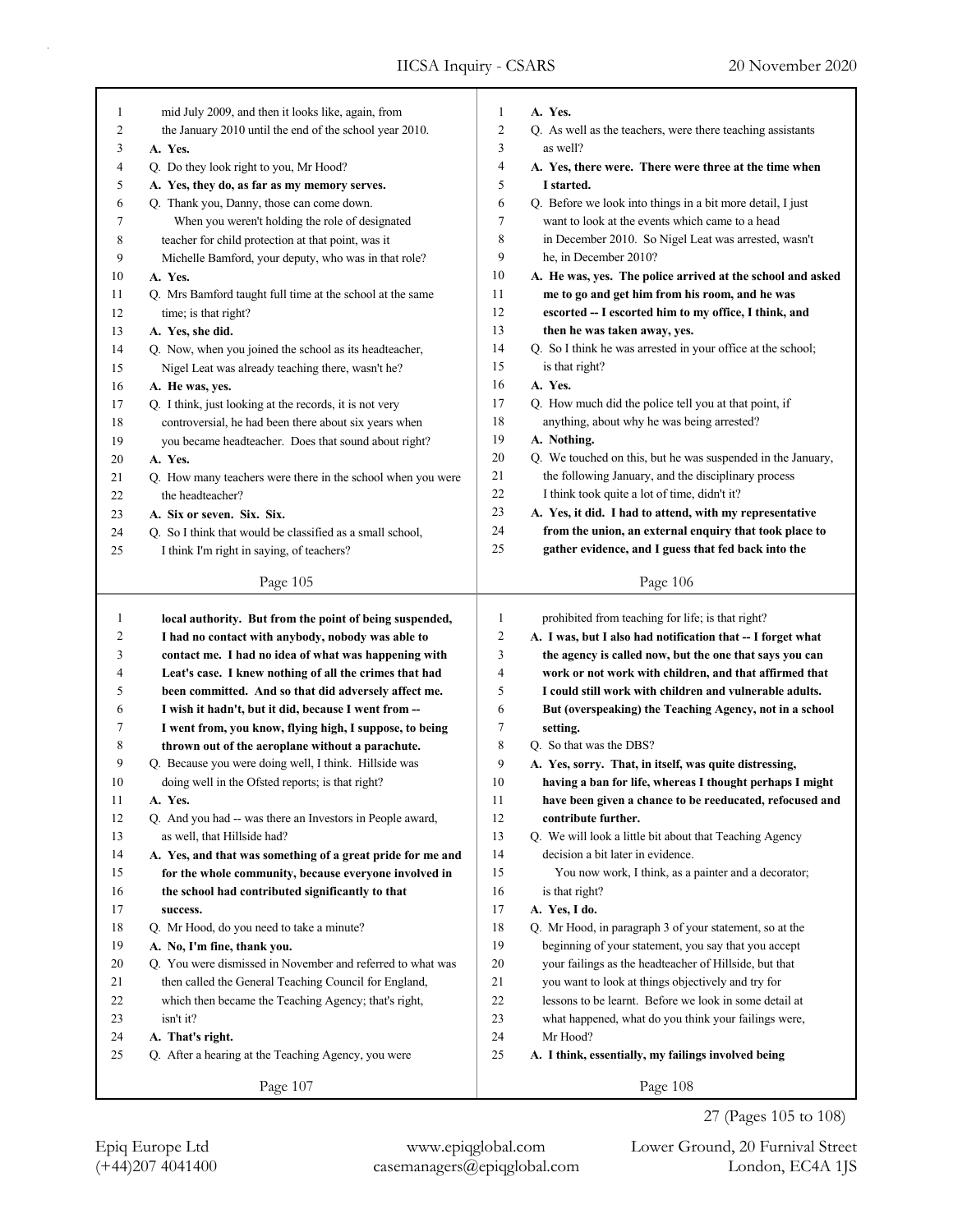| $\mathbf{1}$ | mid July 2009, and then it looks like, again, from              | $\mathbf{1}$ | A. Yes.                                                          |
|--------------|-----------------------------------------------------------------|--------------|------------------------------------------------------------------|
| 2            | the January 2010 until the end of the school year 2010.         | 2            | Q. As well as the teachers, were there teaching assistants       |
| 3            | A. Yes.                                                         | 3            | as well?                                                         |
| 4            | Q. Do they look right to you, Mr Hood?                          | 4            | A. Yes, there were. There were three at the time when            |
| 5            | A. Yes, they do, as far as my memory serves.                    | 5            | I started.                                                       |
| 6            | Q. Thank you, Danny, those can come down.                       | 6            | Q. Before we look into things in a bit more detail, I just       |
| 7            | When you weren't holding the role of designated                 | 7            | want to look at the events which came to a head                  |
| 8            | teacher for child protection at that point, was it              | 8            | in December 2010. So Nigel Leat was arrested, wasn't             |
| 9            | Michelle Bamford, your deputy, who was in that role?            | 9            | he, in December 2010?                                            |
| 10           | A. Yes.                                                         | 10           | A. He was, yes. The police arrived at the school and asked       |
| 11           | Q. Mrs Bamford taught full time at the school at the same       | 11           | me to go and get him from his room, and he was                   |
| 12           | time; is that right?                                            | 12           | escorted -- I escorted him to my office, I think, and            |
| 13           | A. Yes, she did.                                                | 13           | then he was taken away, yes.                                     |
| 14           | Q. Now, when you joined the school as its headteacher,          | 14           | Q. So I think he was arrested in your office at the school;      |
| 15           | Nigel Leat was already teaching there, wasn't he?               | 15           | is that right?                                                   |
| 16           | A. He was, yes.                                                 | 16           | A. Yes.                                                          |
| 17           | Q. I think, just looking at the records, it is not very         | 17           | Q. How much did the police tell you at that point, if            |
| 18           | controversial, he had been there about six years when           | 18           | anything, about why he was being arrested?                       |
| 19           | you became headteacher. Does that sound about right?            | 19           | A. Nothing.                                                      |
| 20           | A. Yes.                                                         | 20           | Q. We touched on this, but he was suspended in the January,      |
| 21           | Q. How many teachers were there in the school when you were     | 21           | the following January, and the disciplinary process              |
| 22           | the headteacher?                                                | 22           | I think took quite a lot of time, didn't it?                     |
| 23           | A. Six or seven. Six. Six.                                      | 23           | A. Yes, it did. I had to attend, with my representative          |
| 24           | Q. So I think that would be classified as a small school,       | 24           | from the union, an external enquiry that took place to           |
| 25           | I think I'm right in saying, of teachers?                       | 25           | gather evidence, and I guess that fed back into the              |
|              | Page 105                                                        |              | Page 106                                                         |
|              |                                                                 |              |                                                                  |
|              |                                                                 |              |                                                                  |
| $\mathbf{1}$ | local authority. But from the point of being suspended,         | $\mathbf{1}$ | prohibited from teaching for life; is that right?                |
| 2            | I had no contact with anybody, nobody was able to               | 2            | A. I was, but I also had notification that -- I forget what      |
| 3            | contact me. I had no idea of what was happening with            | 3            | the agency is called now, but the one that says you can          |
| 4            | Leat's case. I knew nothing of all the crimes that had          | 4            | work or not work with children, and that affirmed that           |
| 5            | been committed. And so that did adversely affect me.            | 5            | I could still work with children and vulnerable adults.          |
| 6            | I wish it hadn't, but it did, because I went from --            | 6            | But (overspeaking) the Teaching Agency, not in a school          |
| 7            | I went from, you know, flying high, I suppose, to being         | 7            | setting.                                                         |
| 8            | thrown out of the aeroplane without a parachute.                | 8            | Q. So that was the DBS?                                          |
| 9            | Q. Because you were doing well, I think. Hillside was           | 9            | A. Yes, sorry. That, in itself, was quite distressing,           |
| 10           | doing well in the Ofsted reports; is that right?                | 10           | having a ban for life, whereas I thought perhaps I might         |
| 11           | A. Yes.                                                         | 11           | have been given a chance to be reeducated, refocused and         |
| 12           | Q. And you had -- was there an Investors in People award,       | 12           | contribute further.                                              |
| 13           | as well, that Hillside had?                                     | 13           | Q. We will look a little bit about that Teaching Agency          |
| 14           | A. Yes, and that was something of a great pride for me and      | 14           | decision a bit later in evidence.                                |
| 15           | for the whole community, because everyone involved in           | 15           | You now work, I think, as a painter and a decorator;             |
| 16           | the school had contributed significantly to that                | 16           | is that right?                                                   |
| 17           | success.                                                        | 17           | A. Yes, I do.                                                    |
| 18           | Q. Mr Hood, do you need to take a minute?                       | 18           | Q. Mr Hood, in paragraph 3 of your statement, so at the          |
| 19           | A. No, I'm fine, thank you.                                     | 19           | beginning of your statement, you say that you accept             |
| 20           | Q. You were dismissed in November and referred to what was      | $20\,$       | your failings as the headteacher of Hillside, but that           |
| 21           | then called the General Teaching Council for England,           | 21           | you want to look at things objectively and try for               |
| 22           | which then became the Teaching Agency; that's right,            | 22           | lessons to be learnt. Before we look in some detail at           |
| 23           | isn't it?                                                       | 23           |                                                                  |
| 24           | A. That's right.                                                |              | what happened, what do you think your failings were,<br>Mr Hood? |
| 25           |                                                                 | 24           | A. I think, essentially, my failings involved being              |
|              | Q. After a hearing at the Teaching Agency, you were<br>Page 107 | 25           | Page 108                                                         |

(+44)207 4041400 casemanagers@epiqglobal.com London, EC4A 1JS

Epiq Europe Ltd www.epiqglobal.com Lower Ground, 20 Furnival Street

27 (Pages 105 to 108)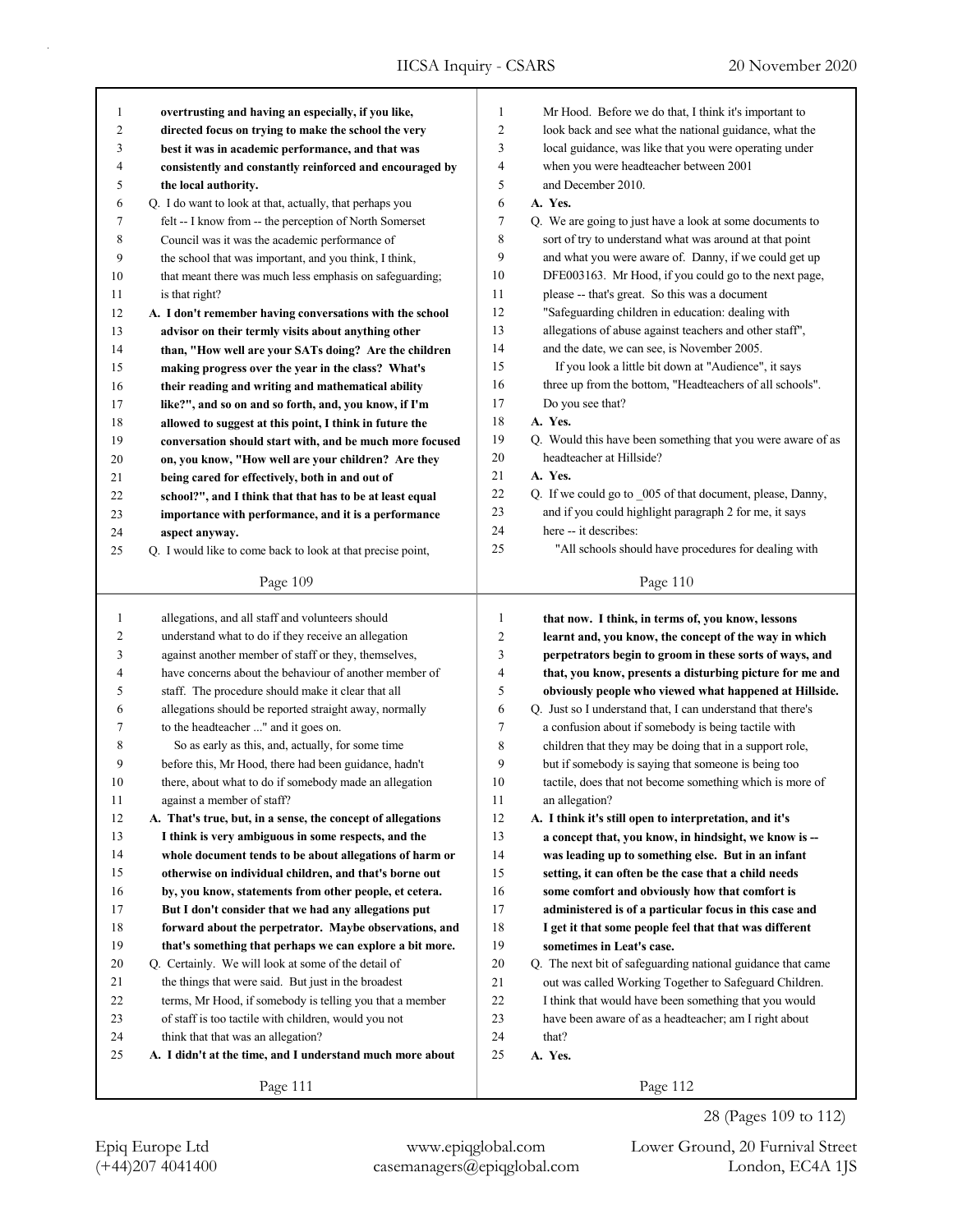| 1            | overtrusting and having an especially, if you like,                                                            | $\mathbf{1}$   | Mr Hood. Before we do that, I think it's important to                                                               |
|--------------|----------------------------------------------------------------------------------------------------------------|----------------|---------------------------------------------------------------------------------------------------------------------|
| 2            | directed focus on trying to make the school the very                                                           | 2              | look back and see what the national guidance, what the                                                              |
| 3            | best it was in academic performance, and that was                                                              | 3              | local guidance, was like that you were operating under                                                              |
| 4            | consistently and constantly reinforced and encouraged by                                                       | 4              | when you were headteacher between 2001                                                                              |
| 5            | the local authority.                                                                                           | 5              | and December 2010.                                                                                                  |
| 6            | Q. I do want to look at that, actually, that perhaps you                                                       | 6              | A. Yes.                                                                                                             |
| 7            | felt -- I know from -- the perception of North Somerset                                                        | 7              | Q. We are going to just have a look at some documents to                                                            |
| 8            | Council was it was the academic performance of                                                                 | 8              | sort of try to understand what was around at that point                                                             |
| 9            | the school that was important, and you think, I think,                                                         | 9              | and what you were aware of. Danny, if we could get up                                                               |
| 10           | that meant there was much less emphasis on safeguarding;                                                       | 10             | DFE003163. Mr Hood, if you could go to the next page,                                                               |
| 11           | is that right?                                                                                                 | 11             | please -- that's great. So this was a document                                                                      |
| 12           | A. I don't remember having conversations with the school                                                       | 12             | "Safeguarding children in education: dealing with                                                                   |
| 13           | advisor on their termly visits about anything other                                                            | 13             | allegations of abuse against teachers and other staff",                                                             |
| 14           | than, "How well are your SATs doing? Are the children                                                          | 14             | and the date, we can see, is November 2005.                                                                         |
| 15           | making progress over the year in the class? What's                                                             | 15             | If you look a little bit down at "Audience", it says                                                                |
| 16           | their reading and writing and mathematical ability                                                             | 16             | three up from the bottom, "Headteachers of all schools".                                                            |
| 17           | like?", and so on and so forth, and, you know, if I'm                                                          | 17             | Do you see that?                                                                                                    |
| 18           | allowed to suggest at this point, I think in future the                                                        | 18             | A. Yes.                                                                                                             |
| 19           | conversation should start with, and be much more focused                                                       | 19             | Q. Would this have been something that you were aware of as                                                         |
| $20\,$       | on, you know, "How well are your children? Are they                                                            | 20             | headteacher at Hillside?                                                                                            |
| 21           | being cared for effectively, both in and out of                                                                | 21             | A. Yes.                                                                                                             |
| 22           | school?", and I think that that has to be at least equal                                                       | 22             | Q. If we could go to _005 of that document, please, Danny,                                                          |
| 23           | importance with performance, and it is a performance                                                           | 23             | and if you could highlight paragraph 2 for me, it says                                                              |
| 24           | aspect anyway.                                                                                                 | 24             | here -- it describes:                                                                                               |
| 25           | Q. I would like to come back to look at that precise point,                                                    | 25             | "All schools should have procedures for dealing with                                                                |
|              | Page 109                                                                                                       |                | Page 110                                                                                                            |
|              |                                                                                                                |                |                                                                                                                     |
|              |                                                                                                                |                |                                                                                                                     |
| $\mathbf{1}$ | allegations, and all staff and volunteers should                                                               | $\mathbf{1}$   |                                                                                                                     |
| 2            |                                                                                                                | $\overline{c}$ | that now. I think, in terms of, you know, lessons<br>learnt and, you know, the concept of the way in which          |
| 3            | understand what to do if they receive an allegation<br>against another member of staff or they, themselves,    | 3              |                                                                                                                     |
| 4            | have concerns about the behaviour of another member of                                                         | 4              | perpetrators begin to groom in these sorts of ways, and<br>that, you know, presents a disturbing picture for me and |
| 5            | staff. The procedure should make it clear that all                                                             | 5              | obviously people who viewed what happened at Hillside.                                                              |
| 6            |                                                                                                                | 6              |                                                                                                                     |
| 7            | allegations should be reported straight away, normally<br>to the headteacher " and it goes on.                 | 7              | Q. Just so I understand that, I can understand that there's                                                         |
| 8            | So as early as this, and, actually, for some time                                                              | 8              | a confusion about if somebody is being tactile with                                                                 |
| 9            |                                                                                                                | 9              | children that they may be doing that in a support role,                                                             |
| 10           | before this, Mr Hood, there had been guidance, hadn't                                                          | 10             | but if somebody is saying that someone is being too<br>tactile, does that not become something which is more of     |
| 11           | there, about what to do if somebody made an allegation<br>against a member of staff?                           | 11             |                                                                                                                     |
| 12           | A. That's true, but, in a sense, the concept of allegations                                                    | 12             | an allegation?<br>A. I think it's still open to interpretation, and it's                                            |
| 13           | I think is very ambiguous in some respects, and the                                                            | 13             | a concept that, you know, in hindsight, we know is --                                                               |
| 14           |                                                                                                                | 14             | was leading up to something else. But in an infant                                                                  |
| 15           | whole document tends to be about allegations of harm or                                                        | 15             |                                                                                                                     |
| 16           | otherwise on individual children, and that's borne out                                                         | 16             | setting, it can often be the case that a child needs                                                                |
| 17           | by, you know, statements from other people, et cetera.<br>But I don't consider that we had any allegations put | 17             | some comfort and obviously how that comfort is<br>administered is of a particular focus in this case and            |
| 18           | forward about the perpetrator. Maybe observations, and                                                         |                | I get it that some people feel that that was different                                                              |
| 19           | that's something that perhaps we can explore a bit more.                                                       | 18<br>19       | sometimes in Leat's case.                                                                                           |
| 20           | Q. Certainly. We will look at some of the detail of                                                            | $20\,$         | Q. The next bit of safeguarding national guidance that came                                                         |
| 21           | the things that were said. But just in the broadest                                                            | 21             |                                                                                                                     |
| 22           | terms, Mr Hood, if somebody is telling you that a member                                                       | 22             | out was called Working Together to Safeguard Children.                                                              |
| 23           |                                                                                                                | 23             | I think that would have been something that you would                                                               |
| 24           | of staff is too tactile with children, would you not<br>think that that was an allegation?                     | 24             | have been aware of as a headteacher; am I right about<br>that?                                                      |
| 25           | A. I didn't at the time, and I understand much more about                                                      | 25             | A. Yes.                                                                                                             |
|              | Page 111                                                                                                       |                | Page 112                                                                                                            |

(+44)207 4041400 casemanagers@epiqglobal.com London, EC4A 1JS Epiq Europe Ltd www.epiqglobal.com Lower Ground, 20 Furnival Street

28 (Pages 109 to 112)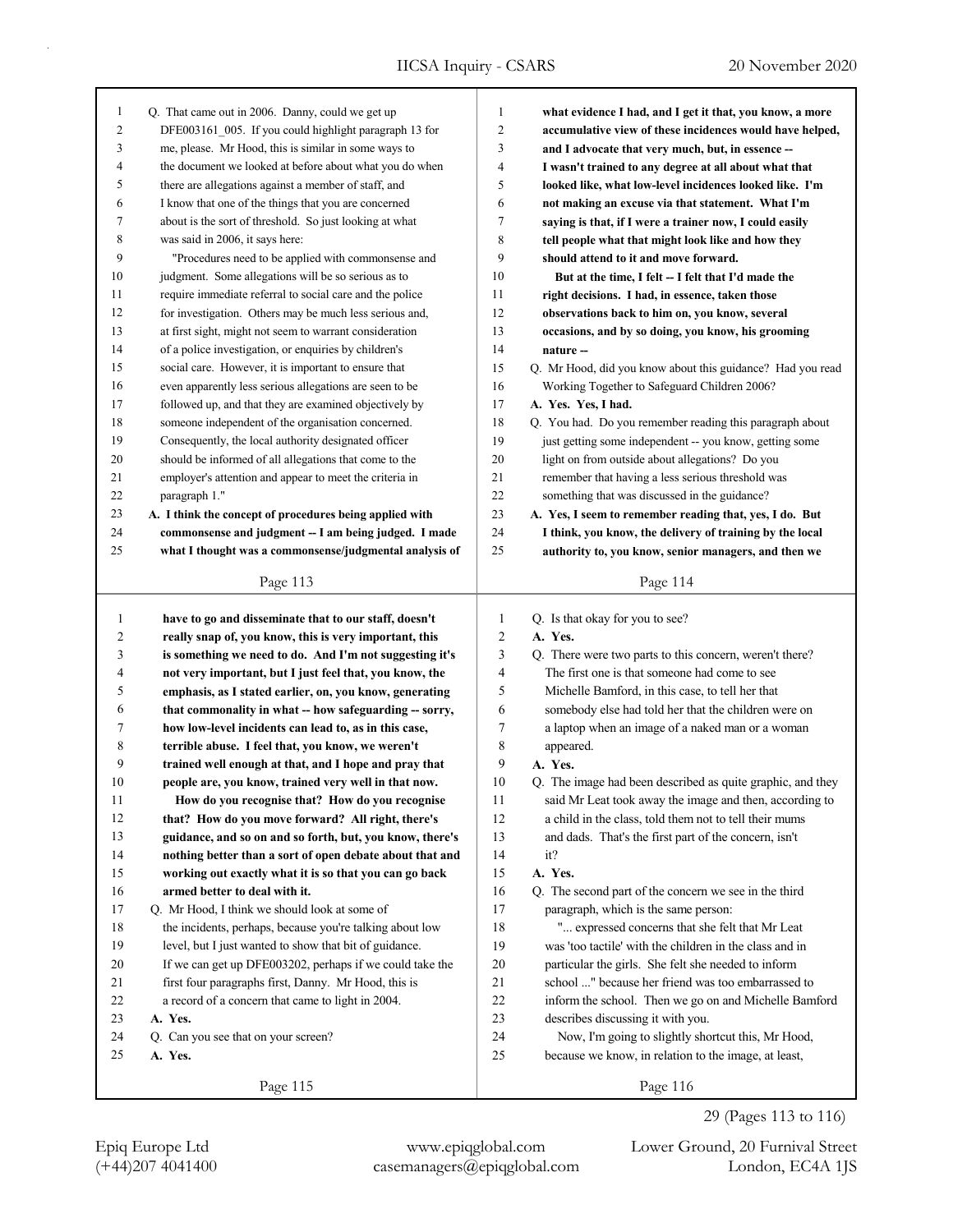| 1            | Q. That came out in 2006. Danny, could we get up         | $\mathbf{1}$   | what evidence I had, and I get it that, you know, a more   |
|--------------|----------------------------------------------------------|----------------|------------------------------------------------------------|
| 2            | DFE003161 005. If you could highlight paragraph 13 for   | 2              | accumulative view of these incidences would have helped,   |
| 3            | me, please. Mr Hood, this is similar in some ways to     | 3              | and I advocate that very much, but, in essence --          |
| 4            | the document we looked at before about what you do when  | 4              | I wasn't trained to any degree at all about what that      |
| 5            | there are allegations against a member of staff, and     | 5              | looked like, what low-level incidences looked like. I'm    |
| 6            | I know that one of the things that you are concerned     | 6              | not making an excuse via that statement. What I'm          |
| 7            | about is the sort of threshold. So just looking at what  | 7              | saying is that, if I were a trainer now, I could easily    |
| 8            | was said in 2006, it says here:                          | 8              | tell people what that might look like and how they         |
| 9            | "Procedures need to be applied with commonsense and      | 9              | should attend to it and move forward.                      |
| 10           | judgment. Some allegations will be so serious as to      | 10             | But at the time, I felt -- I felt that I'd made the        |
| 11           | require immediate referral to social care and the police | 11             | right decisions. I had, in essence, taken those            |
| 12           | for investigation. Others may be much less serious and,  | 12             | observations back to him on, you know, several             |
| 13           | at first sight, might not seem to warrant consideration  | 13             | occasions, and by so doing, you know, his grooming         |
| 14           | of a police investigation, or enquiries by children's    | 14             | nature --                                                  |
| 15           | social care. However, it is important to ensure that     | 15             | Q. Mr Hood, did you know about this guidance? Had you read |
| 16           | even apparently less serious allegations are seen to be  | 16             | Working Together to Safeguard Children 2006?               |
| 17           | followed up, and that they are examined objectively by   | 17             | A. Yes. Yes, I had.                                        |
| 18           | someone independent of the organisation concerned.       | 18             | Q. You had. Do you remember reading this paragraph about   |
| 19           | Consequently, the local authority designated officer     | 19             | just getting some independent -- you know, getting some    |
| $20\,$       | should be informed of all allegations that come to the   | 20             | light on from outside about allegations? Do you            |
| 21           | employer's attention and appear to meet the criteria in  | 21             | remember that having a less serious threshold was          |
| 22           | paragraph 1."                                            | $22\,$         | something that was discussed in the guidance?              |
| 23           | A. I think the concept of procedures being applied with  | 23             | A. Yes, I seem to remember reading that, yes, I do. But    |
| 24           | commonsense and judgment -- I am being judged. I made    | 24             | I think, you know, the delivery of training by the local   |
| 25           | what I thought was a commonsense/judgmental analysis of  | 25             | authority to, you know, senior managers, and then we       |
|              |                                                          |                |                                                            |
|              | Page 113                                                 |                | Page 114                                                   |
|              |                                                          |                |                                                            |
|              |                                                          |                |                                                            |
| $\mathbf{1}$ | have to go and disseminate that to our staff, doesn't    | $\mathbf{1}$   | Q. Is that okay for you to see?                            |
| 2            | really snap of, you know, this is very important, this   | $\sqrt{2}$     | A. Yes.                                                    |
| 3            | is something we need to do. And I'm not suggesting it's  | $\mathfrak{Z}$ | Q. There were two parts to this concern, weren't there?    |
| 4            | not very important, but I just feel that, you know, the  | 4              | The first one is that someone had come to see              |
| 5            | emphasis, as I stated earlier, on, you know, generating  | 5              | Michelle Bamford, in this case, to tell her that           |
| 6            | that commonality in what -- how safeguarding -- sorry,   | 6              | somebody else had told her that the children were on       |
| 7            | how low-level incidents can lead to, as in this case,    | 7              | a laptop when an image of a naked man or a woman           |
| 8            | terrible abuse. I feel that, you know, we weren't        | 8              | appeared.                                                  |
| 9            | trained well enough at that, and I hope and pray that    | 9              | A. Yes.                                                    |
| 10           | people are, you know, trained very well in that now.     | 10             | Q. The image had been described as quite graphic, and they |
| 11           | How do you recognise that? How do you recognise          | 11             | said Mr Leat took away the image and then, according to    |
| 12           | that? How do you move forward? All right, there's        | 12             | a child in the class, told them not to tell their mums     |
| 13           | guidance, and so on and so forth, but, you know, there's | 13             | and dads. That's the first part of the concern, isn't      |
| 14           | nothing better than a sort of open debate about that and | 14             | it?                                                        |
| 15           | working out exactly what it is so that you can go back   | 15             | A. Yes.                                                    |
| 16           | armed better to deal with it.                            | 16             | Q. The second part of the concern we see in the third      |
| 17           | Q. Mr Hood, I think we should look at some of            | 17             | paragraph, which is the same person:                       |
| $18\,$       | the incidents, perhaps, because you're talking about low | 18             | " expressed concerns that she felt that Mr Leat            |
| 19           | level, but I just wanted to show that bit of guidance.   | 19             | was 'too tactile' with the children in the class and in    |
| 20           | If we can get up DFE003202, perhaps if we could take the | 20             | particular the girls. She felt she needed to inform        |
| 21           | first four paragraphs first, Danny. Mr Hood, this is     | 21             | school " because her friend was too embarrassed to         |
| 22           | a record of a concern that came to light in 2004.        | 22             | inform the school. Then we go on and Michelle Bamford      |
| 23           | A. Yes.                                                  | 23             | describes discussing it with you.                          |
| 24           | Q. Can you see that on your screen?                      | 24             | Now, I'm going to slightly shortcut this, Mr Hood,         |
| 25           | A. Yes.                                                  | 25             | because we know, in relation to the image, at least,       |

(+44)207 4041400 casemanagers@epiqglobal.com London, EC4A 1JS

Epiq Europe Ltd www.epiqglobal.com Lower Ground, 20 Furnival Street

29 (Pages 113 to 116)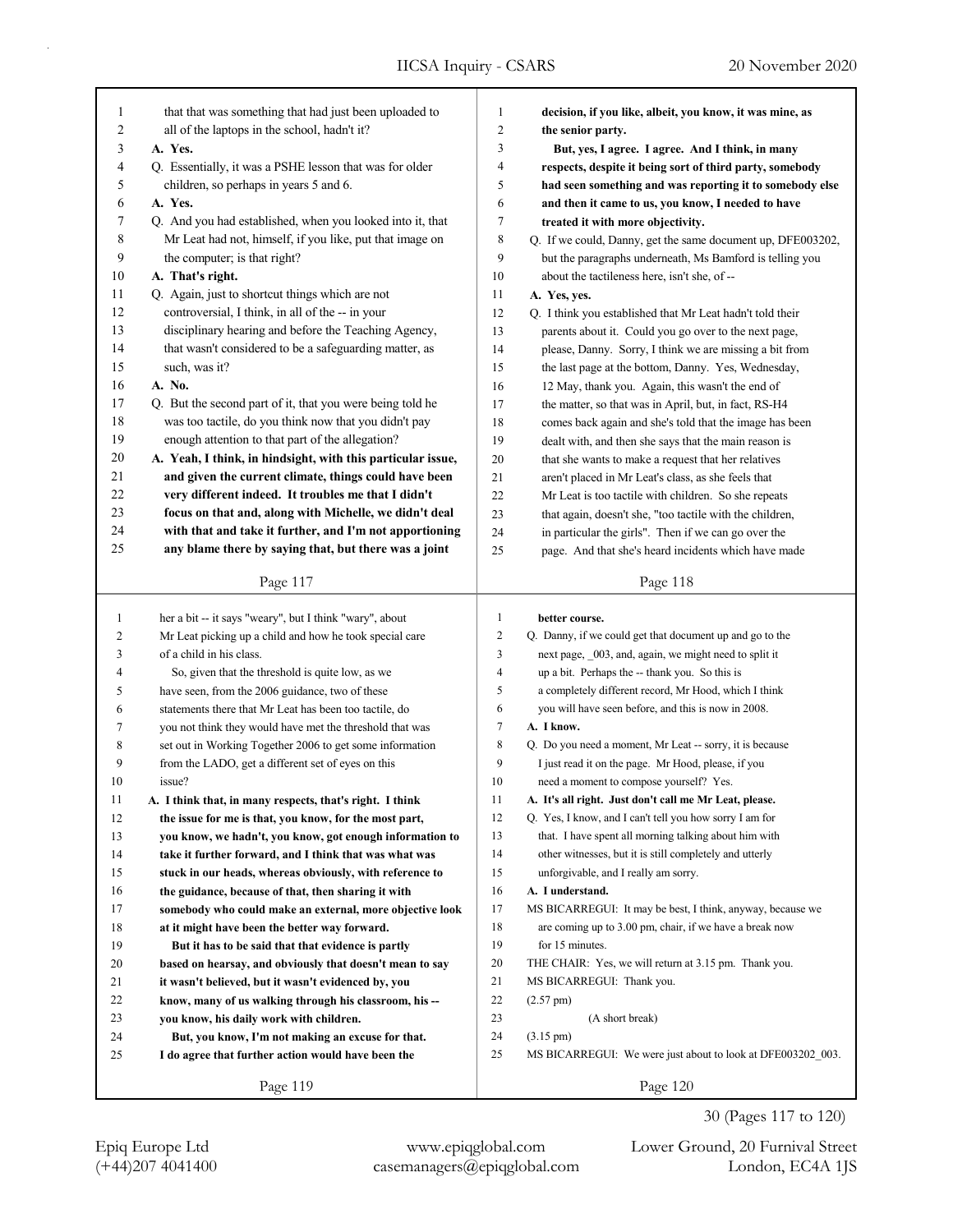| $\mathbf{1}$ | that that was something that had just been uploaded to      | $\mathbf{1}$   | decision, if you like, albeit, you know, it was mine, as    |
|--------------|-------------------------------------------------------------|----------------|-------------------------------------------------------------|
| 2            | all of the laptops in the school, hadn't it?                | $\overline{c}$ | the senior party.                                           |
| 3            | A. Yes.                                                     | 3              | But, yes, I agree. I agree. And I think, in many            |
| 4            | Q. Essentially, it was a PSHE lesson that was for older     | 4              | respects, despite it being sort of third party, somebody    |
| 5            | children, so perhaps in years 5 and 6.                      | 5              | had seen something and was reporting it to somebody else    |
| 6            | A. Yes.                                                     | 6              |                                                             |
| 7            |                                                             |                | and then it came to us, you know, I needed to have          |
|              | Q. And you had established, when you looked into it, that   | 7              | treated it with more objectivity.                           |
| 8            | Mr Leat had not, himself, if you like, put that image on    | 8              | Q. If we could, Danny, get the same document up, DFE003202, |
| 9            | the computer; is that right?                                | 9              | but the paragraphs underneath, Ms Bamford is telling you    |
| 10           | A. That's right.                                            | 10             | about the tactileness here, isn't she, of --                |
| 11           | Q. Again, just to shortcut things which are not             | 11             | A. Yes, yes.                                                |
| 12           | controversial, I think, in all of the -- in your            | 12             | Q. I think you established that Mr Leat hadn't told their   |
| 13           | disciplinary hearing and before the Teaching Agency,        | 13             | parents about it. Could you go over to the next page,       |
| 14           | that wasn't considered to be a safeguarding matter, as      | 14             | please, Danny. Sorry, I think we are missing a bit from     |
| 15           | such, was it?                                               | 15             | the last page at the bottom, Danny. Yes, Wednesday,         |
| 16           | A. No.                                                      | 16             | 12 May, thank you. Again, this wasn't the end of            |
| 17           | Q. But the second part of it, that you were being told he   | 17             | the matter, so that was in April, but, in fact, RS-H4       |
| 18           | was too tactile, do you think now that you didn't pay       | 18             | comes back again and she's told that the image has been     |
| 19           | enough attention to that part of the allegation?            | 19             | dealt with, and then she says that the main reason is       |
| 20           | A. Yeah, I think, in hindsight, with this particular issue, | 20             | that she wants to make a request that her relatives         |
| 21           | and given the current climate, things could have been       | 21             | aren't placed in Mr Leat's class, as she feels that         |
| 22           | very different indeed. It troubles me that I didn't         | 22             | Mr Leat is too tactile with children. So she repeats        |
| 23           | focus on that and, along with Michelle, we didn't deal      | 23             | that again, doesn't she, "too tactile with the children,    |
| 24           | with that and take it further, and I'm not apportioning     | 24             | in particular the girls". Then if we can go over the        |
| 25           | any blame there by saying that, but there was a joint       | 25             | page. And that she's heard incidents which have made        |
|              | Page 117                                                    |                | Page 118                                                    |
|              |                                                             |                |                                                             |
|              |                                                             |                |                                                             |
| $\mathbf{1}$ | her a bit -- it says "weary", but I think "wary", about     | $\mathbf{1}$   | better course.                                              |
| 2            | Mr Leat picking up a child and how he took special care     | $\overline{c}$ | Q. Danny, if we could get that document up and go to the    |
| 3            | of a child in his class.                                    | 3              | next page, 003, and, again, we might need to split it       |
| 4            | So, given that the threshold is quite low, as we            | 4              | up a bit. Perhaps the -- thank you. So this is              |
| 5            | have seen, from the 2006 guidance, two of these             | 5              | a completely different record, Mr Hood, which I think       |
| 6            | statements there that Mr Leat has been too tactile, do      | 6              | you will have seen before, and this is now in 2008.         |
| 7            | you not think they would have met the threshold that was    | 7              | A. I know.                                                  |
| 8            | set out in Working Together 2006 to get some information    | $\,$ 8 $\,$    | Q. Do you need a moment, Mr Leat -- sorry, it is because    |
| 9            | from the LADO, get a different set of eyes on this          | 9              | I just read it on the page. Mr Hood, please, if you         |
| 10           | issue?                                                      | 10             | need a moment to compose yourself? Yes.                     |
| 11           | A. I think that, in many respects, that's right. I think    | 11             | A. It's all right. Just don't call me Mr Leat, please.      |
| 12           | the issue for me is that, you know, for the most part,      | 12             | Q. Yes, I know, and I can't tell you how sorry I am for     |
| 13           | you know, we hadn't, you know, got enough information to    | 13             | that. I have spent all morning talking about him with       |
| 14           | take it further forward, and I think that was what was      | 14             | other witnesses, but it is still completely and utterly     |
| 15           | stuck in our heads, whereas obviously, with reference to    | 15             | unforgivable, and I really am sorry.                        |
| 16           | the guidance, because of that, then sharing it with         | 16             | A. I understand.                                            |
| 17           | somebody who could make an external, more objective look    | 17             | MS BICARREGUI: It may be best, I think, anyway, because we  |
| 18           | at it might have been the better way forward.               | 18             | are coming up to 3.00 pm, chair, if we have a break now     |
| 19           | But it has to be said that that evidence is partly          | 19             | for 15 minutes.                                             |
| 20           | based on hearsay, and obviously that doesn't mean to say    | 20             | THE CHAIR: Yes, we will return at 3.15 pm. Thank you.       |
| 21           | it wasn't believed, but it wasn't evidenced by, you         | 21             | MS BICARREGUI: Thank you.                                   |
| 22           | know, many of us walking through his classroom, his --      | 22             | $(2.57 \text{ pm})$                                         |
| 23           | you know, his daily work with children.                     | 23             | (A short break)                                             |
| 24           | But, you know, I'm not making an excuse for that.           | 24             | $(3.15 \text{ pm})$                                         |
| 25           | I do agree that further action would have been the          | 25             | MS BICARREGUI: We were just about to look at DFE003202_003. |

30 (Pages 117 to 120)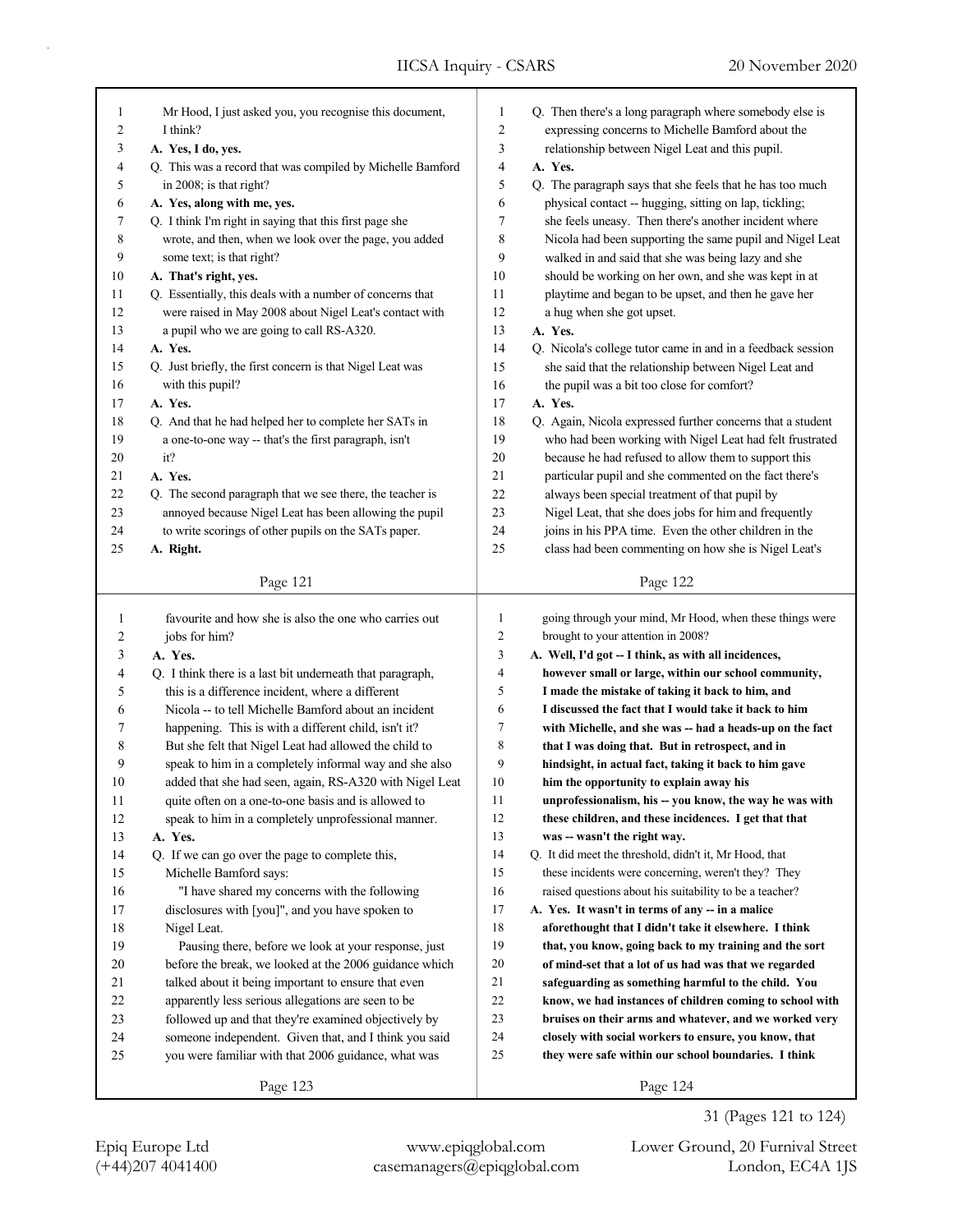| 1                       | Mr Hood, I just asked you, you recognise this document,    | 1              | Q. Then there's a long paragraph where somebody else is     |
|-------------------------|------------------------------------------------------------|----------------|-------------------------------------------------------------|
| 2                       | I think?                                                   | 2              | expressing concerns to Michelle Bamford about the           |
| 3                       | A. Yes, I do, yes.                                         | 3              | relationship between Nigel Leat and this pupil.             |
| 4                       | Q. This was a record that was compiled by Michelle Bamford | 4              | A. Yes.                                                     |
| 5                       | in 2008; is that right?                                    | 5              | Q. The paragraph says that she feels that he has too much   |
| 6                       | A. Yes, along with me, yes.                                | 6              | physical contact -- hugging, sitting on lap, tickling;      |
| 7                       | Q. I think I'm right in saying that this first page she    | 7              | she feels uneasy. Then there's another incident where       |
| 8                       | wrote, and then, when we look over the page, you added     | 8              | Nicola had been supporting the same pupil and Nigel Leat    |
| 9                       | some text; is that right?                                  | 9              | walked in and said that she was being lazy and she          |
| 10                      | A. That's right, yes.                                      | 10             | should be working on her own, and she was kept in at        |
| 11                      | Q. Essentially, this deals with a number of concerns that  | 11             | playtime and began to be upset, and then he gave her        |
| 12                      | were raised in May 2008 about Nigel Leat's contact with    | 12             | a hug when she got upset.                                   |
| 13                      | a pupil who we are going to call RS-A320.                  | 13             | A. Yes.                                                     |
| 14                      | A. Yes.                                                    | 14             | Q. Nicola's college tutor came in and in a feedback session |
| 15                      | Q. Just briefly, the first concern is that Nigel Leat was  | 15             | she said that the relationship between Nigel Leat and       |
| 16                      | with this pupil?                                           | 16             | the pupil was a bit too close for comfort?                  |
| 17                      | A. Yes.                                                    | 17             | A. Yes.                                                     |
| $18\,$                  | Q. And that he had helped her to complete her SATs in      | 18             | Q. Again, Nicola expressed further concerns that a student  |
| 19                      | a one-to-one way -- that's the first paragraph, isn't      | 19             | who had been working with Nigel Leat had felt frustrated    |
| 20                      | it?                                                        | 20             | because he had refused to allow them to support this        |
| 21                      | A. Yes.                                                    | 21             | particular pupil and she commented on the fact there's      |
| 22                      | Q. The second paragraph that we see there, the teacher is  | 22             | always been special treatment of that pupil by              |
| 23                      | annoyed because Nigel Leat has been allowing the pupil     | 23             | Nigel Leat, that she does jobs for him and frequently       |
| 24                      | to write scorings of other pupils on the SATs paper.       | 24             | joins in his PPA time. Even the other children in the       |
| 25                      | A. Right.                                                  | 25             | class had been commenting on how she is Nigel Leat's        |
|                         |                                                            |                |                                                             |
|                         | Page 121                                                   |                | Page 122                                                    |
|                         |                                                            |                |                                                             |
|                         |                                                            |                |                                                             |
| $\mathbf{1}$            | favourite and how she is also the one who carries out      | $\mathbf{1}$   | going through your mind, Mr Hood, when these things were    |
| $\overline{\mathbf{c}}$ | jobs for him?                                              | $\sqrt{2}$     | brought to your attention in 2008?                          |
| 3                       | A. Yes.                                                    | 3              | A. Well, I'd got -- I think, as with all incidences,        |
| 4                       | Q. I think there is a last bit underneath that paragraph,  | $\overline{4}$ | however small or large, within our school community,        |
| 5                       | this is a difference incident, where a different           | 5              | I made the mistake of taking it back to him, and            |
| 6                       | Nicola -- to tell Michelle Bamford about an incident       | 6              | I discussed the fact that I would take it back to him       |
| 7                       | happening. This is with a different child, isn't it?       | $\tau$         | with Michelle, and she was -- had a heads-up on the fact    |
| 8                       | But she felt that Nigel Leat had allowed the child to      | 8              | that I was doing that. But in retrospect, and in            |
| 9                       | speak to him in a completely informal way and she also     | 9              | hindsight, in actual fact, taking it back to him gave       |
| 10                      | added that she had seen, again, RS-A320 with Nigel Leat    | 10             | him the opportunity to explain away his                     |
| 11                      | quite often on a one-to-one basis and is allowed to        | 11             | unprofessionalism, his -- you know, the way he was with     |
| 12                      | speak to him in a completely unprofessional manner.        | 12             | these children, and these incidences. I get that that       |
| 13                      | A. Yes.                                                    | 13             | was -- wasn't the right way.                                |
| 14                      | Q. If we can go over the page to complete this,            | 14             | Q. It did meet the threshold, didn't it, Mr Hood, that      |
| 15                      | Michelle Bamford says:                                     | 15             | these incidents were concerning, weren't they? They         |
| 16                      | "I have shared my concerns with the following              | 16             | raised questions about his suitability to be a teacher?     |
| 17                      | disclosures with [you]", and you have spoken to            | 17             | A. Yes. It wasn't in terms of any -- in a malice            |
| 18                      | Nigel Leat.                                                | 18             | aforethought that I didn't take it elsewhere. I think       |
| 19                      | Pausing there, before we look at your response, just       | 19             | that, you know, going back to my training and the sort      |
| $20\,$                  | before the break, we looked at the 2006 guidance which     | 20             | of mind-set that a lot of us had was that we regarded       |
| 21                      | talked about it being important to ensure that even        | 21             | safeguarding as something harmful to the child. You         |
| 22                      | apparently less serious allegations are seen to be         | 22             | know, we had instances of children coming to school with    |
| 23                      | followed up and that they're examined objectively by       | 23             | bruises on their arms and whatever, and we worked very      |
| 24                      | someone independent. Given that, and I think you said      | 24             | closely with social workers to ensure, you know, that       |
| 25                      | you were familiar with that 2006 guidance, what was        | 25             | they were safe within our school boundaries. I think        |
|                         | Page 123                                                   |                | Page 124                                                    |

(+44)207 4041400 casemanagers@epiqglobal.com London, EC4A 1JS Epiq Europe Ltd www.epiqglobal.com Lower Ground, 20 Furnival Street

31 (Pages 121 to 124)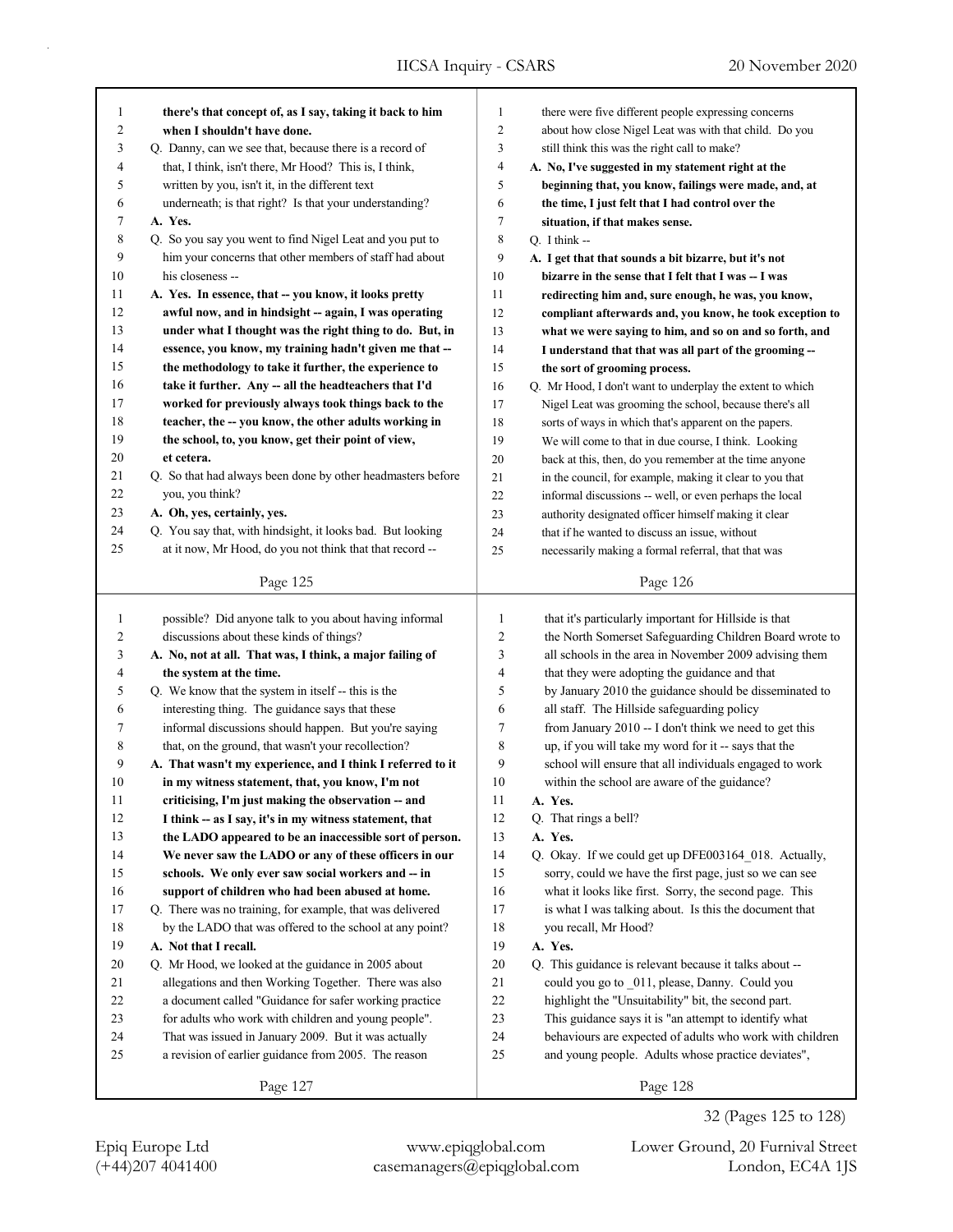| 1            | there's that concept of, as I say, taking it back to him    | $\mathbf{1}$   | there were five different people expressing concerns      |
|--------------|-------------------------------------------------------------|----------------|-----------------------------------------------------------|
| 2            | when I shouldn't have done.                                 | $\overline{c}$ | about how close Nigel Leat was with that child. Do you    |
| 3            | Q. Danny, can we see that, because there is a record of     | 3              | still think this was the right call to make?              |
| 4            | that, I think, isn't there, Mr Hood? This is, I think,      | $\overline{4}$ | A. No, I've suggested in my statement right at the        |
| 5            | written by you, isn't it, in the different text             | 5              | beginning that, you know, failings were made, and, at     |
| 6            | underneath; is that right? Is that your understanding?      | 6              | the time, I just felt that I had control over the         |
| 7            | A. Yes.                                                     | $\tau$         | situation, if that makes sense.                           |
| 8            | Q. So you say you went to find Nigel Leat and you put to    | $\,$ 8 $\,$    | Q. I think $-$                                            |
| 9            | him your concerns that other members of staff had about     | 9              | A. I get that that sounds a bit bizarre, but it's not     |
| 10           | his closeness --                                            | 10             | bizarre in the sense that I felt that I was -- I was      |
| 11           | A. Yes. In essence, that -- you know, it looks pretty       | 11             | redirecting him and, sure enough, he was, you know,       |
| 12           | awful now, and in hindsight -- again, I was operating       | 12             | compliant afterwards and, you know, he took exception to  |
| 13           | under what I thought was the right thing to do. But, in     | 13             | what we were saying to him, and so on and so forth, and   |
| 14           | essence, you know, my training hadn't given me that --      | 14             | I understand that that was all part of the grooming --    |
| 15           | the methodology to take it further, the experience to       | 15             | the sort of grooming process.                             |
| 16           | take it further. Any -- all the headteachers that I'd       | 16             | Q. Mr Hood, I don't want to underplay the extent to which |
| 17           | worked for previously always took things back to the        | 17             | Nigel Leat was grooming the school, because there's all   |
| 18           | teacher, the -- you know, the other adults working in       | 18             | sorts of ways in which that's apparent on the papers.     |
| 19           | the school, to, you know, get their point of view,          | 19             | We will come to that in due course, I think. Looking      |
| 20           | et cetera.                                                  | 20             | back at this, then, do you remember at the time anyone    |
| 21           | Q. So that had always been done by other headmasters before | 21             | in the council, for example, making it clear to you that  |
| 22           | you, you think?                                             | 22             | informal discussions -- well, or even perhaps the local   |
| 23           | A. Oh, yes, certainly, yes.                                 | 23             | authority designated officer himself making it clear      |
| 24           | Q. You say that, with hindsight, it looks bad. But looking  | 24             | that if he wanted to discuss an issue, without            |
| 25           | at it now, Mr Hood, do you not think that that record --    | 25             | necessarily making a formal referral, that that was       |
|              |                                                             |                |                                                           |
|              | Page 125                                                    |                | Page 126                                                  |
|              |                                                             |                |                                                           |
|              |                                                             |                |                                                           |
| $\mathbf{1}$ | possible? Did anyone talk to you about having informal      | 1              | that it's particularly important for Hillside is that     |
| 2            | discussions about these kinds of things?                    | 2              | the North Somerset Safeguarding Children Board wrote to   |
| 3            | A. No, not at all. That was, I think, a major failing of    | 3              | all schools in the area in November 2009 advising them    |
| 4            | the system at the time.                                     | 4              | that they were adopting the guidance and that             |
| 5            | Q. We know that the system in itself -- this is the         | 5              | by January 2010 the guidance should be disseminated to    |
| 6            | interesting thing. The guidance says that these             | 6              | all staff. The Hillside safeguarding policy               |
| 7            | informal discussions should happen. But you're saying       | 7              | from January 2010 -- I don't think we need to get this    |
| 8            | that, on the ground, that wasn't your recollection?         | 8              | up, if you will take my word for it -- says that the      |
| 9            | A. That wasn't my experience, and I think I referred to it  | 9              | school will ensure that all individuals engaged to work   |
| 10           | in my witness statement, that, you know, I'm not            | 10             | within the school are aware of the guidance?              |
| $11\,$       | criticising, I'm just making the observation -- and         | 11             | A. Yes.                                                   |
| 12           | I think -- as I say, it's in my witness statement, that     | 12             | Q. That rings a bell?                                     |
| 13           | the LADO appeared to be an inaccessible sort of person.     | 13             | A. Yes.                                                   |
| 14           | We never saw the LADO or any of these officers in our       | 14             | Q. Okay. If we could get up DFE003164_018. Actually,      |
| 15           | schools. We only ever saw social workers and -- in          | 15             | sorry, could we have the first page, just so we can see   |
| 16           | support of children who had been abused at home.            | 16             | what it looks like first. Sorry, the second page. This    |
| 17           | Q. There was no training, for example, that was delivered   | 17             | is what I was talking about. Is this the document that    |
| 18           | by the LADO that was offered to the school at any point?    | 18             | you recall, Mr Hood?                                      |
| 19           | A. Not that I recall.                                       | 19             | A. Yes.                                                   |
| 20           | Q. Mr Hood, we looked at the guidance in 2005 about         | 20             | Q. This guidance is relevant because it talks about --    |
| 21           | allegations and then Working Together. There was also       | 21             | could you go to 011, please, Danny. Could you             |
| 22           | a document called "Guidance for safer working practice      | $22\,$         | highlight the "Unsuitability" bit, the second part.       |
| 23           | for adults who work with children and young people".        | $23\,$         | This guidance says it is "an attempt to identify what     |
| 24           | That was issued in January 2009. But it was actually        | 24             | behaviours are expected of adults who work with children  |
| 25           | a revision of earlier guidance from 2005. The reason        | 25             | and young people. Adults whose practice deviates",        |

Page 128

32 (Pages 125 to 128)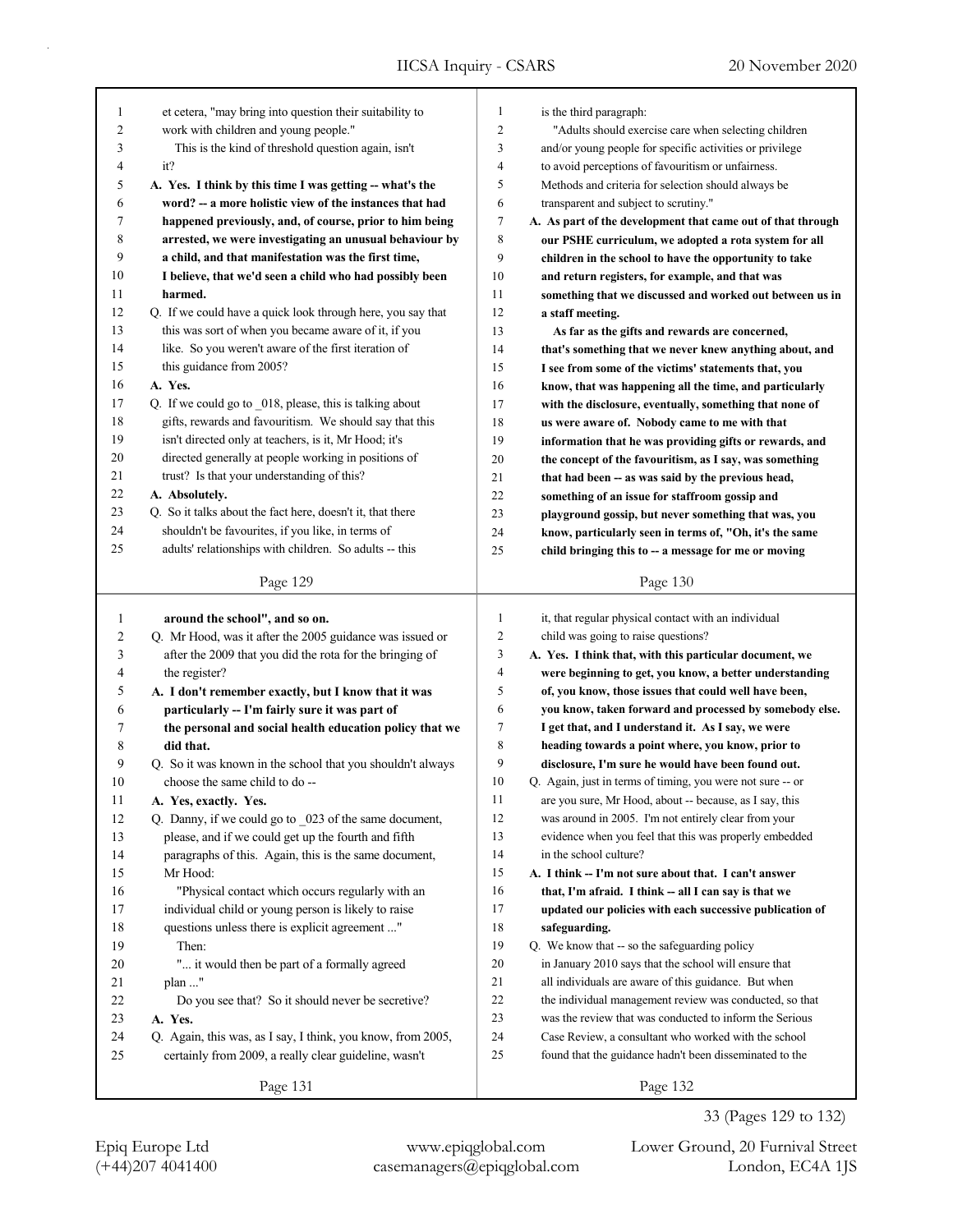| 1                             | et cetera, "may bring into question their suitability to                                     | 1              | is the third paragraph:                                             |
|-------------------------------|----------------------------------------------------------------------------------------------|----------------|---------------------------------------------------------------------|
| 2                             | work with children and young people."                                                        | $\overline{2}$ | "Adults should exercise care when selecting children                |
| 3                             | This is the kind of threshold question again, isn't                                          | 3              | and/or young people for specific activities or privilege            |
| 4                             | it?                                                                                          | $\overline{4}$ | to avoid perceptions of favouritism or unfairness.                  |
| 5                             | A. Yes. I think by this time I was getting -- what's the                                     | 5              | Methods and criteria for selection should always be                 |
| 6                             | word? -- a more holistic view of the instances that had                                      | 6              | transparent and subject to scrutiny."                               |
| 7                             | happened previously, and, of course, prior to him being                                      | 7              | A. As part of the development that came out of that through         |
| 8                             | arrested, we were investigating an unusual behaviour by                                      | 8              | our PSHE curriculum, we adopted a rota system for all               |
| 9                             | a child, and that manifestation was the first time,                                          | 9              | children in the school to have the opportunity to take              |
| 10                            | I believe, that we'd seen a child who had possibly been                                      | 10             | and return registers, for example, and that was                     |
| 11                            | harmed.                                                                                      | 11             | something that we discussed and worked out between us in            |
| 12                            | Q. If we could have a quick look through here, you say that                                  | 12             | a staff meeting.                                                    |
| 13                            | this was sort of when you became aware of it, if you                                         | 13             | As far as the gifts and rewards are concerned,                      |
| 14                            | like. So you weren't aware of the first iteration of                                         | 14             | that's something that we never knew anything about, and             |
| 15                            | this guidance from 2005?                                                                     | 15             | I see from some of the victims' statements that, you                |
| 16                            | A. Yes.                                                                                      | 16             | know, that was happening all the time, and particularly             |
| 17                            | Q. If we could go to 018, please, this is talking about                                      | 17             | with the disclosure, eventually, something that none of             |
| 18                            | gifts, rewards and favouritism. We should say that this                                      | 18             | us were aware of. Nobody came to me with that                       |
| 19                            | isn't directed only at teachers, is it, Mr Hood; it's                                        | 19             | information that he was providing gifts or rewards, and             |
| 20                            | directed generally at people working in positions of                                         | 20             | the concept of the favouritism, as I say, was something             |
| 21                            | trust? Is that your understanding of this?                                                   | 21             | that had been -- as was said by the previous head,                  |
| 22                            | A. Absolutely.                                                                               | 22             | something of an issue for staffroom gossip and                      |
| 23                            | Q. So it talks about the fact here, doesn't it, that there                                   | 23             | playground gossip, but never something that was, you                |
| 24                            | shouldn't be favourites, if you like, in terms of                                            | 24             | know, particularly seen in terms of, "Oh, it's the same             |
| 25                            | adults' relationships with children. So adults -- this                                       | 25             | child bringing this to -- a message for me or moving                |
|                               |                                                                                              |                |                                                                     |
|                               | Page 129                                                                                     |                | Page 130                                                            |
|                               |                                                                                              |                |                                                                     |
| $\mathbf{1}$                  |                                                                                              | $\mathbf{1}$   |                                                                     |
|                               | around the school", and so on.                                                               | $\overline{2}$ | it, that regular physical contact with an individual                |
| $\overline{\mathbf{c}}$<br>3  | Q. Mr Hood, was it after the 2005 guidance was issued or                                     | 3              | child was going to raise questions?                                 |
|                               | after the 2009 that you did the rota for the bringing of                                     | $\overline{4}$ | A. Yes. I think that, with this particular document, we             |
| $\overline{\mathcal{L}}$<br>5 | the register?                                                                                | 5              | were beginning to get, you know, a better understanding             |
|                               | A. I don't remember exactly, but I know that it was                                          | 6              | of, you know, those issues that could well have been,               |
| 6                             | particularly -- I'm fairly sure it was part of                                               | 7              | you know, taken forward and processed by somebody else.             |
| 7                             | the personal and social health education policy that we<br>did that.                         | 8              | I get that, and I understand it. As I say, we were                  |
| 8                             |                                                                                              | 9              | heading towards a point where, you know, prior to                   |
| 9<br>10                       | Q. So it was known in the school that you shouldn't always<br>choose the same child to do -- | 10             | disclosure, I'm sure he would have been found out.                  |
|                               |                                                                                              |                | Q. Again, just in terms of timing, you were not sure -- or          |
| 11                            | A. Yes, exactly. Yes.                                                                        | 11<br>12       | are you sure, Mr Hood, about -- because, as I say, this             |
| 12                            | Q. Danny, if we could go to _023 of the same document,                                       |                | was around in 2005. I'm not entirely clear from your                |
| 13                            | please, and if we could get up the fourth and fifth                                          | 13             | evidence when you feel that this was properly embedded              |
| 14                            | paragraphs of this. Again, this is the same document,                                        | 14             | in the school culture?                                              |
| 15                            | Mr Hood:                                                                                     | 15             | A. I think -- I'm not sure about that. I can't answer               |
| 16                            | "Physical contact which occurs regularly with an                                             | 16             | that, I'm afraid. I think -- all I can say is that we               |
| 17                            | individual child or young person is likely to raise                                          | 17             | updated our policies with each successive publication of            |
| 18                            | questions unless there is explicit agreement "                                               | 18             | safeguarding.                                                       |
| 19                            | Then:                                                                                        | 19             | Q. We know that -- so the safeguarding policy                       |
| $20\,$                        | " it would then be part of a formally agreed                                                 | 20             | in January 2010 says that the school will ensure that               |
| 21                            | plan "                                                                                       | 21             | all individuals are aware of this guidance. But when                |
| 22                            | Do you see that? So it should never be secretive?                                            | 22             | the individual management review was conducted, so that             |
| 23                            | A. Yes.                                                                                      | 23             | was the review that was conducted to inform the Serious             |
| 24                            | Q. Again, this was, as I say, I think, you know, from 2005,                                  | 24             | Case Review, a consultant who worked with the school                |
| 25                            | certainly from 2009, a really clear guideline, wasn't<br>Page 131                            | 25             | found that the guidance hadn't been disseminated to the<br>Page 132 |

33 (Pages 129 to 132)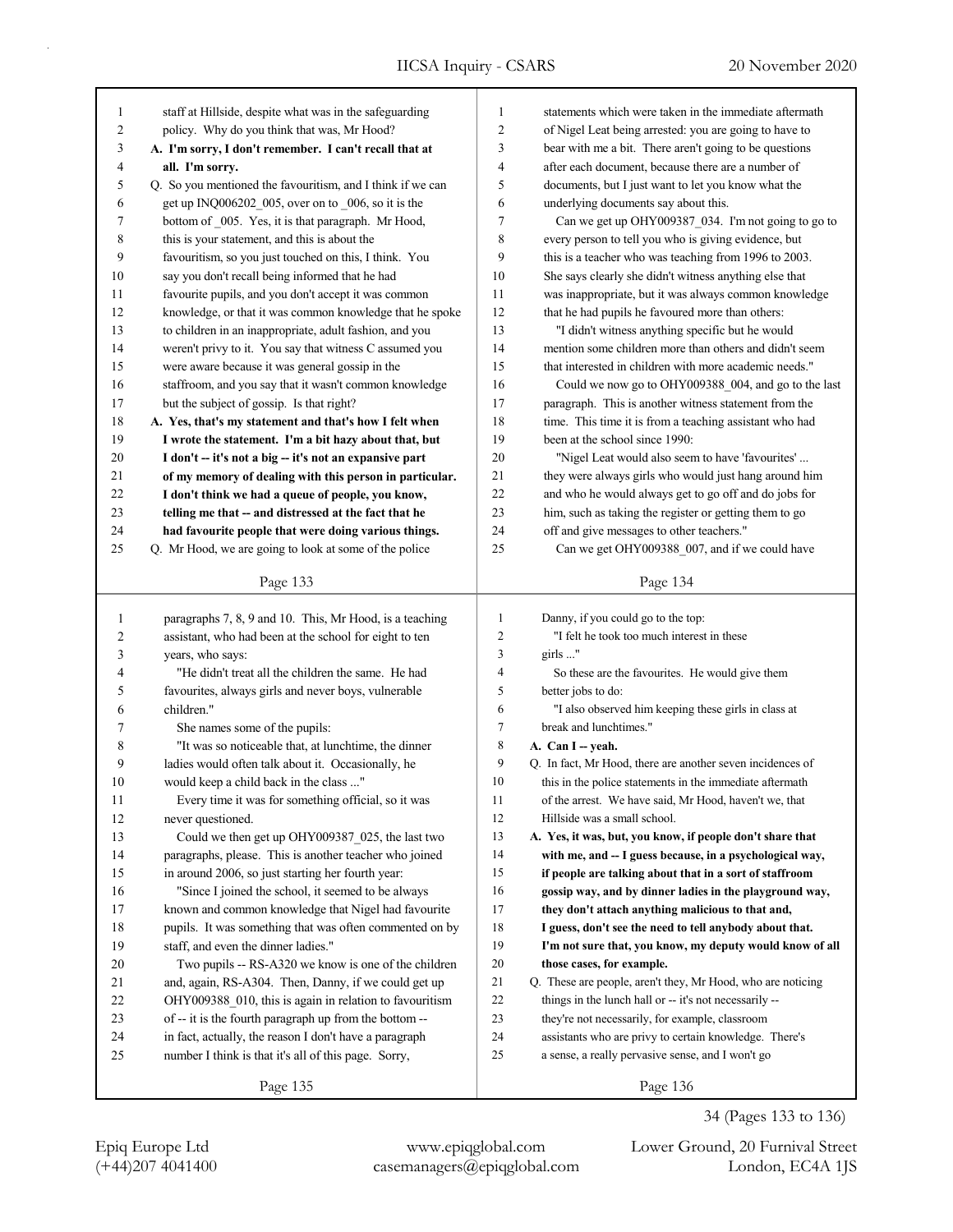| $\mathbf{1}$   | staff at Hillside, despite what was in the safeguarding    | 1                        | statements which were taken in the immediate aftermath      |
|----------------|------------------------------------------------------------|--------------------------|-------------------------------------------------------------|
| $\overline{2}$ | policy. Why do you think that was, Mr Hood?                | $\overline{2}$           | of Nigel Leat being arrested: you are going to have to      |
| 3              | A. I'm sorry, I don't remember. I can't recall that at     | $\mathfrak{Z}$           | bear with me a bit. There aren't going to be questions      |
| 4              | all. I'm sorry.                                            | $\overline{\mathcal{L}}$ | after each document, because there are a number of          |
| 5              | Q. So you mentioned the favouritism, and I think if we can | 5                        | documents, but I just want to let you know what the         |
| 6              | get up INQ006202_005, over on to 006, so it is the         | 6                        | underlying documents say about this.                        |
| 7              | bottom of 005. Yes, it is that paragraph. Mr Hood,         | 7                        | Can we get up OHY009387 034. I'm not going to go to         |
| 8              | this is your statement, and this is about the              | 8                        | every person to tell you who is giving evidence, but        |
| 9              | favouritism, so you just touched on this, I think. You     | 9                        | this is a teacher who was teaching from 1996 to 2003.       |
| 10             | say you don't recall being informed that he had            | 10                       | She says clearly she didn't witness anything else that      |
| 11             | favourite pupils, and you don't accept it was common       | 11                       | was inappropriate, but it was always common knowledge       |
| 12             | knowledge, or that it was common knowledge that he spoke   | 12                       | that he had pupils he favoured more than others:            |
| 13             | to children in an inappropriate, adult fashion, and you    | 13                       | "I didn't witness anything specific but he would            |
| 14             | weren't privy to it. You say that witness C assumed you    | 14                       | mention some children more than others and didn't seem      |
| 15             | were aware because it was general gossip in the            | 15                       | that interested in children with more academic needs."      |
| 16             | staffroom, and you say that it wasn't common knowledge     | 16                       | Could we now go to OHY009388_004, and go to the last        |
| 17             | but the subject of gossip. Is that right?                  | 17                       | paragraph. This is another witness statement from the       |
| 18             | A. Yes, that's my statement and that's how I felt when     | 18                       | time. This time it is from a teaching assistant who had     |
| 19             | I wrote the statement. I'm a bit hazy about that, but      | 19                       | been at the school since 1990:                              |
| 20             | I don't -- it's not a big -- it's not an expansive part    | 20                       | "Nigel Leat would also seem to have 'favourites'            |
| 21             | of my memory of dealing with this person in particular.    | 21                       | they were always girls who would just hang around him       |
| 22             | I don't think we had a queue of people, you know,          | 22                       | and who he would always get to go off and do jobs for       |
| 23             | telling me that -- and distressed at the fact that he      | 23                       | him, such as taking the register or getting them to go      |
| 24             | had favourite people that were doing various things.       | 24                       | off and give messages to other teachers."                   |
| 25             | Q. Mr Hood, we are going to look at some of the police     | 25                       | Can we get OHY009388_007, and if we could have              |
|                |                                                            |                          |                                                             |
|                | Page 133                                                   |                          | Page 134                                                    |
|                |                                                            |                          |                                                             |
|                |                                                            |                          |                                                             |
| $\mathbf{1}$   | paragraphs 7, 8, 9 and 10. This, Mr Hood, is a teaching    | 1                        | Danny, if you could go to the top:                          |
| $\overline{c}$ | assistant, who had been at the school for eight to ten     | $\overline{c}$           | "I felt he took too much interest in these                  |
| 3              | years, who says:                                           | 3                        | girls "                                                     |
| 4              | "He didn't treat all the children the same. He had         | $\overline{\mathbf{4}}$  | So these are the favourites. He would give them             |
| 5              | favourites, always girls and never boys, vulnerable        | 5                        | better jobs to do:                                          |
| 6              | children."                                                 | 6                        | "I also observed him keeping these girls in class at        |
| 7              | She names some of the pupils:                              | 7                        | break and lunchtimes."                                      |
| 8              | "It was so noticeable that, at lunchtime, the dinner       | $\,$ 8 $\,$              | A. Can I - yeah.                                            |
| 9              | ladies would often talk about it. Occasionally, he         | 9                        | Q. In fact, Mr Hood, there are another seven incidences of  |
| 10             | would keep a child back in the class "                     | 10                       | this in the police statements in the immediate aftermath    |
| 11             | Every time it was for something official, so it was        | 11                       | of the arrest. We have said, Mr Hood, haven't we, that      |
| 12             | never questioned.                                          | 12                       | Hillside was a small school.                                |
| 13             | Could we then get up OHY009387 025, the last two           | 13                       | A. Yes, it was, but, you know, if people don't share that   |
| 14             | paragraphs, please. This is another teacher who joined     | 14                       | with me, and -- I guess because, in a psychological way,    |
| 15             | in around 2006, so just starting her fourth year:          | 15                       | if people are talking about that in a sort of staffroom     |
| 16             | "Since I joined the school, it seemed to be always         | 16                       | gossip way, and by dinner ladies in the playground way,     |
| 17             | known and common knowledge that Nigel had favourite        | 17                       | they don't attach anything malicious to that and,           |
| $18\,$         | pupils. It was something that was often commented on by    | $18\,$                   | I guess, don't see the need to tell anybody about that.     |
| 19             | staff, and even the dinner ladies."                        | 19                       | I'm not sure that, you know, my deputy would know of all    |
| 20             | Two pupils -- RS-A320 we know is one of the children       | 20                       | those cases, for example.                                   |
| 21             | and, again, RS-A304. Then, Danny, if we could get up       | 21                       | Q. These are people, aren't they, Mr Hood, who are noticing |
| 22             | OHY009388 010, this is again in relation to favouritism    | $22\,$                   | things in the lunch hall or -- it's not necessarily --      |
| 23             | of -- it is the fourth paragraph up from the bottom --     | 23                       | they're not necessarily, for example, classroom             |
| 24             | in fact, actually, the reason I don't have a paragraph     | 24                       | assistants who are privy to certain knowledge. There's      |
| 25             | number I think is that it's all of this page. Sorry,       | 25                       | a sense, a really pervasive sense, and I won't go           |
|                | Page 135                                                   |                          | Page 136                                                    |

(+44)207 4041400 casemanagers@epiqglobal.com London, EC4A 1JS Epiq Europe Ltd www.epiqglobal.com Lower Ground, 20 Furnival Street

34 (Pages 133 to 136)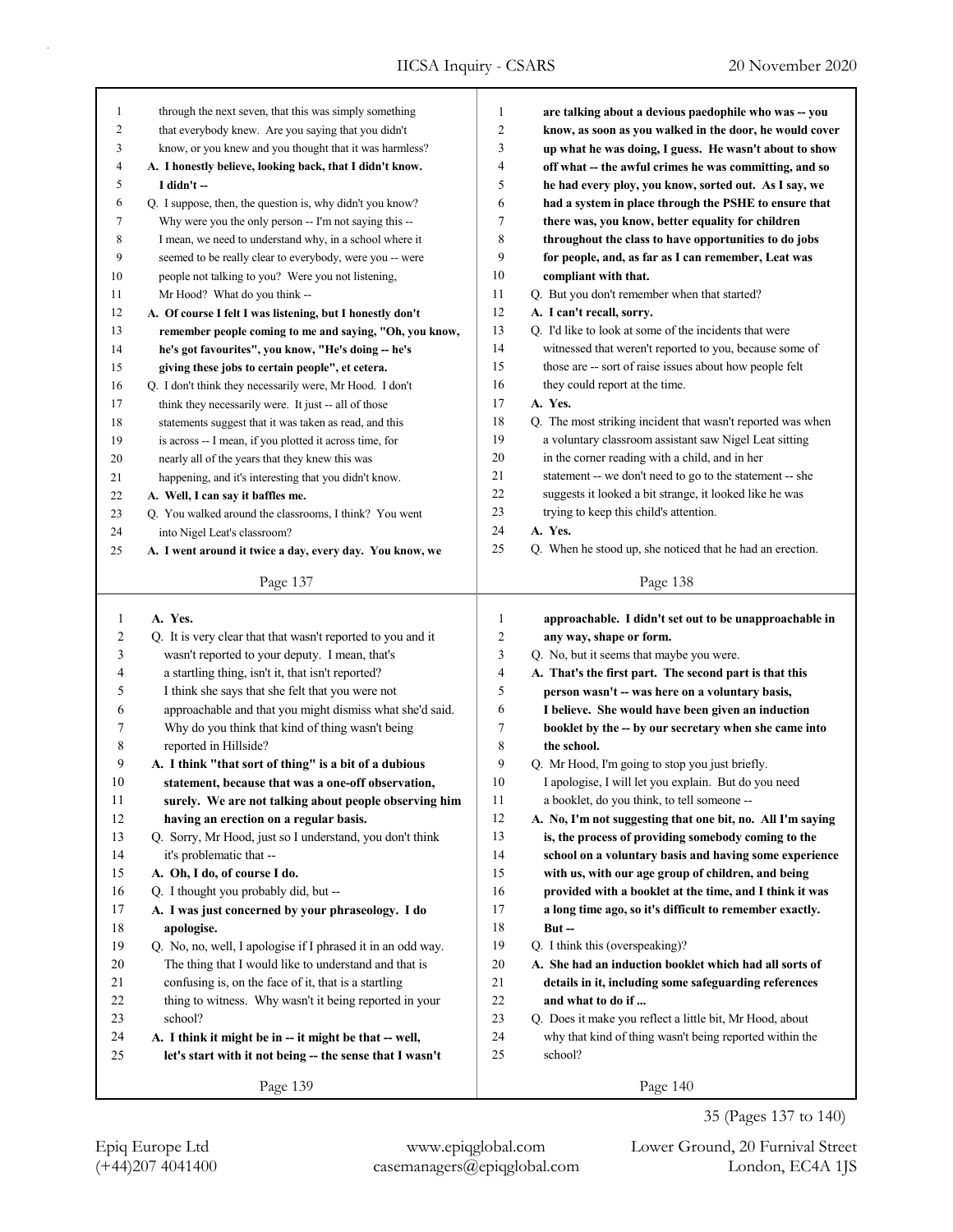| 1              | through the next seven, that this was simply something      | $\mathbf{1}$   | are talking about a devious paedophile who was -- you       |
|----------------|-------------------------------------------------------------|----------------|-------------------------------------------------------------|
| 2              | that everybody knew. Are you saying that you didn't         | 2              | know, as soon as you walked in the door, he would cover     |
| 3              | know, or you knew and you thought that it was harmless?     | 3              | up what he was doing, I guess. He wasn't about to show      |
| 4              | A. I honestly believe, looking back, that I didn't know.    | $\overline{4}$ | off what -- the awful crimes he was committing, and so      |
| 5              | I didn't --                                                 | 5              | he had every ploy, you know, sorted out. As I say, we       |
| 6              | Q. I suppose, then, the question is, why didn't you know?   | 6              | had a system in place through the PSHE to ensure that       |
| 7              | Why were you the only person -- I'm not saying this --      | $\tau$         | there was, you know, better equality for children           |
| 8              | I mean, we need to understand why, in a school where it     | 8              | throughout the class to have opportunities to do jobs       |
| 9              | seemed to be really clear to everybody, were you -- were    | 9              | for people, and, as far as I can remember, Leat was         |
| 10             | people not talking to you? Were you not listening,          | 10             | compliant with that.                                        |
| 11             | Mr Hood? What do you think --                               | 11             | Q. But you don't remember when that started?                |
| 12             | A. Of course I felt I was listening, but I honestly don't   | 12             | A. I can't recall, sorry.                                   |
| 13             | remember people coming to me and saying, "Oh, you know,     | 13             | Q. I'd like to look at some of the incidents that were      |
| 14             | he's got favourites", you know, "He's doing -- he's         | 14             | witnessed that weren't reported to you, because some of     |
| 15             | giving these jobs to certain people", et cetera.            | 15             | those are -- sort of raise issues about how people felt     |
| 16             | Q. I don't think they necessarily were, Mr Hood. I don't    | 16             | they could report at the time.                              |
| 17             | think they necessarily were. It just -- all of those        | 17             | A. Yes.                                                     |
| 18             | statements suggest that it was taken as read, and this      | 18             | Q. The most striking incident that wasn't reported was when |
| 19             | is across -- I mean, if you plotted it across time, for     | 19             | a voluntary classroom assistant saw Nigel Leat sitting      |
| 20             | nearly all of the years that they knew this was             | 20             | in the corner reading with a child, and in her              |
| 21             | happening, and it's interesting that you didn't know.       | 21             | statement -- we don't need to go to the statement -- she    |
| 22             | A. Well, I can say it baffles me.                           | 22             | suggests it looked a bit strange, it looked like he was     |
| 23             | Q. You walked around the classrooms, I think? You went      | 23             | trying to keep this child's attention.                      |
| 24             | into Nigel Leat's classroom?                                | 24             | A. Yes.                                                     |
| 25             | A. I went around it twice a day, every day. You know, we    | 25             | Q. When he stood up, she noticed that he had an erection.   |
|                |                                                             |                |                                                             |
|                | Page 137                                                    |                | Page 138                                                    |
|                |                                                             |                |                                                             |
|                |                                                             |                |                                                             |
| 1              | A. Yes.                                                     | $\mathbf{1}$   | approachable. I didn't set out to be unapproachable in      |
| $\overline{c}$ | Q. It is very clear that that wasn't reported to you and it | $\overline{c}$ | any way, shape or form.                                     |
| 3              | wasn't reported to your deputy. I mean, that's              | 3              | Q. No, but it seems that maybe you were.                    |
| 4              | a startling thing, isn't it, that isn't reported?           | $\overline{4}$ | A. That's the first part. The second part is that this      |
| 5              | I think she says that she felt that you were not            | 5              | person wasn't -- was here on a voluntary basis,             |
| 6              | approachable and that you might dismiss what she'd said.    | 6              | I believe. She would have been given an induction           |
| 7              | Why do you think that kind of thing wasn't being            | 7              | booklet by the -- by our secretary when she came into       |
| 8              | reported in Hillside?                                       | 8              | the school.                                                 |
| 9              | A. I think "that sort of thing" is a bit of a dubious       | 9              | Q. Mr Hood, I'm going to stop you just briefly.             |
| 10             | statement, because that was a one-off observation,          | 10             | I apologise, I will let you explain. But do you need        |
| 11             | surely. We are not talking about people observing him       | 11             | a booklet, do you think, to tell someone --                 |
| 12             | having an erection on a regular basis.                      | 12             | A. No, I'm not suggesting that one bit, no. All I'm saying  |
| 13             | Q. Sorry, Mr Hood, just so I understand, you don't think    | 13             | is, the process of providing somebody coming to the         |
| 14             | it's problematic that --                                    | 14             | school on a voluntary basis and having some experience      |
| 15             | A. Oh, I do, of course I do.                                | 15             | with us, with our age group of children, and being          |
| 16             | Q. I thought you probably did, but --                       | 16             | provided with a booklet at the time, and I think it was     |
| 17             | A. I was just concerned by your phraseology. I do           | 17             | a long time ago, so it's difficult to remember exactly.     |
| 18             | apologise.                                                  | 18             | $But -$                                                     |
| 19             | Q. No, no, well, I apologise if I phrased it in an odd way. | 19             | Q. I think this (overspeaking)?                             |
| 20             | The thing that I would like to understand and that is       | $20\,$         | A. She had an induction booklet which had all sorts of      |
| 21             | confusing is, on the face of it, that is a startling        | 21             | details in it, including some safeguarding references       |
| 22             | thing to witness. Why wasn't it being reported in your      | 22             | and what to do if                                           |
| 23             | school?                                                     | 23             | Q. Does it make you reflect a little bit, Mr Hood, about    |
| 24             | A. I think it might be in -- it might be that -- well,      | 24             | why that kind of thing wasn't being reported within the     |
| 25             | let's start with it not being -- the sense that I wasn't    | 25             | school?                                                     |

35 (Pages 137 to 140)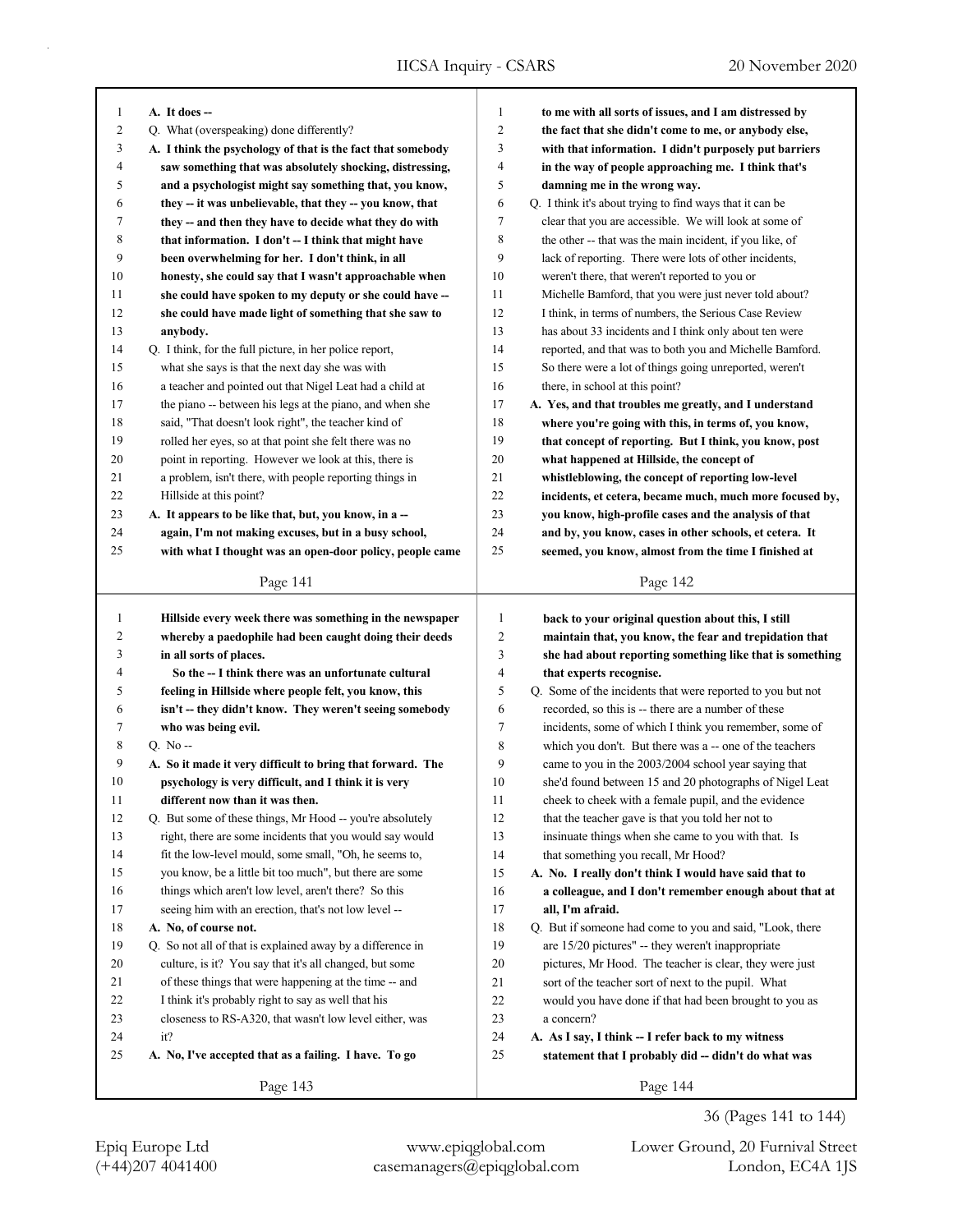| 1              | A. It does --                                               | $\mathbf{1}$   | to me with all sorts of issues, and I am distressed by     |
|----------------|-------------------------------------------------------------|----------------|------------------------------------------------------------|
| $\overline{2}$ | Q. What (overspeaking) done differently?                    | $\overline{c}$ | the fact that she didn't come to me, or anybody else,      |
| 3              | A. I think the psychology of that is the fact that somebody | 3              | with that information. I didn't purposely put barriers     |
| $\overline{4}$ | saw something that was absolutely shocking, distressing,    | 4              | in the way of people approaching me. I think that's        |
| 5              | and a psychologist might say something that, you know,      | 5              | damning me in the wrong way.                               |
| 6              | they -- it was unbelievable, that they -- you know, that    | 6              | Q. I think it's about trying to find ways that it can be   |
| 7              | they -- and then they have to decide what they do with      | 7              | clear that you are accessible. We will look at some of     |
| 8              | that information. I don't -- I think that might have        | 8              | the other -- that was the main incident, if you like, of   |
| 9              | been overwhelming for her. I don't think, in all            | 9              | lack of reporting. There were lots of other incidents,     |
| 10             | honesty, she could say that I wasn't approachable when      | 10             | weren't there, that weren't reported to you or             |
| 11             | she could have spoken to my deputy or she could have --     | 11             | Michelle Bamford, that you were just never told about?     |
| 12             | she could have made light of something that she saw to      | 12             | I think, in terms of numbers, the Serious Case Review      |
| 13             | anybody.                                                    | 13             | has about 33 incidents and I think only about ten were     |
| 14             | Q. I think, for the full picture, in her police report,     | 14             | reported, and that was to both you and Michelle Bamford.   |
| 15             | what she says is that the next day she was with             | 15             | So there were a lot of things going unreported, weren't    |
| 16             | a teacher and pointed out that Nigel Leat had a child at    | 16             | there, in school at this point?                            |
| 17             | the piano -- between his legs at the piano, and when she    | 17             | A. Yes, and that troubles me greatly, and I understand     |
| 18             | said, "That doesn't look right", the teacher kind of        | 18             | where you're going with this, in terms of, you know,       |
| 19             | rolled her eyes, so at that point she felt there was no     | 19             | that concept of reporting. But I think, you know, post     |
| 20             | point in reporting. However we look at this, there is       | 20             | what happened at Hillside, the concept of                  |
| 21             | a problem, isn't there, with people reporting things in     | 21             | whistleblowing, the concept of reporting low-level         |
| 22             | Hillside at this point?                                     | 22             | incidents, et cetera, became much, much more focused by,   |
| 23             | A. It appears to be like that, but, you know, in a --       | 23             | you know, high-profile cases and the analysis of that      |
| 24             | again, I'm not making excuses, but in a busy school,        | 24             | and by, you know, cases in other schools, et cetera. It    |
| 25             | with what I thought was an open-door policy, people came    | 25             | seemed, you know, almost from the time I finished at       |
|                |                                                             |                |                                                            |
|                | Page 141                                                    |                | Page 142                                                   |
|                |                                                             |                |                                                            |
|                |                                                             |                |                                                            |
| $\mathbf{1}$   | Hillside every week there was something in the newspaper    | $\mathbf{1}$   | back to your original question about this, I still         |
| $\overline{2}$ | whereby a paedophile had been caught doing their deeds      | $\overline{c}$ | maintain that, you know, the fear and trepidation that     |
| 3              | in all sorts of places.                                     | 3              | she had about reporting something like that is something   |
| $\overline{4}$ | So the -- I think there was an unfortunate cultural         | 4              | that experts recognise.                                    |
| 5              | feeling in Hillside where people felt, you know, this       | 5              | Q. Some of the incidents that were reported to you but not |
| 6              | isn't -- they didn't know. They weren't seeing somebody     | 6              | recorded, so this is -- there are a number of these        |
| 7              | who was being evil.                                         | $\tau$         | incidents, some of which I think you remember, some of     |
| 8              | $Q. No -$                                                   | 8              | which you don't. But there was a -- one of the teachers    |
| 9              | A. So it made it very difficult to bring that forward. The  | 9              | came to you in the 2003/2004 school year saying that       |
| 10             | psychology is very difficult, and I think it is very        | 10             | she'd found between 15 and 20 photographs of Nigel Leat    |
| 11             | different now than it was then.                             | 11             | cheek to cheek with a female pupil, and the evidence       |
| 12             | Q. But some of these things, Mr Hood -- you're absolutely   | 12             | that the teacher gave is that you told her not to          |
| 13             | right, there are some incidents that you would say would    | 13             | insinuate things when she came to you with that. Is        |
| 14             | fit the low-level mould, some small, "Oh, he seems to,      | 14             | that something you recall, Mr Hood?                        |
| 15             | you know, be a little bit too much", but there are some     | 15             | A. No. I really don't think I would have said that to      |
| 16             | things which aren't low level, aren't there? So this        | 16             | a colleague, and I don't remember enough about that at     |
| 17             | seeing him with an erection, that's not low level --        | 17             | all, I'm afraid.                                           |
| $18\,$         | A. No, of course not.                                       | 18             | Q. But if someone had come to you and said, "Look, there   |
| 19             | Q. So not all of that is explained away by a difference in  | 19             | are 15/20 pictures" -- they weren't inappropriate          |
| 20             | culture, is it? You say that it's all changed, but some     | 20             | pictures, Mr Hood. The teacher is clear, they were just    |
| 21             | of these things that were happening at the time -- and      | 21             | sort of the teacher sort of next to the pupil. What        |
| 22             | I think it's probably right to say as well that his         | $22\,$         | would you have done if that had been brought to you as     |
| 23             | closeness to RS-A320, that wasn't low level either, was     | 23             | a concern?                                                 |
| 24             | it?                                                         | $24\,$         | A. As I say, I think -- I refer back to my witness         |
| 25             | A. No, I've accepted that as a failing. I have. To go       | 25             | statement that I probably did -- didn't do what was        |

36 (Pages 141 to 144)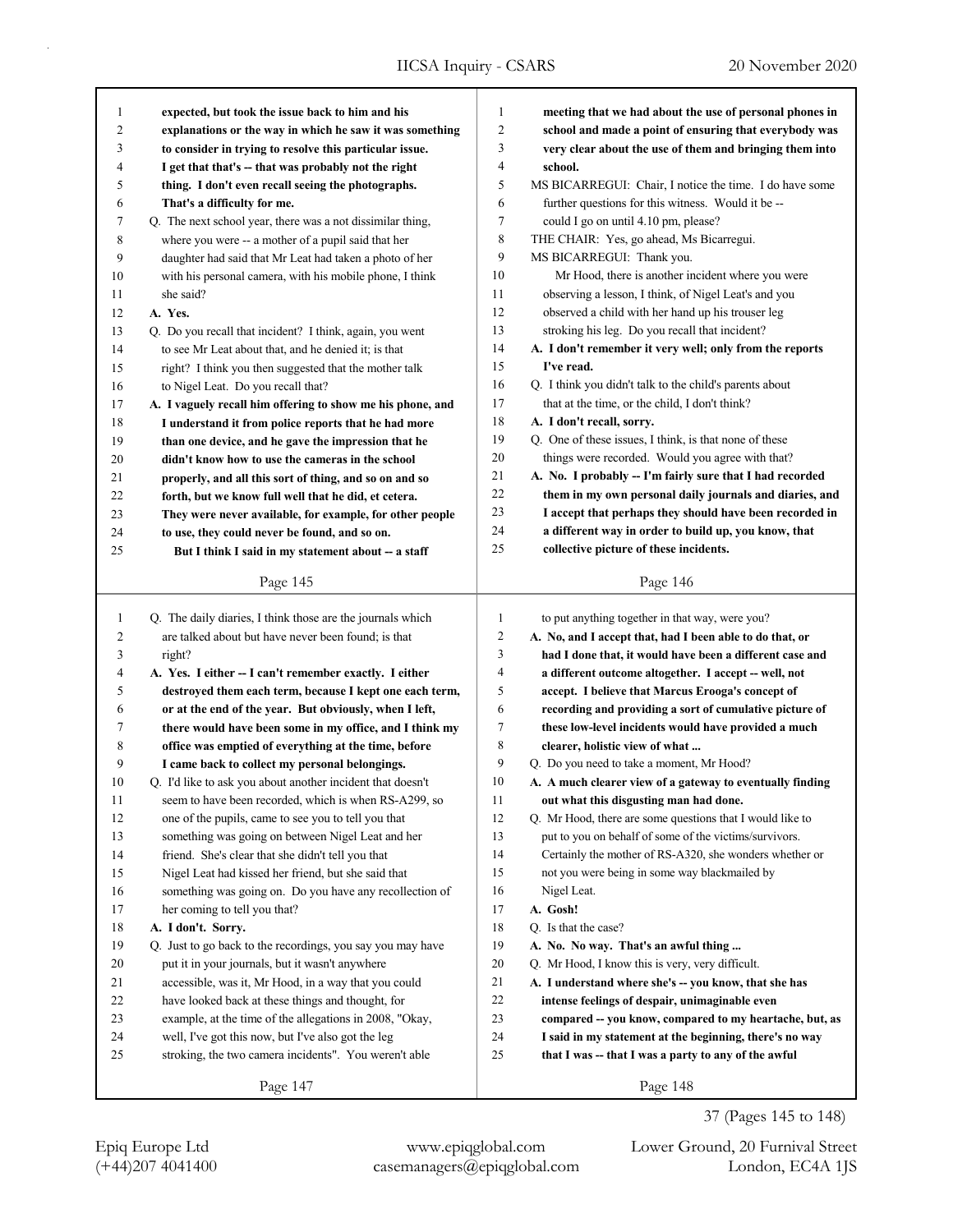| 1              | expected, but took the issue back to him and his           | $\mathbf{1}$ | meeting that we had about the use of personal phones in   |
|----------------|------------------------------------------------------------|--------------|-----------------------------------------------------------|
| $\overline{c}$ | explanations or the way in which he saw it was something   | 2            | school and made a point of ensuring that everybody was    |
| 3              | to consider in trying to resolve this particular issue.    | 3            | very clear about the use of them and bringing them into   |
| 4              | I get that that's -- that was probably not the right       | 4            | school.                                                   |
| 5              | thing. I don't even recall seeing the photographs.         | 5            | MS BICARREGUI: Chair, I notice the time. I do have some   |
| 6              | That's a difficulty for me.                                | 6            | further questions for this witness. Would it be --        |
| 7              | Q. The next school year, there was a not dissimilar thing, | 7            | could I go on until 4.10 pm, please?                      |
| 8              | where you were -- a mother of a pupil said that her        | 8            | THE CHAIR: Yes, go ahead, Ms Bicarregui.                  |
| 9              | daughter had said that Mr Leat had taken a photo of her    | 9            | MS BICARREGUI: Thank you.                                 |
| 10             | with his personal camera, with his mobile phone, I think   | 10           | Mr Hood, there is another incident where you were         |
| 11             | she said?                                                  | 11           | observing a lesson, I think, of Nigel Leat's and you      |
| 12             | A. Yes.                                                    | 12           | observed a child with her hand up his trouser leg         |
| 13             | Q. Do you recall that incident? I think, again, you went   | 13           | stroking his leg. Do you recall that incident?            |
| 14             | to see Mr Leat about that, and he denied it; is that       | 14           | A. I don't remember it very well; only from the reports   |
| 15             | right? I think you then suggested that the mother talk     | 15           | I've read.                                                |
| 16             | to Nigel Leat. Do you recall that?                         | 16           | Q. I think you didn't talk to the child's parents about   |
| 17             | A. I vaguely recall him offering to show me his phone, and | 17           | that at the time, or the child, I don't think?            |
| 18             | I understand it from police reports that he had more       | 18           | A. I don't recall, sorry.                                 |
| 19             | than one device, and he gave the impression that he        | 19           | Q. One of these issues, I think, is that none of these    |
| 20             | didn't know how to use the cameras in the school           | 20           | things were recorded. Would you agree with that?          |
| 21             | properly, and all this sort of thing, and so on and so     | 21           | A. No. I probably -- I'm fairly sure that I had recorded  |
| 22             | forth, but we know full well that he did, et cetera.       | 22           | them in my own personal daily journals and diaries, and   |
| 23             | They were never available, for example, for other people   | 23           | I accept that perhaps they should have been recorded in   |
| 24             | to use, they could never be found, and so on.              | 24           | a different way in order to build up, you know, that      |
| 25             | But I think I said in my statement about -- a staff        | 25           | collective picture of these incidents.                    |
|                |                                                            |              |                                                           |
|                | Page 145                                                   |              | Page 146                                                  |
| $\mathbf{1}$   | Q. The daily diaries, I think those are the journals which | $\mathbf{1}$ | to put anything together in that way, were you?           |
| 2              | are talked about but have never been found; is that        | 2            | A. No, and I accept that, had I been able to do that, or  |
| 3              | right?                                                     | 3            | had I done that, it would have been a different case and  |
| 4              | A. Yes. I either -- I can't remember exactly. I either     | 4            | a different outcome altogether. I accept -- well, not     |
| 5              | destroyed them each term, because I kept one each term,    | 5            | accept. I believe that Marcus Erooga's concept of         |
| 6              | or at the end of the year. But obviously, when I left,     | 6            | recording and providing a sort of cumulative picture of   |
| 7              | there would have been some in my office, and I think my    |              |                                                           |
| 8              |                                                            |              |                                                           |
|                |                                                            | 7            | these low-level incidents would have provided a much      |
|                | office was emptied of everything at the time, before       | 8            | clearer, holistic view of what                            |
| 9              | I came back to collect my personal belongings.             | 9            | Q. Do you need to take a moment, Mr Hood?                 |
| 10             | Q. I'd like to ask you about another incident that doesn't | 10           | A. A much clearer view of a gateway to eventually finding |
| 11             | seem to have been recorded, which is when RS-A299, so      | 11           | out what this disgusting man had done.                    |
| 12             | one of the pupils, came to see you to tell you that        | 12           | Q. Mr Hood, there are some questions that I would like to |
| 13             | something was going on between Nigel Leat and her          | 13           | put to you on behalf of some of the victims/survivors.    |
| 14             | friend. She's clear that she didn't tell you that          | 14           | Certainly the mother of RS-A320, she wonders whether or   |
| 15             | Nigel Leat had kissed her friend, but she said that        | 15           | not you were being in some way blackmailed by             |
| 16             | something was going on. Do you have any recollection of    | 16           | Nigel Leat.                                               |
| 17             | her coming to tell you that?                               | 17           | A. Gosh!                                                  |
| 18             | A. I don't. Sorry.                                         | $18\,$       | O. Is that the case?                                      |
| 19             | Q. Just to go back to the recordings, you say you may have | 19           | A. No. No way. That's an awful thing                      |
| 20             | put it in your journals, but it wasn't anywhere            | $20\,$       | Q. Mr Hood, I know this is very, very difficult.          |
| 21             | accessible, was it, Mr Hood, in a way that you could       | 21           | A. I understand where she's -- you know, that she has     |
| 22             | have looked back at these things and thought, for          | 22           | intense feelings of despair, unimaginable even            |
| 23             | example, at the time of the allegations in 2008, "Okay,    | 23           | compared -- you know, compared to my heartache, but, as   |
| 24             | well, I've got this now, but I've also got the leg         | 24           | I said in my statement at the beginning, there's no way   |
| 25             | stroking, the two camera incidents". You weren't able      | 25           | that I was -- that I was a party to any of the awful      |
|                | Page 147                                                   |              | Page 148                                                  |

Epiq Europe Ltd www.epiqglobal.com Lower Ground, 20 Furnival Street

37 (Pages 145 to 148)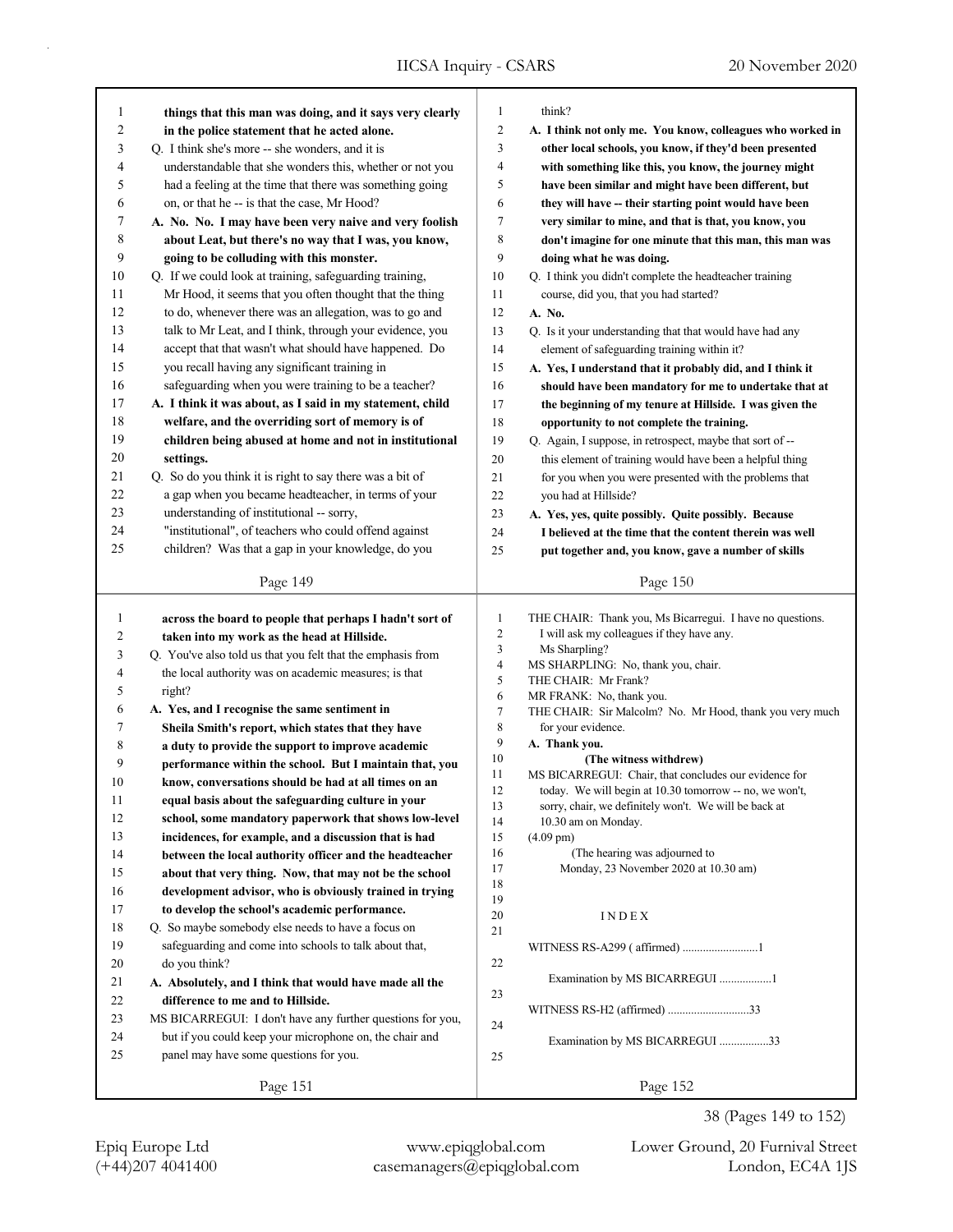| 1              | things that this man was doing, and it says very clearly    | $\mathbf{1}$                 | think?                                                                                                           |
|----------------|-------------------------------------------------------------|------------------------------|------------------------------------------------------------------------------------------------------------------|
| 2              | in the police statement that he acted alone.                | $\overline{c}$               | A. I think not only me. You know, colleagues who worked in                                                       |
| 3              | Q. I think she's more -- she wonders, and it is             | 3                            | other local schools, you know, if they'd been presented                                                          |
| 4              | understandable that she wonders this, whether or not you    | 4                            | with something like this, you know, the journey might                                                            |
| 5              | had a feeling at the time that there was something going    | 5                            | have been similar and might have been different, but                                                             |
| 6              | on, or that he -- is that the case, Mr Hood?                | 6                            | they will have -- their starting point would have been                                                           |
| 7              | A. No. No. I may have been very naive and very foolish      | $\tau$                       | very similar to mine, and that is that, you know, you                                                            |
| 8              | about Leat, but there's no way that I was, you know,        | $\,$ 8 $\,$                  | don't imagine for one minute that this man, this man was                                                         |
| 9              | going to be colluding with this monster.                    | 9                            | doing what he was doing.                                                                                         |
| 10             | Q. If we could look at training, safeguarding training,     | 10                           | Q. I think you didn't complete the headteacher training                                                          |
| 11             | Mr Hood, it seems that you often thought that the thing     | 11                           | course, did you, that you had started?                                                                           |
| 12             | to do, whenever there was an allegation, was to go and      | 12                           | A. No.                                                                                                           |
| 13             | talk to Mr Leat, and I think, through your evidence, you    | 13                           | Q. Is it your understanding that that would have had any                                                         |
| 14             | accept that that wasn't what should have happened. Do       | 14                           | element of safeguarding training within it?                                                                      |
| 15             | you recall having any significant training in               | 15                           | A. Yes, I understand that it probably did, and I think it                                                        |
| 16             | safeguarding when you were training to be a teacher?        | 16                           | should have been mandatory for me to undertake that at                                                           |
| 17             | A. I think it was about, as I said in my statement, child   | 17                           | the beginning of my tenure at Hillside. I was given the                                                          |
| 18             | welfare, and the overriding sort of memory is of            | 18                           | opportunity to not complete the training.                                                                        |
| 19             | children being abused at home and not in institutional      | 19                           | Q. Again, I suppose, in retrospect, maybe that sort of --                                                        |
| 20             | settings.                                                   | 20                           | this element of training would have been a helpful thing                                                         |
| 21             | Q. So do you think it is right to say there was a bit of    | 21                           | for you when you were presented with the problems that                                                           |
| 22             | a gap when you became headteacher, in terms of your         | 22                           | you had at Hillside?                                                                                             |
| 23             | understanding of institutional -- sorry,                    | 23                           | A. Yes, yes, quite possibly. Quite possibly. Because                                                             |
| 24             | "institutional", of teachers who could offend against       | 24                           | I believed at the time that the content therein was well                                                         |
| 25             | children? Was that a gap in your knowledge, do you          | 25                           | put together and, you know, gave a number of skills                                                              |
|                |                                                             |                              |                                                                                                                  |
|                | Page 149                                                    |                              | Page 150                                                                                                         |
|                |                                                             |                              |                                                                                                                  |
|                |                                                             |                              |                                                                                                                  |
| $\mathbf{1}$   | across the board to people that perhaps I hadn't sort of    | $\mathbf{1}$                 | THE CHAIR: Thank you, Ms Bicarregui. I have no questions.                                                        |
| $\overline{c}$ | taken into my work as the head at Hillside.                 | $\overline{c}$               | I will ask my colleagues if they have any.                                                                       |
| 3              | Q. You've also told us that you felt that the emphasis from | 3<br>$\overline{\mathbf{4}}$ | Ms Sharpling?                                                                                                    |
| 4              | the local authority was on academic measures; is that       | 5                            | MS SHARPLING: No, thank you, chair.<br>THE CHAIR: Mr Frank?                                                      |
| 5              | right?                                                      | 6                            | MR FRANK: No, thank you.                                                                                         |
| 6              | A. Yes, and I recognise the same sentiment in               | $\boldsymbol{7}$             | THE CHAIR: Sir Malcolm? No. Mr Hood, thank you very much                                                         |
| 7              | Sheila Smith's report, which states that they have          | 8                            | for your evidence.                                                                                               |
| 8              | a duty to provide the support to improve academic           | 9                            | A. Thank you.                                                                                                    |
| 9              | performance within the school. But I maintain that, you     | $10\,$                       | (The witness withdrew)                                                                                           |
| 10             | know, conversations should be had at all times on an        | 11<br>12                     | MS BICARREGUI: Chair, that concludes our evidence for<br>today. We will begin at 10.30 tomorrow -- no, we won't, |
| $1\,1$         | equal basis about the safeguarding culture in your          | 13                           | sorry, chair, we definitely won't. We will be back at                                                            |
| 12             | school, some mandatory paperwork that shows low-level       | 14                           | 10.30 am on Monday.                                                                                              |
| 13             | incidences, for example, and a discussion that is had       | 15                           | $(4.09 \text{ pm})$                                                                                              |
| 14             | between the local authority officer and the headteacher     | 16                           | (The hearing was adjourned to                                                                                    |
| 15             | about that very thing. Now, that may not be the school      | 17                           | Monday, 23 November 2020 at 10.30 am)                                                                            |
| 16             | development advisor, who is obviously trained in trying     | 18                           |                                                                                                                  |
| 17             | to develop the school's academic performance.               | 19<br>20                     | INDEX                                                                                                            |
| 18             | Q. So maybe somebody else needs to have a focus on          | 21                           |                                                                                                                  |
| 19             | safeguarding and come into schools to talk about that,      |                              | WITNESS RS-A299 (affirmed) 1                                                                                     |
| 20             | do you think?                                               | 22                           |                                                                                                                  |
| 21             | A. Absolutely, and I think that would have made all the     |                              | Examination by MS BICARREGUI 1                                                                                   |
| 22             | difference to me and to Hillside.                           | 23                           |                                                                                                                  |
| 23             | MS BICARREGUI: I don't have any further questions for you,  |                              | WITNESS RS-H2 (affirmed) 33                                                                                      |
| 24             | but if you could keep your microphone on, the chair and     | 24                           | Examination by MS BICARREGUI 33                                                                                  |
| 25             | panel may have some questions for you.                      | 25                           |                                                                                                                  |
|                | Page 151                                                    |                              | Page 152                                                                                                         |

38 (Pages 149 to 152)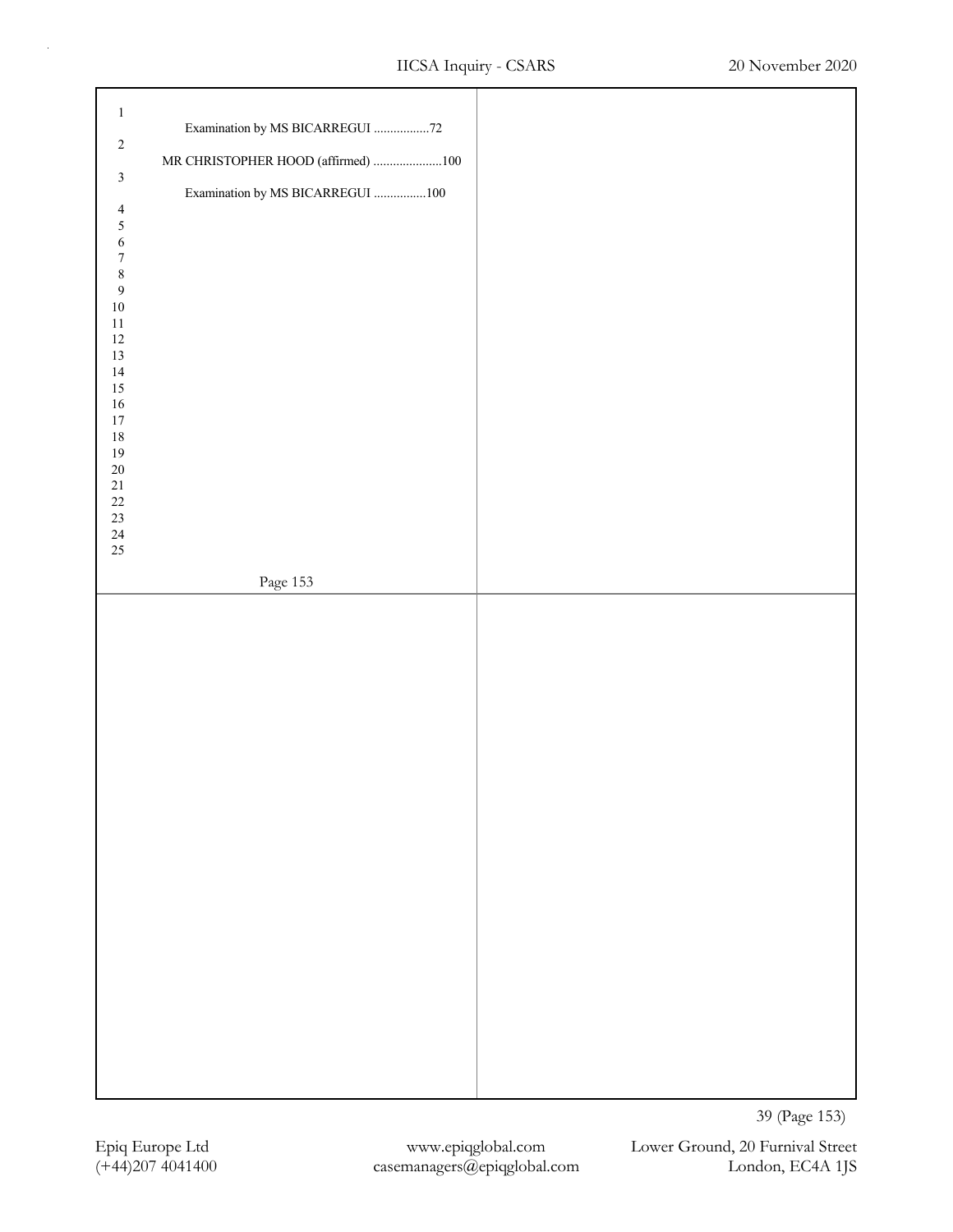| $\mathbf{1}$<br>Examination by MS BICARREGUI 72<br>$\sqrt{2}$<br>MR CHRISTOPHER HOOD (affirmed) 100<br>$\mathfrak z$<br>Examination by MS BICARREGUI 100<br>$\overline{4}$<br>5<br>6<br>$\boldsymbol{7}$<br>$\,$ 8 $\,$<br>$\boldsymbol{9}$<br>$10\,$<br>$11\,$<br>$12\,$<br>$13\,$<br>14<br>$15\,$<br>$16\,$<br>$17\,$<br>$18\,$<br>$19\,$<br>$20\,$<br>$21\,$<br>$22\,$<br>$23\,$<br>$24\,$<br>25<br>Page $153\,$ |               |
|---------------------------------------------------------------------------------------------------------------------------------------------------------------------------------------------------------------------------------------------------------------------------------------------------------------------------------------------------------------------------------------------------------------------|---------------|
|                                                                                                                                                                                                                                                                                                                                                                                                                     |               |
|                                                                                                                                                                                                                                                                                                                                                                                                                     | 39 (Page 153) |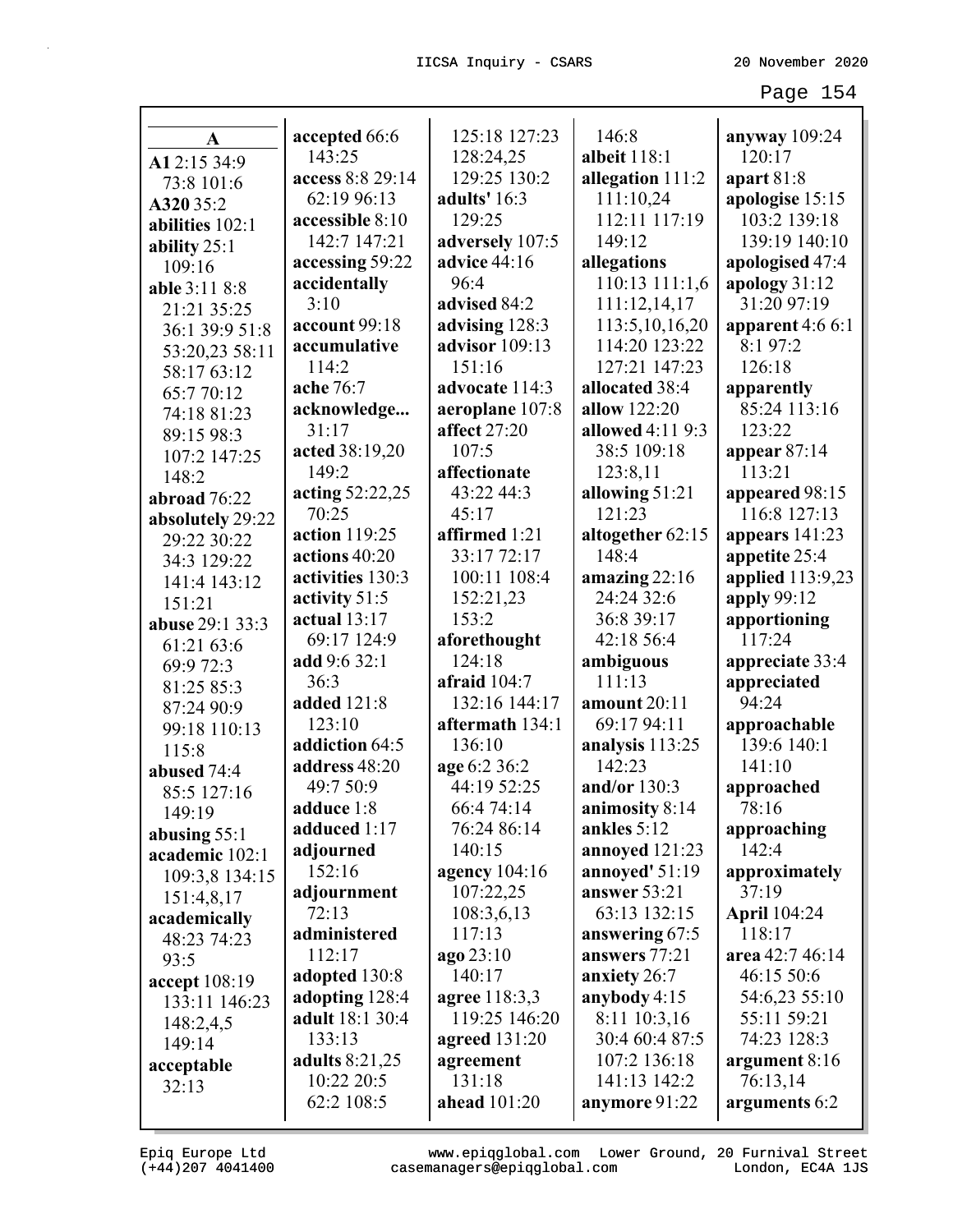| A                | accepted 66:6         | 125:18 127:23       | 146:8             | anyway $109:24$     |
|------------------|-----------------------|---------------------|-------------------|---------------------|
| A12:15 34:9      | 143:25                | 128:24,25           | albeit 118:1      | 120:17              |
| 73:8 101:6       | access 8:8 29:14      | 129:25 130:2        | allegation 111:2  | apart $81:8$        |
| A320 35:2        | 62:19 96:13           | adults' 16:3        | 111:10,24         | apologise 15:15     |
| abilities 102:1  | accessible 8:10       | 129:25              | 112:11 117:19     | 103:2 139:18        |
| ability $25:1$   | 142:7 147:21          | adversely 107:5     | 149:12            | 139:19 140:10       |
| 109:16           | accessing 59:22       | advice 44:16        | allegations       | apologised 47:4     |
| able 3:11 8:8    | accidentally          | 96:4                | 110:13 111:1,6    | apology 31:12       |
| 21:21 35:25      | 3:10                  | advised 84:2        | 111:12,14,17      | 31:20 97:19         |
| 36:1 39:9 51:8   | account 99:18         | advising 128:3      | 113:5, 10, 16, 20 | apparent 4:6 6:1    |
| 53:20,23 58:11   | accumulative          | advisor 109:13      | 114:20 123:22     | 8:1 97:2            |
| 58:17 63:12      | 114:2                 | 151:16              | 127:21 147:23     | 126:18              |
| 65:7 70:12       | ache 76:7             | advocate 114:3      | allocated 38:4    | apparently          |
| 74:18 81:23      | acknowledge           | aeroplane 107:8     | allow 122:20      | 85:24 113:16        |
| 89:15 98:3       | 31:17                 | affect 27:20        | allowed 4:11 9:3  | 123:22              |
| 107:2 147:25     | acted 38:19,20        | 107:5               | 38:5 109:18       | appear $87:14$      |
| 148:2            | 149:2                 | affectionate        | 123:8,11          | 113:21              |
| abroad 76:22     | acting 52:22,25       | 43:22 44:3          | allowing 51:21    | appeared 98:15      |
| absolutely 29:22 | 70:25                 | 45:17               | 121:23            | 116:8 127:13        |
| 29:22 30:22      | action 119:25         | affirmed 1:21       | altogether 62:15  | appears 141:23      |
| 34:3 129:22      | actions 40:20         | 33:17 72:17         | 148:4             | appetite 25:4       |
| 141:4 143:12     | activities 130:3      | 100:11 108:4        | amazing 22:16     | applied 113:9,23    |
| 151:21           | activity 51:5         | 152:21,23           | 24:24 32:6        | apply 99:12         |
| abuse 29:1 33:3  | actual $13:17$        | 153:2               | 36:8 39:17        | apportioning        |
| 61:21 63:6       | 69:17 124:9           | aforethought        | 42:18 56:4        | 117:24              |
| 69:9 72:3        | add 9:6 32:1          | 124:18              | ambiguous         | appreciate 33:4     |
| 81:25 85:3       | 36:3                  | afraid $104:7$      | 111:13            | appreciated         |
| 87:24 90:9       | added 121:8           | 132:16 144:17       | amount 20:11      | 94:24               |
| 99:18 110:13     | 123:10                | aftermath 134:1     | 69:17 94:11       | approachable        |
| 115:8            | addiction 64:5        | 136:10              | analysis 113:25   | 139:6 140:1         |
| abused 74:4      | address 48:20         | age 6:2 36:2        | 142:23            | 141:10              |
| 85:5 127:16      | 49:7 50:9             | 44:19 52:25         | and/or 130:3      | approached          |
| 149:19           | adduce 1:8            | 66:4 74:14          | animosity 8:14    | 78:16               |
| abusing $55:1$   | adduced 1:17          | 76:24 86:14         | ankles 5:12       | approaching         |
| academic 102:1   | adjourned             | 140:15              | annoyed 121:23    | 142:4               |
| 109:3,8 134:15   | 152:16                | agency 104:16       | annoyed' $51:19$  | approximately       |
| 151:4,8,17       | adjournment           | 107:22,25           | answer 53:21      | 37:19               |
| academically     | 72:13                 | 108:3,6,13          | 63:13 132:15      | <b>April</b> 104:24 |
| 48:23 74:23      | administered          | 117:13              | answering 67:5    | 118:17              |
| 93:5             | 112:17                | ago 23:10           | answers 77:21     | area 42:7 46:14     |
| accept 108:19    | adopted 130:8         | 140:17              | anxiety 26:7      | 46:15 50:6          |
| 133:11 146:23    | adopting 128:4        | agree 118:3,3       | anybody 4:15      | 54:6,23 55:10       |
| 148:2,4,5        | adult 18:1 30:4       | 119:25 146:20       | 8:11 10:3,16      | 55:11 59:21         |
| 149:14           | 133:13                | agreed $131:20$     | 30:4 60:4 87:5    | 74:23 128:3         |
| acceptable       | <b>adults</b> 8:21,25 | agreement           | 107:2 136:18      | argument 8:16       |
| 32:13            | 10:22 20:5            | 131:18              | 141:13 142:2      | 76:13,14            |
|                  | 62:2 108:5            | <b>ahead</b> 101:20 | anymore 91:22     | arguments 6:2       |
|                  |                       |                     |                   |                     |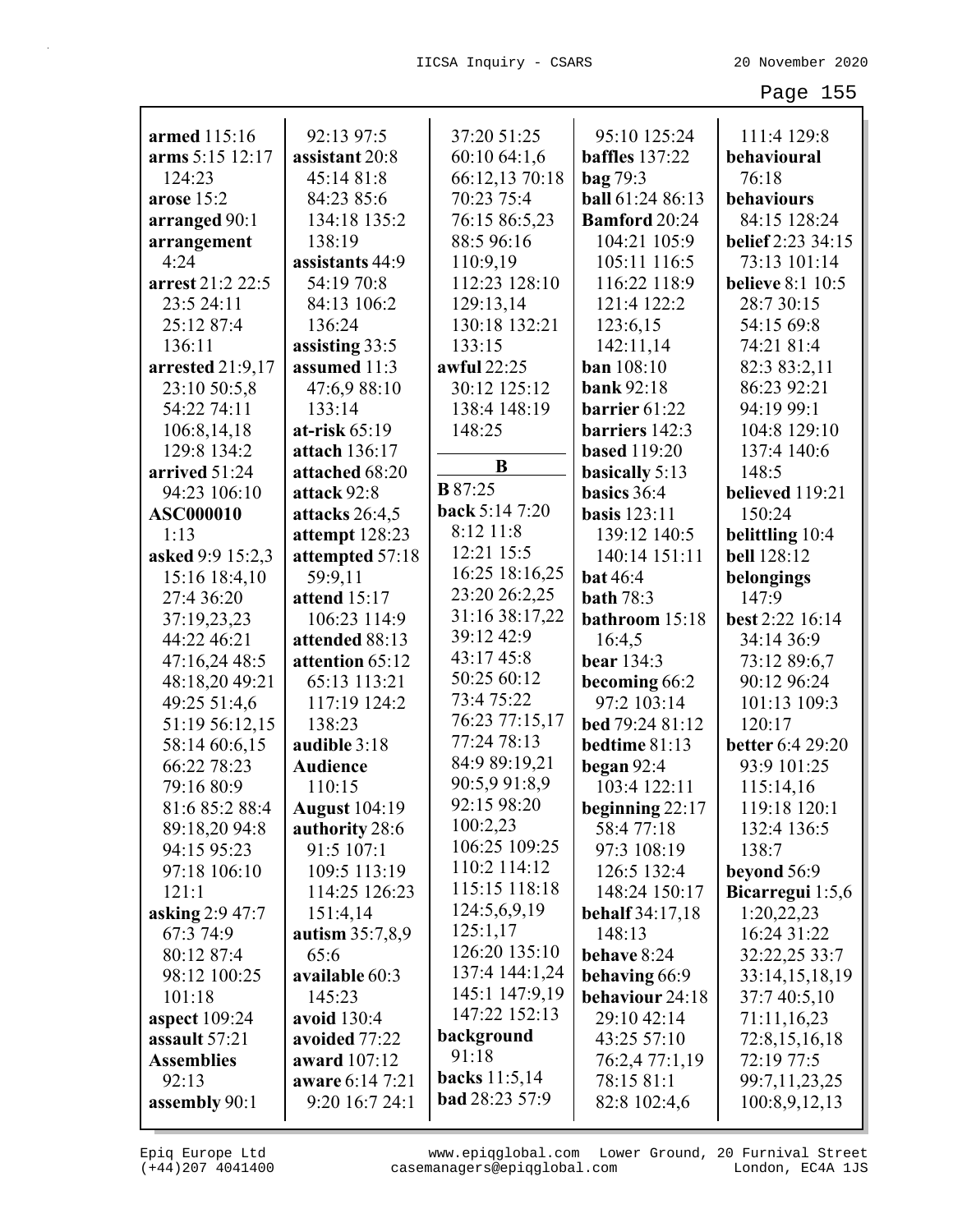| armed 115:16         | 92:13 97:5           | 37:20 51:25     | 95:10 125:24            | 111:4 129:8             |
|----------------------|----------------------|-----------------|-------------------------|-------------------------|
| arms 5:15 12:17      | assistant 20:8       | 60:10 64:1,6    | <b>baffles</b> 137:22   | behavioural             |
| 124:23               | 45:14 81:8           | 66:12,13 70:18  | bag 79:3                | 76:18                   |
| arose 15:2           | 84:23 85:6           | 70:23 75:4      | <b>ball</b> 61:24 86:13 | behaviours              |
| arranged 90:1        | 134:18 135:2         | 76:15 86:5,23   | <b>Bamford</b> 20:24    | 84:15 128:24            |
| arrangement          | 138:19               | 88:5 96:16      | 104:21 105:9            | belief 2:23 34:15       |
| 4:24                 | assistants 44:9      | 110:9,19        | 105:11 116:5            | 73:13 101:14            |
| arrest 21:2 22:5     | 54:19 70:8           | 112:23 128:10   | 116:22 118:9            | <b>believe 8:1 10:5</b> |
| 23:5 24:11           | 84:13 106:2          | 129:13,14       | 121:4 122:2             | 28:7 30:15              |
| 25:12 87:4           | 136:24               | 130:18 132:21   | 123:6,15                | 54:15 69:8              |
| 136:11               | assisting 33:5       | 133:15          | 142:11,14               | 74:21 81:4              |
| arrested 21:9,17     | assumed 11:3         | awful 22:25     | <b>ban</b> 108:10       | 82:3 83:2,11            |
| 23:10 50:5,8         | 47:6,9 88:10         | 30:12 125:12    | <b>bank</b> 92:18       | 86:23 92:21             |
| 54:22 74:11          | 133:14               | 138:4 148:19    | barrier 61:22           | 94:19 99:1              |
| 106:8,14,18          | at-risk 65:19        | 148:25          | barriers 142:3          | 104:8 129:10            |
| 129:8 134:2          | attach 136:17        |                 | <b>based</b> 119:20     | 137:4 140:6             |
| arrived 51:24        | attached 68:20       | B               | basically 5:13          | 148:5                   |
| 94:23 106:10         | attack 92:8          | <b>B</b> 87:25  | basics 36:4             | believed 119:21         |
| <b>ASC000010</b>     | attacks 26:4,5       | back 5:14 7:20  | <b>basis</b> 123:11     | 150:24                  |
| 1:13                 | attempt 128:23       | 8:12 11:8       | 139:12 140:5            | belittling 10:4         |
| asked 9:9 15:2,3     | attempted 57:18      | 12:21 15:5      | 140:14 151:11           | <b>bell</b> 128:12      |
| 15:16 18:4,10        | 59:9,11              | 16:25 18:16,25  | <b>bat</b> 46:4         | belongings              |
| 27:4 36:20           | attend 15:17         | 23:20 26:2,25   | <b>bath</b> 78:3        | 147:9                   |
| 37:19,23,23          | 106:23 114:9         | 31:16 38:17,22  | bathroom 15:18          | best 2:22 16:14         |
| 44:22 46:21          | attended 88:13       | 39:12 42:9      | 16:4,5                  | 34:14 36:9              |
| 47:16,24 48:5        | attention 65:12      | 43:17 45:8      | <b>bear</b> 134:3       | 73:12 89:6,7            |
| 48:18,20 49:21       | 65:13 113:21         | 50:25 60:12     | becoming 66:2           | 90:12 96:24             |
| 49:25 51:4,6         | 117:19 124:2         | 73:4 75:22      | 97:2 103:14             | 101:13 109:3            |
| 51:19 56:12,15       | 138:23               | 76:23 77:15,17  | bed 79:24 81:12         | 120:17                  |
| 58:14 60:6,15        | audible 3:18         | 77:24 78:13     | bedtime 81:13           | <b>better</b> 6:4 29:20 |
| 66:22 78:23          | <b>Audience</b>      | 84:9 89:19,21   | began $92:4$            | 93:9 101:25             |
| 79:16 80:9           | 110:15               | 90:5,9 91:8,9   | 103:4 122:11            | 115:14,16               |
| 81:6 85:2 88:4       | <b>August</b> 104:19 | 92:15 98:20     | beginning $22:17$       | 119:18 120:1            |
| 89:18,20 94:8        | authority 28:6       | 100:2,23        | 58:477:18               | 132:4 136:5             |
| 94:15 95:23          | 91:5 107:1           | 106:25 109:25   | 97:3 108:19             | 138:7                   |
| 97:18 106:10         | 109:5 113:19         | 110:2 114:12    | 126:5 132:4             | beyond 56:9             |
| 121:1                | 114:25 126:23        | 115:15 118:18   | 148:24 150:17           | Bicarregui 1:5,6        |
| asking 2:9 47:7      | 151:4,14             | 124:5,6,9,19    | <b>behalf</b> 34:17,18  | 1:20,22,23              |
| 67:3 74:9            | autism 35:7,8,9      | 125:1,17        | 148:13                  | 16:24 31:22             |
| 80:12 87:4           | 65:6                 | 126:20 135:10   | behave 8:24             | 32:22,25 33:7           |
| 98:12 100:25         | available 60:3       | 137:4 144:1,24  | behaving 66:9           | 33:14,15,18,19          |
| 101:18               | 145:23               | 145:1 147:9,19  | behaviour 24:18         | 37:7 40:5,10            |
| <b>aspect</b> 109:24 | avoid 130:4          | 147:22 152:13   | 29:10 42:14             | 71:11,16,23             |
| assault 57:21        | avoided 77:22        | background      | 43:25 57:10             | 72:8,15,16,18           |
| <b>Assemblies</b>    | award 107:12         | 91:18           | 76:2,4 77:1,19          | 72:19 77:5              |
| 92:13                | aware 6:14 7:21      | backs $11:5,14$ | 78:15 81:1              | 99:7,11,23,25           |
| assembly 90:1        | 9:20 16:7 24:1       | bad 28:23 57:9  | 82:8 102:4,6            | 100:8,9,12,13           |

(+44)207 4041400 casemanagers@epiqglobal.com London, EC4A 1JS www.epiqglobal.com Lower Ground, 20 Furnival Street

л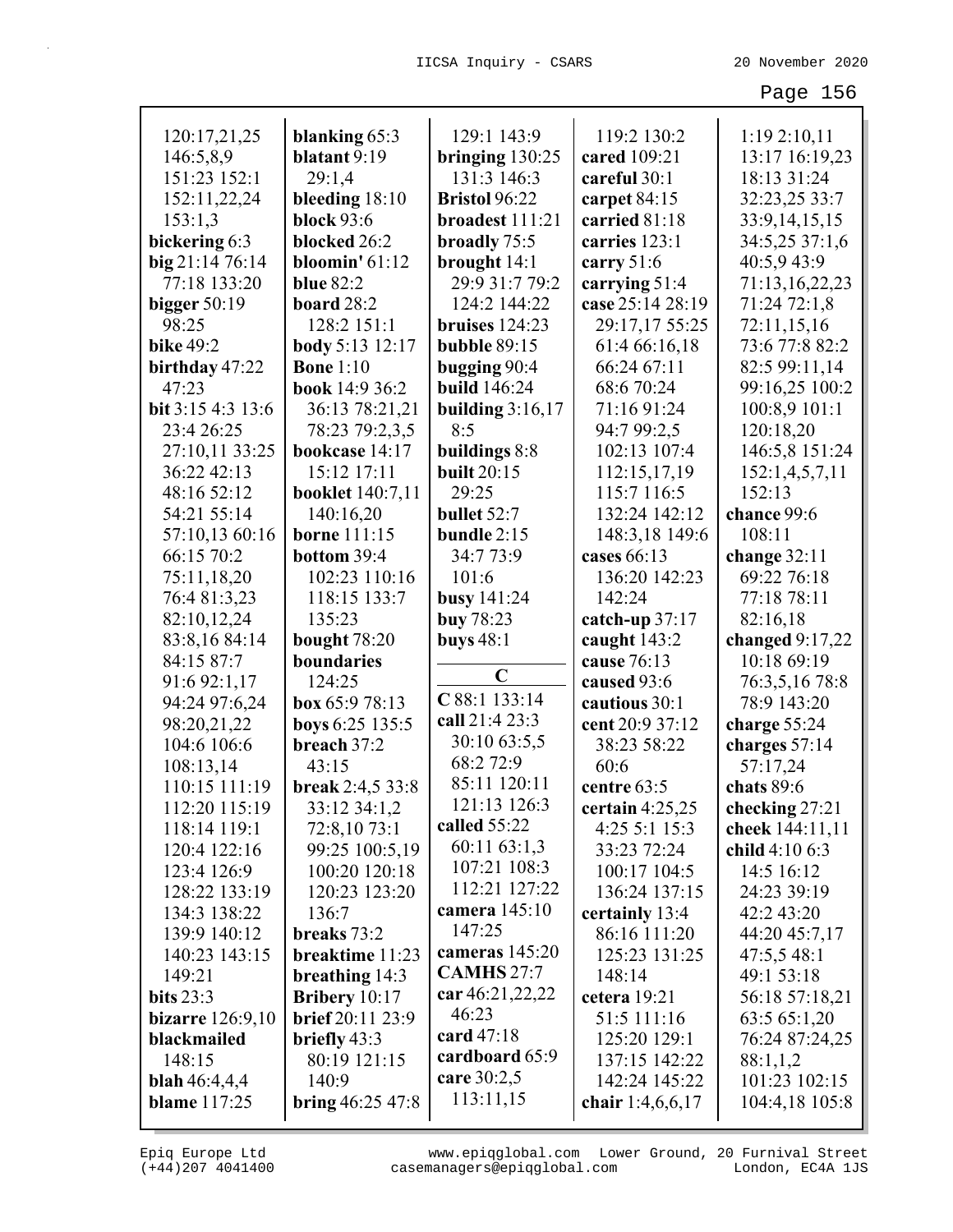| 120:17,21,25         | blanking 65:3              | 129:1 143:9                         | 119:2 130:2       | 1:19 2:10,11          |
|----------------------|----------------------------|-------------------------------------|-------------------|-----------------------|
| 146:5,8,9            | blatant 9:19               | bringing $130:25$                   | cared 109:21      | 13:17 16:19,23        |
| 151:23 152:1         | 29:1,4                     | 131:3 146:3                         | careful 30:1      | 18:13 31:24           |
| 152:11,22,24         | bleeding 18:10             | <b>Bristol</b> 96:22                | carpet 84:15      | 32:23,25 33:7         |
| 153:1,3              | <b>block</b> 93:6          | broadest 111:21                     | carried 81:18     | 33:9,14,15,15         |
| bickering 6:3        | blocked 26:2               | broadly 75:5                        | carries 123:1     | 34:5,25 37:1,6        |
| big 21:14 76:14      | bloomin' $61:12$           | brought 14:1                        | carry 51:6        | 40:5,9 43:9           |
| 77:18 133:20         | <b>blue 82:2</b>           | 29:9 31:7 79:2                      | carrying 51:4     | 71:13,16,22,23        |
| bigger $50:19$       | board 28:2                 | 124:2 144:22                        | case 25:14 28:19  | 71:24 72:1,8          |
| 98:25                | 128:2 151:1                | bruises $124:23$                    | 29:17,17 55:25    | 72:11,15,16           |
| <b>bike 49:2</b>     | <b>body</b> 5:13 12:17     | <b>bubble 89:15</b>                 | 61:4 66:16,18     | 73:6 77:8 82:2        |
| birthday 47:22       | <b>Bone 1:10</b>           | bugging 90:4                        | 66:24 67:11       | 82:5 99:11,14         |
| 47:23                | book 14:9 36:2             | <b>build</b> 146:24                 | 68:6 70:24        | 99:16,25 100:2        |
| bit 3:15 4:3 13:6    | 36:13 78:21,21             | building $3:16,17$                  | 71:16 91:24       | 100:8,9 101:1         |
| 23:4 26:25           | 78:23 79:2,3,5             | 8:5                                 | 94:7 99:2,5       | 120:18,20             |
| 27:10,11 33:25       | bookcase 14:17             | buildings 8:8                       | 102:13 107:4      | 146:5,8 151:24        |
| 36:22 42:13          | 15:12 17:11                | <b>built</b> 20:15                  | 112:15,17,19      | 152:1,4,5,7,11        |
| 48:16 52:12          |                            | 29:25                               | 115:7 116:5       | 152:13                |
| 54:21 55:14          | <b>booklet</b> 140:7,11    |                                     | 132:24 142:12     |                       |
|                      | 140:16,20                  | bullet 52:7                         |                   | chance 99:6<br>108:11 |
| 57:10,13 60:16       | <b>borne</b> 111:15        | bundle $2:15$<br>34:7 73:9          | 148:3,18 149:6    |                       |
| 66:15 70:2           | bottom 39:4                |                                     | cases 66:13       | change $32:11$        |
| 75:11,18,20          | 102:23 110:16              | 101:6                               | 136:20 142:23     | 69:22 76:18           |
| 76:4 81:3,23         | 118:15 133:7               | <b>busy</b> 141:24                  | 142:24            | 77:18 78:11           |
| 82:10,12,24          | 135:23                     | <b>buy</b> 78:23                    | catch-up 37:17    | 82:16,18              |
| 83:8,16 84:14        | bought 78:20               | buys $48:1$                         | caught 143:2      | changed $9:17,22$     |
| 84:15 87:7           | boundaries                 | $\mathbf C$                         | cause 76:13       | 10:18 69:19           |
| 91:6 92:1,17         | 124:25                     | C 88:1 133:14                       | caused 93:6       | 76:3,5,16 78:8        |
| 94:24 97:6,24        | box 65:9 78:13             | call 21:4 23:3                      | cautious 30:1     | 78:9 143:20           |
| 98:20,21,22          | boys 6:25 135:5            | 30:10 63:5,5                        | cent 20:9 37:12   | charge 55:24          |
| 104:6 106:6          | breach 37:2                | 68:2 72:9                           | 38:23 58:22       | charges 57:14         |
| 108:13,14            | 43:15                      | 85:11 120:11                        | 60:6              | 57:17,24              |
| 110:15 111:19        | break 2:4,5 33:8           | 121:13 126:3                        | centre 63:5       | chats 89:6            |
| 112:20 115:19        | 33:12 34:1,2               | called 55:22                        | certain $4:25,25$ | checking 27:21        |
| 118:14 119:1         | 72:8,10 73:1               | 60:11 63:1,3                        | 4:25 5:1 15:3     | cheek 144:11,11       |
| 120:4 122:16         | 99:25 100:5,19             | 107:21 108:3                        | 33:23 72:24       | child 4:10 6:3        |
| 123:4 126:9          | 100:20 120:18              | 112:21 127:22                       | 100:17 104:5      | 14:5 16:12            |
| 128:22 133:19        | 120:23 123:20              | camera 145:10                       | 136:24 137:15     | 24:23 39:19           |
| 134:3 138:22         | 136:7                      | 147:25                              | certainly 13:4    | 42:2 43:20            |
| 139:9 140:12         | breaks 73:2                |                                     | 86:16 111:20      | 44:20 45:7,17         |
| 140:23 143:15        | breaktime 11:23            | cameras 145:20<br><b>CAMHS 27:7</b> | 125:23 131:25     | 47:5,548:1            |
| 149:21               | breathing $14:3$           |                                     | 148:14            | 49:1 53:18            |
| bits $23:3$          | Bribery $10:17$            | car 46:21,22,22                     | cetera 19:21      | 56:18 57:18,21        |
| bizarre $126:9,10$   | <b>brief</b> 20:11 23:9    | 46:23                               | 51:5 111:16       | 63:5 65:1,20          |
| blackmailed          | briefly 43:3               | card $47:18$                        | 125:20 129:1      | 76:24 87:24,25        |
| 148:15               | 80:19 121:15               | cardboard 65:9                      | 137:15 142:22     | 88:1,1,2              |
| <b>blah</b> 46:4,4,4 | 140:9                      | care 30:2,5                         | 142:24 145:22     | 101:23 102:15         |
| <b>blame</b> 117:25  | <b>bring</b> $46:25\,47:8$ | 113:11,15                           | chair 1:4,6,6,17  | 104:4,18 105:8        |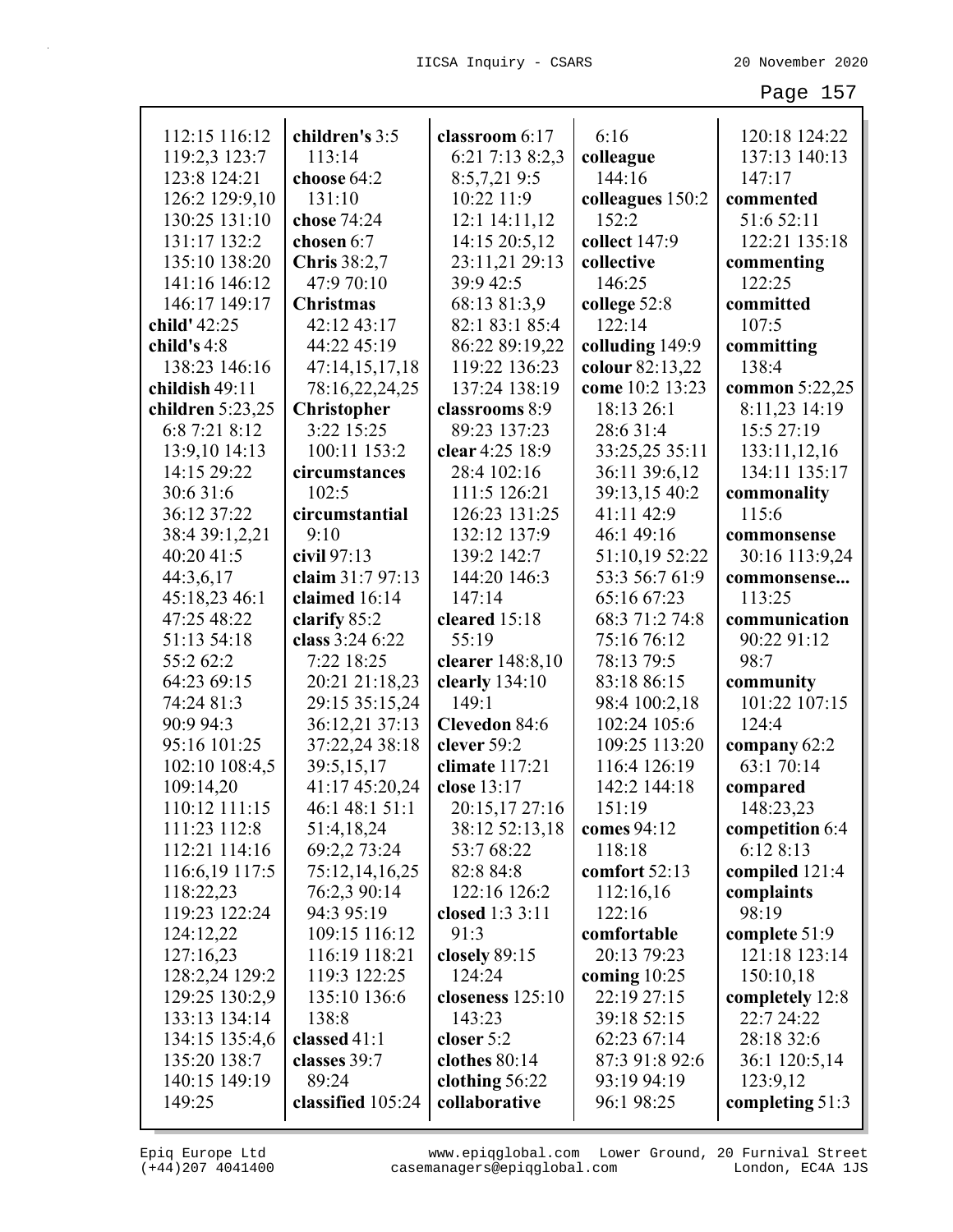| 112:15 116:12      | children's 3:5      | classroom 6:17       | 6:16             | 120:18 124:22   |
|--------------------|---------------------|----------------------|------------------|-----------------|
| 119:2,3 123:7      | 113:14              | 6:21 7:13 8:2,3      | colleague        | 137:13 140:13   |
| 123:8 124:21       | choose 64:2         | 8:5,7,219:5          | 144:16           | 147:17          |
| 126:2 129:9,10     | 131:10              | 10:22 11:9           | colleagues 150:2 | commented       |
| 130:25 131:10      | chose 74:24         | 12:1 14:11,12        | 152:2            | 51:6 52:11      |
| 131:17 132:2       | chosen 6:7          | 14:15 20:5,12        | collect 147:9    | 122:21 135:18   |
| 135:10 138:20      | <b>Chris</b> 38:2,7 | 23:11,21 29:13       | collective       | commenting      |
| 141:16 146:12      | 47:9 70:10          | 39:9 42:5            | 146:25           | 122:25          |
| 146:17 149:17      | <b>Christmas</b>    | 68:13 81:3,9         | college 52:8     | committed       |
| child' 42:25       | 42:12 43:17         | 82:1 83:1 85:4       | 122:14           | 107:5           |
| child's $4:8$      | 44:22 45:19         | 86:22 89:19,22       | colluding 149:9  | committing      |
| 138:23 146:16      | 47:14,15,17,18      | 119:22 136:23        | colour 82:13,22  | 138:4           |
| childish 49:11     | 78:16,22,24,25      | 137:24 138:19        | come 10:2 13:23  | common 5:22,25  |
| children $5:23,25$ | <b>Christopher</b>  | classrooms 8:9       | 18:13 26:1       | 8:11,23 14:19   |
| 6:8 7:21 8:12      | 3:22 15:25          | 89:23 137:23         | 28:6 31:4        | 15:5 27:19      |
| 13:9,10 14:13      | 100:11 153:2        | clear 4:25 18:9      | 33:25,25 35:11   | 133:11,12,16    |
| 14:15 29:22        | circumstances       | 28:4 102:16          | 36:11 39:6,12    | 134:11 135:17   |
| 30:6 31:6          | 102:5               | 111:5 126:21         | 39:13,15 40:2    | commonality     |
| 36:12 37:22        | circumstantial      | 126:23 131:25        | 41:11 42:9       | 115:6           |
| 38:4 39:1,2,21     | 9:10                | 132:12 137:9         | 46:1 49:16       | commonsense     |
| 40:20 41:5         | civil $97:13$       | 139:2 142:7          | 51:10,19 52:22   | 30:16 113:9,24  |
| 44:3,6,17          | claim 31:7 97:13    | 144:20 146:3         | 53:3 56:7 61:9   | commonsense     |
| 45:18,23 46:1      | claimed 16:14       | 147:14               | 65:16 67:23      | 113:25          |
| 47:25 48:22        | clarify 85:2        | cleared 15:18        | 68:3 71:2 74:8   | communication   |
| 51:13 54:18        | class 3:24 6:22     | 55:19                | 75:16 76:12      | 90:22 91:12     |
| 55:2 62:2          | 7:22 18:25          | clearer 148:8,10     | 78:13 79:5       | 98:7            |
| 64:23 69:15        | 20:21 21:18,23      | clearly 134:10       | 83:18 86:15      | community       |
| 74:24 81:3         | 29:15 35:15,24      | 149:1                | 98:4 100:2,18    | 101:22 107:15   |
| 90:9 94:3          | 36:12,21 37:13      | <b>Clevedon 84:6</b> | 102:24 105:6     | 124:4           |
| 95:16 101:25       | 37:22,24 38:18      | clever 59:2          | 109:25 113:20    | company 62:2    |
| 102:10 108:4,5     | 39:5,15,17          | climate $117:21$     | 116:4 126:19     | 63:1 70:14      |
| 109:14,20          | 41:17 45:20,24      | close 13:17          | 142:2 144:18     | compared        |
| 110:12 111:15      | 46:1 48:1 51:1      | 20:15,17 27:16       | 151:19           | 148:23,23       |
| 111:23 112:8       | 51:4,18,24          | 38:12 52:13,18       | comes 94:12      | competition 6:4 |
| 112:21 114:16      | 69:2,2 73:24        | 53:7 68:22           | 118:18           | 6:12 8:13       |
| 116:6,19 117:5     | 75:12,14,16,25      | 82:8 84:8            | comfort 52:13    | compiled 121:4  |
| 118:22,23          | 76:2,3 90:14        | 122:16 126:2         | 112:16,16        | complaints      |
| 119:23 122:24      | 94:3 95:19          | closed 1:3 3:11      | 122:16           | 98:19           |
| 124:12,22          | 109:15 116:12       | 91:3                 | comfortable      | complete 51:9   |
| 127:16,23          | 116:19 118:21       | closely 89:15        | 20:13 79:23      | 121:18 123:14   |
| 128:2,24 129:2     | 119:3 122:25        | 124:24               | coming $10:25$   | 150:10,18       |
| 129:25 130:2,9     | 135:10 136:6        | closeness $125:10$   | 22:19 27:15      | completely 12:8 |
| 133:13 134:14      | 138:8               | 143:23               | 39:18 52:15      | 22:7 24:22      |
| 134:15 135:4,6     | classed 41:1        | closer 5:2           | 62:23 67:14      | 28:18 32:6      |
| 135:20 138:7       | classes 39:7        | clothes 80:14        | 87:3 91:8 92:6   | 36:1 120:5,14   |
| 140:15 149:19      | 89:24               | clothing 56:22       | 93:19 94:19      | 123:9,12        |
| 149:25             | classified 105:24   | collaborative        | 96:1 98:25       | completing 51:3 |
|                    |                     |                      |                  |                 |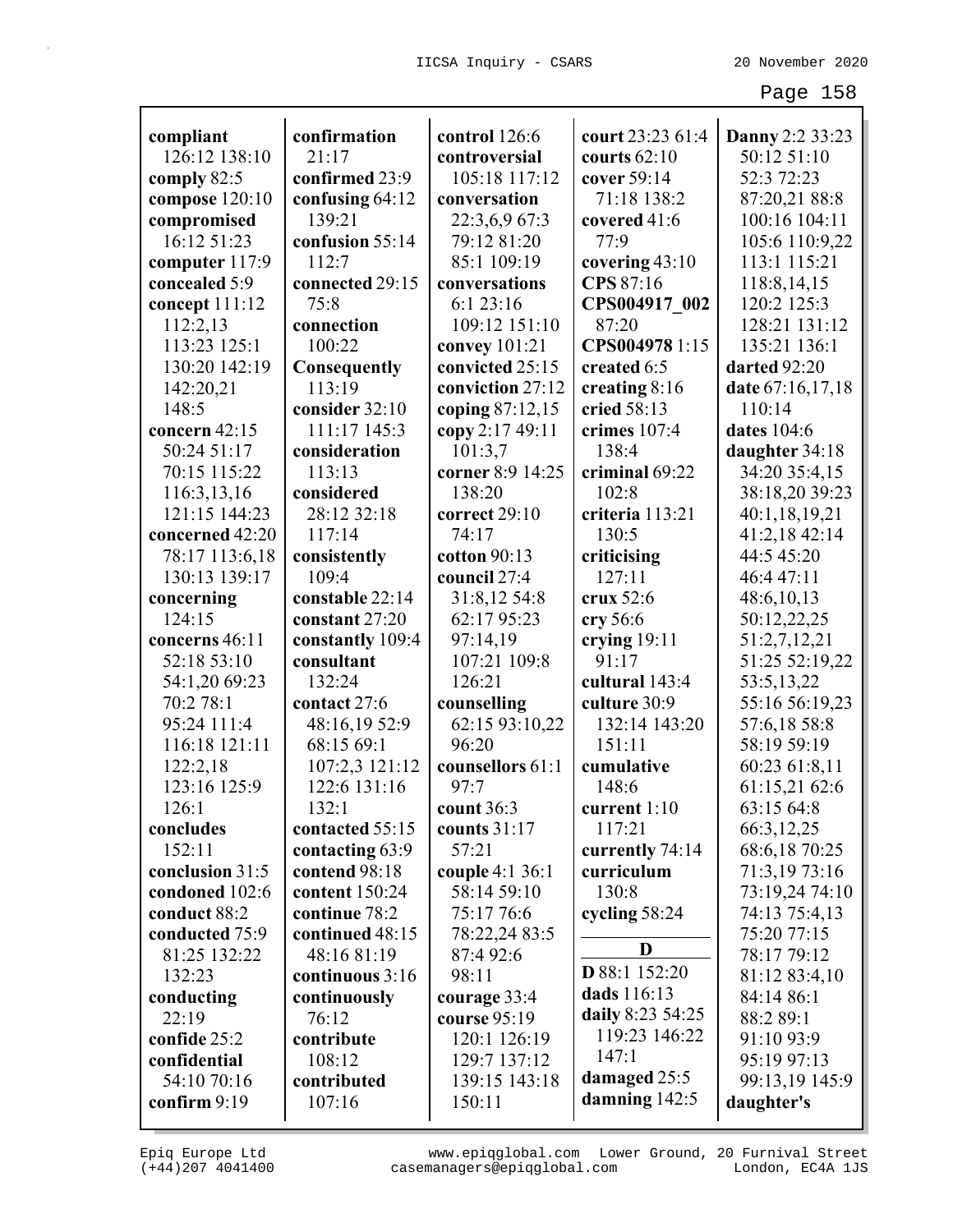| compliant       | confirmation        | control 126:6    | court 23:23 61:4 | Danny 2:2 33:23  |
|-----------------|---------------------|------------------|------------------|------------------|
| 126:12 138:10   | 21:17               | controversial    | courts $62:10$   | 50:12 51:10      |
| comply 82:5     | confirmed 23:9      | 105:18 117:12    | cover 59:14      | 52:3 72:23       |
| compose 120:10  | confusing 64:12     | conversation     | 71:18 138:2      | 87:20,21 88:8    |
| compromised     | 139:21              | 22:3,6,9 67:3    | covered 41:6     | 100:16 104:11    |
| 16:12 51:23     | confusion 55:14     | 79:12 81:20      | 77:9             | 105:6 110:9,22   |
| computer 117:9  | 112:7               | 85:1 109:19      | covering 43:10   | 113:1 115:21     |
| concealed 5:9   | connected 29:15     | conversations    | CPS 87:16        | 118:8,14,15      |
| concept 111:12  | 75:8                | 6:123:16         | CPS004917 002    | 120:2 125:3      |
| 112:2,13        | connection          | 109:12 151:10    | 87:20            | 128:21 131:12    |
| 113:23 125:1    | 100:22              | convey 101:21    | CPS0049781:15    | 135:21 136:1     |
| 130:20 142:19   | <b>Consequently</b> | convicted 25:15  | created 6:5      | darted 92:20     |
| 142:20,21       | 113:19              | conviction 27:12 | creating 8:16    | date 67:16,17,18 |
| 148:5           | consider 32:10      | coping 87:12,15  | cried 58:13      | 110:14           |
| concern 42:15   | 111:17 145:3        | copy 2:17 49:11  | crimes 107:4     | dates 104:6      |
| 50:24 51:17     | consideration       | 101:3,7          | 138:4            | daughter 34:18   |
| 70:15 115:22    | 113:13              | corner 8:9 14:25 | criminal 69:22   | 34:20 35:4,15    |
| 116:3,13,16     | considered          | 138:20           | 102:8            | 38:18,20 39:23   |
| 121:15 144:23   | 28:12 32:18         | correct 29:10    | criteria 113:21  | 40:1,18,19,21    |
| concerned 42:20 | 117:14              | 74:17            | 130:5            | 41:2,18 42:14    |
| 78:17 113:6,18  | consistently        | cotton $90:13$   | criticising      | 44:5 45:20       |
| 130:13 139:17   | 109:4               | council 27:4     | 127:11           | 46:4 47:11       |
| concerning      | constable 22:14     | 31:8,12 54:8     | crux 52:6        | 48:6,10,13       |
| 124:15          | constant 27:20      | 62:17 95:23      | cry 56:6         | 50:12,22,25      |
| concerns 46:11  | constantly 109:4    | 97:14,19         | crying $19:11$   | 51:2,7,12,21     |
| 52:18 53:10     | consultant          | 107:21 109:8     | 91:17            | 51:25 52:19,22   |
| 54:1,20 69:23   | 132:24              | 126:21           | cultural 143:4   | 53:5,13,22       |
| 70:2 78:1       | contact 27:6        | counselling      | culture 30:9     | 55:16 56:19,23   |
| 95:24 111:4     | 48:16,19 52:9       | 62:15 93:10,22   | 132:14 143:20    | 57:6,18 58:8     |
| 116:18 121:11   | 68:15 69:1          | 96:20            | 151:11           | 58:19 59:19      |
| 122:2,18        | 107:2,3 121:12      | counsellors 61:1 | cumulative       | 60:23 61:8,11    |
| 123:16 125:9    | 122:6 131:16        | 97:7             | 148:6            | 61:15,21 62:6    |
| 126:1           | 132:1               | count $36:3$     | current $1:10$   | 63:15 64:8       |
| concludes       | contacted 55:15     | counts $31:17$   | 117:21           | 66:3,12,25       |
| 152:11          | contacting 63:9     | 57:21            | currently 74:14  | 68:6,18 70:25    |
| conclusion 31:5 | contend 98:18       | couple 4:1 36:1  | curriculum       | 71:3,19 73:16    |
| condoned 102:6  | content 150:24      | 58:14 59:10      | 130:8            | 73:19,24 74:10   |
| conduct 88:2    | continue 78:2       | 75:17 76:6       | cycling 58:24    | 74:13 75:4,13    |
| conducted 75:9  | continued 48:15     | 78:22,24 83:5    |                  | 75:20 77:15      |
| 81:25 132:22    | 48:16 81:19         | 87:4 92:6        | D                | 78:17 79:12      |
| 132:23          | continuous 3:16     | 98:11            | D 88:1 152:20    | 81:12 83:4,10    |
| conducting      | continuously        | courage 33:4     | dads 116:13      | 84:14 86:1       |
| 22:19           | 76:12               | course 95:19     | daily 8:23 54:25 | 88:2 89:1        |
| confide 25:2    | contribute          | 120:1 126:19     | 119:23 146:22    | 91:10 93:9       |
| confidential    | 108:12              | 129:7 137:12     | 147:1            | 95:19 97:13      |
| 54:10 70:16     | contributed         | 139:15 143:18    | damaged 25:5     | 99:13,19 145:9   |
| confirm 9:19    | 107:16              | 150:11           | damning $142:5$  | daughter's       |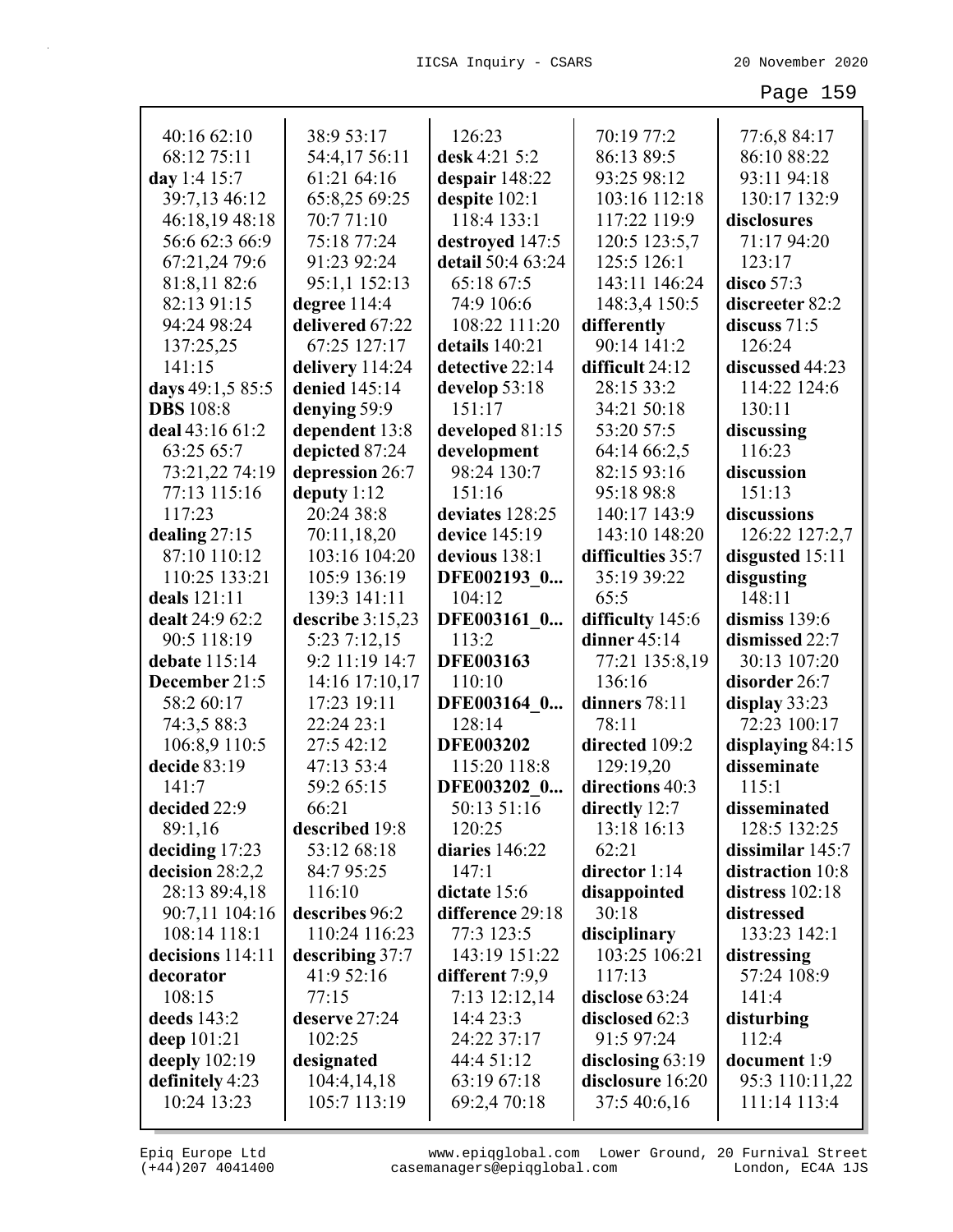| 40:16 62:10                   | 38:9 53:17               | 126:23                     | 70:19 77:2                   | 77:6,8 84:17                    |
|-------------------------------|--------------------------|----------------------------|------------------------------|---------------------------------|
| 68:12 75:11                   | 54:4,17 56:11            | desk 4:21 5:2              | 86:13 89:5                   | 86:10 88:22                     |
| day 1:4 15:7                  | 61:21 64:16              | despair 148:22             | 93:25 98:12                  | 93:11 94:18                     |
| 39:7,13 46:12                 | 65:8,25 69:25            | despite 102:1              | 103:16 112:18                | 130:17 132:9                    |
| 46:18,19 48:18                | 70:771:10                | 118:4 133:1                | 117:22 119:9                 | disclosures                     |
| 56:6 62:3 66:9                | 75:18 77:24              | destroyed 147:5            | 120:5 123:5,7                | 71:17 94:20                     |
| 67:21,24 79:6                 | 91:23 92:24              | detail 50:4 63:24          | 125:5 126:1                  | 123:17                          |
| 81:8,11 82:6                  | 95:1,1 152:13            | 65:18 67:5                 | 143:11 146:24                | disco $57:3$                    |
| 82:13 91:15                   | degree 114:4             | 74:9 106:6                 | 148:3,4 150:5                | discreeter 82:2                 |
| 94:24 98:24                   | delivered 67:22          | 108:22 111:20              | differently                  | discuss $71:5$                  |
| 137:25,25                     | 67:25 127:17             | details 140:21             | 90:14 141:2                  | 126:24                          |
| 141:15                        | delivery 114:24          | detective 22:14            | difficult 24:12              | discussed 44:23                 |
| days 49:1,5 85:5              | denied 145:14            | develop 53:18              | 28:15 33:2                   | 114:22 124:6                    |
| <b>DBS</b> 108:8              | denying 59:9             | 151:17                     | 34:21 50:18                  | 130:11                          |
| deal 43:16 61:2               | dependent 13:8           | developed 81:15            | 53:20 57:5                   | discussing                      |
| 63:25 65:7                    | depicted 87:24           | development                | 64:14 66:2,5                 | 116:23                          |
| 73:21,22 74:19                | depression 26:7          | 98:24 130:7                | 82:15 93:16                  | discussion                      |
| 77:13 115:16                  | deputy $1:12$            | 151:16                     | 95:18 98:8                   | 151:13                          |
| 117:23                        | 20:24 38:8               | deviates 128:25            | 140:17 143:9                 | discussions                     |
| dealing $27:15$               | 70:11,18,20              | device 145:19              | 143:10 148:20                | 126:22 127:2,7                  |
| 87:10 110:12                  | 103:16 104:20            | devious 138:1              | difficulties 35:7            | disgusted 15:11                 |
| 110:25 133:21                 | 105:9 136:19             | DFE002193 0                | 35:19 39:22                  | disgusting                      |
| deals 121:11                  | 139:3 141:11             | 104:12                     | 65:5                         | 148:11                          |
| dealt 24:9 62:2               | describe 3:15,23         | DFE003161 0                | difficulty 145:6             | dismiss 139:6                   |
| 90:5 118:19                   | 5:23 7:12,15             | 113:2                      | dinner $45:14$               | dismissed 22:7                  |
| debate 115:14                 | 9:2 11:19 14:7           | <b>DFE003163</b>           | 77:21 135:8,19               | 30:13 107:20                    |
| December 21:5                 | 14:16 17:10,17           | 110:10                     | 136:16                       | disorder 26:7                   |
| 58:2 60:17                    |                          |                            |                              |                                 |
|                               |                          |                            |                              |                                 |
|                               | 17:23 19:11              | DFE003164 0                | dinners 78:11<br>78:11       | display 33:23                   |
| 74:3,5 88:3                   | 22:24 23:1               | 128:14                     |                              | 72:23 100:17                    |
| 106:8,9 110:5<br>decide 83:19 | 27:5 42:12               | <b>DFE003202</b>           | directed 109:2               | displaying 84:15<br>disseminate |
| 141:7                         | 47:13 53:4<br>59:2 65:15 | 115:20 118:8               | 129:19,20<br>directions 40:3 | 115:1                           |
| decided 22:9                  | 66:21                    | DFE003202 0<br>50:13 51:16 |                              | disseminated                    |
| 89:1,16                       | described 19:8           | 120:25                     | directly 12:7<br>13:18 16:13 | 128:5 132:25                    |
| deciding $17:23$              | 53:12 68:18              | diaries 146:22             | 62:21                        | dissimilar $145:7$              |
| decision 28:2,2               | 84:7 95:25               | 147:1                      | director 1:14                | distraction 10:8                |
| 28:13 89:4,18                 | 116:10                   | dictate 15:6               |                              | distress $102:18$               |
| 90:7,11 104:16                | describes 96:2           | difference 29:18           | disappointed<br>30:18        | distressed                      |
| 108:14 118:1                  | 110:24 116:23            | 77:3 123:5                 | disciplinary                 | 133:23 142:1                    |
| decisions 114:11              | describing 37:7          | 143:19 151:22              | 103:25 106:21                | distressing                     |
| decorator                     | 41:9 52:16               | different 7:9,9            | 117:13                       | 57:24 108:9                     |
| 108:15                        | 77:15                    | 7:13 12:12,14              | disclose 63:24               | 141:4                           |
| deeds $143:2$                 | deserve 27:24            | 14:4 23:3                  | disclosed 62:3               | disturbing                      |
| deep $101:21$                 | 102:25                   | 24:22 37:17                | 91:5 97:24                   | 112:4                           |
| deeply $102:19$               | designated               | 44:4 51:12                 | disclosing $63:19$           | document 1:9                    |
| definitely 4:23               | 104:4,14,18              | 63:19 67:18                | disclosure 16:20             | 95:3 110:11,22                  |
| 10:24 13:23                   | 105:7 113:19             | 69:2,4 70:18               | 37:5 40:6,16                 | 111:14 113:4                    |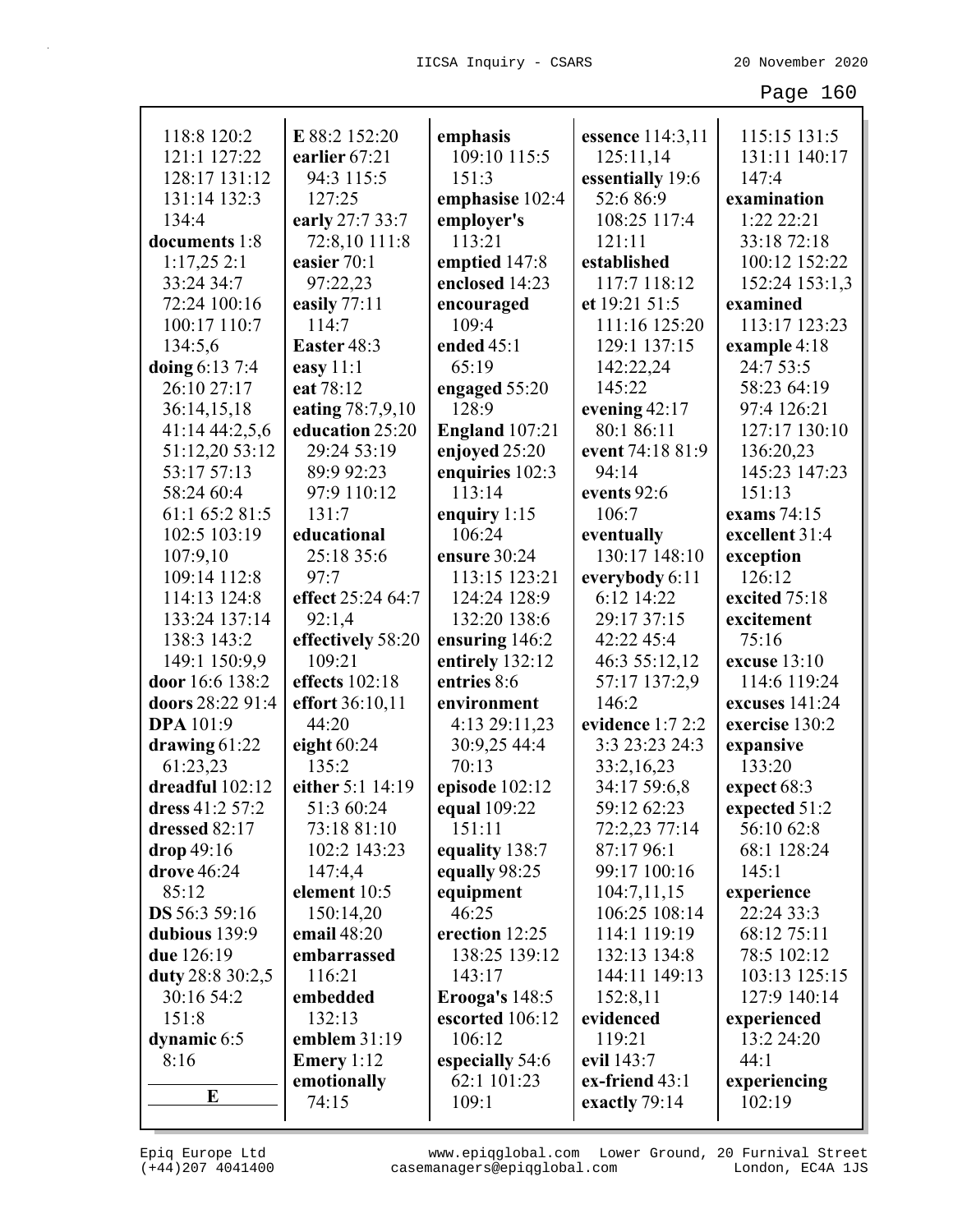| 118:8 120:2      | E 88:2 152:20       | emphasis              | essence 114:3,11    | 115:15 131:5   |
|------------------|---------------------|-----------------------|---------------------|----------------|
| 121:1 127:22     | earlier 67:21       | 109:10 115:5          | 125:11,14           | 131:11 140:17  |
| 128:17 131:12    | 94:3 115:5          | 151:3                 | essentially 19:6    | 147:4          |
| 131:14 132:3     | 127:25              | emphasise 102:4       | 52:6 86:9           | examination    |
| 134:4            | early 27:7 33:7     | employer's            | 108:25 117:4        | 1:22 22:21     |
| documents 1:8    | 72:8,10 111:8       | 113:21                | 121:11              | 33:18 72:18    |
| 1:17,252:1       | easier 70:1         | emptied 147:8         | established         | 100:12 152:22  |
| 33:24 34:7       | 97:22,23            | enclosed 14:23        | 117:7 118:12        | 152:24 153:1,3 |
| 72:24 100:16     | easily 77:11        | encouraged            | et 19:21 51:5       | examined       |
| 100:17 110:7     | 114:7               | 109:4                 | 111:16 125:20       | 113:17 123:23  |
| 134:5,6          | Easter 48:3         | ended $45:1$          | 129:1 137:15        | example 4:18   |
| doing 6:13 7:4   | easy $11:1$         | 65:19                 | 142:22,24           | 24:7 53:5      |
| 26:10 27:17      | eat 78:12           | engaged 55:20         | 145:22              | 58:23 64:19    |
| 36:14,15,18      | eating 78:7,9,10    | 128:9                 | evening $42:17$     | 97:4 126:21    |
| 41:14 44:2,5,6   | education 25:20     | <b>England</b> 107:21 | 80:1 86:11          | 127:17 130:10  |
| 51:12,20 53:12   | 29:24 53:19         | enjoyed 25:20         | event 74:18 81:9    | 136:20,23      |
| 53:17 57:13      | 89:9 92:23          | enquiries 102:3       | 94:14               | 145:23 147:23  |
| 58:24 60:4       | 97:9 110:12         | 113:14                | events 92:6         | 151:13         |
| 61:1 65:2 81:5   | 131:7               | enquiry $1:15$        | 106:7               | exams 74:15    |
| 102:5 103:19     | educational         | 106:24                | eventually          | excellent 31:4 |
| 107:9,10         | 25:18 35:6          | ensure 30:24          | 130:17 148:10       | exception      |
| 109:14 112:8     | 97:7                | 113:15 123:21         | everybody 6:11      | 126:12         |
| 114:13 124:8     | effect 25:24 64:7   | 124:24 128:9          | 6:12 14:22          | excited 75:18  |
| 133:24 137:14    | 92:1,4              | 132:20 138:6          | 29:17 37:15         | excitement     |
| 138:3 143:2      | effectively 58:20   | ensuring 146:2        | 42:22 45:4          | 75:16          |
| 149:1 150:9,9    | 109:21              | entirely 132:12       | 46:3 55:12,12       | excuse 13:10   |
| door 16:6 138:2  | effects $102:18$    | entries 8:6           | 57:17 137:2,9       | 114:6 119:24   |
| doors 28:22 91:4 | effort 36:10,11     | environment           | 146:2               | excuses 141:24 |
| <b>DPA</b> 101:9 | 44:20               | 4:13 29:11,23         | evidence 1:7 2:2    | exercise 130:2 |
| drawing $61:22$  | eight $60:24$       | 30:9,25 44:4          | 3:3 23:23 24:3      | expansive      |
| 61:23,23         | 135:2               | 70:13                 | 33:2,16,23          | 133:20         |
| dreadful 102:12  | either 5:1 14:19    | episode 102:12        | 34:17 59:6,8        | expect 68:3    |
| dress 41:2 57:2  | 51:3 60:24          | equal 109:22          | 59:12 62:23         | expected 51:2  |
| dressed 82:17    | 73:18 81:10         | 151:11                | 72:2,23 77:14       | 56:10 62:8     |
| drop 49:16       | 102:2 143:23        | equality 138:7        | 87:17 96:1          | 68:1 128:24    |
| drove 46:24      | 147:4,4             | equally 98:25         | 99:17 100:16        | 145:1          |
| 85:12            | element 10:5        | equipment             | 104:7,11,15         | experience     |
| DS 56:3 59:16    | 150:14,20           | 46:25                 | 106:25 108:14       | 22:24 33:3     |
| dubious 139:9    | email 48:20         | erection 12:25        | 114:1 119:19        | 68:12 75:11    |
| due 126:19       | embarrassed         | 138:25 139:12         | 132:13 134:8        | 78:5 102:12    |
| duty 28:8 30:2,5 | 116:21              | 143:17                | 144:11 149:13       | 103:13 125:15  |
| 30:16 54:2       | embedded            | <b>Erooga's 148:5</b> | 152:8,11            | 127:9 140:14   |
| 151:8            | 132:13              | escorted 106:12       | evidenced           | experienced    |
| dynamic 6:5      | emblem 31:19        | 106:12                | 119:21              | 13:2 24:20     |
| 8:16             | <b>Emery</b> $1:12$ | especially 54:6       | evil 143:7          | 44:1           |
|                  | emotionally         | 62:1 101:23           | $ex$ -friend $43:1$ | experiencing   |
| E                | 74:15               | 109:1                 | exactly 79:14       | 102:19         |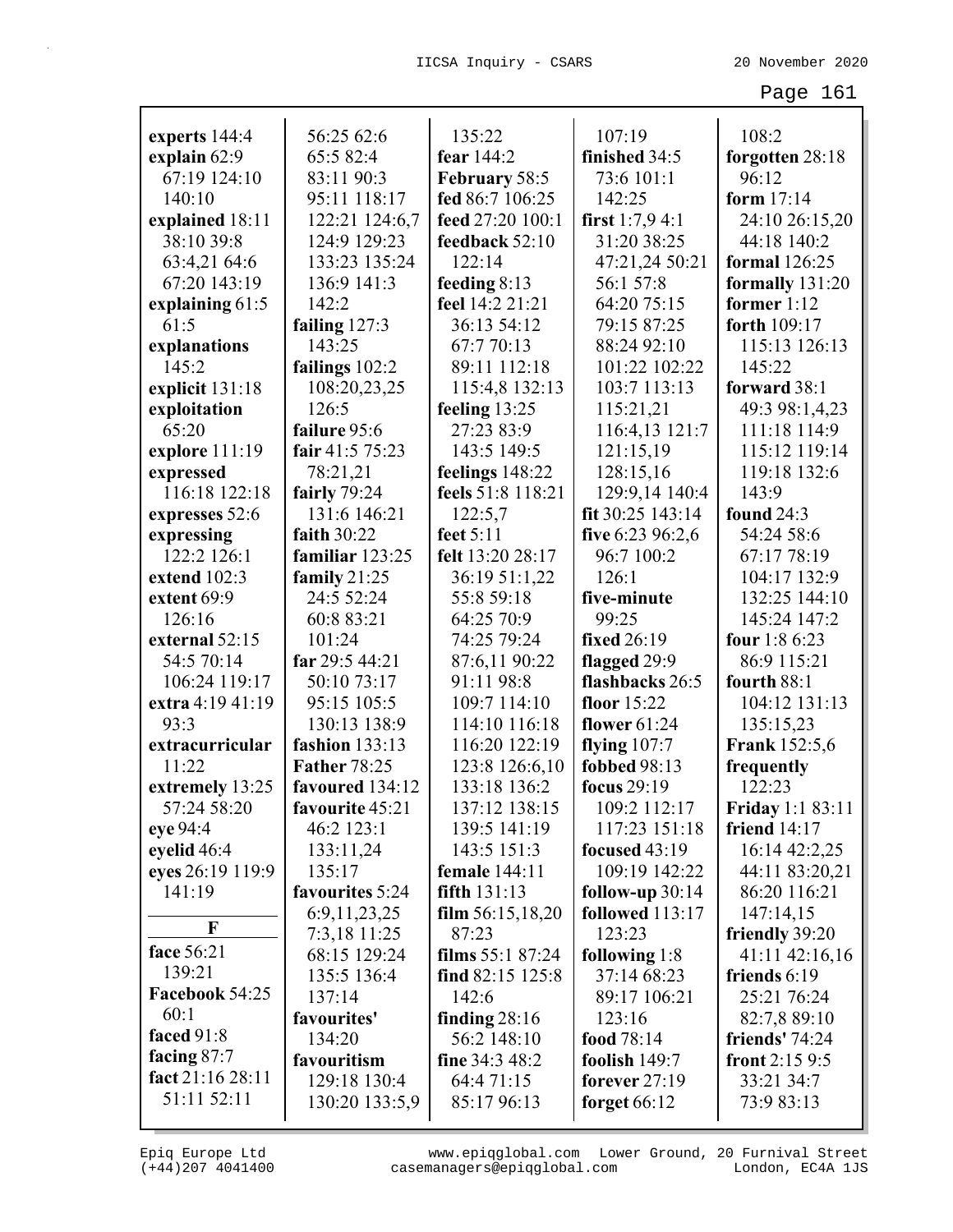| experts 144:4    | 56:25 62:6          | 135:22<br>fear 144:2 | 107:19               | 108:2                   |
|------------------|---------------------|----------------------|----------------------|-------------------------|
| explain 62:9     | 65:5 82:4           |                      | finished 34:5        | forgotten 28:18         |
| 67:19 124:10     | 83:11 90:3          | February 58:5        | 73:6 101:1<br>142:25 | 96:12                   |
| 140:10           | 95:11 118:17        | fed 86:7 106:25      |                      | form $17:14$            |
| explained 18:11  | 122:21 124:6,7      | feed 27:20 100:1     | first $1:7,9,4:1$    | 24:10 26:15,20          |
| 38:10 39:8       | 124:9 129:23        | feedback 52:10       | 31:20 38:25          | 44:18 140:2             |
| 63:4,21 64:6     | 133:23 135:24       | 122:14               | 47:21,24 50:21       | <b>formal</b> 126:25    |
| 67:20 143:19     | 136:9 141:3         | feeding $8:13$       | 56:1 57:8            | formally $131:20$       |
| explaining 61:5  | 142:2               | feel 14:2 21:21      | 64:20 75:15          | former $1:12$           |
| 61:5             | failing 127:3       | 36:13 54:12          | 79:15 87:25          | forth 109:17            |
| explanations     | 143:25              | 67:7 70:13           | 88:24 92:10          | 115:13 126:13           |
| 145:2            | failings $102:2$    | 89:11 112:18         | 101:22 102:22        | 145:22                  |
| explicit 131:18  | 108:20,23,25        | 115:4,8 132:13       | 103:7 113:13         | forward 38:1            |
| exploitation     | 126:5               | feeling $13:25$      | 115:21,21            | 49:3 98:1,4,23          |
| 65:20            | failure 95:6        | 27:23 83:9           | 116:4,13 121:7       | 111:18 114:9            |
| explore 111:19   | fair 41:5 75:23     | 143:5 149:5          | 121:15,19            | 115:12 119:14           |
| expressed        | 78:21,21            | feelings 148:22      | 128:15,16            | 119:18 132:6            |
| 116:18 122:18    | fairly 79:24        | feels 51:8 118:21    | 129:9,14 140:4       | 143:9                   |
| expresses 52:6   | 131:6 146:21        | 122:5,7              | fit 30:25 143:14     | <b>found</b> 24:3       |
| expressing       | faith 30:22         | feet 5:11            | five 6:23 96:2,6     | 54:24 58:6              |
| 122:2 126:1      | familiar 123:25     | felt 13:20 28:17     | 96:7 100:2           | 67:17 78:19             |
| extend 102:3     | family $21:25$      | 36:19 51:1,22        | 126:1                | 104:17 132:9            |
| extent 69:9      | 24:5 52:24          | 55:8 59:18           | five-minute          | 132:25 144:10           |
| 126:16           | 60:8 83:21          | 64:25 70:9           | 99:25                | 145:24 147:2            |
| external 52:15   | 101:24              | 74:25 79:24          | fixed 26:19          | four 1:8 6:23           |
| 54:5 70:14       | far 29:5 44:21      | 87:6,11 90:22        | flagged 29:9         | 86:9 115:21             |
| 106:24 119:17    | 50:10 73:17         | 91:11 98:8           | flashbacks 26:5      | fourth 88:1             |
| extra 4:19 41:19 | 95:15 105:5         | 109:7 114:10         | floor 15:22          | 104:12 131:13           |
| 93:3             | 130:13 138:9        | 114:10 116:18        | flower $61:24$       | 135:15,23               |
| extracurricular  | fashion 133:13      | 116:20 122:19        | flying $107:7$       | <b>Frank</b> 152:5,6    |
| 11:22            | <b>Father 78:25</b> | 123:8 126:6,10       | fobbed 98:13         | frequently              |
| extremely 13:25  | favoured 134:12     | 133:18 136:2         | focus $29:19$        | 122:23                  |
| 57:24 58:20      | favourite 45:21     | 137:12 138:15        | 109:2 112:17         | <b>Friday 1:1 83:11</b> |
| eye 94:4         | 46:2 123:1          | 139:5 141:19         | 117:23 151:18        | friend $14:17$          |
| eyelid 46:4      | 133:11,24           | 143:5 151:3          | focused $43:19$      | 16:14 42:2,25           |
| eyes 26:19 119:9 | 135:17              | female 144:11        | 109:19 142:22        | 44:11 83:20,21          |
| 141:19           | favourites 5:24     | fifth 131:13         | follow-up $30:14$    | 86:20 116:21            |
| F                | 6:9, 11, 23, 25     | film $56:15,18,20$   | followed 113:17      | 147:14,15               |
|                  | 7:3,18 11:25        | 87:23                | 123:23               | friendly 39:20          |
| face 56:21       | 68:15 129:24        | films 55:1 87:24     | following 1:8        | 41:11 42:16,16          |
| 139:21           | 135:5 136:4         | find 82:15 125:8     | 37:14 68:23          | friends 6:19            |
| Facebook 54:25   | 137:14              | 142:6                | 89:17 106:21         | 25:21 76:24             |
| 60:1             | favourites'         | finding $28:16$      | 123:16               | 82:7,8 89:10            |
| faced 91:8       | 134:20              | 56:2 148:10          | food 78:14           | friends' $74:24$        |
| facing $87:7$    | favouritism         | fine 34:3 48:2       | foolish 149:7        | front $2:159:5$         |
| fact 21:16 28:11 | 129:18 130:4        | 64:4 71:15           | forever $27:19$      | 33:21 34:7              |
| 51:11 52:11      | 130:20 133:5,9      | 85:17 96:13          | forget $66:12$       | 73:9 83:13              |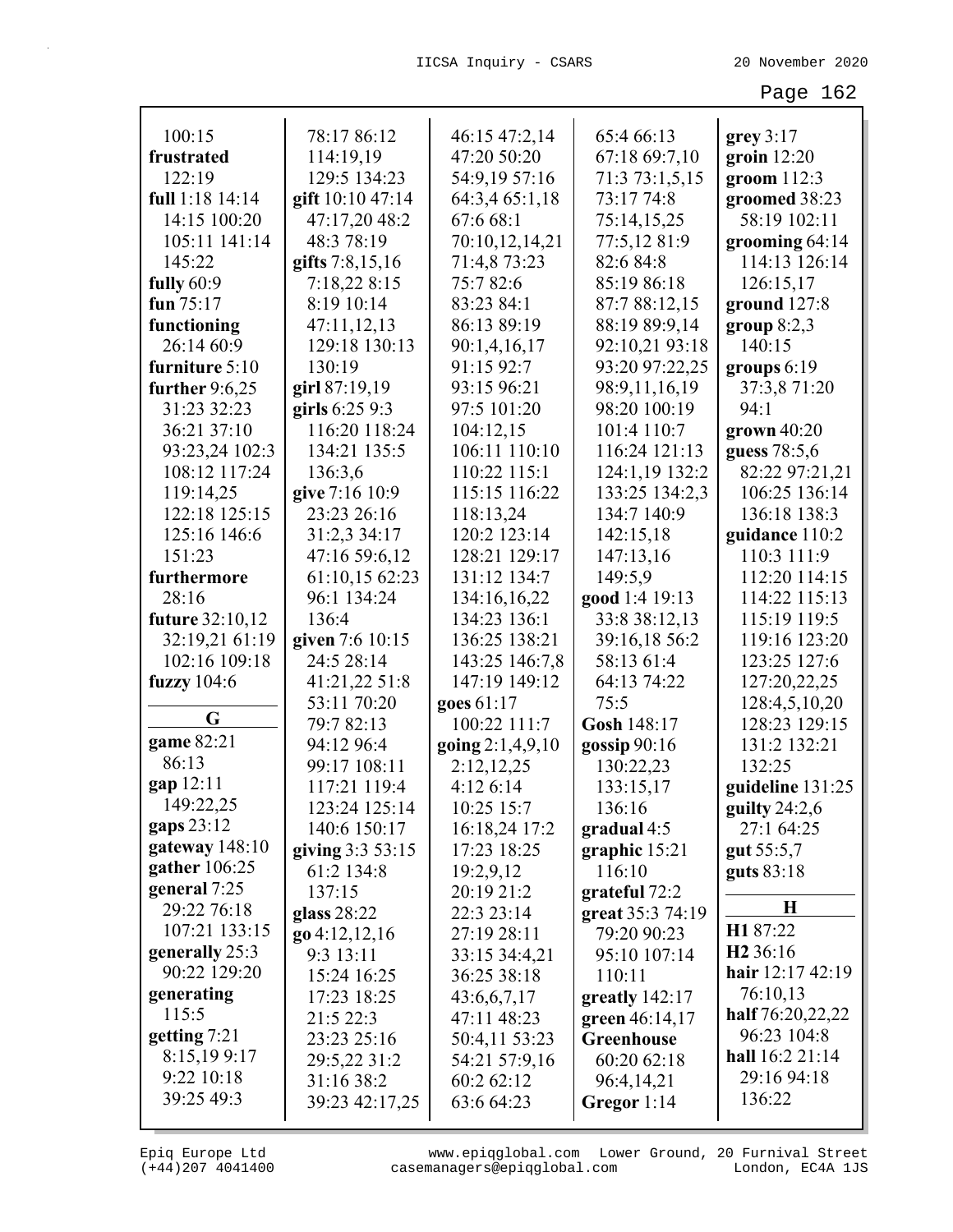| 100:15           | 78:17 86:12       | 46:15 47:2,14      | 65:4 66:13       | grey 3:17            |
|------------------|-------------------|--------------------|------------------|----------------------|
| frustrated       | 114:19,19         | 47:20 50:20        | 67:18 69:7,10    | groin $12:20$        |
| 122:19           | 129:5 134:23      | 54:9,19 57:16      | 71:3 73:1,5,15   | groom $112:3$        |
| full 1:18 14:14  | gift 10:10 47:14  | 64:3,4 65:1,18     | 73:17 74:8       | groomed 38:23        |
| 14:15 100:20     | 47:17,20 48:2     | 67:6 68:1          | 75:14,15,25      | 58:19 102:11         |
| 105:11 141:14    | 48:3 78:19        | 70:10,12,14,21     | 77:5,12 81:9     | grooming $64:14$     |
| 145:22           | gifts $7:8,15,16$ | 71:4,8 73:23       | 82:6 84:8        | 114:13 126:14        |
| fully $60:9$     | 7:18,22 8:15      | 75:782:6           | 85:19 86:18      | 126:15,17            |
| fun $75:17$      | 8:19 10:14        | 83:23 84:1         | 87:7 88:12,15    | ground 127:8         |
| functioning      | 47:11,12,13       | 86:13 89:19        | 88:19 89:9,14    | group $8:2,3$        |
| 26:14 60:9       | 129:18 130:13     | 90:1,4,16,17       | 92:10,21 93:18   | 140:15               |
| furniture 5:10   | 130:19            | 91:15 92:7         | 93:20 97:22,25   | groups $6:19$        |
| further $9:6,25$ | girl 87:19,19     | 93:15 96:21        | 98:9,11,16,19    | 37:3,8 71:20         |
| 31:23 32:23      | girls 6:25 9:3    | 97:5 101:20        | 98:20 100:19     | 94:1                 |
| 36:21 37:10      | 116:20 118:24     | 104:12,15          | 101:4 110:7      | grown 40:20          |
| 93:23,24 102:3   | 134:21 135:5      | 106:11 110:10      | 116:24 121:13    | guess 78:5,6         |
| 108:12 117:24    | 136:3,6           | 110:22 115:1       | 124:1,19 132:2   | 82:22 97:21,21       |
| 119:14,25        | give 7:16 10:9    | 115:15 116:22      | 133:25 134:2,3   | 106:25 136:14        |
| 122:18 125:15    | 23:23 26:16       | 118:13,24          | 134:7 140:9      | 136:18 138:3         |
| 125:16 146:6     | 31:2,3 34:17      | 120:2 123:14       | 142:15,18        | guidance 110:2       |
| 151:23           | 47:16 59:6,12     | 128:21 129:17      | 147:13,16        | 110:3 111:9          |
| furthermore      | 61:10,15 62:23    | 131:12 134:7       | 149:5,9          | 112:20 114:15        |
| 28:16            | 96:1 134:24       | 134:16,16,22       | good 1:4 19:13   | 114:22 115:13        |
| future 32:10,12  | 136:4             | 134:23 136:1       | 33:8 38:12,13    | 115:19 119:5         |
| 32:19,21 61:19   | given 7:6 10:15   | 136:25 138:21      | 39:16,18 56:2    | 119:16 123:20        |
| 102:16 109:18    | 24:5 28:14        | 143:25 146:7,8     | 58:13 61:4       | 123:25 127:6         |
| fuzzy $104:6$    | 41:21,22 51:8     | 147:19 149:12      | 64:13 74:22      | 127:20,22,25         |
|                  | 53:11 70:20       | goes 61:17         | 75:5             | 128:4,5,10,20        |
| G                | 79:7 82:13        | 100:22 111:7       | Gosh 148:17      | 128:23 129:15        |
| game 82:21       | 94:12 96:4        | going $2:1,4,9,10$ | gossip $90:16$   | 131:2 132:21         |
| 86:13            | 99:17 108:11      | 2:12,12,25         | 130:22,23        | 132:25               |
| gap 12:11        | 117:21 119:4      | 4:126:14           | 133:15,17        | guideline 131:25     |
| 149:22,25        | 123:24 125:14     | 10:25 15:7         | 136:16           | guilty $24:2,6$      |
| gaps 23:12       | 140:6 150:17      | 16:18,24 17:2      | gradual $4:5$    | 27:1 64:25           |
| gateway $148:10$ | giving $3:353:15$ | 17:23 18:25        | graphic 15:21    | gut 55:5,7           |
| gather $106:25$  | 61:2 134:8        | 19:2,9,12          | 116:10           | guts 83:18           |
| general 7:25     | 137:15            | 20:19 21:2         | grateful 72:2    |                      |
| 29:22 76:18      | glass 28:22       | 22:3 23:14         | great 35:3 74:19 | $\bf H$              |
| 107:21 133:15    | $go\ 4:12,12,16$  | 27:19 28:11        | 79:20 90:23      | H187:22              |
| generally 25:3   | 9:3 13:11         | 33:15 34:4,21      | 95:10 107:14     | H <sub>2</sub> 36:16 |
| 90:22 129:20     | 15:24 16:25       | 36:25 38:18        | 110:11           | hair 12:17 42:19     |
| generating       | 17:23 18:25       | 43:6,6,7,17        | greatly 142:17   | 76:10,13             |
| 115:5            | 21:5 22:3         | 47:11 48:23        | green $46:14,17$ | half 76:20,22,22     |
| getting $7:21$   | 23:23 25:16       | 50:4,11 53:23      | Greenhouse       | 96:23 104:8          |
| 8:15,199:17      | 29:5,22 31:2      | 54:21 57:9,16      | 60:20 62:18      | hall 16:2 21:14      |
| 9:22 10:18       | 31:16 38:2        | 60:2 62:12         | 96:4,14,21       | 29:16 94:18          |
| 39:25 49:3       | 39:23 42:17,25    | 63:6 64:23         | Gregor 1:14      | 136:22               |
|                  |                   |                    |                  |                      |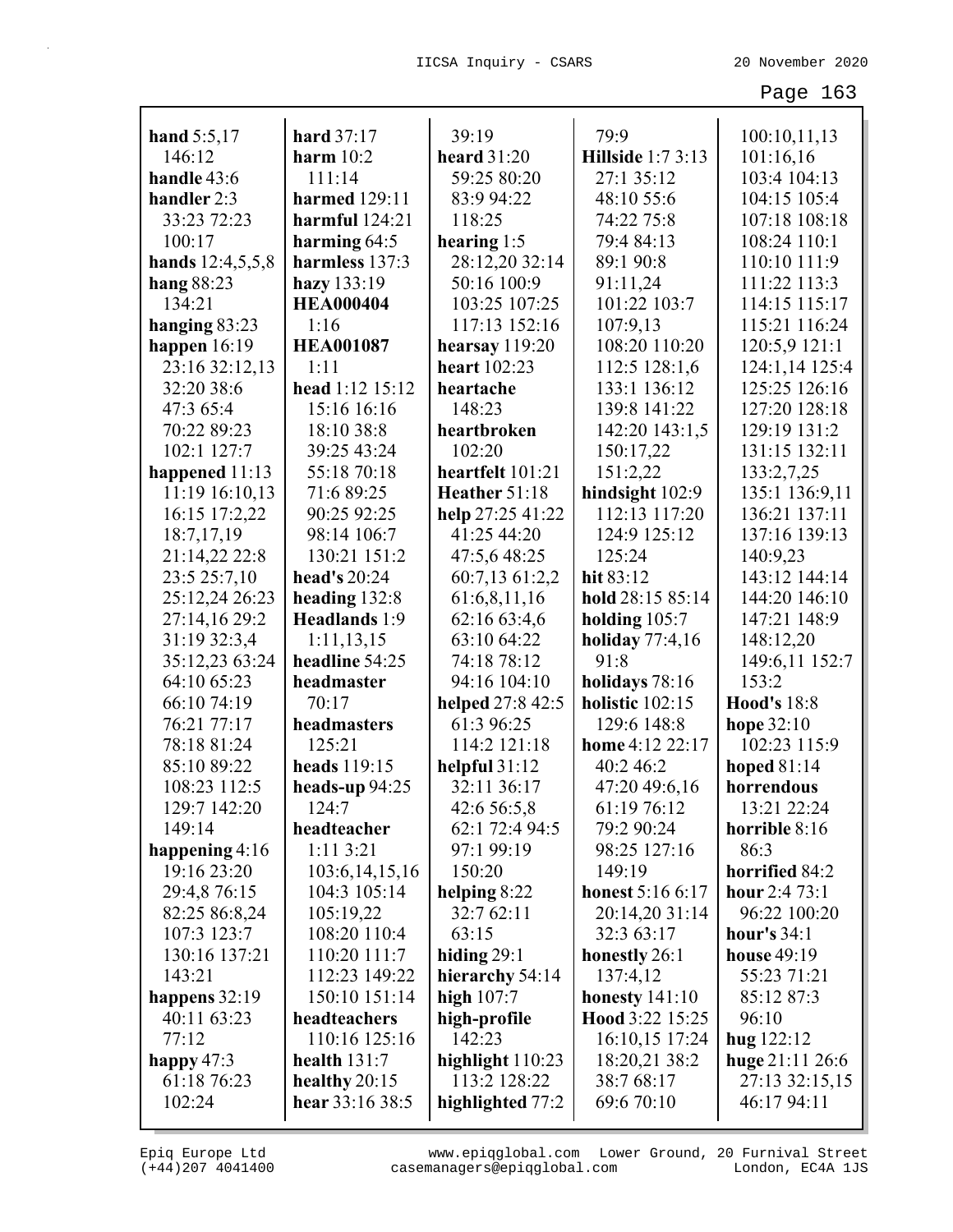| hand 5:5,17      | hard 37:17           | 39:19               | 79:9                     | 100:10,11,13       |
|------------------|----------------------|---------------------|--------------------------|--------------------|
| 146:12           | harm $10:2$          | <b>heard</b> 31:20  | <b>Hillside</b> 1:7 3:13 | 101:16,16          |
| handle 43:6      | 111:14               | 59:25 80:20         | 27:1 35:12               | 103:4 104:13       |
| handler 2:3      | <b>harmed</b> 129:11 | 83:9 94:22          | 48:10 55:6               | 104:15 105:4       |
| 33:23 72:23      | harmful $124:21$     | 118:25              | 74:22 75:8               | 107:18 108:18      |
| 100:17           | harming $64:5$       | hearing $1:5$       | 79:4 84:13               | 108:24 110:1       |
| hands 12:4,5,5,8 | harmless 137:3       | 28:12,20 32:14      | 89:1 90:8                | 110:10 111:9       |
| hang $88:23$     | hazy 133:19          | 50:16 100:9         | 91:11,24                 | 111:22 113:3       |
| 134:21           | <b>HEA000404</b>     | 103:25 107:25       | 101:22 103:7             | 114:15 115:17      |
| hanging 83:23    | 1:16                 | 117:13 152:16       | 107:9,13                 | 115:21 116:24      |
| happen $16:19$   | <b>HEA001087</b>     | hearsay $119:20$    | 108:20 110:20            | 120:5,9 121:1      |
| 23:16 32:12,13   | 1:11                 | <b>heart</b> 102:23 | 112:5 128:1,6            | 124:1,14 125:4     |
| 32:20 38:6       | head 1:12 15:12      | heartache           | 133:1 136:12             | 125:25 126:16      |
| 47:3 65:4        | 15:16 16:16          | 148:23              | 139:8 141:22             | 127:20 128:18      |
| 70:22 89:23      | 18:10 38:8           | heartbroken         | 142:20 143:1,5           | 129:19 131:2       |
| 102:1 127:7      | 39:25 43:24          | 102:20              | 150:17,22                | 131:15 132:11      |
| happened $11:13$ | 55:18 70:18          | heartfelt 101:21    | 151:2,22                 | 133:2,7,25         |
| 11:19 16:10,13   | 71:6 89:25           | Heather 51:18       | hindsight 102:9          | 135:1 136:9,11     |
| 16:15 17:2,22    | 90:25 92:25          | help 27:25 41:22    | 112:13 117:20            | 136:21 137:11      |
| 18:7,17,19       | 98:14 106:7          | 41:25 44:20         | 124:9 125:12             | 137:16 139:13      |
| 21:14,22 22:8    | 130:21 151:2         | 47:5,6 48:25        | 125:24                   | 140:9,23           |
| 23:5 25:7,10     | head's 20:24         | 60:7,13 61:2,2      | hit 83:12                | 143:12 144:14      |
| 25:12,24 26:23   | heading 132:8        | 61:6,8,11,16        | hold 28:15 85:14         | 144:20 146:10      |
| 27:14,16 29:2    | Headlands 1:9        | 62:16 63:4,6        | holding $105:7$          | 147:21 148:9       |
| 31:19 32:3,4     | 1:11,13,15           | 63:10 64:22         | holiday $77:4,16$        | 148:12,20          |
| 35:12,23 63:24   | headline 54:25       | 74:18 78:12         | 91:8                     | 149:6,11 152:7     |
| 64:10 65:23      | headmaster           | 94:16 104:10        | holidays 78:16           | 153:2              |
| 66:10 74:19      | 70:17                | helped 27:8 42:5    | holistic 102:15          | <b>Hood's 18:8</b> |
| 76:21 77:17      | headmasters          | 61:3 96:25          | 129:6 148:8              | hope 32:10         |
| 78:18 81:24      | 125:21               | 114:2 121:18        | home 4:12 22:17          | 102:23 115:9       |
| 85:10 89:22      | heads 119:15         | helpful $31:12$     | 40:2 46:2                | hoped $81:14$      |
| 108:23 112:5     | heads-up $94:25$     | 32:11 36:17         | 47:20 49:6,16            | horrendous         |
| 129:7 142:20     | 124:7                | 42:6 56:5,8         | 61:19 76:12              | 13:21 22:24        |
| 149:14           | headteacher          | 62:1 72:4 94:5      | 79:2 90:24               | horrible 8:16      |
| happening $4:16$ | 1:113:21             | 97:1 99:19          | 98:25 127:16             | 86:3               |
| 19:16 23:20      | 103:6, 14, 15, 16    | 150:20              | 149:19                   | horrified 84:2     |
| 29:4,8 76:15     | 104:3 105:14         | helping $8:22$      | <b>honest</b> 5:16 6:17  | hour 2:4 73:1      |
| 82:25 86:8,24    | 105:19,22            | 32:7 62:11          | 20:14,20 31:14           | 96:22 100:20       |
| 107:3 123:7      | 108:20 110:4         | 63:15               | 32:3 63:17               | hour's $34:1$      |
| 130:16 137:21    | 110:20 111:7         | hiding $29:1$       | honestly 26:1            | house 49:19        |
| 143:21           | 112:23 149:22        | hierarchy 54:14     | 137:4,12                 | 55:23 71:21        |
| happens $32:19$  | 150:10 151:14        | high $107:7$        | honesty $141:10$         | 85:12 87:3         |
| 40:11 63:23      | headteachers         | high-profile        | Hood 3:22 15:25          | 96:10              |
| 77:12            | 110:16 125:16        | 142:23              | 16:10,15 17:24           | hug 122:12         |
| happy $47:3$     | health $131:7$       | highlight 110:23    | 18:20,21 38:2            | huge $21:11\,26:6$ |
| 61:18 76:23      | healthy $20:15$      | 113:2 128:22        | 38:7 68:17               | 27:13 32:15,15     |
| 102:24           | hear $33:1638:5$     | highlighted 77:2    | 69:6 70:10               | 46:17 94:11        |
|                  |                      |                     |                          |                    |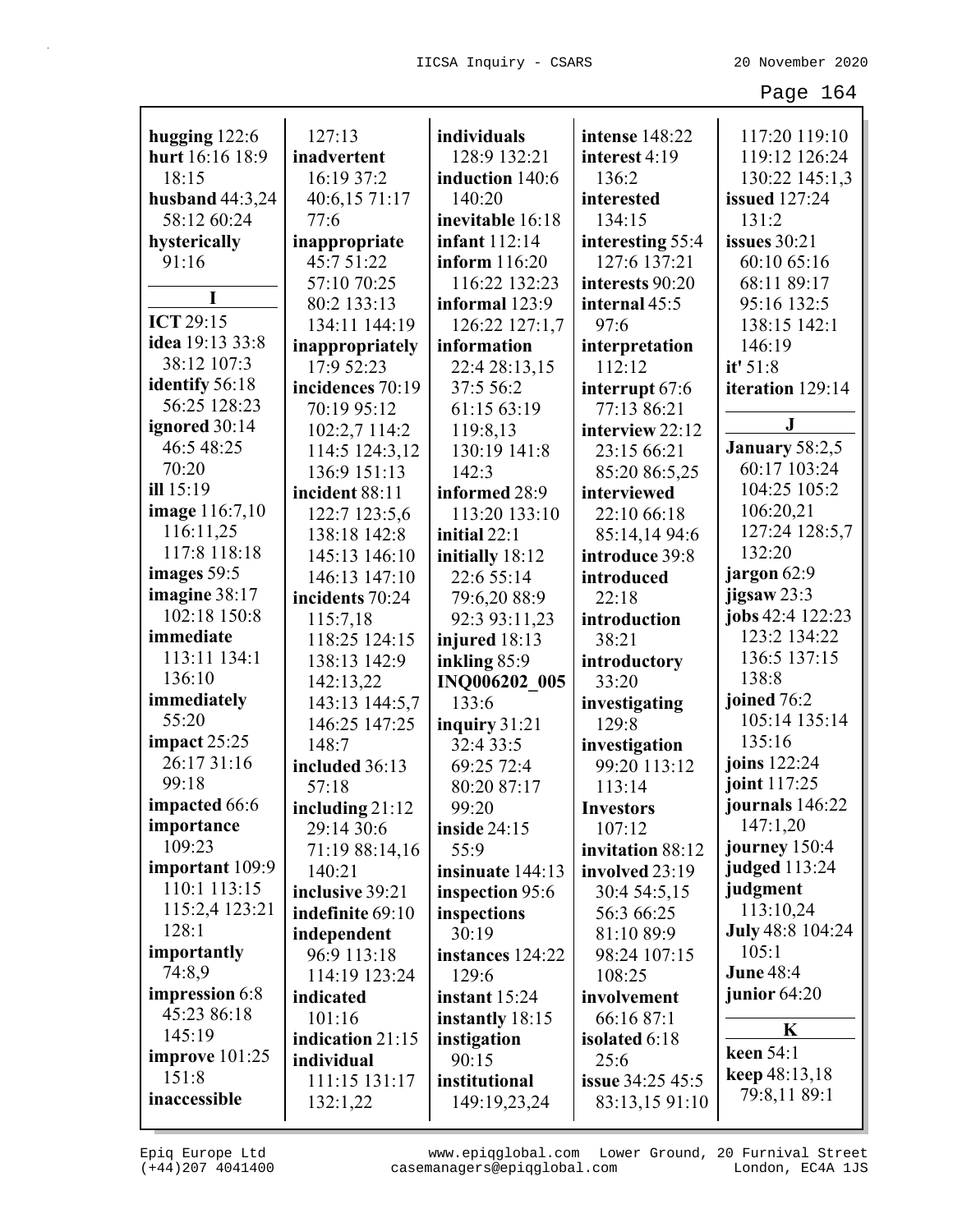| hugging 122:6         | 127:13           | individuals          | intense 148:22          | 117:20 119:10           |
|-----------------------|------------------|----------------------|-------------------------|-------------------------|
| hurt 16:16 18:9       | inadvertent      | 128:9 132:21         | interest 4:19           | 119:12 126:24           |
| 18:15                 | 16:19 37:2       | induction 140:6      | 136:2                   | 130:22 145:1,3          |
| husband $44:3,24$     | 40:6,15 71:17    | 140:20               | interested              | <b>issued</b> 127:24    |
| 58:12 60:24           | 77:6             | inevitable 16:18     | 134:15                  | 131:2                   |
| hysterically          | inappropriate    | <b>infant</b> 112:14 | interesting 55:4        | issues $30:21$          |
| 91:16                 | 45:7 51:22       | inform 116:20        | 127:6 137:21            | 60:10 65:16             |
|                       | 57:10 70:25      | 116:22 132:23        | interests 90:20         | 68:11 89:17             |
|                       | 80:2 133:13      | informal 123:9       | internal 45:5           | 95:16 132:5             |
| <b>ICT 29:15</b>      |                  |                      |                         |                         |
| idea 19:13 33:8       | 134:11 144:19    | 126:22 127:1,7       | 97:6                    | 138:15 142:1            |
| 38:12 107:3           | inappropriately  | information          | interpretation          | 146:19                  |
| identify 56:18        | 17:9 52:23       | 22:4 28:13,15        | 112:12                  | it' 51:8                |
| 56:25 128:23          | incidences 70:19 | 37:5 56:2            | interrupt 67:6          | iteration 129:14        |
| ignored 30:14         | 70:19 95:12      | 61:15 63:19          | 77:13 86:21             | ${\bf J}$               |
| 46:5 48:25            | 102:2,7 114:2    | 119:8,13             | interview 22:12         |                         |
| 70:20                 | 114:5 124:3,12   | 130:19 141:8         | 23:15 66:21             | January 58:2,5          |
|                       | 136:9 151:13     | 142:3                | 85:20 86:5,25           | 60:17 103:24            |
| ill 15:19             | incident 88:11   | informed 28:9        | interviewed             | 104:25 105:2            |
| <b>image</b> 116:7,10 | 122:7 123:5,6    | 113:20 133:10        | 22:10 66:18             | 106:20,21               |
| 116:11,25             | 138:18 142:8     | initial 22:1         | 85:14,14 94:6           | 127:24 128:5,7          |
| 117:8 118:18          | 145:13 146:10    | initially 18:12      | introduce 39:8          | 132:20                  |
| images 59:5           | 146:13 147:10    | 22:6 55:14           | introduced              | jargon 62:9             |
| imagine 38:17         | incidents 70:24  | 79:6,20 88:9         | 22:18                   | jigsaw 23:3             |
| 102:18 150:8          | 115:7,18         | 92:3 93:11,23        | introduction            | jobs 42:4 122:23        |
| immediate             | 118:25 124:15    | injured 18:13        | 38:21                   | 123:2 134:22            |
| 113:11 134:1          | 138:13 142:9     | inkling 85:9         | introductory            | 136:5 137:15            |
| 136:10                | 142:13,22        | INQ006202 005        | 33:20                   | 138:8                   |
| immediately           | 143:13 144:5,7   | 133:6                | investigating           | joined 76:2             |
| 55:20                 | 146:25 147:25    | inquiry 31:21        | 129:8                   | 105:14 135:14           |
| impact $25:25$        | 148:7            | 32:4 33:5            | investigation           | 135:16                  |
| 26:17 31:16           | included 36:13   | 69:25 72:4           | 99:20 113:12            | joins 122:24            |
| 99:18                 | 57:18            | 80:20 87:17          | 113:14                  | joint 117:25            |
| impacted 66:6         | including 21:12  | 99:20                | <b>Investors</b>        | journals 146:22         |
| importance            | 29:14 30:6       | <b>inside 24:15</b>  | 107:12                  | 147:1,20                |
| 109:23                | 71:19 88:14,16   | 55:9                 | invitation 88:12        | journey 150:4           |
| important 109:9       | 140:21           | insinuate 144:13     | involved 23:19          | judged 113:24           |
| 110:1 113:15          | inclusive 39:21  | inspection 95:6      | 30:4 54:5,15            | judgment                |
| 115:2,4 123:21        | indefinite 69:10 | inspections          | 56:3 66:25              | 113:10,24               |
| 128:1                 | independent      | 30:19                | 81:10 89:9              | <b>July 48:8 104:24</b> |
| importantly           | 96:9 113:18      | instances 124:22     | 98:24 107:15            | 105:1                   |
| 74:8,9                | 114:19 123:24    | 129:6                | 108:25                  | <b>June 48:4</b>        |
| impression 6:8        | indicated        | instant $15:24$      | involvement             | junior $64:20$          |
| 45:23 86:18           | 101:16           | instantly 18:15      | 66:16 87:1              |                         |
| 145:19                | indication 21:15 | instigation          | isolated 6:18           | K                       |
| improve $101:25$      | individual       | 90:15                | 25:6                    | keen 54:1               |
| 151:8                 | 111:15 131:17    | institutional        | <b>issue</b> 34:25 45:5 | keep 48:13,18           |
| inaccessible          | 132:1,22         | 149:19,23,24         | 83:13,15 91:10          | 79:8,11 89:1            |
|                       |                  |                      |                         |                         |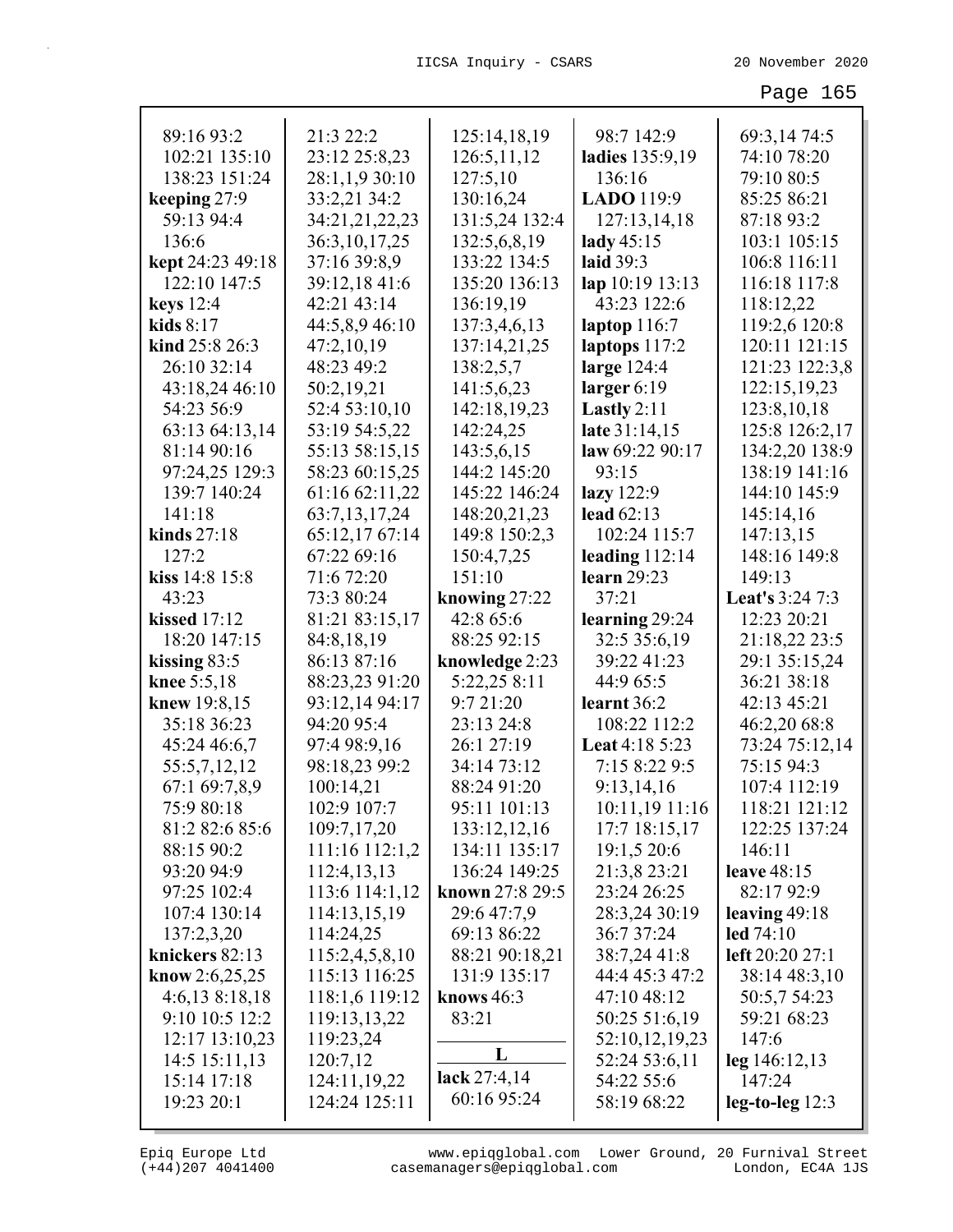| 89:16 93:2          | 21:3 22:2                     | 125:14,18,19    | 98:7 142:9                        | 69:3,14 74:5                 |
|---------------------|-------------------------------|-----------------|-----------------------------------|------------------------------|
| 102:21 135:10       | 23:12 25:8,23                 | 126:5,11,12     | ladies 135:9,19                   | 74:10 78:20                  |
| 138:23 151:24       | 28:1,1,9 30:10                | 127:5,10        | 136:16                            | 79:10 80:5                   |
| keeping 27:9        | 33:2,21 34:2                  | 130:16,24       | LADO 119:9                        | 85:25 86:21                  |
| 59:13 94:4          | 34:21,21,22,23                | 131:5,24 132:4  | 127:13,14,18                      | 87:18 93:2                   |
| 136:6               | 36:3,10,17,25                 | 132:5,6,8,19    | lady $45:15$                      | 103:1 105:15                 |
| kept 24:23 49:18    | 37:16 39:8,9                  | 133:22 134:5    | laid 39:3                         | 106:8 116:11                 |
| 122:10 147:5        | 39:12,1841:6                  | 135:20 136:13   | lap 10:19 13:13                   | 116:18 117:8                 |
| keys 12:4           | 42:21 43:14                   | 136:19,19       | 43:23 122:6                       | 118:12,22                    |
| kids $8:17$         | 44:5,8,9 46:10                | 137:3,4,6,13    | laptop 116:7                      | 119:2,6 120:8                |
| kind 25:8 26:3      | 47:2,10,19                    | 137:14,21,25    | laptops 117:2                     | 120:11 121:15                |
| 26:10 32:14         | 48:23 49:2                    | 138:2,5,7       | large 124:4                       | 121:23 122:3,8               |
| 43:18,24 46:10      | 50:2,19,21                    | 141:5,6,23      | larger $6:19$                     | 122:15,19,23                 |
| 54:23 56:9          | 52:4 53:10,10                 | 142:18,19,23    | Lastly $2:11$                     | 123:8, 10, 18                |
| 63:13 64:13,14      | 53:19 54:5,22                 | 142:24,25       | late 31:14,15                     | 125:8 126:2,17               |
| 81:14 90:16         | 55:13 58:15,15                | 143:5,6,15      | law 69:22 90:17                   | 134:2,20 138:9               |
| 97:24,25 129:3      | 58:23 60:15,25                | 144:2 145:20    | 93:15                             | 138:19 141:16                |
| 139:7 140:24        | 61:16 62:11,22                | 145:22 146:24   | lazy 122:9                        | 144:10 145:9                 |
| 141:18              | 63:7,13,17,24                 | 148:20,21,23    | lead $62:13$                      | 145:14,16                    |
| kinds $27:18$       | 65:12,17 67:14                | 149:8 150:2,3   | 102:24 115:7                      | 147:13,15                    |
| 127:2               | 67:22 69:16                   | 150:4,7,25      | leading $112:14$                  | 148:16 149:8                 |
| kiss 14:8 15:8      | 71:6 72:20                    | 151:10          | <b>learn</b> 29:23                | 149:13                       |
| 43:23               | 73:3 80:24                    | knowing 27:22   | 37:21                             | <b>Leat's 3:24 7:3</b>       |
| <b>kissed</b> 17:12 | 81:21 83:15,17                | 42:8 65:6       | learning 29:24                    | 12:23 20:21                  |
| 18:20 147:15        | 84:8,18,19                    | 88:25 92:15     | 32:5 35:6,19                      | 21:18,22 23:5                |
| kissing $83:5$      | 86:13 87:16                   | knowledge 2:23  | 39:22 41:23                       | 29:1 35:15,24                |
| knee 5:5,18         | 88:23,23 91:20                | 5:22,25 8:11    | 44:9 65:5                         | 36:21 38:18                  |
| knew 19:8,15        | 93:12,14 94:17                | 9:7 21:20       | learnt 36:2                       | 42:13 45:21                  |
| 35:18 36:23         | 94:20 95:4                    | 23:13 24:8      | 108:22 112:2                      | 46:2,20 68:8                 |
| 45:24 46:6,7        | 97:4 98:9,16                  | 26:1 27:19      | Leat 4:18 5:23                    | 73:24 75:12,14               |
| 55:5,7,12,12        | 98:18,23 99:2                 | 34:14 73:12     | 7:15 8:22 9:5                     | 75:15 94:3                   |
| 67:1 69:7,8,9       | 100:14,21                     | 88:24 91:20     | 9:13,14,16                        | 107:4 112:19                 |
| 75:9 80:18          | 102:9 107:7                   | 95:11 101:13    |                                   | 118:21 121:12                |
| 81:2 82:6 85:6      | 109:7,17,20                   | 133:12,12,16    | $10:11,19$ 11:16<br>17:7 18:15,17 | 122:25 137:24                |
| 88:15 90:2          |                               | 134:11 135:17   | 19:1,5 20:6                       | 146:11                       |
| 93:20 94:9          | 111:16 112:1,2                | 136:24 149:25   | 21:3,8 23:21                      | leave 48:15                  |
| 97:25 102:4         | 112:4,13,13<br>113:6 114:1,12 | known 27:8 29:5 | 23:24 26:25                       | 82:17 92:9                   |
|                     |                               |                 |                                   |                              |
| 107:4 130:14        | 114:13,15,19                  | 29:6 47:7,9     | 28:3,24 30:19                     | leaving $49:18$              |
| 137:2,3,20          | 114:24,25                     | 69:13 86:22     | 36:7 37:24                        | led 74:10<br>left 20:20 27:1 |
| knickers 82:13      | 115:2,4,5,8,10                | 88:21 90:18,21  | 38:7,24 41:8<br>44:4 45:3 47:2    |                              |
| know $2:6,25,25$    | 115:13 116:25                 | 131:9 135:17    |                                   | 38:14 48:3,10                |
| $4:6,13$ $8:18,18$  | 118:1,6 119:12                | knows $46:3$    | 47:10 48:12                       | 50:5,7 54:23                 |
| 9:10 10:5 12:2      | 119:13,13,22                  | 83:21           | 50:25 51:6,19                     | 59:21 68:23                  |
| 12:17 13:10,23      | 119:23,24                     | L               | 52:10,12,19,23                    | 147:6                        |
| 14:5 15:11,13       | 120:7,12                      | lack 27:4,14    | 52:24 53:6,11                     | leg 146:12,13                |
| 15:14 17:18         | 124:11,19,22                  | 60:16 95:24     | 54:22 55:6                        | 147:24                       |
| 19:23 20:1          | 124:24 125:11                 |                 | 58:19 68:22                       | $leg-to-leg 12:3$            |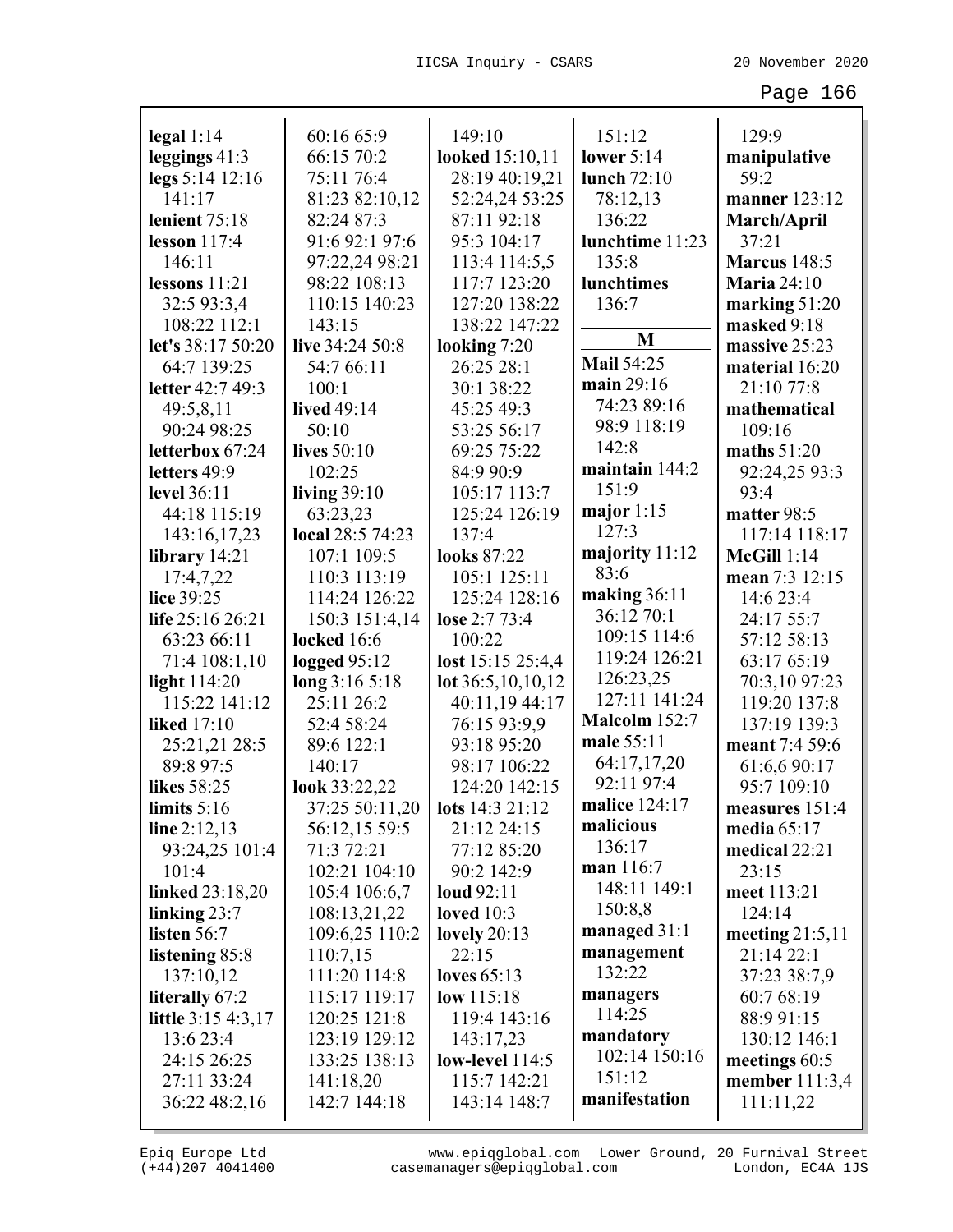|                      |                  | 149:10                 | 151:12            |                      |
|----------------------|------------------|------------------------|-------------------|----------------------|
| $\text{legal } 1:14$ | 60:16 65:9       | looked 15:10,11        |                   | 129:9                |
| leggings 41:3        | 66:15 70:2       |                        | lower $5:14$      | manipulative<br>59:2 |
| legs 5:14 12:16      | 75:11 76:4       | 28:19 40:19,21         | lunch 72:10       |                      |
| 141:17               | 81:23 82:10,12   | 52:24,24 53:25         | 78:12,13          | manner 123:12        |
| lenient 75:18        | 82:24 87:3       | 87:11 92:18            | 136:22            | March/April          |
| lesson $117:4$       | 91:6 92:1 97:6   | 95:3 104:17            | lunchtime 11:23   | 37:21                |
| 146:11               | 97:22,24 98:21   | 113:4 114:5,5          | 135:8             | <b>Marcus</b> 148:5  |
| lessons $11:21$      | 98:22 108:13     | 117:7 123:20           | lunchtimes        | <b>Maria</b> 24:10   |
| 32:5 93:3,4          | 110:15 140:23    | 127:20 138:22          | 136:7             | marking 51:20        |
| 108:22 112:1         | 143:15           | 138:22 147:22          | M                 | masked 9:18          |
| let's 38:17 50:20    | live 34:24 50:8  | looking 7:20           |                   | massive 25:23        |
| 64:7 139:25          | 54:7 66:11       | 26:25 28:1             | <b>Mail 54:25</b> | material 16:20       |
| letter 42:7 49:3     | 100:1            | 30:1 38:22             | main 29:16        | 21:10 77:8           |
| 49:5,8,11            | lived 49:14      | 45:25 49:3             | 74:23 89:16       | mathematical         |
| 90:24 98:25          | 50:10            | 53:25 56:17            | 98:9 118:19       | 109:16               |
| letterbox 67:24      | lives 50:10      | 69:25 75:22            | 142:8             | maths $51:20$        |
| letters 49:9         | 102:25           | 84:9 90:9              | maintain 144:2    | 92:24,25 93:3        |
| level 36:11          | living $39:10$   | 105:17 113:7           | 151:9             | 93:4                 |
| 44:18 115:19         | 63:23,23         | 125:24 126:19          | major $1:15$      | matter 98:5          |
| 143:16,17,23         | local 28:5 74:23 | 137:4                  | 127:3             | 117:14 118:17        |
| library $14:21$      | 107:1 109:5      | <b>looks</b> 87:22     | majority 11:12    | <b>McGill</b> 1:14   |
| 17:4,7,22            | 110:3 113:19     | 105:1 125:11           | 83:6              | mean 7:3 12:15       |
| lice 39:25           | 114:24 126:22    | 125:24 128:16          | making $36:11$    | 14:6 23:4            |
| life 25:16 26:21     | 150:3 151:4,14   | lose 2:7 73:4          | 36:12 70:1        | 24:17 55:7           |
| 63:23 66:11          | locked 16:6      | 100:22                 | 109:15 114:6      | 57:12 58:13          |
| 71:4 108:1,10        | logged $95:12$   | lost 15:15 25:4,4      | 119:24 126:21     | 63:17 65:19          |
| light $114:20$       | long 3:16 5:18   | lot $36:5,10,10,12$    | 126:23,25         | 70:3,10 97:23        |
| 115:22 141:12        | 25:11 26:2       | 40:11,19 44:17         | 127:11 141:24     | 119:20 137:8         |
| <b>liked</b> 17:10   | 52:4 58:24       | 76:15 93:9,9           | Malcolm 152:7     | 137:19 139:3         |
| 25:21,21 28:5        | 89:6 122:1       | 93:18 95:20            | male 55:11        | meant 7:4 59:6       |
| 89:8 97:5            | 140:17           | 98:17 106:22           | 64:17,17,20       | 61:6,6 90:17         |
| likes 58:25          | look 33:22,22    | 124:20 142:15          | 92:11 97:4        | 95:7 109:10          |
| limits $5:16$        | 37:25 50:11,20   | <b>lots</b> 14:3 21:12 | malice 124:17     | measures 151:4       |
| line $2:12,13$       | 56:12,15 59:5    | 21:12 24:15            | malicious         | media $65:17$        |
| 93:24,25 101:4       | 71:3 72:21       | 77:12 85:20            | 136:17            | medical $22:21$      |
| 101:4                | 102:21 104:10    | 90:2 142:9             | man 116:7         | 23:15                |
| linked 23:18,20      | 105:4 106:6,7    | loud 92:11             | 148:11 149:1      | meet 113:21          |
| linking $23:7$       | 108:13,21,22     | loved $10:3$           | 150:8,8           | 124:14               |
| listen 56:7          | 109:6,25 110:2   | lovely $20:13$         | managed 31:1      | meeting $21:5,11$    |
| listening 85:8       | 110:7,15         | 22:15                  | management        | 21:14 22:1           |
| 137:10,12            | 111:20 114:8     | loves $65:13$          | 132:22            | 37:23 38:7,9         |
| literally 67:2       | 115:17 119:17    | low $115:18$           | managers          | 60:7 68:19           |
| little 3:15 4:3,17   | 120:25 121:8     | 119:4 143:16           | 114:25            | 88:9 91:15           |
| 13:6 23:4            | 123:19 129:12    | 143:17,23              | mandatory         | 130:12 146:1         |
| 24:15 26:25          | 133:25 138:13    | low-level 114:5        | 102:14 150:16     | meetings 60:5        |
| 27:11 33:24          | 141:18,20        | 115:7 142:21           | 151:12            | member 111:3,4       |
| 36:22 48:2,16        | 142:7 144:18     | 143:14 148:7           | manifestation     | 111:11,22            |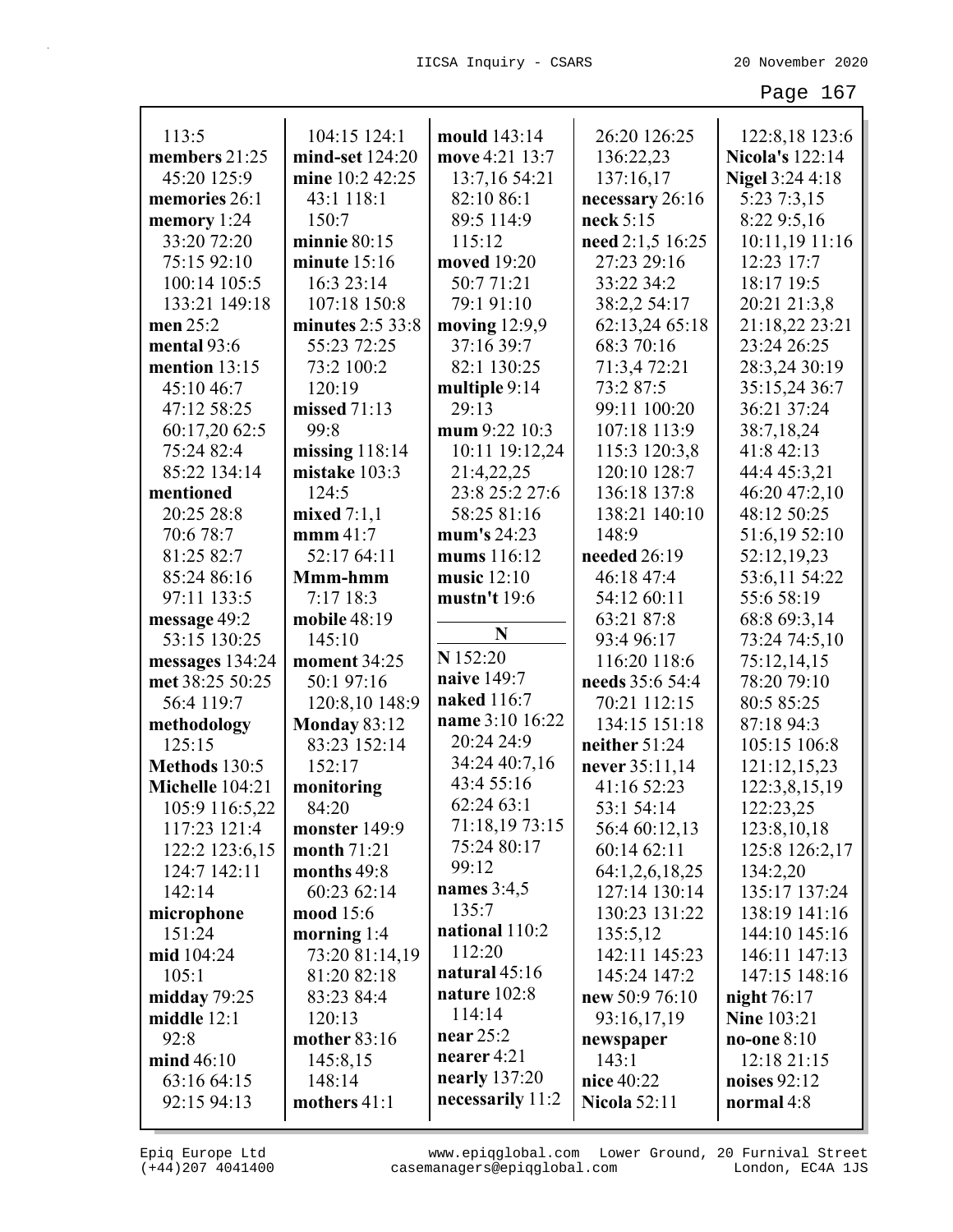| 113:5           | 104:15 124:1        | mould 143:14                | 26:20 126:25        | 122:8,18 123:6         |
|-----------------|---------------------|-----------------------------|---------------------|------------------------|
| members 21:25   | mind-set 124:20     | move 4:21 13:7              | 136:22,23           | <b>Nicola's 122:14</b> |
| 45:20 125:9     | mine 10:2 42:25     | 13:7,16 54:21               | 137:16,17           | <b>Nigel 3:24 4:18</b> |
| memories 26:1   | 43:1 118:1          | 82:10 86:1                  | necessary 26:16     | 5:23 7:3,15            |
| memory 1:24     | 150:7               | 89:5 114:9                  | neck 5:15           | 8:22 9:5,16            |
| 33:20 72:20     | minnie $80:15$      | 115:12                      | need 2:1,5 16:25    | 10:11,19 11:16         |
| 75:15 92:10     | minute 15:16        | moved 19:20                 | 27:23 29:16         | 12:23 17:7             |
| 100:14 105:5    | 16:3 23:14          | 50:771:21                   | 33:22 34:2          | 18:17 19:5             |
| 133:21 149:18   | 107:18 150:8        | 79:1 91:10                  | 38:2,2 54:17        | 20:21 21:3,8           |
| men 25:2        | minutes $2:5$ 33:8  | moving $12:9,9$             | 62:13,24 65:18      | 21:18,22 23:21         |
| mental 93:6     | 55:23 72:25         | 37:16 39:7                  | 68:3 70:16          | 23:24 26:25            |
| mention 13:15   | 73:2 100:2          | 82:1 130:25                 | 71:3,4 72:21        | 28:3,24 30:19          |
| 45:10 46:7      | 120:19              | multiple 9:14               | 73:2 87:5           | 35:15,24 36:7          |
| 47:12 58:25     | missed $71:13$      | 29:13                       | 99:11 100:20        | 36:21 37:24            |
| 60:17,20 62:5   | 99:8                | mum 9:22 10:3               | 107:18 113:9        | 38:7,18,24             |
| 75:24 82:4      | missing $118:14$    | 10:11 19:12,24              | 115:3 120:3,8       | 41:8 42:13             |
| 85:22 134:14    | mistake 103:3       | 21:4,22,25                  | 120:10 128:7        | 44:4 45:3,21           |
| mentioned       | 124:5               | 23:8 25:2 27:6              | 136:18 137:8        | 46:20 47:2,10          |
| 20:25 28:8      | mixed $7:1,1$       | 58:25 81:16                 | 138:21 140:10       | 48:12 50:25            |
| 70:6 78:7       | $\mathbf{mmm}$ 41:7 | mum's 24:23                 | 148:9               | 51:6,19 52:10          |
| 81:25 82:7      | 52:17 64:11         | mums 116:12                 | needed $26:19$      | 52:12,19,23            |
| 85:24 86:16     | Mmm-hmm             | music $12:10$               | 46:18 47:4          | 53:6,11 54:22          |
| 97:11 133:5     | 7:17 18:3           | mustn't 19:6                | 54:12 60:11         | 55:6 58:19             |
| message 49:2    | mobile 48:19        | N                           | 63:21 87:8          | 68:8 69:3,14           |
| 53:15 130:25    | 145:10              | N 152:20                    | 93:4 96:17          | 73:24 74:5,10          |
| messages 134:24 | moment 34:25        | naive 149:7                 | 116:20 118:6        | 75:12,14,15            |
| met 38:25 50:25 | 50:1 97:16          |                             | needs 35:6 54:4     | 78:20 79:10            |
| 56:4 119:7      | 120:8,10 148:9      | naked 116:7                 | 70:21 112:15        | 80:5 85:25             |
| methodology     | <b>Monday 83:12</b> | name 3:10 16:22             | 134:15 151:18       | 87:18 94:3             |
| 125:15          | 83:23 152:14        | 20:24 24:9<br>34:24 40:7,16 | neither 51:24       | 105:15 106:8           |
| Methods 130:5   | 152:17              |                             | never $35:11,14$    | 121:12,15,23           |
| Michelle 104:21 | monitoring          | 43:4 55:16                  | 41:16 52:23         | 122:3,8,15,19          |
| 105:9 116:5,22  | 84:20               | 62:24 63:1                  | 53:1 54:14          | 122:23,25              |
| 117:23 121:4    | monster 149:9       | 71:18,19 73:15              | 56:4 60:12,13       | 123:8, 10, 18          |
| 122:2 123:6,15  | month 71:21         | 75:24 80:17                 | 60:14 62:11         | 125:8 126:2,17         |
| 124:7 142:11    | months 49:8         | 99:12                       | 64:1,2,6,18,25      | 134:2,20               |
| 142:14          | 60:23 62:14         | names $3:4,5$               | 127:14 130:14       | 135:17 137:24          |
| microphone      | mood 15:6           | 135:7                       | 130:23 131:22       | 138:19 141:16          |
| 151:24          | morning $1:4$       | national 110:2              | 135:5,12            | 144:10 145:16          |
| mid 104:24      | 73:20 81:14,19      | 112:20                      | 142:11 145:23       | 146:11 147:13          |
| 105:1           | 81:20 82:18         | natural $45:16$             | 145:24 147:2        | 147:15 148:16          |
| midday $79:25$  | 83:23 84:4          | nature $102:8$              | new 50:9 76:10      | night $76:17$          |
| middle $12:1$   | 120:13              | 114:14                      | 93:16,17,19         | <b>Nine 103:21</b>     |
| 92:8            | mother 83:16        | near $25:2$                 | newspaper           | no-one $8:10$          |
| mid 46:10       | 145:8,15            | nearer $4:21$               | 143:1               | 12:18 21:15            |
| 63:16 64:15     | 148:14              | nearly $137:20$             | nice 40:22          | noises $92:12$         |
| 92:15 94:13     | mothers 41:1        | necessarily 11:2            | <b>Nicola 52:11</b> | normal 4:8             |
|                 |                     |                             |                     |                        |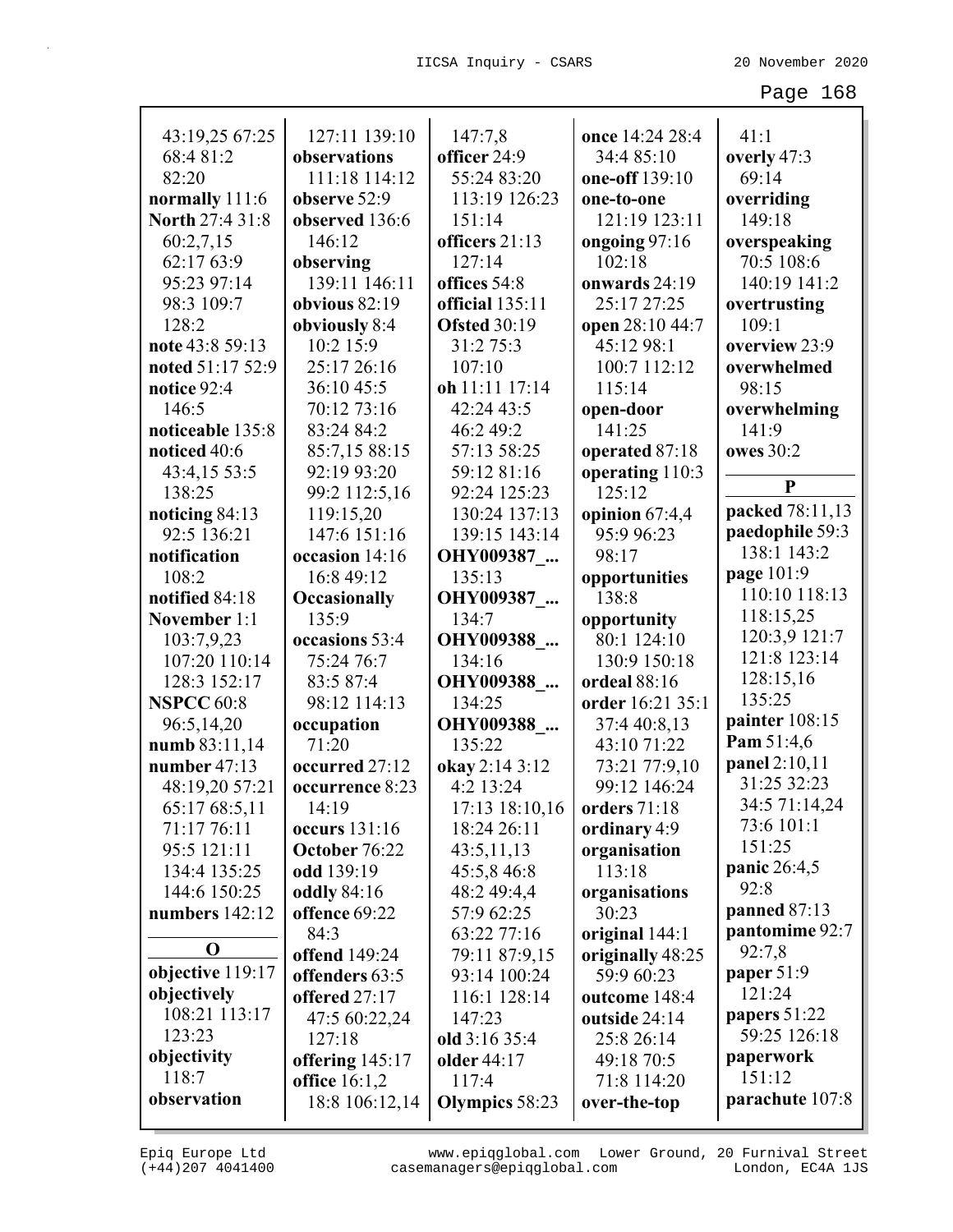| 43:19,25 67:25         | 127:11 139:10                           | 147:7,8               | once 14:24 28:4          | 41:1                 |
|------------------------|-----------------------------------------|-----------------------|--------------------------|----------------------|
| 68:4 81:2              | observations                            | officer 24:9          | 34:4 85:10               | overly 47:3          |
| 82:20                  | 111:18 114:12                           | 55:24 83:20           | one-off 139:10           | 69:14                |
| normally 111:6         | observe 52:9                            | 113:19 126:23         | one-to-one               | overriding           |
| <b>North 27:4 31:8</b> | observed 136:6                          | 151:14                | 121:19 123:11            | 149:18               |
| 60:2,7,15              | 146:12                                  | officers 21:13        | ongoing 97:16            | overspeaking         |
| 62:17 63:9             | observing                               | 127:14                | 102:18                   | 70:5 108:6           |
| 95:23 97:14            | 139:11 146:11                           | offices 54:8          | onwards 24:19            | 140:19 141:2         |
| 98:3 109:7             | obvious 82:19                           | official 135:11       | 25:17 27:25              | overtrusting         |
| 128:2                  | obviously 8:4                           | <b>Ofsted 30:19</b>   | open 28:10 44:7          | 109:1                |
| note 43:8 59:13        | 10:2 15:9                               | 31:2 75:3             | 45:12 98:1               | overview 23:9        |
| noted 51:17 52:9       | 25:17 26:16                             | 107:10                | 100:7 112:12             | overwhelmed          |
| notice 92:4            | 36:10 45:5                              | oh 11:11 17:14        | 115:14                   | 98:15                |
| 146:5                  | 70:12 73:16                             | 42:24 43:5            | open-door                | overwhelming         |
| noticeable 135:8       | 83:24 84:2                              | 46:2 49:2             | 141:25                   | 141:9                |
| noticed 40:6           | 85:7,15 88:15                           | 57:13 58:25           | operated 87:18           | owes 30:2            |
| 43:4,15 53:5           | 92:19 93:20                             | 59:12 81:16           | operating 110:3          |                      |
| 138:25                 | 99:2 112:5,16                           | 92:24 125:23          | 125:12                   | $\mathbf{P}$         |
| noticing 84:13         | 119:15,20                               | 130:24 137:13         | opinion 67:4,4           | packed 78:11,13      |
| 92:5 136:21            | 147:6 151:16                            | 139:15 143:14         | 95:9 96:23               | paedophile 59:3      |
| notification           | occasion 14:16                          | OHY009387             | 98:17                    | 138:1 143:2          |
| 108:2                  | 16:8 49:12                              | 135:13                | opportunities            | page 101:9           |
| notified 84:18         | <b>Occasionally</b>                     | OHY009387             | 138:8                    | 110:10 118:13        |
| November 1:1           | 135:9                                   | 134:7                 | opportunity              | 118:15,25            |
| 103:7,9,23             | occasions 53:4                          | OHY009388_            | 80:1 124:10              | 120:3,9 121:7        |
| 107:20 110:14          | 75:24 76:7                              | 134:16                | 130:9 150:18             | 121:8 123:14         |
| 128:3 152:17           | 83:5 87:4                               | OHY009388             | ordeal 88:16             | 128:15,16            |
| <b>NSPCC 60:8</b>      | 98:12 114:13                            | 134:25                | order 16:21 35:1         | 135:25               |
| 96:5,14,20             | occupation                              | OHY009388             | 37:4 40:8,13             | painter 108:15       |
| numb 83:11,14          | 71:20                                   | 135:22                | 43:10 71:22              | Pam 51:4,6           |
| number 47:13           | occurred 27:12                          | okay 2:14 3:12        | 73:21 77:9,10            | panel 2:10,11        |
| 48:19,20 57:21         | occurrence 8:23                         | 4:2 13:24             | 99:12 146:24             | 31:25 32:23          |
| 65:17 68:5,11          | 14:19                                   | 17:13 18:10,16        | orders $71:18$           | 34:5 71:14,24        |
| 71:17 76:11            | occurs 131:16                           | 18:24 26:11           | ordinary 4:9             | 73:6 101:1           |
| 95:5 121:11            | October 76:22                           | 43:5,11,13            | organisation             | 151:25               |
| 134:4 135:25           | odd 139:19                              | 45:5,8 46:8           | 113:18                   | panic 26:4,5<br>92:8 |
| 144:6 150:25           | <b>oddly</b> 84:16                      | 48:2 49:4,4           | organisations            |                      |
| numbers $142:12$       | offence 69:22                           | 57:9 62:25            | 30:23                    | panned 87:13         |
| $\mathbf 0$            | 84:3                                    | 63:22 77:16           | original 144:1           | pantomime 92:7       |
| objective 119:17       | offend 149:24                           | 79:11 87:9,15         | originally 48:25         | 92:7,8               |
| objectively            | offenders 63:5                          | 93:14 100:24          | 59:9 60:23               | paper 51:9<br>121:24 |
| 108:21 113:17          | offered 27:17                           | 116:1 128:14          | outcome 148:4            | papers 51:22         |
| 123:23                 | 47:5 60:22,24                           | 147:23                | outside 24:14            | 59:25 126:18         |
| objectivity            | 127:18                                  | old 3:16 35:4         | 25:8 26:14<br>49:18 70:5 | paperwork            |
| 118:7                  | offering 145:17<br><b>office</b> 16:1,2 | older 44:17<br>117:4  | 71:8 114:20              | 151:12               |
| observation            | 18:8 106:12,14                          | <b>Olympics</b> 58:23 | over-the-top             | parachute 107:8      |
|                        |                                         |                       |                          |                      |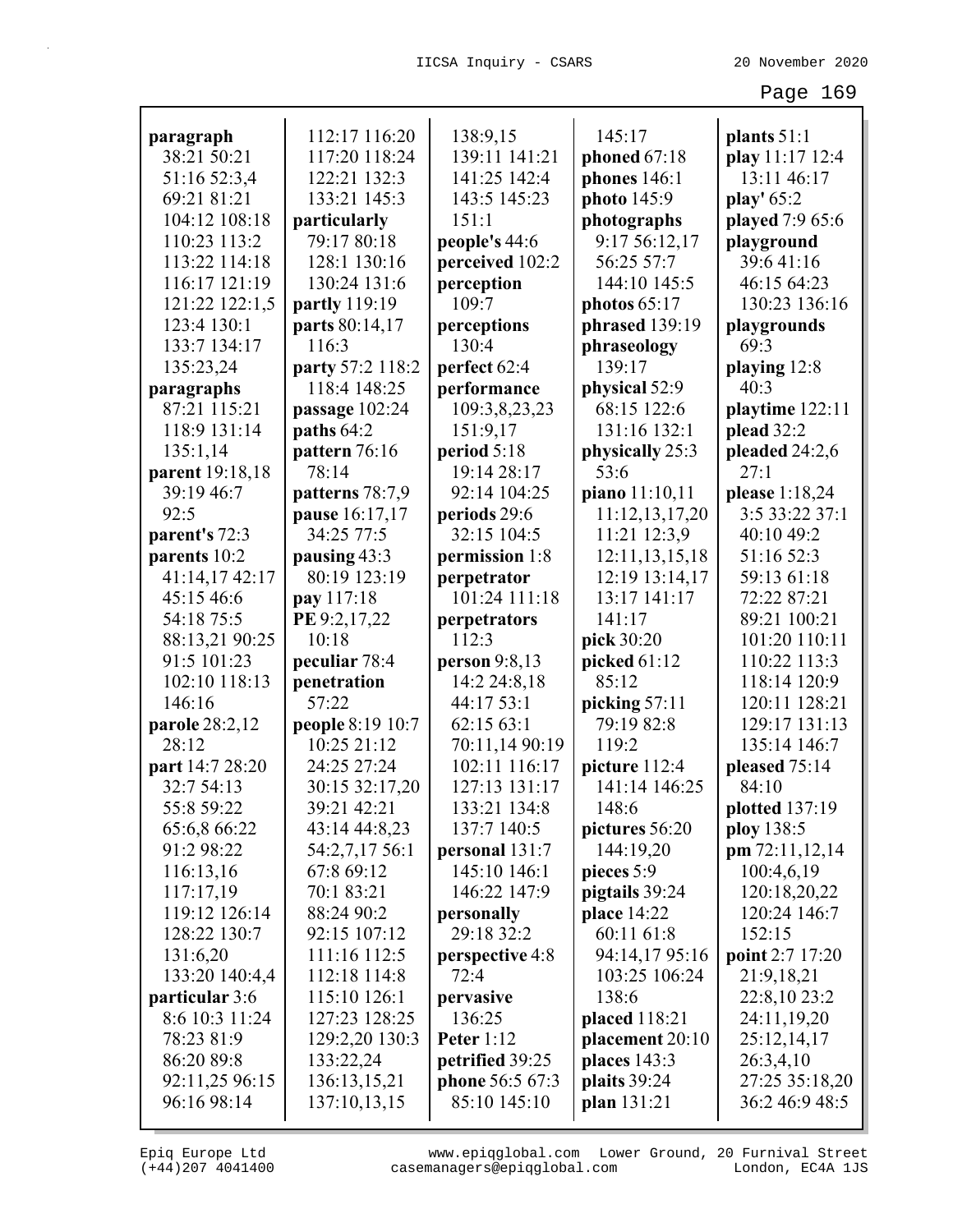| paragraph       | 112:17 116:20                | 138:9,15                       | 145:17             | plants $51:1$                |
|-----------------|------------------------------|--------------------------------|--------------------|------------------------------|
| 38:21 50:21     | 117:20 118:24                | 139:11 141:21                  | phoned 67:18       | play 11:17 12:4              |
| 51:16 52:3,4    | 122:21 132:3                 | 141:25 142:4                   | phones $146:1$     | 13:11 46:17                  |
| 69:21 81:21     | 133:21 145:3                 | 143:5 145:23                   | photo 145:9        | play' 65:2                   |
| 104:12 108:18   | particularly                 | 151:1                          | photographs        | played 7:9 65:6              |
| 110:23 113:2    | 79:17 80:18                  | people's 44:6                  | 9:17 56:12,17      | playground                   |
| 113:22 114:18   | 128:1 130:16                 | perceived 102:2                | 56:25 57:7         | 39:641:16                    |
| 116:17 121:19   | 130:24 131:6                 | perception                     | 144:10 145:5       | 46:15 64:23                  |
| 121:22 122:1,5  | partly 119:19                | 109:7                          | photos $65:17$     | 130:23 136:16                |
| 123:4 130:1     | parts 80:14,17               | perceptions                    | phrased 139:19     | playgrounds                  |
| 133:7 134:17    | 116:3                        | 130:4                          | phraseology        | 69:3                         |
| 135:23,24       | party 57:2 118:2             | perfect 62:4                   | 139:17             | playing 12:8                 |
| paragraphs      | 118:4 148:25                 | performance                    | physical 52:9      | 40:3                         |
| 87:21 115:21    | passage 102:24               | 109:3,8,23,23                  | 68:15 122:6        | playtime 122:11              |
| 118:9 131:14    | paths 64:2                   | 151:9,17                       | 131:16 132:1       | plead 32:2                   |
| 135:1,14        | pattern 76:16                | period 5:18                    | physically 25:3    | pleaded 24:2,6               |
| parent 19:18,18 | 78:14                        | 19:14 28:17                    | 53:6               | 27:1                         |
| 39:19 46:7      | patterns 78:7,9              | 92:14 104:25                   | piano 11:10,11     | please 1:18,24               |
| 92:5            | pause 16:17,17               | periods 29:6                   | 11:12,13,17,20     | 3:5 33:22 37:1               |
| parent's 72:3   | 34:25 77:5                   | 32:15 104:5                    | 11:21 12:3,9       | 40:10 49:2                   |
| parents 10:2    | pausing 43:3                 | permission 1:8                 | 12:11,13,15,18     | 51:16 52:3                   |
| 41:14,17 42:17  | 80:19 123:19                 | perpetrator                    | 12:19 13:14,17     | 59:13 61:18                  |
| 45:15 46:6      | pay 117:18                   | 101:24 111:18                  | 13:17 141:17       | 72:22 87:21                  |
| 54:18 75:5      | PE 9:2,17,22                 | perpetrators                   | 141:17             | 89:21 100:21                 |
| 88:13,21 90:25  | 10:18                        | 112:3                          | pick 30:20         | 101:20 110:11                |
| 91:5 101:23     | peculiar 78:4                | person $9:8,13$                | picked 61:12       | 110:22 113:3                 |
| 102:10 118:13   | penetration                  | 14:2 24:8,18                   | 85:12              | 118:14 120:9                 |
| 146:16          | 57:22                        | 44:17 53:1                     | picking 57:11      | 120:11 128:21                |
| parole 28:2,12  | people 8:19 10:7             | 62:15 63:1                     | 79:19 82:8         | 129:17 131:13                |
| 28:12           | 10:25 21:12                  | 70:11,14 90:19                 | 119:2              | 135:14 146:7                 |
| part 14:7 28:20 | 24:25 27:24                  | 102:11 116:17                  | picture 112:4      | pleased 75:14                |
| 32:7 54:13      | 30:15 32:17,20               | 127:13 131:17                  | 141:14 146:25      | 84:10                        |
| 55:8 59:22      | 39:21 42:21                  | 133:21 134:8                   | 148:6              | plotted 137:19               |
| 65:6,8 66:22    | 43:14 44:8,23                | 137:7 140:5                    | pictures 56:20     | ploy 138:5                   |
| 91:2 98:22      |                              |                                | 144:19,20          |                              |
|                 | 54:2,7,17 56:1<br>67:8 69:12 | personal 131:7<br>145:10 146:1 |                    | pm 72:11,12,14<br>100:4,6,19 |
| 116:13,16       |                              |                                | pieces 5:9         |                              |
| 117:17,19       | 70:1 83:21                   | 146:22 147:9                   | pigtails 39:24     | 120:18,20,22                 |
| 119:12 126:14   | 88:24 90:2                   | personally                     | <b>place</b> 14:22 | 120:24 146:7                 |
| 128:22 130:7    | 92:15 107:12                 | 29:18 32:2                     | 60:11 61:8         | 152:15                       |
| 131:6,20        | 111:16 112:5                 | perspective 4:8                | 94:14,17 95:16     | point 2:7 17:20              |
| 133:20 140:4,4  | 112:18 114:8                 | 72:4                           | 103:25 106:24      | 21:9,18,21                   |
| particular 3:6  | 115:10 126:1                 | pervasive                      | 138:6              | 22:8,10 23:2                 |
| 8:6 10:3 11:24  | 127:23 128:25                | 136:25                         | placed 118:21      | 24:11,19,20                  |
| 78:23 81:9      | 129:2,20 130:3               | Peter $1:12$                   | placement 20:10    | 25:12,14,17                  |
| 86:20 89:8      | 133:22,24                    | petrified 39:25                | places 143:3       | 26:3,4,10                    |
| 92:11,25 96:15  | 136:13,15,21                 | phone 56:5 67:3                | plaits 39:24       | 27:25 35:18,20               |
| 96:16 98:14     | 137:10,13,15                 | 85:10 145:10                   | plan 131:21        | 36:2 46:9 48:5               |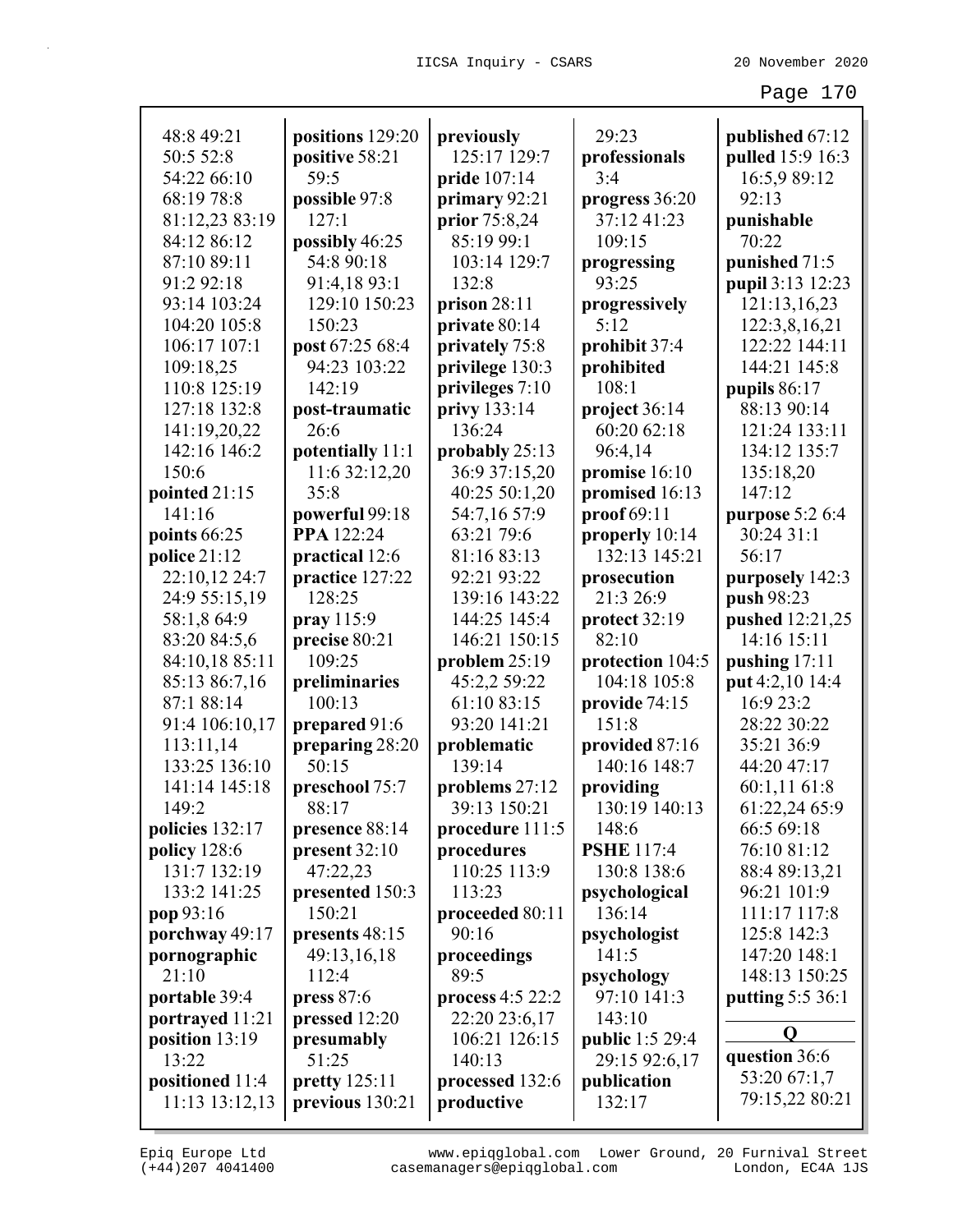| 48:8 49:21          | positions 129:20            | previously       | 29:23                      | published 67:12         |
|---------------------|-----------------------------|------------------|----------------------------|-------------------------|
| 50:5 52:8           | positive 58:21              | 125:17 129:7     | professionals              | pulled 15:9 16:3        |
| 54:22 66:10         | 59:5                        | pride 107:14     | 3:4                        | 16:5,9 89:12            |
| 68:19 78:8          | possible 97:8               | primary 92:21    | progress 36:20             | 92:13                   |
| 81:12,23 83:19      | 127:1                       | prior 75:8,24    | 37:12 41:23                | punishable              |
| 84:12 86:12         | possibly 46:25              | 85:19 99:1       | 109:15                     | 70:22                   |
| 87:10 89:11         | 54:8 90:18                  | 103:14 129:7     | progressing                | punished 71:5           |
| 91:2 92:18          | 91:4,18 93:1                | 132:8            | 93:25                      | pupil 3:13 12:23        |
| 93:14 103:24        | 129:10 150:23               | prison 28:11     | progressively              | 121:13,16,23            |
| 104:20 105:8        | 150:23                      | private 80:14    | 5:12                       | 122:3,8,16,21           |
| 106:17 107:1        | post 67:25 68:4             | privately 75:8   | prohibit 37:4              | 122:22 144:11           |
| 109:18,25           | 94:23 103:22                | privilege 130:3  | prohibited                 | 144:21 145:8            |
| 110:8 125:19        | 142:19                      | privileges 7:10  | 108:1                      | pupils $86:17$          |
| 127:18 132:8        | post-traumatic              | privy 133:14     | project 36:14              | 88:13 90:14             |
| 141:19,20,22        | 26:6                        | 136:24           | 60:20 62:18                | 121:24 133:11           |
| 142:16 146:2        | potentially 11:1            | probably $25:13$ | 96:4,14                    | 134:12 135:7            |
| 150:6               | 11:6 32:12,20               | 36:9 37:15,20    | promise 16:10              | 135:18,20               |
| pointed 21:15       | 35:8                        | 40:25 50:1,20    | promised 16:13             | 147:12                  |
| 141:16              | powerful 99:18              | 54:7,16 57:9     | proof 69:11                | purpose 5:2 6:4         |
| points 66:25        | PPA 122:24                  | 63:21 79:6       | properly 10:14             | 30:24 31:1              |
| police $21:12$      | practical 12:6              | 81:16 83:13      | 132:13 145:21              | 56:17                   |
| 22:10,12 24:7       | practice 127:22             | 92:21 93:22      | prosecution                | purposely 142:3         |
| 24:9 55:15,19       | 128:25                      | 139:16 143:22    | 21:3 26:9                  | push 98:23              |
| 58:1,8 64:9         | $\frac{\text{pray}}{115:9}$ | 144:25 145:4     | protect 32:19              | pushed 12:21,25         |
| 83:20 84:5,6        | precise 80:21               | 146:21 150:15    | 82:10                      | 14:16 15:11             |
| 84:10,18 85:11      | 109:25                      | problem 25:19    | protection 104:5           | pushing $17:11$         |
| 85:13 86:7,16       | preliminaries               | 45:2,2 59:22     | 104:18 105:8               | put 4:2,10 14:4         |
| 87:1 88:14          | 100:13                      | 61:10 83:15      | provide 74:15              | 16:9 23:2               |
| 91:4 106:10,17      | prepared 91:6               | 93:20 141:21     | 151:8                      | 28:22 30:22             |
| 113:11,14           |                             | problematic      | provided 87:16             | 35:21 36:9              |
| 133:25 136:10       | preparing 28:20<br>50:15    | 139:14           | 140:16 148:7               | 44:20 47:17             |
| 141:14 145:18       |                             |                  |                            |                         |
|                     | preschool 75:7              | problems 27:12   | providing<br>130:19 140:13 | 60:1,11 61:8            |
| 149:2               | 88:17                       | 39:13 150:21     |                            | 61:22,24 65:9           |
| policies 132:17     | presence 88:14              | procedure 111:5  | 148:6                      | 66:5 69:18              |
| <b>policy</b> 128:6 | present 32:10               | procedures       | <b>PSHE</b> 117:4          | 76:10 81:12             |
| 131:7 132:19        | 47:22,23                    | 110:25 113:9     | 130:8 138:6                | 88:4 89:13,21           |
| 133:2 141:25        | presented 150:3             | 113:23           | psychological              | 96:21 101:9             |
| pop 93:16           | 150:21                      | proceeded 80:11  | 136:14                     | 111:17 117:8            |
| porchway 49:17      | presents 48:15              | 90:16            | psychologist               | 125:8 142:3             |
| pornographic        | 49:13,16,18                 | proceedings      | 141:5                      | 147:20 148:1            |
| 21:10               | 112:4                       | 89:5             | psychology                 | 148:13 150:25           |
| portable 39:4       | press $87:6$                | process 4:5 22:2 | 97:10 141:3                | <b>putting 5:5 36:1</b> |
| portrayed 11:21     | pressed 12:20               | 22:20 23:6,17    | 143:10                     |                         |
| position 13:19      | presumably                  | 106:21 126:15    | public 1:5 29:4            | O                       |
| 13:22               | 51:25                       | 140:13           | 29:15 92:6,17              | question 36:6           |
| positioned 11:4     | $\text{pretty } 125:11$     | processed 132:6  | publication                | 53:20 67:1,7            |
| 11:13 13:12,13      | previous 130:21             | productive       | 132:17                     | 79:15,22 80:21          |
|                     |                             |                  |                            |                         |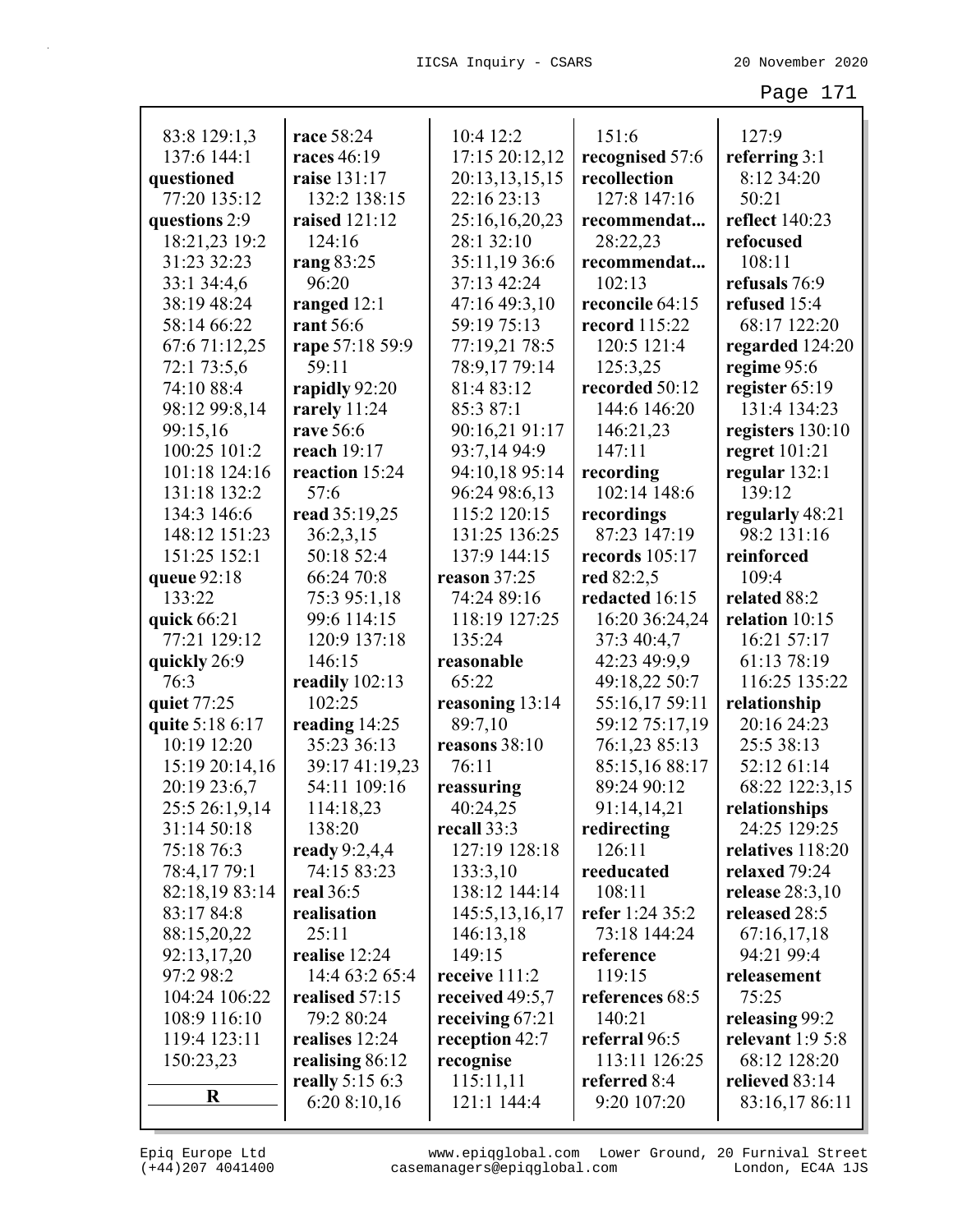| 83:8 129:1,3             | race 58:24                      | 10:4 12:2                      | 151:6                | 127:9                            |
|--------------------------|---------------------------------|--------------------------------|----------------------|----------------------------------|
| 137:6 144:1              | races 46:19                     | 17:15 20:12,12                 | recognised 57:6      | referring $3:1$                  |
| questioned               | raise 131:17                    | 20:13,13,15,15                 | recollection         | 8:12 34:20                       |
| 77:20 135:12             | 132:2 138:15                    | 22:16 23:13                    | 127:8 147:16         | 50:21                            |
| questions 2:9            | raised 121:12                   | 25:16,16,20,23                 | recommendat          | reflect 140:23                   |
| 18:21,23 19:2            | 124:16                          | 28:1 32:10                     | 28:22,23             | refocused                        |
| 31:23 32:23              | rang 83:25                      | 35:11,19 36:6                  | recommendat          | 108:11                           |
| 33:1 34:4,6              | 96:20                           | 37:13 42:24                    | 102:13               | refusals 76:9                    |
| 38:19 48:24              | ranged $12:1$                   | 47:16 49:3,10                  | reconcile 64:15      | refused 15:4                     |
| 58:14 66:22              | rant 56:6                       | 59:19 75:13                    | <b>record</b> 115:22 | 68:17 122:20                     |
| 67:6 71:12,25            | rape 57:18 59:9                 | 77:19,21 78:5                  | 120:5 121:4          | regarded 124:20                  |
| 72:1 73:5,6              | 59:11                           | 78:9,17 79:14                  | 125:3,25             | regime 95:6                      |
| 74:10 88:4               | rapidly 92:20                   | 81:4 83:12                     | recorded 50:12       | register 65:19                   |
| 98:12 99:8,14            | rarely $11:24$<br>rave 56:6     | 85:3 87:1                      | 144:6 146:20         | 131:4 134:23                     |
| 99:15,16<br>100:25 101:2 |                                 | 90:16,21 91:17<br>93:7,14 94:9 | 146:21,23<br>147:11  | registers 130:10                 |
| 101:18 124:16            | reach $19:17$<br>reaction 15:24 | 94:10,18 95:14                 | recording            | regret $101:21$<br>regular 132:1 |
| 131:18 132:2             | 57:6                            | 96:24 98:6,13                  | 102:14 148:6         | 139:12                           |
| 134:3 146:6              | read 35:19,25                   | 115:2 120:15                   | recordings           | regularly 48:21                  |
| 148:12 151:23            | 36:2,3,15                       | 131:25 136:25                  | 87:23 147:19         | 98:2 131:16                      |
| 151:25 152:1             | 50:18 52:4                      | 137:9 144:15                   | records 105:17       | reinforced                       |
| queue 92:18              | 66:24 70:8                      | reason 37:25                   | red 82:2,5           | 109:4                            |
| 133:22                   | 75:3 95:1,18                    | 74:24 89:16                    | redacted 16:15       | related 88:2                     |
| quick 66:21              | 99:6 114:15                     | 118:19 127:25                  | 16:20 36:24,24       | relation 10:15                   |
| 77:21 129:12             | 120:9 137:18                    | 135:24                         | 37:3 40:4,7          | 16:21 57:17                      |
| quickly 26:9             | 146:15                          | reasonable                     | 42:23 49:9,9         | 61:13 78:19                      |
| 76:3                     | readily 102:13                  | 65:22                          | 49:18,22 50:7        | 116:25 135:22                    |
| quiet 77:25              | 102:25                          | reasoning 13:14                | 55:16,17 59:11       | relationship                     |
| quite 5:18 6:17          | reading 14:25                   | 89:7,10                        | 59:12 75:17,19       | 20:16 24:23                      |
| 10:19 12:20              | 35:23 36:13                     | reasons 38:10                  | 76:1,23 85:13        | 25:5 38:13                       |
| 15:19 20:14,16           | 39:17 41:19,23                  | 76:11                          | 85:15,16 88:17       | 52:12 61:14                      |
| 20:19 23:6,7             | 54:11 109:16                    | reassuring                     | 89:24 90:12          | 68:22 122:3,15                   |
| 25:5 26:1,9,14           | 114:18,23                       | 40:24,25                       | 91:14,14,21          | relationships                    |
| 31:14 50:18              | 138:20                          | recall 33:3                    | redirecting          | 24:25 129:25                     |
| 75:18 76:3               | ready $9:2,4,4$                 | 127:19 128:18                  | 126:11               | relatives 118:20                 |
| 78:4,17 79:1             | 74:15 83:23                     | 133:3,10                       | reeducated           | relaxed 79:24                    |
| 82:18,19 83:14           | real 36:5                       | 138:12 144:14                  | 108:11               | release $28:3,10$                |
| 83:17 84:8               | realisation                     | 145:5, 13, 16, 17              | refer 1:24 35:2      | released 28:5                    |
| 88:15,20,22              | 25:11                           | 146:13,18                      | 73:18 144:24         | 67:16,17,18                      |
| 92:13,17,20              | realise 12:24                   | 149:15                         | reference            | 94:21 99:4                       |
| 97:2 98:2                | 14:4 63:2 65:4                  | receive 111:2                  | 119:15               | releasement                      |
| 104:24 106:22            | realised 57:15                  | received 49:5,7                | references 68:5      | 75:25                            |
| 108:9 116:10             | 79:2 80:24                      | receiving $67:21$              | 140:21               | releasing 99:2                   |
| 119:4 123:11             | realises 12:24                  | reception 42:7                 | referral 96:5        | relevant $1:95:8$                |
| 150:23,23                | realising 86:12                 | recognise                      | 113:11 126:25        | 68:12 128:20                     |
|                          | really 5:15 6:3                 | 115:11,11                      | referred 8:4         | relieved 83:14                   |
| $\bf R$                  | 6:20 8:10,16                    | 121:1 144:4                    | 9:20 107:20          | 83:16,17 86:11                   |
|                          |                                 |                                |                      |                                  |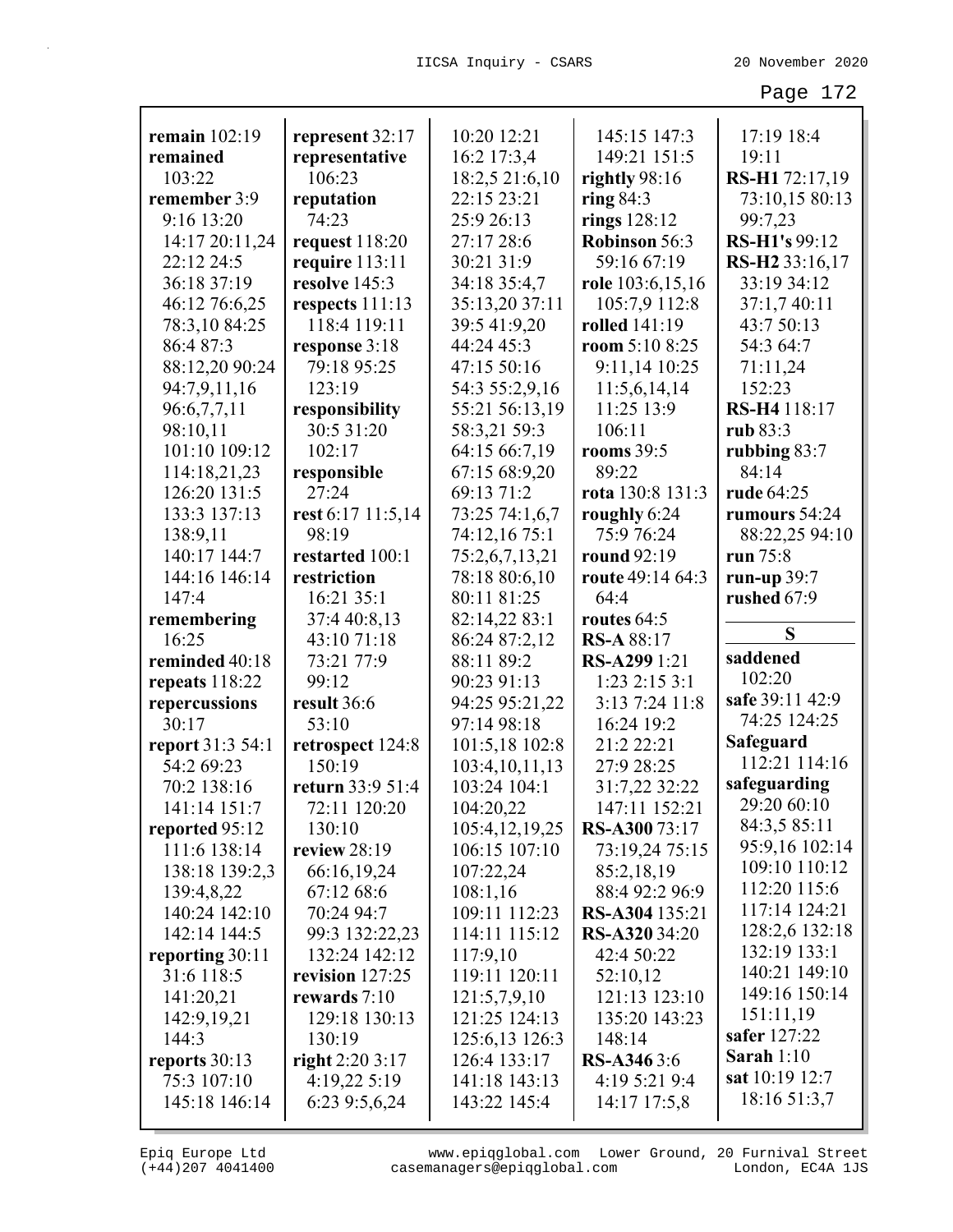|                  |                   | 10:20 12:21       |                      |                            |
|------------------|-------------------|-------------------|----------------------|----------------------------|
| remain 102:19    | represent 32:17   |                   | 145:15 147:3         | 17:19 18:4                 |
| remained         | representative    | 16:2 17:3,4       | 149:21 151:5         | 19:11                      |
| 103:22           | 106:23            | 18:2,5 21:6,10    | rightly 98:16        | RS-H1 72:17,19             |
| remember 3:9     | reputation        | 22:15 23:21       | ring $84:3$          | 73:10,15 80:13             |
| 9:16 13:20       | 74:23             | 25:9 26:13        | rings $128:12$       | 99:7,23                    |
| 14:17 20:11,24   | request $118:20$  | 27:17 28:6        | Robinson 56:3        | RS-H1's 99:12              |
| 22:12 24:5       | require $113:11$  | 30:21 31:9        | 59:16 67:19          | RS-H <sub>2</sub> 33:16,17 |
| 36:18 37:19      | resolve 145:3     | 34:18 35:4,7      | role 103:6,15,16     | 33:19 34:12                |
| 46:12 76:6,25    | respects $111:13$ | 35:13,20 37:11    | 105:7,9 112:8        | 37:1,7 40:11               |
| 78:3,10 84:25    | 118:4 119:11      | 39:5 41:9,20      | rolled 141:19        | 43:7 50:13                 |
| 86:4 87:3        | response 3:18     | 44:24 45:3        | room 5:10 8:25       | 54:3 64:7                  |
| 88:12,20 90:24   | 79:18 95:25       | 47:15 50:16       | 9:11,14 10:25        | 71:11,24                   |
| 94:7,9,11,16     | 123:19            | 54:3 55:2,9,16    | 11:5,6,14,14         | 152:23                     |
| 96:6,7,7,11      | responsibility    | 55:21 56:13,19    | 11:25 13:9           | RS-H4 118:17               |
| 98:10,11         | 30:5 31:20        | 58:3,21 59:3      | 106:11               | rub 83:3                   |
| 101:10 109:12    | 102:17            | 64:15 66:7,19     | rooms $39:5$         | rubbing $83:7$             |
| 114:18,21,23     | responsible       | 67:15 68:9,20     | 89:22                | 84:14                      |
| 126:20 131:5     | 27:24             | 69:13 71:2        | rota 130:8 131:3     | rude 64:25                 |
| 133:3 137:13     | rest 6:17 11:5,14 | 73:25 74:1,6,7    | roughly 6:24         | rumours 54:24              |
| 138:9,11         | 98:19             | 74:12,16 75:1     | 75:9 76:24           | 88:22,25 94:10             |
| 140:17 144:7     | restarted 100:1   | 75:2,6,7,13,21    | round 92:19          | run 75:8                   |
| 144:16 146:14    | restriction       | 78:18 80:6,10     | route 49:14 64:3     | run-up $39:7$              |
| 147:4            | 16:21 35:1        | 80:11 81:25       | 64:4                 | rushed 67:9                |
| remembering      | 37:4 40:8,13      | 82:14,22 83:1     | routes $64:5$        |                            |
| 16:25            | 43:10 71:18       | 86:24 87:2,12     | <b>RS-A 88:17</b>    | S                          |
|                  |                   |                   |                      |                            |
| reminded 40:18   | 73:21 77:9        | 88:11 89:2        | RS-A299 1:21         | saddened                   |
| repeats 118:22   | 99:12             | 90:23 91:13       | $1:23$ $2:15$ $3:1$  | 102:20                     |
| repercussions    | result 36:6       | 94:25 95:21,22    | 3:13 7:24 11:8       | safe 39:11 42:9            |
| 30:17            | 53:10             | 97:14 98:18       | 16:24 19:2           | 74:25 124:25               |
| report 31:3 54:1 | retrospect 124:8  | 101:5,18 102:8    | 21:2 22:21           | Safeguard                  |
| 54:2 69:23       | 150:19            | 103:4, 10, 11, 13 | 27:9 28:25           | 112:21 114:16              |
| 70:2 138:16      | return 33:9 51:4  | 103:24 104:1      | 31:7,22 32:22        | safeguarding               |
| 141:14 151:7     | 72:11 120:20      | 104:20,22         | 147:11 152:21        | 29:20 60:10                |
| reported 95:12   | 130:10            | 105:4,12,19,25    | RS-A30073:17         | 84:3,5 85:11               |
| 111:6 138:14     | review $28:19$    | 106:15 107:10     | 73:19,24 75:15       | 95:9,16 102:14             |
| 138:18 139:2,3   | 66:16,19,24       | 107:22,24         | 85:2,18,19           | 109:10 110:12              |
| 139:4,8,22       | 67:12 68:6        | 108:1,16          | 88:4 92:2 96:9       | 112:20 115:6               |
| 140:24 142:10    | 70:24 94:7        | 109:11 112:23     | RS-A304 135:21       | 117:14 124:21              |
| 142:14 144:5     | 99:3 132:22,23    | 114:11 115:12     | <b>RS-A320</b> 34:20 | 128:2,6 132:18             |
| reporting 30:11  | 132:24 142:12     | 117:9,10          | 42:4 50:22           | 132:19 133:1               |
| 31:6 118:5       | revision 127:25   | 119:11 120:11     | 52:10,12             | 140:21 149:10              |
| 141:20,21        | rewards $7:10$    | 121:5,7,9,10      | 121:13 123:10        | 149:16 150:14              |
| 142:9,19,21      | 129:18 130:13     | 121:25 124:13     | 135:20 143:23        | 151:11,19                  |
| 144:3            | 130:19            | 125:6,13 126:3    | 148:14               | safer 127:22               |
| reports 30:13    | right 2:20 3:17   | 126:4 133:17      | <b>RS-A346</b> 3:6   | Sarah $1:10$               |
| 75:3 107:10      | 4:19,22 5:19      | 141:18 143:13     | 4:19 5:21 9:4        | sat 10:19 12:7             |
| 145:18 146:14    | 6:23 9:5,6,24     | 143:22 145:4      | 14:17 17:5,8         | 18:16 51:3,7               |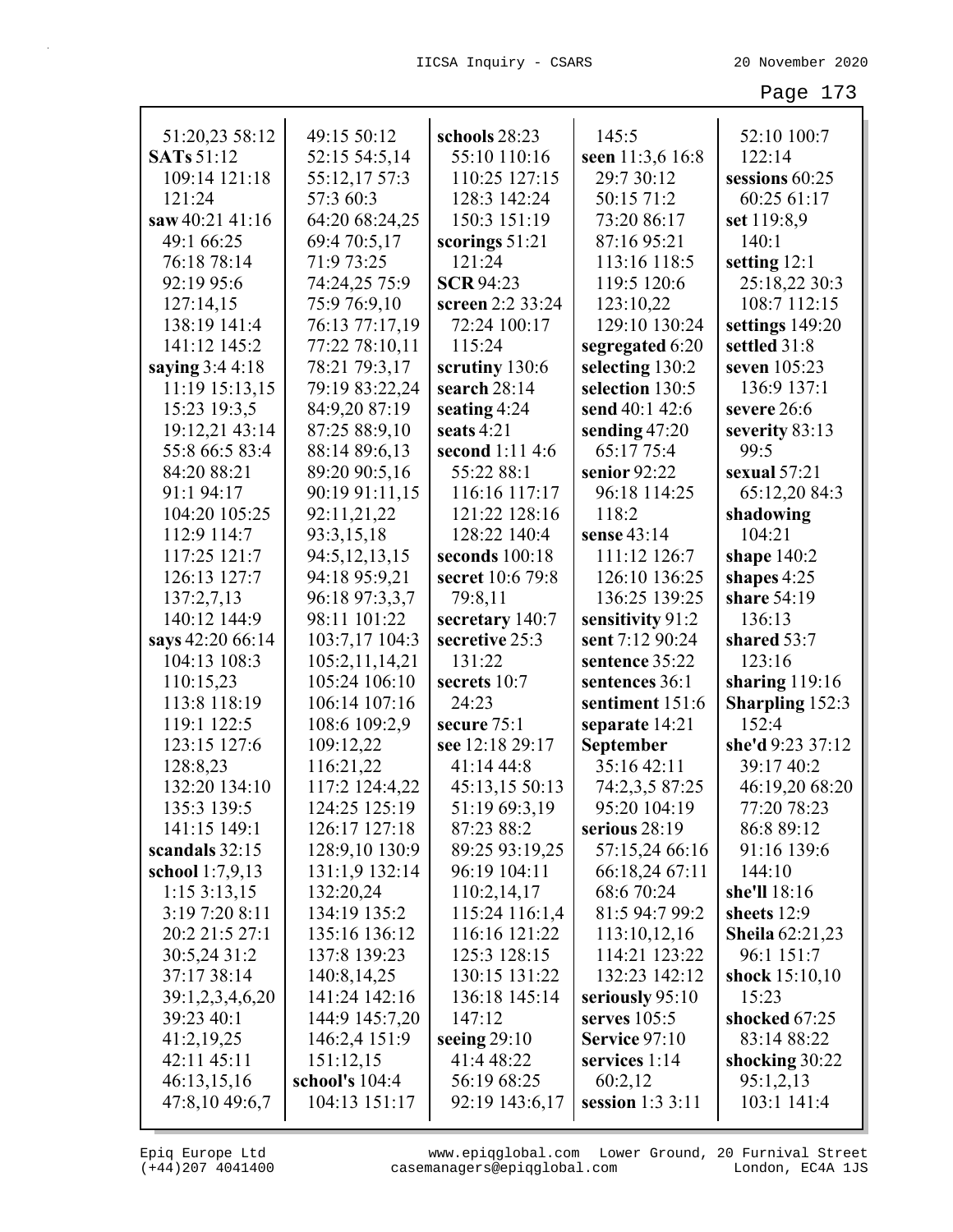| 51:20,23 58:12    | 49:15 50:12    | schools 28:23    | 145:5                | 52:10 100:7            |
|-------------------|----------------|------------------|----------------------|------------------------|
| <b>SATs</b> 51:12 | 52:15 54:5,14  | 55:10 110:16     | seen 11:3,6 16:8     | 122:14                 |
| 109:14 121:18     | 55:12,17 57:3  | 110:25 127:15    | 29:7 30:12           | sessions 60:25         |
| 121:24            | 57:3 60:3      | 128:3 142:24     | 50:15 71:2           | 60:25 61:17            |
| saw 40:21 41:16   | 64:20 68:24,25 | 150:3 151:19     | 73:20 86:17          | set 119:8,9            |
| 49:1 66:25        | 69:4 70:5,17   | scorings 51:21   | 87:16 95:21          | 140:1                  |
| 76:18 78:14       | 71:9 73:25     | 121:24           | 113:16 118:5         | setting $12:1$         |
| 92:19 95:6        | 74:24,25 75:9  | <b>SCR 94:23</b> | 119:5 120:6          | 25:18,22 30:3          |
| 127:14,15         | 75:9 76:9,10   | screen 2:2 33:24 | 123:10,22            | 108:7 112:15           |
| 138:19 141:4      | 76:13 77:17,19 | 72:24 100:17     | 129:10 130:24        | settings 149:20        |
| 141:12 145:2      | 77:22 78:10,11 | 115:24           | segregated 6:20      | settled 31:8           |
| saying 3:4 4:18   | 78:21 79:3,17  | scrutiny 130:6   | selecting 130:2      | seven 105:23           |
| 11:19 15:13,15    | 79:19 83:22,24 | search 28:14     | selection 130:5      | 136:9 137:1            |
| 15:23 19:3,5      | 84:9,20 87:19  | seating 4:24     | send 40:1 42:6       | severe 26:6            |
| 19:12,21 43:14    | 87:25 88:9,10  | seats 4:21       | sending 47:20        | severity 83:13         |
| 55:8 66:5 83:4    | 88:14 89:6,13  | second 1:11 4:6  | 65:17 75:4           | 99:5                   |
| 84:20 88:21       | 89:20 90:5,16  | 55:22 88:1       | senior 92:22         | sexual $57:21$         |
| 91:1 94:17        | 90:19 91:11,15 | 116:16 117:17    | 96:18 114:25         | 65:12,20 84:3          |
| 104:20 105:25     | 92:11,21,22    | 121:22 128:16    | 118:2                | shadowing              |
| 112:9 114:7       | 93:3,15,18     | 128:22 140:4     | sense 43:14          | 104:21                 |
| 117:25 121:7      | 94:5,12,13,15  | seconds 100:18   | 111:12 126:7         | shape $140:2$          |
| 126:13 127:7      | 94:18 95:9,21  | secret 10:6 79:8 | 126:10 136:25        | shapes 4:25            |
| 137:2,7,13        | 96:18 97:3,3,7 | 79:8,11          | 136:25 139:25        | share 54:19            |
| 140:12 144:9      | 98:11 101:22   | secretary 140:7  | sensitivity 91:2     | 136:13                 |
| says 42:20 66:14  | 103:7,17 104:3 | secretive 25:3   | sent 7:12 90:24      | shared 53:7            |
| 104:13 108:3      | 105:2,11,14,21 | 131:22           | sentence 35:22       | 123:16                 |
| 110:15,23         | 105:24 106:10  | secrets 10:7     | sentences 36:1       | sharing $119:16$       |
| 113:8 118:19      | 106:14 107:16  | 24:23            | sentiment 151:6      | <b>Sharpling 152:3</b> |
| 119:1 122:5       | 108:6 109:2,9  | secure 75:1      | separate 14:21       | 152:4                  |
| 123:15 127:6      | 109:12,22      | see 12:18 29:17  | September            | she'd 9:23 37:12       |
| 128:8,23          | 116:21,22      | 41:14 44:8       | 35:16 42:11          | 39:17 40:2             |
| 132:20 134:10     | 117:2 124:4,22 | 45:13,15 50:13   | 74:2,3,5 87:25       | 46:19,20 68:20         |
| 135:3 139:5       | 124:25 125:19  | 51:19 69:3,19    | 95:20 104:19         | 77:20 78:23            |
| 141:15 149:1      | 126:17 127:18  | 87:23 88:2       | serious 28:19        | 86:8 89:12             |
| scandals $32:15$  | 128:9,10 130:9 | 89:25 93:19,25   | 57:15,24 66:16       | 91:16 139:6            |
| school $1:7,9,13$ | 131:1,9 132:14 | 96:19 104:11     | 66:18,24 67:11       | 144:10                 |
| 1:153:13,15       | 132:20,24      | 110:2,14,17      | 68:6 70:24           | she'll 18:16           |
| 3:19 7:20 8:11    | 134:19 135:2   | 115:24 116:1,4   | 81:5 94:7 99:2       | sheets 12:9            |
| 20:2 21:5 27:1    | 135:16 136:12  | 116:16 121:22    | 113:10,12,16         | <b>Sheila</b> 62:21,23 |
| 30:5,24 31:2      | 137:8 139:23   | 125:3 128:15     | 114:21 123:22        | 96:1 151:7             |
| 37:17 38:14       | 140:8, 14, 25  | 130:15 131:22    | 132:23 142:12        | shock 15:10,10         |
| 39:1,2,3,4,6,20   | 141:24 142:16  | 136:18 145:14    | seriously 95:10      | 15:23                  |
| 39:23 40:1        | 144:9 145:7,20 | 147:12           | serves $105:5$       | shocked 67:25          |
| 41:2,19,25        | 146:2,4 151:9  | seeing $29:10$   | <b>Service 97:10</b> | 83:14 88:22            |
| 42:11 45:11       | 151:12,15      | 41:4 48:22       | services $1:14$      | shocking 30:22         |
| 46:13,15,16       | school's 104:4 | 56:19 68:25      | 60:2,12              | 95:1,2,13              |
| 47:8,10 49:6,7    | 104:13 151:17  | 92:19 143:6,17   | session 1:3 3:11     | 103:1 141:4            |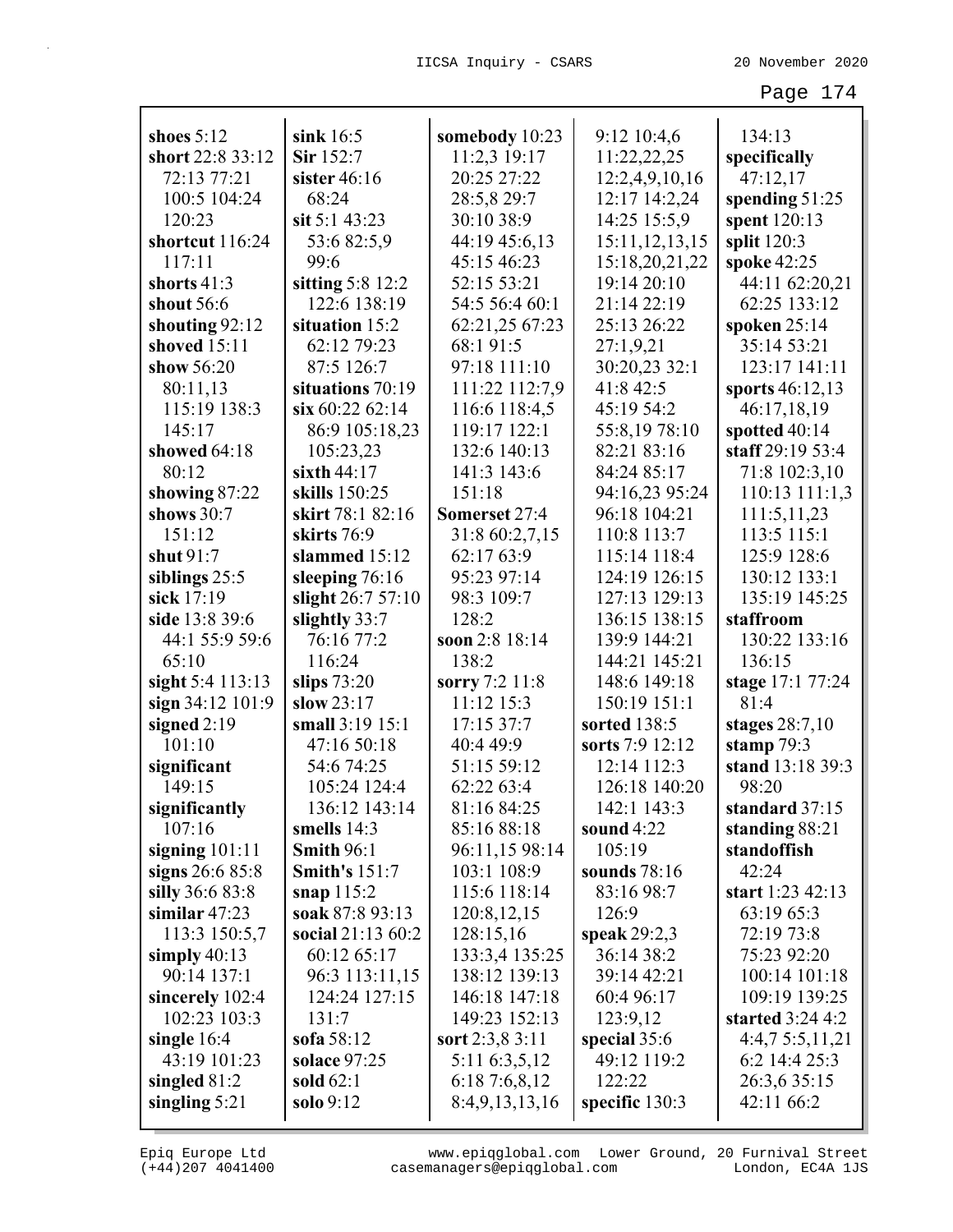| shoes $5:12$                   | sink $16:5$                           | somebody 10:23                | 9:12 10:4,6                   | 134:13                            |
|--------------------------------|---------------------------------------|-------------------------------|-------------------------------|-----------------------------------|
| short 22:8 33:12               | Sir 152:7                             | 11:2,3 19:17                  | 11:22,22,25                   | specifically                      |
| 72:13 77:21                    | sister $46:16$                        | 20:25 27:22                   | 12:2,4,9,10,16                | 47:12,17                          |
| 100:5 104:24                   | 68:24                                 | 28:5,8 29:7                   | 12:17 14:2,24                 |                                   |
| 120:23                         | sit 5:1 43:23                         | 30:10 38:9                    |                               | spending 51:25                    |
| shortcut 116:24                |                                       |                               | 14:25 15:5,9                  | spent 120:13                      |
| 117:11                         | 53:682:5,9<br>99:6                    | 44:19 45:6,13<br>45:15 46:23  | 15:11, 12, 13, 15             | split $120:3$                     |
| shorts 41:3                    |                                       | 52:15 53:21                   | 15:18,20,21,22<br>19:14 20:10 | spoke 42:25                       |
|                                | sitting $5:8$ 12:2<br>122:6 138:19    | 54:5 56:4 60:1                | 21:14 22:19                   | 44:11 62:20,21<br>62:25 133:12    |
| shout $56:6$                   |                                       |                               | 25:13 26:22                   |                                   |
| shouting 92:12<br>shoved 15:11 | situation 15:2                        | 62:21,25 67:23                |                               | spoken 25:14                      |
| show 56:20                     | 62:12 79:23<br>87:5 126:7             | 68:1 91:5<br>97:18 111:10     | 27:1,9,21<br>30:20,23 32:1    | 35:14 53:21<br>123:17 141:11      |
|                                |                                       |                               | 41:8 42:5                     |                                   |
| 80:11,13<br>115:19 138:3       | situations 70:19<br>$\sin 60:2262:14$ | 111:22 112:7,9                | 45:19 54:2                    | sports 46:12,13                   |
| 145:17                         |                                       | 116:6 118:4,5<br>119:17 122:1 |                               | 46:17,18,19                       |
|                                | 86:9 105:18,23                        |                               | 55:8,1978:10<br>82:21 83:16   | spotted 40:14<br>staff 29:19 53:4 |
| showed 64:18<br>80:12          | 105:23,23<br>sixth $44:17$            | 132:6 140:13<br>141:3 143:6   | 84:24 85:17                   |                                   |
|                                | skills 150:25                         | 151:18                        | 94:16,23 95:24                | 71:8 102:3,10<br>110:13 111:1,3   |
| showing 87:22<br>shows 30:7    | skirt 78:1 82:16                      | Somerset 27:4                 | 96:18 104:21                  | 111:5,11,23                       |
| 151:12                         | skirts 76:9                           | 31:8 60:2,7,15                | 110:8 113:7                   | 113:5 115:1                       |
| shut 91:7                      | slammed 15:12                         | 62:17 63:9                    | 115:14 118:4                  | 125:9 128:6                       |
|                                |                                       | 95:23 97:14                   | 124:19 126:15                 | 130:12 133:1                      |
| siblings $25:5$<br>sick 17:19  | sleeping 76:16                        | 98:3 109:7                    | 127:13 129:13                 | 135:19 145:25                     |
| side 13:8 39:6                 | slight 26:7 57:10<br>slightly 33:7    | 128:2                         | 136:15 138:15                 | staffroom                         |
| 44:1 55:9 59:6                 | 76:16 77:2                            | soon 2:8 18:14                | 139:9 144:21                  | 130:22 133:16                     |
| 65:10                          | 116:24                                | 138:2                         | 144:21 145:21                 | 136:15                            |
| sight 5:4 113:13               | slips $73:20$                         | sorry 7:2 11:8                | 148:6 149:18                  | stage 17:1 77:24                  |
| sign 34:12 101:9               | slow $23:17$                          | 11:12 15:3                    | 150:19 151:1                  | 81:4                              |
| signed $2:19$                  | small 3:19 15:1                       | 17:15 37:7                    | sorted 138:5                  | stages $28:7,10$                  |
| 101:10                         | 47:16 50:18                           | 40:4 49:9                     | sorts 7:9 12:12               | stamp $79:3$                      |
| significant                    | 54:6 74:25                            | 51:15 59:12                   | 12:14 112:3                   | stand 13:18 39:3                  |
| 149:15                         | 105:24 124:4                          | 62:22 63:4                    | 126:18 140:20                 | 98:20                             |
| significantly                  | 136:12 143:14                         | 81:16 84:25                   | 142:1 143:3                   | standard 37:15                    |
| 107:16                         | smells $14:3$                         | 85:16 88:18                   | sound 4:22                    | standing 88:21                    |
| signing $101:11$               | <b>Smith 96:1</b>                     | 96:11,15 98:14                | 105:19                        | standoffish                       |
| signs 26:6 85:8                | <b>Smith's 151:7</b>                  | 103:1 108:9                   | sounds 78:16                  | 42:24                             |
| silly 36:6 83:8                | snap $115:2$                          | 115:6 118:14                  | 83:16 98:7                    | start 1:23 42:13                  |
| similar $47:23$                | soak 87:8 93:13                       | 120:8, 12, 15                 | 126:9                         | 63:19 65:3                        |
| 113:3 150:5,7                  | social 21:13 60:2                     | 128:15,16                     | speak 29:2,3                  | 72:19 73:8                        |
| simply $40:13$                 | 60:12 65:17                           | 133:3,4 135:25                | 36:14 38:2                    | 75:23 92:20                       |
| 90:14 137:1                    | 96:3 113:11,15                        | 138:12 139:13                 | 39:14 42:21                   | 100:14 101:18                     |
| sincerely 102:4                | 124:24 127:15                         | 146:18 147:18                 | 60:4 96:17                    | 109:19 139:25                     |
| 102:23 103:3                   | 131:7                                 | 149:23 152:13                 | 123:9,12                      | started 3:24 4:2                  |
| single 16:4                    | sofa 58:12                            | sort $2:3,8,3:11$             | special 35:6                  | 4:4,75:5,11,21                    |
| 43:19 101:23                   | solace 97:25                          | 5:11 6:3,5,12                 | 49:12 119:2                   | 6:2 14:4 25:3                     |
| singled $81:2$                 | sold $62:1$                           | 6:187:6,8,12                  | 122:22                        | 26:3,6 35:15                      |
| singling $5:21$                | solo 9:12                             | 8:4,9,13,13,16                | specific $130:3$              | 42:11 66:2                        |
|                                |                                       |                               |                               |                                   |

(+44)207 4041400 casemanagers@epiqglobal.com London, EC4A 1JS www.epiqglobal.com Lower Ground, 20 Furnival Street

Л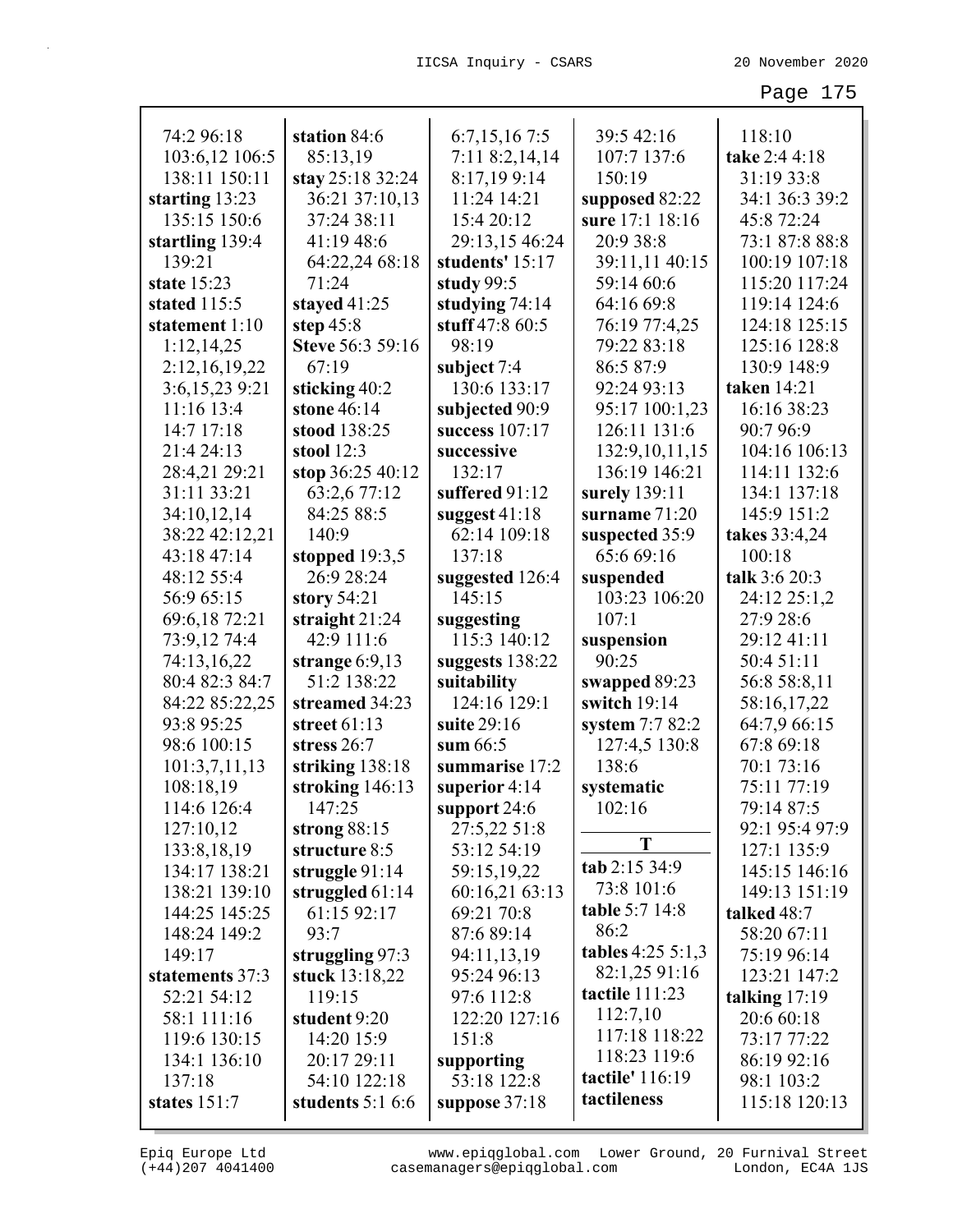| 74:2 96:18      | station 84:6      | 6:7,15,167:5     | 39:5 42:16           | 118:10          |
|-----------------|-------------------|------------------|----------------------|-----------------|
| 103:6,12 106:5  | 85:13,19          | 7:11 8:2,14,14   | 107:7 137:6          | take 2:4 4:18   |
| 138:11 150:11   | stay 25:18 32:24  | 8:17,199:14      | 150:19               | 31:19 33:8      |
| starting 13:23  | 36:21 37:10,13    | 11:24 14:21      | supposed 82:22       | 34:1 36:3 39:2  |
| 135:15 150:6    | 37:24 38:11       | 15:4 20:12       | sure 17:1 18:16      | 45:8 72:24      |
| startling 139:4 | 41:19 48:6        | 29:13,15 46:24   | 20:9 38:8            | 73:1 87:8 88:8  |
| 139:21          | 64:22,24 68:18    | students' 15:17  | 39:11,11 40:15       | 100:19 107:18   |
| state 15:23     | 71:24             | study 99:5       | 59:14 60:6           | 115:20 117:24   |
| stated 115:5    | stayed 41:25      | studying $74:14$ | 64:16 69:8           | 119:14 124:6    |
| statement 1:10  | step $45:8$       | stuff 47:8 60:5  | 76:19 77:4,25        | 124:18 125:15   |
| 1:12,14,25      | Steve 56:3 59:16  | 98:19            | 79:22 83:18          | 125:16 128:8    |
| 2:12,16,19,22   | 67:19             | subject 7:4      | 86:5 87:9            | 130:9 148:9     |
| 3:6,15,23 9:21  | sticking 40:2     | 130:6 133:17     | 92:24 93:13          | taken 14:21     |
| 11:16 13:4      | stone 46:14       | subjected 90:9   | 95:17 100:1,23       | 16:16 38:23     |
| 14:7 17:18      | stood 138:25      | success 107:17   | 126:11 131:6         | 90:7 96:9       |
| 21:4 24:13      | stool $12:3$      | successive       | 132:9,10,11,15       | 104:16 106:13   |
| 28:4,21 29:21   | stop 36:25 40:12  | 132:17           | 136:19 146:21        | 114:11 132:6    |
| 31:11 33:21     | 63:2,6 77:12      | suffered 91:12   | surely 139:11        | 134:1 137:18    |
| 34:10,12,14     | 84:25 88:5        | suggest $41:18$  | surname $71:20$      | 145:9 151:2     |
| 38:22 42:12,21  | 140:9             | 62:14 109:18     | suspected 35:9       | takes 33:4,24   |
| 43:18 47:14     | stopped $19:3,5$  | 137:18           | 65:6 69:16           | 100:18          |
| 48:12 55:4      | 26:9 28:24        | suggested 126:4  | suspended            | talk 3:6 20:3   |
| 56:9 65:15      | story 54:21       | 145:15           | 103:23 106:20        | 24:12 25:1,2    |
| 69:6,18 72:21   | straight $21:24$  | suggesting       | 107:1                | 27:9 28:6       |
| 73:9,12 74:4    | 42:9 111:6        | 115:3 140:12     | suspension           | 29:12 41:11     |
| 74:13,16,22     | strange $6:9,13$  | suggests 138:22  | 90:25                | 50:4 51:11      |
| 80:4 82:3 84:7  | 51:2 138:22       | suitability      | swapped 89:23        | 56:8 58:8,11    |
| 84:22 85:22,25  | streamed 34:23    | 124:16 129:1     | switch 19:14         | 58:16,17,22     |
| 93:8 95:25      | street $61:13$    | suite 29:16      | system 7:7 82:2      | 64:7,9 66:15    |
| 98:6 100:15     | stress 26:7       | sum $66:5$       | 127:4,5 130:8        | 67:8 69:18      |
| 101:3,7,11,13   | striking 138:18   | summarise 17:2   | 138:6                | 70:1 73:16      |
| 108:18,19       | stroking $146:13$ | superior $4:14$  | systematic           | 75:11 77:19     |
| 114:6 126:4     | 147:25            | support 24:6     | 102:16               | 79:14 87:5      |
| 127:10,12       | strong 88:15      | 27:5,22 51:8     |                      | 92:1 95:4 97:9  |
| 133:8,18,19     | structure 8:5     | 53:12 54:19      | T                    | 127:1 135:9     |
| 134:17 138:21   | struggle 91:14    | 59:15,19,22      | tab 2:15 34:9        | 145:15 146:16   |
| 138:21 139:10   | struggled $61:14$ | 60:16,21 63:13   | 73:8 101:6           | 149:13 151:19   |
|                 | 61:15 92:17       | 69:21 70:8       | table 5:7 14:8       |                 |
| 144:25 145:25   | 93:7              | 87:6 89:14       | 86:2                 | talked 48:7     |
| 148:24 149:2    |                   |                  | tables $4:25\,5:1,3$ | 58:20 67:11     |
| 149:17          | struggling 97:3   | 94:11,13,19      | 82:1,25 91:16        | 75:19 96:14     |
| statements 37:3 | stuck 13:18,22    | 95:24 96:13      | tactile 111:23       | 123:21 147:2    |
| 52:21 54:12     | 119:15            | 97:6 112:8       | 112:7,10             | talking $17:19$ |
| 58:1 111:16     | student 9:20      | 122:20 127:16    | 117:18 118:22        | 20:6 60:18      |
| 119:6 130:15    | 14:20 15:9        | 151:8            | 118:23 119:6         | 73:17 77:22     |
| 134:1 136:10    | 20:17 29:11       | supporting       | tactile' 116:19      | 86:19 92:16     |
| 137:18          | 54:10 122:18      | 53:18 122:8      | tactileness          | 98:1 103:2      |
| states $151:7$  | students $5:16:6$ | suppose 37:18    |                      | 115:18 120:13   |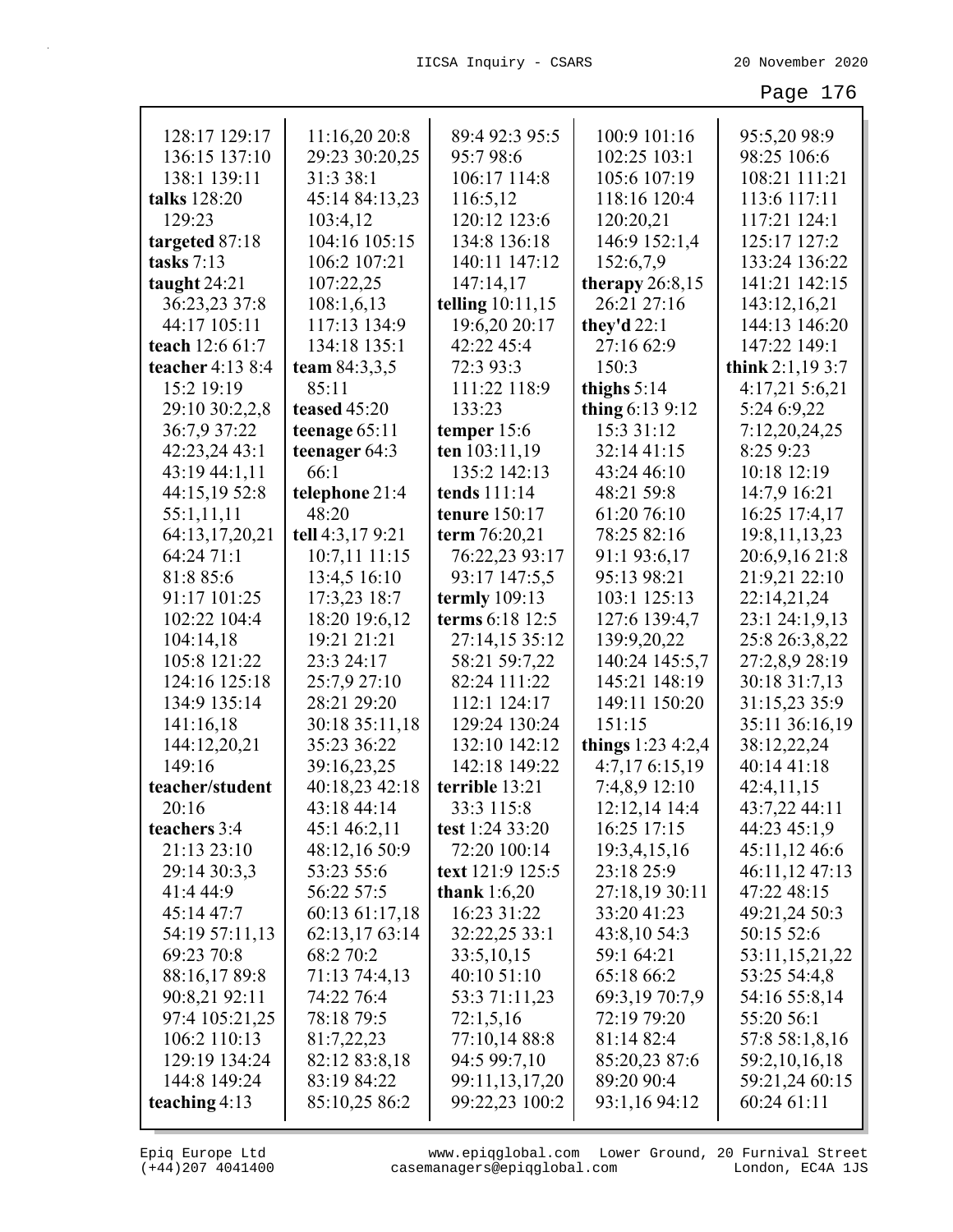| 128:17 129:17    | 11:16,20 20:8    | 89:4 92:3 95:5       | 100:9 101:16         | 95:5,20 98:9      |
|------------------|------------------|----------------------|----------------------|-------------------|
| 136:15 137:10    | 29:23 30:20,25   | 95:798:6             | 102:25 103:1         | 98:25 106:6       |
| 138:1 139:11     | 31:3 38:1        | 106:17 114:8         | 105:6 107:19         | 108:21 111:21     |
| talks 128:20     | 45:14 84:13,23   | 116:5,12             | 118:16 120:4         | 113:6 117:11      |
| 129:23           | 103:4,12         | 120:12 123:6         | 120:20,21            | 117:21 124:1      |
| targeted 87:18   | 104:16 105:15    | 134:8 136:18         | 146:9 152:1,4        | 125:17 127:2      |
| tasks $7:13$     | 106:2 107:21     | 140:11 147:12        | 152:6,7,9            | 133:24 136:22     |
| taught $24:21$   | 107:22,25        | 147:14,17            | therapy $26:8,15$    | 141:21 142:15     |
| 36:23,23 37:8    | 108:1,6,13       | telling 10:11,15     | 26:21 27:16          | 143:12,16,21      |
| 44:17 105:11     | 117:13 134:9     | 19:6,20 20:17        | they'd $22:1$        | 144:13 146:20     |
| teach 12:6 61:7  | 134:18 135:1     | 42:22 45:4           | 27:16 62:9           | 147:22 149:1      |
| teacher 4:13 8:4 | team 84:3,3,5    | 72:3 93:3            | 150:3                | think $2:1,193:7$ |
| 15:2 19:19       | 85:11            | 111:22 118:9         | thighs $5:14$        | 4:17,21 5:6,21    |
| 29:10 30:2,2,8   | teased 45:20     | 133:23               | thing $6:139:12$     | 5:24 6:9,22       |
| 36:7,9 37:22     | teenage 65:11    | temper $15:6$        | 15:3 31:12           | 7:12,20,24,25     |
| 42:23,24 43:1    | teenager 64:3    | ten 103:11,19        | 32:14 41:15          | 8:25 9:23         |
| 43:19 44:1,11    | 66:1             | 135:2 142:13         | 43:24 46:10          | 10:18 12:19       |
| 44:15,19 52:8    | telephone 21:4   | tends 111:14         | 48:21 59:8           | 14:7,9 16:21      |
| 55:1,11,11       | 48:20            | <b>tenure</b> 150:17 | 61:20 76:10          | 16:25 17:4,17     |
| 64:13,17,20,21   | tell 4:3,17 9:21 | term 76:20,21        | 78:25 82:16          | 19:8, 11, 13, 23  |
| 64:24 71:1       | 10:7,11 11:15    | 76:22,23 93:17       | 91:1 93:6,17         | 20:6,9,16 21:8    |
| 81:8 85:6        | 13:4,5 16:10     | 93:17 147:5,5        | 95:13 98:21          | 21:9,21 22:10     |
| 91:17 101:25     | 17:3,23 18:7     | termly 109:13        | 103:1 125:13         | 22:14,21,24       |
| 102:22 104:4     | 18:20 19:6,12    | terms 6:18 12:5      | 127:6 139:4,7        | 23:1 24:1,9,13    |
| 104:14,18        | 19:21 21:21      | 27:14,15 35:12       | 139:9,20,22          | 25:8 26:3,8,22    |
| 105:8 121:22     | 23:3 24:17       | 58:21 59:7,22        | 140:24 145:5,7       | 27:2,8,9 28:19    |
| 124:16 125:18    | 25:7,9 27:10     | 82:24 111:22         | 145:21 148:19        | 30:18 31:7,13     |
| 134:9 135:14     | 28:21 29:20      | 112:1 124:17         | 149:11 150:20        | 31:15,23 35:9     |
| 141:16,18        | 30:18 35:11,18   | 129:24 130:24        | 151:15               | 35:11 36:16,19    |
| 144:12,20,21     | 35:23 36:22      | 132:10 142:12        | things $1:23\,4:2,4$ | 38:12,22,24       |
| 149:16           | 39:16,23,25      | 142:18 149:22        | 4:7,17 6:15,19       | 40:14 41:18       |
| teacher/student  | 40:18,23 42:18   | terrible 13:21       | 7:4,8,9 12:10        | 42:4,11,15        |
| 20:16            | 43:18 44:14      | 33:3 115:8           | 12:12,14 14:4        | 43:7,22 44:11     |
| teachers 3:4     | 45:1 46:2,11     | test 1:24 33:20      | 16:25 17:15          | 44:23 45:1,9      |
| 21:13 23:10      | 48:12,16 50:9    | 72:20 100:14         | 19:3,4,15,16         | 45:11,12 46:6     |
| 29:14 30:3,3     | 53:23 55:6       | text 121:9 125:5     | 23:18 25:9           | 46:11,12 47:13    |
| 41:4 44:9        | 56:22 57:5       | thank $1:6,20$       | 27:18,19 30:11       | 47:22 48:15       |
| 45:14 47:7       | 60:13 61:17,18   | 16:23 31:22          | 33:20 41:23          | 49:21,24 50:3     |
| 54:19 57:11,13   | 62:13,17 63:14   | 32:22,25 33:1        | 43:8,10 54:3         | 50:15 52:6        |
| 69:23 70:8       | 68:2 70:2        | 33:5,10,15           | 59:1 64:21           | 53:11,15,21,22    |
| 88:16,1789:8     | 71:13 74:4,13    | 40:10 51:10          | 65:18 66:2           | 53:25 54:4,8      |
| 90:8,21 92:11    | 74:22 76:4       | 53:3 71:11,23        | 69:3,19 70:7,9       | 54:16 55:8,14     |
| 97:4 105:21,25   | 78:18 79:5       | 72:1,5,16            | 72:19 79:20          | 55:20 56:1        |
| 106:2 110:13     | 81:7,22,23       | 77:10,14 88:8        | 81:14 82:4           | 57:8 58:1,8,16    |
| 129:19 134:24    | 82:12 83:8,18    | 94:5 99:7,10         | 85:20,23 87:6        | 59:2,10,16,18     |
| 144:8 149:24     | 83:19 84:22      | 99:11,13,17,20       | 89:20 90:4           | 59:21,24 60:15    |
| teaching $4:13$  | 85:10,25 86:2    | 99:22,23 100:2       | 93:1,16 94:12        | 60:24 61:11       |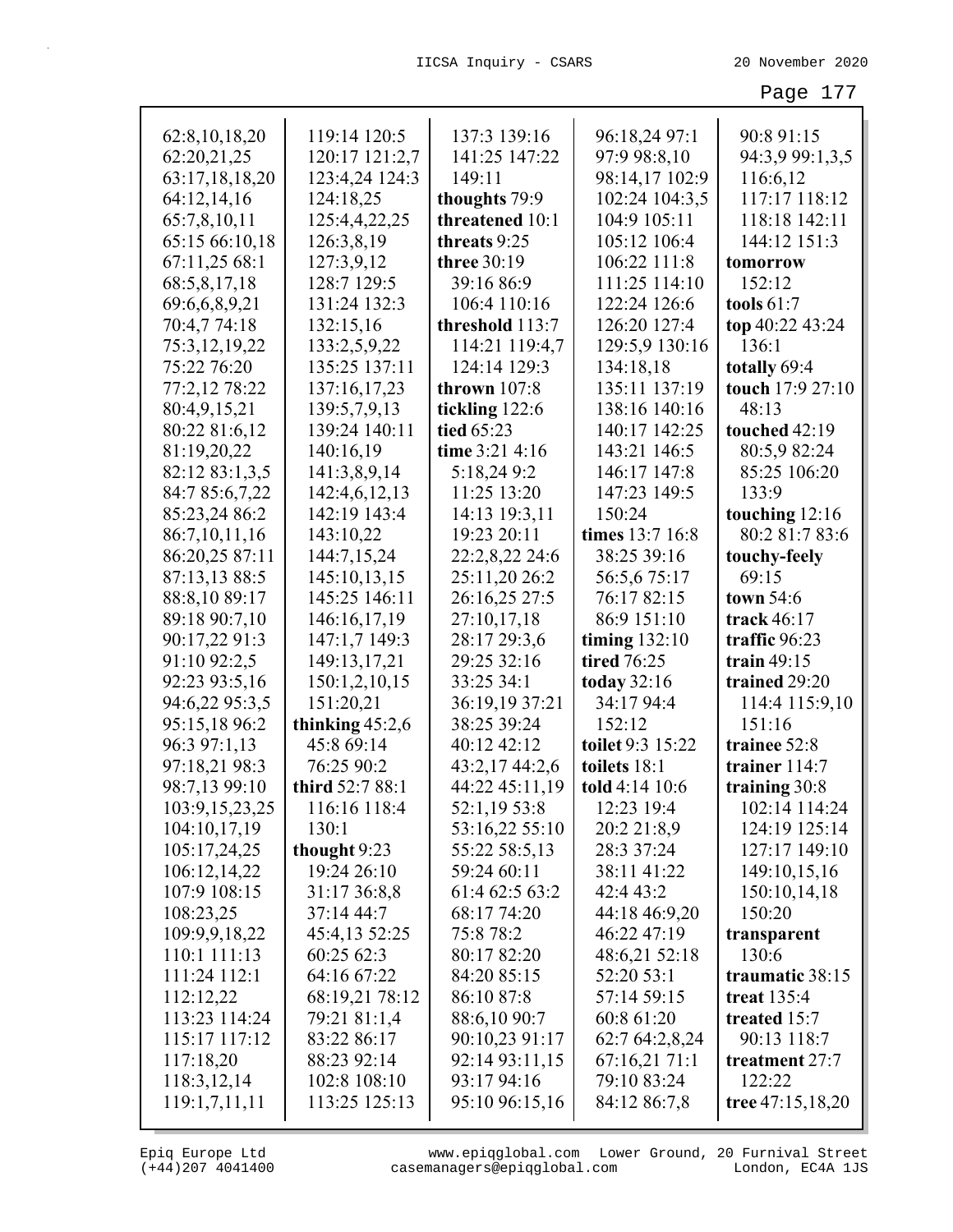| 62:8, 10, 18, 20 | 119:14 120:5      | 137:3 139:16       | 96:18,24 97:1      | 90:8 91:15         |
|------------------|-------------------|--------------------|--------------------|--------------------|
| 62:20,21,25      | 120:17 121:2,7    | 141:25 147:22      | 97:9 98:8,10       | 94:3,9 99:1,3,5    |
| 63:17,18,18,20   | 123:4,24 124:3    | 149:11             | 98:14,17 102:9     | 116:6,12           |
| 64:12,14,16      | 124:18,25         | thoughts 79:9      | 102:24 104:3,5     | 117:17 118:12      |
| 65:7,8,10,11     | 125:4,4,22,25     | threatened 10:1    | 104:9 105:11       | 118:18 142:11      |
| 65:15 66:10,18   | 126:3,8,19        | threats 9:25       | 105:12 106:4       | 144:12 151:3       |
| 67:11,25 68:1    | 127:3,9,12        | <b>three</b> 30:19 | 106:22 111:8       | tomorrow           |
| 68:5,8,17,18     | 128:7 129:5       | 39:16 86:9         | 111:25 114:10      | 152:12             |
| 69:6,6,8,9,21    | 131:24 132:3      | 106:4 110:16       | 122:24 126:6       | tools $61:7$       |
| 70:4,7 74:18     | 132:15,16         | threshold 113:7    | 126:20 127:4       | top 40:22 43:24    |
| 75:3,12,19,22    | 133:2,5,9,22      | 114:21 119:4,7     | 129:5,9 130:16     | 136:1              |
| 75:22 76:20      | 135:25 137:11     | 124:14 129:3       | 134:18,18          | totally 69:4       |
| 77:2,12 78:22    | 137:16,17,23      | thrown $107:8$     | 135:11 137:19      | touch 17:9 27:10   |
| 80:4,9,15,21     | 139:5,7,9,13      | tickling 122:6     | 138:16 140:16      | 48:13              |
| 80:22 81:6,12    | 139:24 140:11     | tied 65:23         | 140:17 142:25      | touched 42:19      |
| 81:19,20,22      | 140:16,19         | time 3:21 4:16     | 143:21 146:5       | 80:5,9 82:24       |
| 82:12 83:1,3,5   | 141:3,8,9,14      | 5:18,249:2         | 146:17 147:8       | 85:25 106:20       |
| 84:7 85:6,7,22   | 142:4,6,12,13     | 11:25 13:20        | 147:23 149:5       | 133:9              |
| 85:23,24 86:2    | 142:19 143:4      | 14:13 19:3,11      | 150:24             | touching 12:16     |
| 86:7,10,11,16    | 143:10,22         | 19:23 20:11        | times 13:7 16:8    | 80:2 81:7 83:6     |
| 86:20,25 87:11   | 144:7,15,24       | 22:2,8,22 24:6     | 38:25 39:16        | touchy-feely       |
| 87:13,13 88:5    | 145:10,13,15      | 25:11,20 26:2      | 56:5,6 75:17       | 69:15              |
| 88:8,10 89:17    | 145:25 146:11     | 26:16,25 27:5      | 76:17 82:15        | town $54:6$        |
| 89:18 90:7,10    | 146:16,17,19      | 27:10,17,18        | 86:9 151:10        | track $46:17$      |
| 90:17,22 91:3    | 147:1,7 149:3     | 28:17 29:3,6       | timing $132:10$    | traffic 96:23      |
| 91:10 92:2,5     | 149:13,17,21      | 29:25 32:16        | <b>tired</b> 76:25 | train $49:15$      |
| 92:23 93:5,16    | 150:1,2,10,15     | 33:25 34:1         | today $32:16$      | trained 29:20      |
| 94:6,22 95:3,5   | 151:20,21         | 36:19,19 37:21     | 34:17 94:4         | 114:4 115:9,10     |
| 95:15,18 96:2    | thinking $45:2,6$ | 38:25 39:24        | 152:12             | 151:16             |
| 96:3 97:1,13     | 45:8 69:14        | 40:12 42:12        | toilet 9:3 15:22   | trainee 52:8       |
| 97:18,21 98:3    | 76:25 90:2        | 43:2,17 44:2,6     | toilets 18:1       | trainer 114:7      |
| 98:7,13 99:10    | third 52:7 88:1   | 44:22 45:11,19     | told 4:14 10:6     | training 30:8      |
| 103:9,15,23,25   | 116:16 118:4      | 52:1,19 53:8       | 12:23 19:4         | 102:14 114:24      |
| 104:10,17,19     | 130:1             | 53:16,22 55:10     | 20:2 21:8,9        | 124:19 125:14      |
| 105:17,24,25     | thought 9:23      | 55:22 58:5,13      | 28:3 37:24         | 127:17 149:10      |
| 106:12,14,22     | 19:24 26:10       | 59:24 60:11        | 38:11 41:22        | 149:10,15,16       |
| 107:9 108:15     | 31:17 36:8,8      | 61:4 62:5 63:2     | 42:4 43:2          | 150:10,14,18       |
| 108:23,25        | 37:14 44:7        | 68:17 74:20        | 44:18 46:9,20      | 150:20             |
| 109:9,9,18,22    | 45:4,13 52:25     | 75:8 78:2          | 46:22 47:19        | transparent        |
| 110:1 111:13     | 60:25 62:3        | 80:17 82:20        | 48:6,21 52:18      | 130:6              |
| 111:24 112:1     | 64:16 67:22       | 84:20 85:15        | 52:20 53:1         | traumatic 38:15    |
| 112:12,22        | 68:19,21 78:12    | 86:10 87:8         | 57:14 59:15        | treat $135:4$      |
| 113:23 114:24    | 79:21 81:1,4      | 88:6,10 90:7       | 60:8 61:20         | treated 15:7       |
| 115:17 117:12    | 83:22 86:17       | 90:10,23 91:17     | 62:7 64:2,8,24     | 90:13 118:7        |
| 117:18,20        | 88:23 92:14       | 92:14 93:11,15     | 67:16,2171:1       | treatment 27:7     |
| 118:3,12,14      | 102:8 108:10      | 93:17 94:16        | 79:10 83:24        | 122:22             |
| 119:1,7,11,11    | 113:25 125:13     | 95:10 96:15,16     | 84:12 86:7,8       | tree $47:15,18,20$ |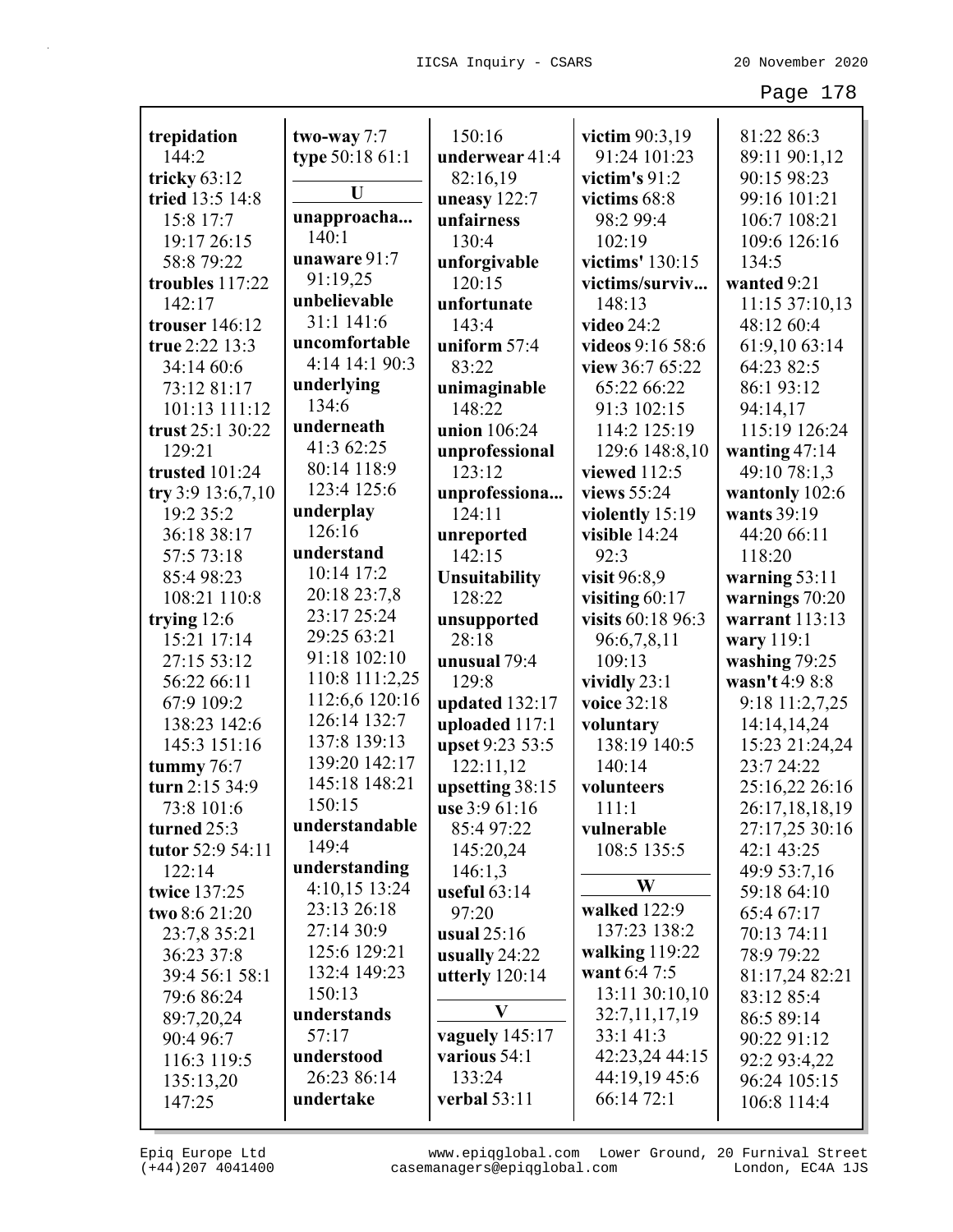| trepidation       | two-way 7:7            | 150:16               | victim 90:3,19             | 81:22 86:3      |
|-------------------|------------------------|----------------------|----------------------------|-----------------|
| 144:2             | type 50:18 61:1        | underwear 41:4       | 91:24 101:23               | 89:11 90:1,12   |
| tricky $63:12$    |                        | 82:16,19             | victim's $91:2$            | 90:15 98:23     |
| tried 13:5 14:8   | U                      | uneasy $122:7$       | victims 68:8               | 99:16 101:21    |
| 15:8 17:7         | unapproacha            | unfairness           | 98:2 99:4                  | 106:7 108:21    |
| 19:17 26:15       | 140:1                  | 130:4                | 102:19                     | 109:6 126:16    |
| 58:8 79:22        | unaware 91:7           | unforgivable         | victims' 130:15            | 134:5           |
| troubles 117:22   | 91:19,25               | 120:15               | victims/surviv             | wanted 9:21     |
| 142:17            | unbelievable           | unfortunate          | 148:13                     | 11:15 37:10,13  |
| trouser 146:12    | 31:1 141:6             | 143:4                | <b>video</b> 24:2          | 48:12 60:4      |
| true 2:22 13:3    | uncomfortable          | uniform 57:4         | videos 9:16 58:6           | 61:9,10 63:14   |
| 34:14 60:6        | 4:14 14:1 90:3         | 83:22                | view 36:7 65:22            | 64:23 82:5      |
| 73:12 81:17       | underlying             | unimaginable         | 65:22 66:22                | 86:1 93:12      |
| 101:13 111:12     | 134:6                  | 148:22               | 91:3 102:15                | 94:14,17        |
| trust 25:1 30:22  | underneath             | union 106:24         | 114:2 125:19               | 115:19 126:24   |
| 129:21            | 41:3 62:25             | unprofessional       | 129:6 148:8,10             | wanting 47:14   |
| trusted 101:24    | 80:14 118:9            | 123:12               | viewed 112:5               | 49:10 78:1,3    |
| try 3:9 13:6,7,10 | 123:4 125:6            | unprofessiona        | views 55:24                | wantonly 102:6  |
| 19:2 35:2         | underplay              | 124:11               | violently 15:19            | wants 39:19     |
| 36:18 38:17       | 126:16                 | unreported           | visible 14:24              | 44:20 66:11     |
| 57:5 73:18        | understand             | 142:15               | 92:3                       | 118:20          |
| 85:498:23         | 10:14 17:2             | <b>Unsuitability</b> | visit 96:8,9               | warning $53:11$ |
| 108:21 110:8      | 20:18 23:7,8           | 128:22               | visiting 60:17             | warnings 70:20  |
| trying 12:6       | 23:17 25:24            | unsupported          | visits 60:18 96:3          | warrant 113:13  |
| 15:21 17:14       | 29:25 63:21            | 28:18                | 96:6,7,8,11                | wary 119:1      |
| 27:15 53:12       | 91:18 102:10           | unusual 79:4         | 109:13                     | washing 79:25   |
| 56:22 66:11       | 110:8 111:2,25         | 129:8                | vividly $23:1$             | wasn't 4:9 8:8  |
| 67:9 109:2        | 112:6,6 120:16         | updated 132:17       | voice 32:18                | 9:18 11:2,7,25  |
| 138:23 142:6      | 126:14 132:7           | uploaded 117:1       | voluntary                  | 14:14,14,24     |
| 145:3 151:16      | 137:8 139:13           | upset 9:23 53:5      | 138:19 140:5               | 15:23 21:24,24  |
| tummy $76:7$      | 139:20 142:17          | 122:11,12            | 140:14                     | 23:7 24:22      |
| turn 2:15 34:9    | 145:18 148:21          | upsetting 38:15      | volunteers                 | 25:16,22 26:16  |
| 73:8 101:6        | 150:15                 | use 3:9 61:16        | 111:1                      | 26:17,18,18,19  |
| turned 25:3       | understandable         | 85:4 97:22           | vulnerable                 | 27:17,25 30:16  |
| tutor 52:9 54:11  | 149:4                  | 145:20,24            | 108:5 135:5                | 42:1 43:25      |
| 122:14            | understanding          | 146:1,3              | W                          | 49:9 53:7,16    |
| twice 137:25      | 4:10,15 13:24          | useful $63:14$       |                            | 59:18 64:10     |
| two 8:6 21:20     | 23:13 26:18            | 97:20                | walked 122:9               | 65:4 67:17      |
| 23:7,8 35:21      | 27:14 30:9             | usual $25:16$        | 137:23 138:2               | 70:13 74:11     |
| 36:23 37:8        | 125:6 129:21           | usually 24:22        | walking 119:22             | 78:9 79:22      |
| 39:4 56:1 58:1    | 132:4 149:23<br>150:13 | utterly $120:14$     | want 6:4 7:5               | 81:17,24 82:21  |
| 79:6 86:24        |                        | V                    | 13:11 30:10,10             | 83:12 85:4      |
| 89:7,20,24        | understands<br>57:17   | vaguely 145:17       | 32:7,11,17,19<br>33:1 41:3 | 86:5 89:14      |
| 90:4 96:7         | understood             | various 54:1         | 42:23,24 44:15             | 90:22 91:12     |
| 116:3 119:5       | 26:23 86:14            | 133:24               | 44:19,19 45:6              | 92:2 93:4,22    |
| 135:13,20         | undertake              | verbal 53:11         | 66:14 72:1                 | 96:24 105:15    |
| 147:25            |                        |                      |                            | 106:8 114:4     |

(+44)207 4041400 casemanagers@epiqglobal.com London, EC4A 1JS www.epiqglobal.com Lower Ground, 20 Furnival Street

Л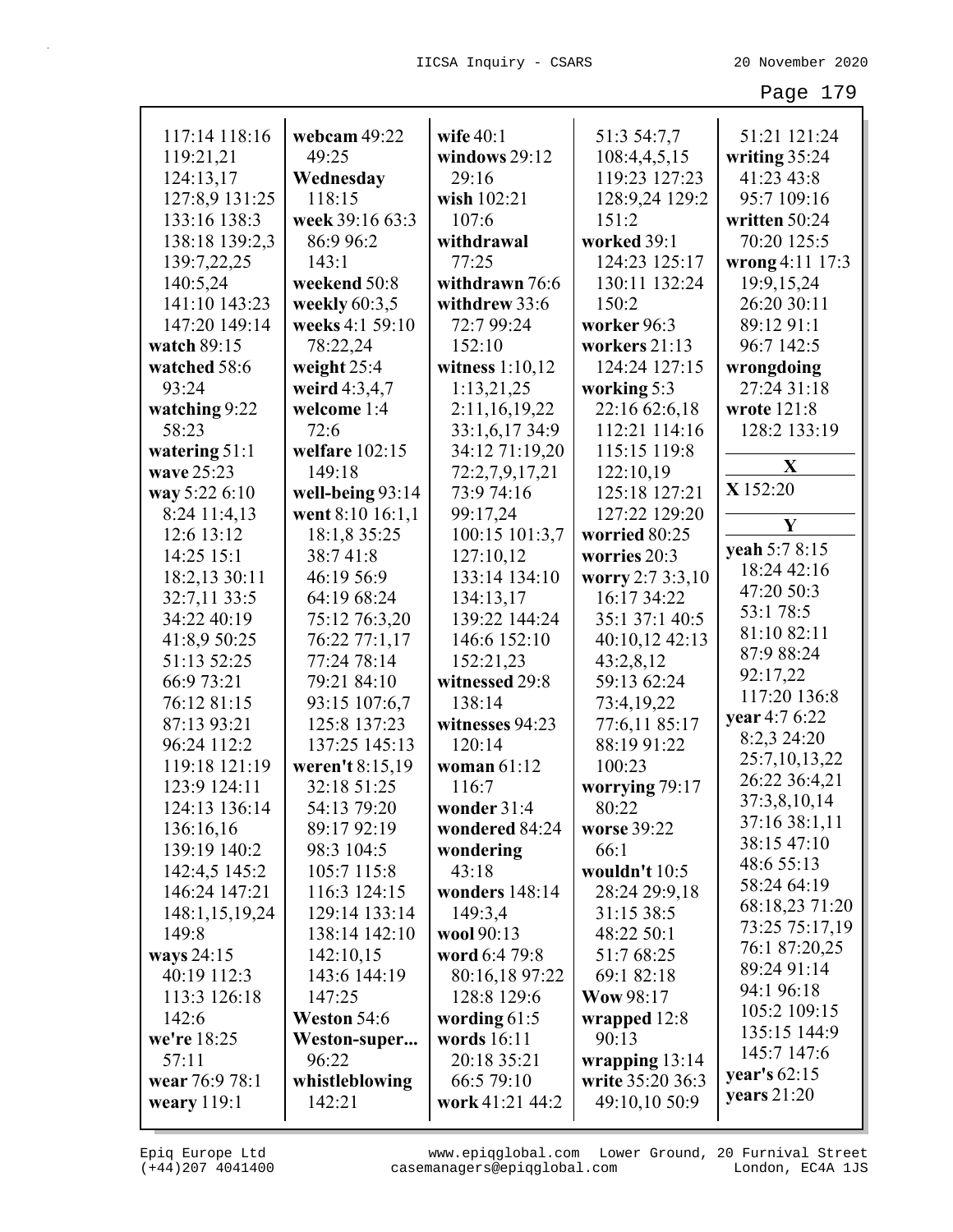| 117:14 118:16   | webcam 49:22     | wife $40:1$       | 51:3 54:7,7      | 51:21 121:24                |
|-----------------|------------------|-------------------|------------------|-----------------------------|
| 119:21,21       | 49:25            | windows 29:12     | 108:4,4,5,15     | writing 35:24               |
| 124:13,17       | Wednesday        | 29:16             | 119:23 127:23    | 41:23 43:8                  |
| 127:8,9 131:25  | 118:15           | wish 102:21       | 128:9,24 129:2   | 95:7 109:16                 |
| 133:16 138:3    | week 39:16 63:3  | 107:6             | 151:2            | written 50:24               |
| 138:18 139:2,3  | 86:9 96:2        | withdrawal        | worked 39:1      | 70:20 125:5                 |
| 139:7,22,25     | 143:1            | 77:25             | 124:23 125:17    | wrong 4:11 17:3             |
| 140:5,24        | weekend 50:8     | withdrawn 76:6    | 130:11 132:24    | 19:9,15,24                  |
| 141:10 143:23   | weekly $60:3,5$  | withdrew 33:6     | 150:2            | 26:20 30:11                 |
| 147:20 149:14   | weeks 4:1 59:10  | 72:7 99:24        | worker 96:3      | 89:12 91:1                  |
| watch 89:15     | 78:22,24         | 152:10            | workers 21:13    | 96:7 142:5                  |
| watched 58:6    | weight $25:4$    | witness $1:10,12$ | 124:24 127:15    | wrongdoing                  |
| 93:24           | weird 4:3,4,7    | 1:13,21,25        | working 5:3      | 27:24 31:18                 |
| watching 9:22   | welcome 1:4      | 2:11,16,19,22     | 22:16 62:6,18    | wrote 121:8                 |
| 58:23           | 72:6             | 33:1,6,17 34:9    | 112:21 114:16    | 128:2 133:19                |
| watering $51:1$ | welfare $102:15$ | 34:12 71:19,20    | 115:15 119:8     |                             |
| wave 25:23      | 149:18           | 72:2,7,9,17,21    | 122:10,19        | $\mathbf X$                 |
| way 5:22 6:10   | well-being 93:14 | 73:9 74:16        | 125:18 127:21    | X 152:20                    |
| 8:24 11:4,13    | went 8:10 16:1,1 | 99:17,24          | 127:22 129:20    | Y                           |
| 12:6 13:12      | 18:1,8 35:25     | 100:15 101:3,7    | worried 80:25    |                             |
| 14:25 15:1      | 38:741:8         | 127:10,12         | worries 20:3     | yeah 5:7 8:15               |
| 18:2,13 30:11   | 46:19 56:9       | 133:14 134:10     | worry 2:7 3:3,10 | 18:24 42:16                 |
| 32:7,11 33:5    | 64:19 68:24      | 134:13,17         | 16:17 34:22      | 47:20 50:3                  |
| 34:22 40:19     | 75:12 76:3,20    | 139:22 144:24     | 35:1 37:1 40:5   | 53:1 78:5                   |
| 41:8,9 50:25    | 76:22 77:1,17    | 146:6 152:10      | 40:10,12 42:13   | 81:10 82:11                 |
| 51:13 52:25     | 77:24 78:14      | 152:21,23         | 43:2,8,12        | 87:9 88:24                  |
| 66:9 73:21      | 79:21 84:10      | witnessed 29:8    | 59:13 62:24      | 92:17,22                    |
| 76:12 81:15     | 93:15 107:6,7    | 138:14            | 73:4,19,22       | 117:20 136:8                |
| 87:13 93:21     | 125:8 137:23     | witnesses 94:23   | 77:6,11 85:17    | year 4:7 6:22               |
| 96:24 112:2     | 137:25 145:13    | 120:14            | 88:19 91:22      | 8:2,3 24:20                 |
| 119:18 121:19   | weren't 8:15,19  | woman 61:12       | 100:23           | 25:7,10,13,22               |
| 123:9 124:11    | 32:18 51:25      | 116:7             | worrying 79:17   | 26:22 36:4,21               |
| 124:13 136:14   | 54:13 79:20      | wonder $31:4$     | 80:22            | 37:3,8,10,14                |
| 136:16,16       | 89:17 92:19      | wondered 84:24    | worse 39:22      | 37:16 38:1,11               |
| 139:19 140:2    | 98:3 104:5       | wondering         | 66:1             | 38:15 47:10                 |
| 142:4,5 145:2   | 105:7 115:8      | 43:18             | wouldn't 10:5    | 48:6 55:13                  |
| 146:24 147:21   | 116:3 124:15     | wonders 148:14    | 28:24 29:9,18    | 58:24 64:19                 |
| 148:1,15,19,24  | 129:14 133:14    | 149:3,4           | 31:15 38:5       | 68:18,23 71:20              |
| 149:8           | 138:14 142:10    | wool 90:13        | 48:22 50:1       | 73:25 75:17,19              |
| ways 24:15      | 142:10,15        | word 6:4 79:8     | 51:7 68:25       | 76:1 87:20,25               |
| 40:19 112:3     | 143:6 144:19     | 80:16,18 97:22    | 69:1 82:18       | 89:24 91:14                 |
| 113:3 126:18    | 147:25           | 128:8 129:6       | <b>Wow 98:17</b> | 94:1 96:18                  |
| 142:6           | Weston 54:6      | wording $61:5$    | wrapped 12:8     | 105:2 109:15                |
| we're 18:25     | Weston-super     | words 16:11       | 90:13            | 135:15 144:9                |
| 57:11           | 96:22            | 20:18 35:21       | wrapping $13:14$ | 145:7 147:6                 |
| wear 76:9 78:1  | whistleblowing   | 66:5 79:10        | write 35:20 36:3 | year's 62:15<br>years 21:20 |
| weary $119:1$   | 142:21           | work 41:21 44:2   | 49:10,10 50:9    |                             |

(+44)207 4041400 casemanagers@epiqglobal.com London, EC4A 1JS www.epiqglobal.com Lower Ground, 20 Furnival Street

┚